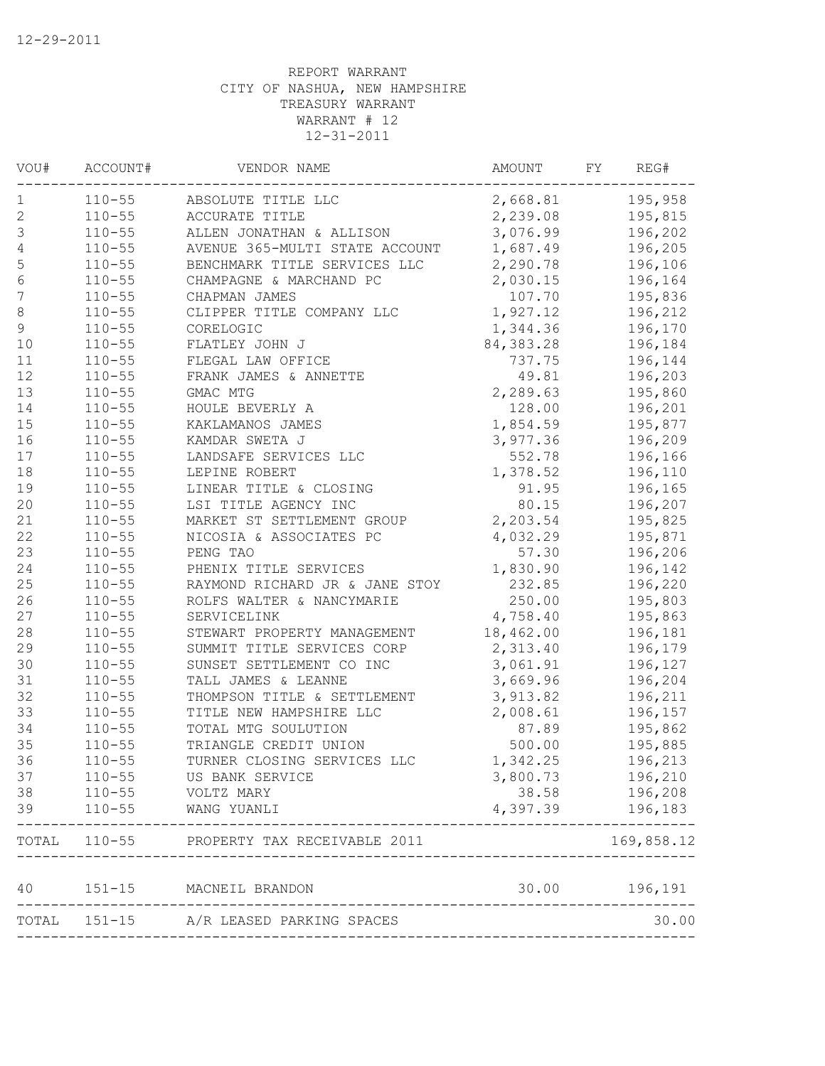| VOU#             | ACCOUNT#   | VENDOR NAME                      | AMOUNT    | FΥ | REG#          |
|------------------|------------|----------------------------------|-----------|----|---------------|
| 1                | $110 - 55$ | ABSOLUTE TITLE LLC               | 2,668.81  |    | 195,958       |
| $\sqrt{2}$       | $110 - 55$ | ACCURATE TITLE                   | 2,239.08  |    | 195,815       |
| 3                | $110 - 55$ | ALLEN JONATHAN & ALLISON         | 3,076.99  |    | 196,202       |
| $\sqrt{4}$       | $110 - 55$ | AVENUE 365-MULTI STATE ACCOUNT   | 1,687.49  |    | 196,205       |
| 5                | $110 - 55$ | BENCHMARK TITLE SERVICES LLC     | 2,290.78  |    | 196,106       |
| $\sqrt{6}$       | $110 - 55$ | CHAMPAGNE & MARCHAND PC          | 2,030.15  |    | 196,164       |
| $\boldsymbol{7}$ | $110 - 55$ | CHAPMAN JAMES                    | 107.70    |    | 195,836       |
| 8                | $110 - 55$ | CLIPPER TITLE COMPANY LLC        | 1,927.12  |    | 196,212       |
| $\mathsf 9$      | $110 - 55$ | CORELOGIC                        | 1,344.36  |    | 196,170       |
| 10               | $110 - 55$ | FLATLEY JOHN J                   | 84,383.28 |    | 196,184       |
| 11               | $110 - 55$ | FLEGAL LAW OFFICE                | 737.75    |    | 196,144       |
| 12               | $110 - 55$ | FRANK JAMES & ANNETTE            | 49.81     |    | 196,203       |
| 13               | $110 - 55$ | GMAC MTG                         | 2,289.63  |    | 195,860       |
| 14               | $110 - 55$ | HOULE BEVERLY A                  | 128.00    |    | 196,201       |
| 15               | $110 - 55$ | KAKLAMANOS JAMES                 | 1,854.59  |    | 195,877       |
| 16               | $110 - 55$ | KAMDAR SWETA J                   | 3,977.36  |    | 196,209       |
| 17               | $110 - 55$ | LANDSAFE SERVICES LLC            | 552.78    |    | 196,166       |
| 18               | $110 - 55$ | LEPINE ROBERT                    | 1,378.52  |    | 196,110       |
| 19               | $110 - 55$ | LINEAR TITLE & CLOSING           | 91.95     |    | 196,165       |
| 20               | $110 - 55$ | LSI TITLE AGENCY INC             | 80.15     |    | 196,207       |
| 21               | $110 - 55$ | MARKET ST SETTLEMENT GROUP       | 2,203.54  |    | 195,825       |
| 22               | $110 - 55$ | NICOSIA & ASSOCIATES PC          | 4,032.29  |    | 195,871       |
| 23               | $110 - 55$ | PENG TAO                         | 57.30     |    | 196,206       |
| 24               | $110 - 55$ | PHENIX TITLE SERVICES            | 1,830.90  |    | 196,142       |
| 25               | $110 - 55$ | RAYMOND RICHARD JR & JANE STOY   | 232.85    |    | 196,220       |
| 26               | $110 - 55$ | ROLFS WALTER & NANCYMARIE        | 250.00    |    | 195,803       |
| 27               | $110 - 55$ | SERVICELINK                      | 4,758.40  |    | 195,863       |
| 28               | $110 - 55$ | STEWART PROPERTY MANAGEMENT      | 18,462.00 |    | 196,181       |
| 29               | $110 - 55$ | SUMMIT TITLE SERVICES CORP       | 2,313.40  |    | 196,179       |
| 30               | $110 - 55$ | SUNSET SETTLEMENT CO INC         | 3,061.91  |    | 196,127       |
| 31               | $110 - 55$ | TALL JAMES & LEANNE              | 3,669.96  |    | 196,204       |
| 32               | $110 - 55$ | THOMPSON TITLE & SETTLEMENT      | 3,913.82  |    | 196,211       |
| 33               | $110 - 55$ | TITLE NEW HAMPSHIRE LLC          | 2,008.61  |    | 196,157       |
| 34               | $110 - 55$ | TOTAL MTG SOULUTION              | 87.89     |    | 195,862       |
| 35               | $110 - 55$ | TRIANGLE CREDIT UNION            | 500.00    |    | 195,885       |
| 36               | $110 - 55$ | TURNER CLOSING SERVICES LLC      | 1,342.25  |    | 196,213       |
| 37               | $110 - 55$ | US BANK SERVICE                  | 3,800.73  |    | 196,210       |
| 38               | $110 - 55$ | VOLTZ MARY                       | 38.58     |    | 196,208       |
| 39               | $110 - 55$ | WANG YUANLI                      | 4,397.39  |    | 196,183       |
| TOTAL            | $110 - 55$ | PROPERTY TAX RECEIVABLE 2011     |           |    | 169,858.12    |
| 40               | $151 - 15$ | MACNEIL BRANDON                  |           |    | 30.00 196,191 |
| TOTAL            |            | 151-15 A/R LEASED PARKING SPACES |           |    | 30.00         |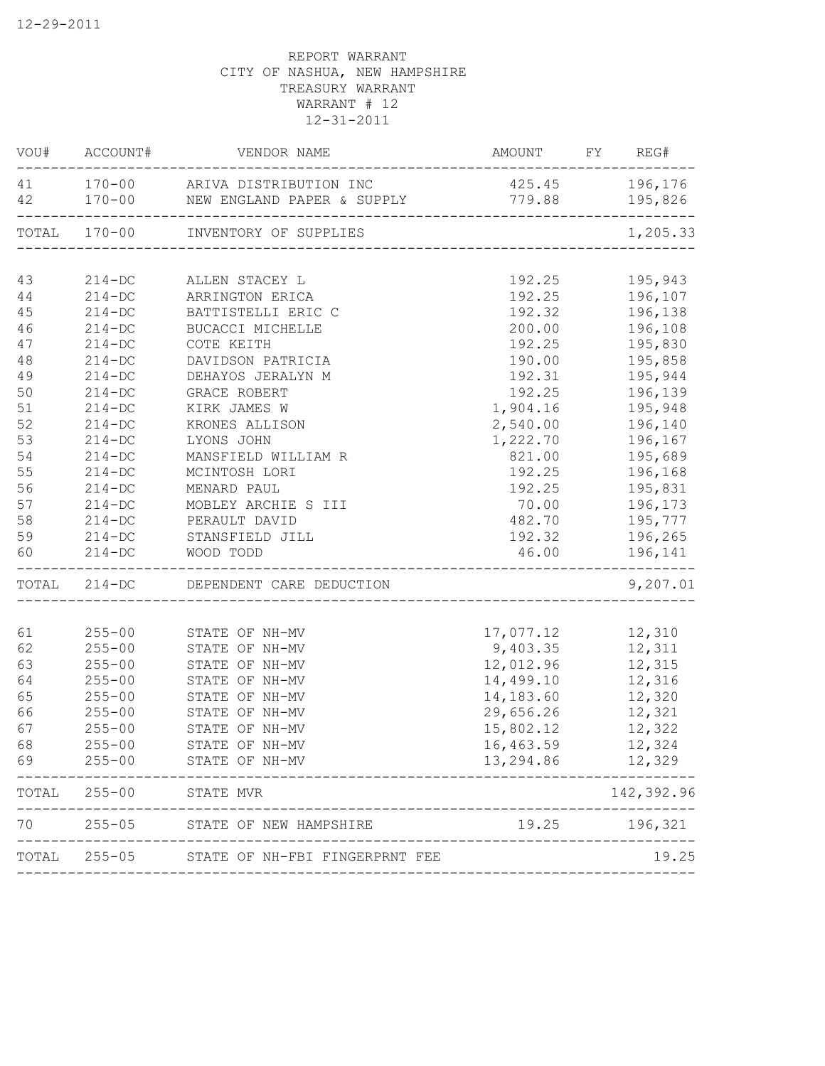| VOU#     | ACCOUNT#                 | VENDOR NAME                                                 | AMOUNT                            | FY | REG#               |
|----------|--------------------------|-------------------------------------------------------------|-----------------------------------|----|--------------------|
| 41<br>42 | $170 - 00$               | 170-00 ARIVA DISTRIBUTION INC<br>NEW ENGLAND PAPER & SUPPLY | 425.45<br>779.88                  |    | 196,176<br>195,826 |
|          | TOTAL 170-00             | INVENTORY OF SUPPLIES                                       |                                   |    | 1,205.33           |
| 43       | $214-DC$                 | ALLEN STACEY L                                              | 192.25                            |    | 195,943            |
| 44       | $214 - DC$               | ARRINGTON ERICA                                             | 192.25                            |    | 196,107            |
| 45       | $214 - DC$               | BATTISTELLI ERIC C                                          | 192.32                            |    | 196,138            |
| 46       | $214 - DC$               | BUCACCI MICHELLE                                            | 200.00                            |    | 196,108            |
| 47       | $214 - DC$               | COTE KEITH                                                  | 192.25                            |    | 195,830            |
| 48       | $214 - DC$               | DAVIDSON PATRICIA                                           | 190.00                            |    | 195,858            |
| 49       | $214 - DC$               | DEHAYOS JERALYN M                                           | 192.31                            |    | 195,944            |
| 50       | $214 - DC$               | GRACE ROBERT                                                | 192.25                            |    | 196,139            |
| 51       | $214 - DC$               | KIRK JAMES W                                                | 1,904.16                          |    | 195,948            |
| 52       | $214 - DC$               | KRONES ALLISON                                              | 2,540.00                          |    | 196,140            |
| 53       | $214 - DC$               | LYONS JOHN                                                  | 1,222.70                          |    | 196,167            |
| 54       | $214 - DC$               | MANSFIELD WILLIAM R                                         | 821.00                            |    | 195,689            |
| 55       | $214 - DC$               | MCINTOSH LORI                                               | 192.25                            |    | 196,168            |
| 56       | $214 - DC$               | MENARD PAUL                                                 | 192.25                            |    | 195,831            |
| 57       | $214 - DC$               | MOBLEY ARCHIE S III                                         | 70.00                             |    | 196,173            |
| 58       | $214 - DC$               | PERAULT DAVID                                               | 482.70                            |    | 195,777            |
| 59<br>60 | $214 - DC$<br>$214 - DC$ | STANSFIELD JILL<br>WOOD TODD                                | 192.32<br>46.00                   |    | 196,265<br>196,141 |
|          | TOTAL 214-DC             | DEPENDENT CARE DEDUCTION<br>__________________              |                                   |    | 9,207.01           |
|          |                          |                                                             |                                   |    |                    |
| 61       | $255 - 00$               | STATE OF NH-MV                                              | 17,077.12                         |    | 12,310             |
| 62<br>63 | $255 - 00$<br>$255 - 00$ | STATE OF NH-MV<br>STATE OF NH-MV                            | 9,403.35<br>12,012.96             |    | 12,311<br>12,315   |
| 64       | $255 - 00$               | STATE OF NH-MV                                              | 14,499.10                         |    | 12,316             |
| 65       | $255 - 00$               | STATE OF NH-MV                                              | 14,183.60                         |    | 12,320             |
| 66       | $255 - 00$               | STATE OF NH-MV                                              | 29,656.26                         |    | 12,321             |
| 67       | $255 - 00$               | STATE OF NH-MV                                              | 15,802.12                         |    | 12,322             |
| 68       | $255 - 00$               | STATE OF NH-MV                                              | 16,463.59                         |    | 12,324             |
| 69       | $255 - 00$               | STATE OF NH-MV                                              | 13,294.86                         |    | 12,329             |
|          | TOTAL 255-00             | ____________________<br>STATE MVR                           |                                   |    | 142,392.96         |
| 70       |                          | ________________________<br>255-05 STATE OF NEW HAMPSHIRE   | 19.25<br>________________________ |    | 196,321            |
|          | TOTAL 255-05             | STATE OF NH-FBI FINGERPRNT FEE                              |                                   |    | 19.25              |
|          |                          |                                                             | ____________________________      |    |                    |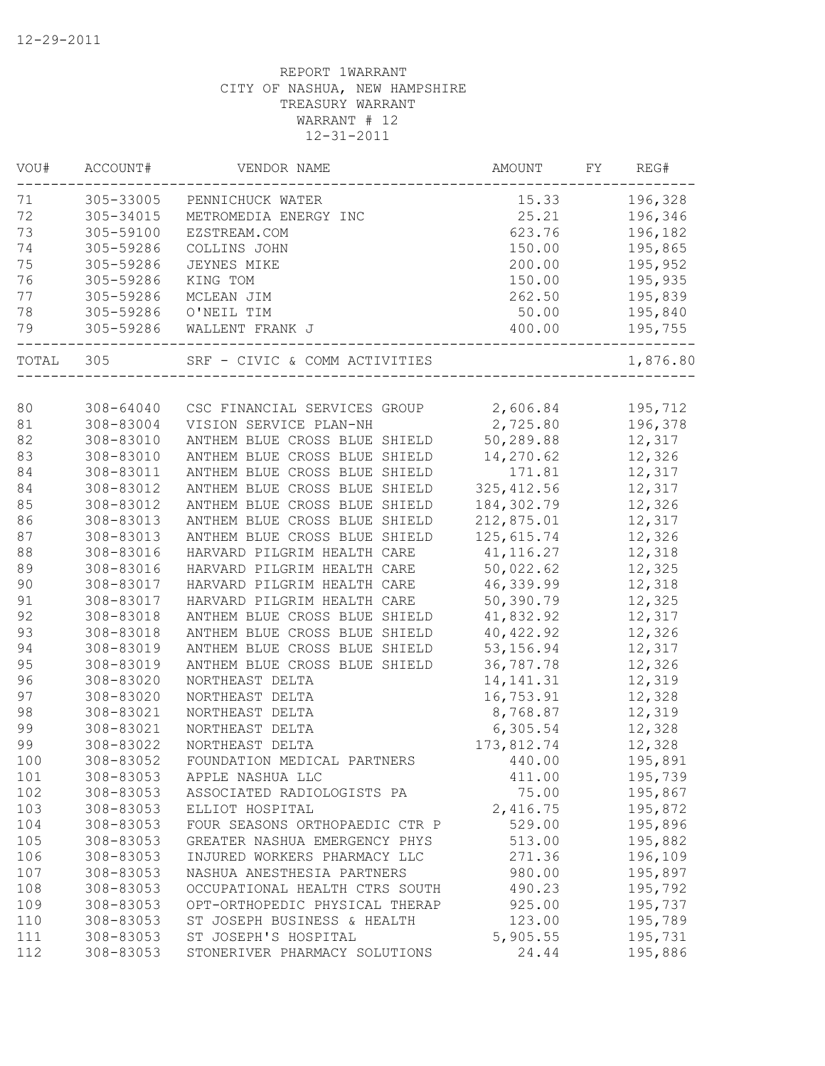| VOU#   | ACCOUNT#      | VENDOR NAME                    | AMOUNT      | FΥ<br>REG# |
|--------|---------------|--------------------------------|-------------|------------|
| 71     | 305-33005     | PENNICHUCK WATER               | 15.33       | 196,328    |
| 72     | 305-34015     | METROMEDIA ENERGY INC          | 25.21       | 196,346    |
| 73     | 305-59100     | EZSTREAM.COM                   | 623.76      | 196,182    |
| 74     | 305-59286     | COLLINS JOHN                   | 150.00      | 195,865    |
| 75     | 305-59286     | JEYNES MIKE                    | 200.00      | 195,952    |
| 76     | 305-59286     | KING TOM                       | 150.00      | 195,935    |
| 77     | 305-59286     | MCLEAN JIM                     | 262.50      | 195,839    |
| 78     | 305-59286     | O'NEIL TIM                     | 50.00       | 195,840    |
| 79     | 305-59286     | WALLENT FRANK J                | 400.00      | 195,755    |
| TOTAL  | 305           | SRF - CIVIC & COMM ACTIVITIES  |             | 1,876.80   |
|        |               |                                |             |            |
| 80     | $308 - 64040$ | CSC FINANCIAL SERVICES GROUP   | 2,606.84    | 195,712    |
| 81     | 308-83004     | VISION SERVICE PLAN-NH         | 2,725.80    | 196,378    |
| 82     | 308-83010     | ANTHEM BLUE CROSS BLUE SHIELD  | 50,289.88   | 12,317     |
| 83     | 308-83010     | ANTHEM BLUE CROSS BLUE SHIELD  | 14,270.62   | 12,326     |
| 84     | 308-83011     | ANTHEM BLUE CROSS BLUE SHIELD  | 171.81      | 12,317     |
| 84     | 308-83012     | ANTHEM BLUE CROSS BLUE SHIELD  | 325, 412.56 | 12,317     |
| 85     | 308-83012     | ANTHEM BLUE CROSS BLUE SHIELD  | 184,302.79  | 12,326     |
| 86     | 308-83013     | ANTHEM BLUE CROSS BLUE SHIELD  | 212,875.01  | 12,317     |
| 87     | 308-83013     | ANTHEM BLUE CROSS BLUE SHIELD  | 125, 615.74 | 12,326     |
| $8\,8$ | 308-83016     | HARVARD PILGRIM HEALTH CARE    | 41, 116.27  | 12,318     |
| 89     | 308-83016     | HARVARD PILGRIM HEALTH CARE    | 50,022.62   | 12,325     |
| 90     | 308-83017     | HARVARD PILGRIM HEALTH CARE    | 46,339.99   | 12,318     |
| 91     | 308-83017     | HARVARD PILGRIM HEALTH CARE    | 50,390.79   | 12,325     |
| 92     | 308-83018     | ANTHEM BLUE CROSS BLUE SHIELD  | 41,832.92   | 12,317     |
| 93     | 308-83018     | ANTHEM BLUE CROSS BLUE SHIELD  | 40, 422.92  | 12,326     |
| 94     | 308-83019     | ANTHEM BLUE CROSS BLUE SHIELD  | 53, 156.94  | 12,317     |
| 95     | 308-83019     | ANTHEM BLUE CROSS BLUE SHIELD  | 36,787.78   | 12,326     |
| 96     | 308-83020     | NORTHEAST DELTA                | 14, 141.31  | 12,319     |
| 97     | 308-83020     | NORTHEAST DELTA                | 16,753.91   | 12,328     |
| 98     | 308-83021     | NORTHEAST DELTA                | 8,768.87    | 12,319     |
| 99     | 308-83021     | NORTHEAST DELTA                | 6,305.54    | 12,328     |
| 99     | $308 - 83022$ | NORTHEAST DELTA                | 173,812.74  | 12,328     |
| 100    | 308-83052     | FOUNDATION MEDICAL PARTNERS    | 440.00      | 195,891    |
| 101    | 308-83053     | APPLE NASHUA LLC               | 411.00      | 195,739    |
| 102    | 308-83053     | ASSOCIATED RADIOLOGISTS PA     | 75.00       | 195,867    |
| 103    | 308-83053     | ELLIOT HOSPITAL                | 2,416.75    | 195,872    |
| 104    | 308-83053     | FOUR SEASONS ORTHOPAEDIC CTR P | 529.00      | 195,896    |
| 105    | 308-83053     | GREATER NASHUA EMERGENCY PHYS  | 513.00      | 195,882    |
| 106    | 308-83053     | INJURED WORKERS PHARMACY LLC   | 271.36      | 196,109    |
| 107    | 308-83053     | NASHUA ANESTHESIA PARTNERS     | 980.00      | 195,897    |
| 108    | 308-83053     | OCCUPATIONAL HEALTH CTRS SOUTH | 490.23      | 195,792    |
| 109    | 308-83053     | OPT-ORTHOPEDIC PHYSICAL THERAP | 925.00      | 195,737    |
| 110    | 308-83053     | ST JOSEPH BUSINESS & HEALTH    | 123.00      | 195,789    |
| 111    | 308-83053     | ST JOSEPH'S HOSPITAL           | 5,905.55    | 195,731    |
| 112    | 308-83053     | STONERIVER PHARMACY SOLUTIONS  | 24.44       | 195,886    |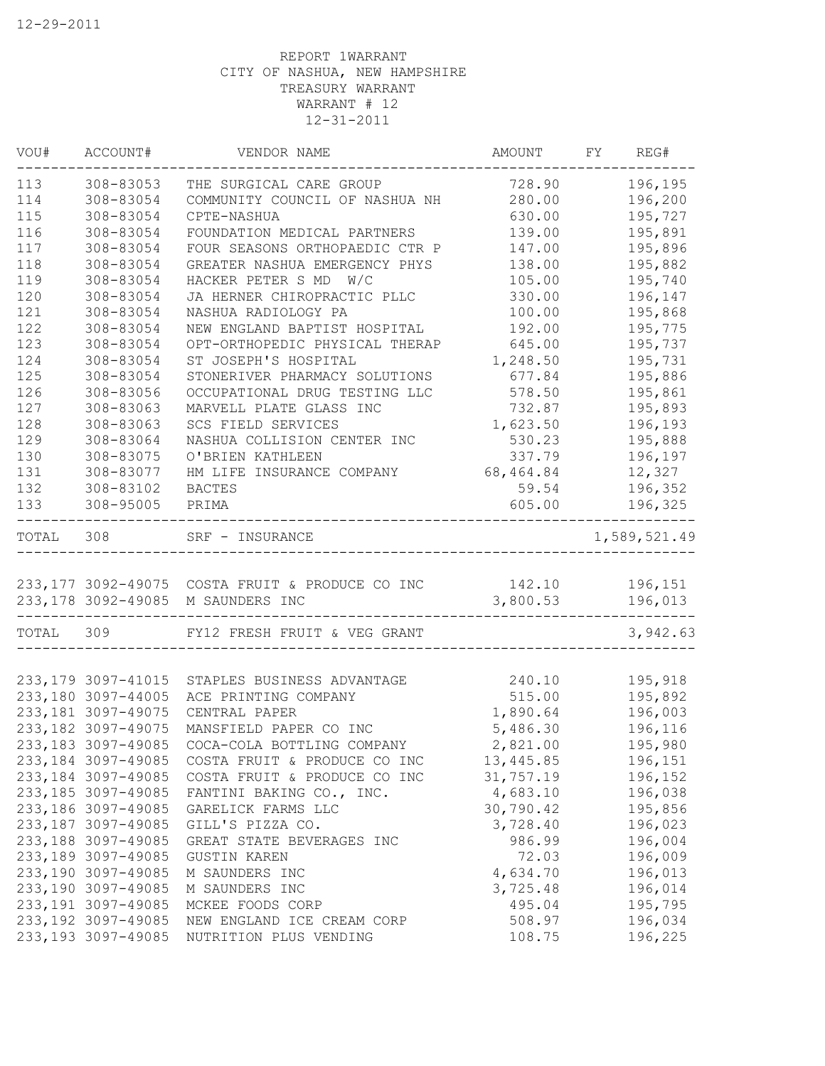| VOU#      | ACCOUNT#            | VENDOR NAME                                                       | AMOUNT    | FY REG#                     |
|-----------|---------------------|-------------------------------------------------------------------|-----------|-----------------------------|
| 113       | 308-83053           | THE SURGICAL CARE GROUP                                           | 728.90    | 196,195                     |
| 114       | 308-83054           | COMMUNITY COUNCIL OF NASHUA NH                                    | 280.00    | 196,200                     |
| 115       | 308-83054           | CPTE-NASHUA                                                       | 630.00    | 195,727                     |
| 116       | 308-83054           | FOUNDATION MEDICAL PARTNERS                                       | 139.00    | 195,891                     |
| 117       | 308-83054           | FOUR SEASONS ORTHOPAEDIC CTR P                                    | 147.00    | 195,896                     |
| 118       | 308-83054           | GREATER NASHUA EMERGENCY PHYS                                     | 138.00    | 195,882                     |
| 119       | 308-83054           | HACKER PETER S MD W/C                                             | 105.00    | 195,740                     |
| 120       | 308-83054           | JA HERNER CHIROPRACTIC PLLC                                       | 330.00    | 196,147                     |
| 121       | 308-83054           | NASHUA RADIOLOGY PA                                               | 100.00    | 195,868                     |
| 122       | 308-83054           | NEW ENGLAND BAPTIST HOSPITAL                                      | 192.00    | 195,775                     |
| 123       | 308-83054           | OPT-ORTHOPEDIC PHYSICAL THERAP                                    | 645.00    | 195,737                     |
| 124       | 308-83054           | ST JOSEPH'S HOSPITAL                                              | 1,248.50  | 195,731                     |
| 125       | 308-83054           | STONERIVER PHARMACY SOLUTIONS                                     | 677.84    | 195,886                     |
| 126       | 308-83056           | OCCUPATIONAL DRUG TESTING LLC                                     | 578.50    | 195,861                     |
| 127       | 308-83063           | MARVELL PLATE GLASS INC                                           | 732.87    | 195,893                     |
| 128       | 308-83063           | SCS FIELD SERVICES                                                | 1,623.50  | 196,193                     |
| 129       | 308-83064           | NASHUA COLLISION CENTER INC                                       | 530.23    | 195,888                     |
| 130       | 308-83075           | O'BRIEN KATHLEEN                                                  | 337.79    | 196,197                     |
| 131       | 308-83077           | HM LIFE INSURANCE COMPANY                                         | 68,464.84 | 12,327                      |
| 132       | 308-83102           | <b>BACTES</b>                                                     | 59.54     | 196,352                     |
| 133       | 308-95005           | PRIMA                                                             | 605.00    | 196,325                     |
| TOTAL 308 |                     | SRF - INSURANCE                                                   |           | 1,589,521.49                |
|           |                     |                                                                   |           |                             |
|           |                     | 233,177 3092-49075 COSTA FRUIT & PRODUCE CO INC 142.10            |           | 196,151                     |
|           |                     | 233,178 3092-49085 M SAUNDERS INC<br>---------------------------- | 3,800.53  | 196,013<br>---------------- |
| TOTAL 309 |                     | FY12 FRESH FRUIT & VEG GRANT                                      |           | 3,942.63                    |
|           | 233, 179 3097-41015 | STAPLES BUSINESS ADVANTAGE                                        | 240.10    | 195,918                     |
|           | 233,180 3097-44005  | ACE PRINTING COMPANY                                              | 515.00    | 195,892                     |
|           | 233, 181 3097-49075 | CENTRAL PAPER                                                     | 1,890.64  | 196,003                     |
|           | 233, 182 3097-49075 | MANSFIELD PAPER CO INC                                            | 5,486.30  | 196,116                     |
|           | 233, 183 3097-49085 | COCA-COLA BOTTLING COMPANY                                        | 2,821.00  | 195,980                     |
|           | 233, 184 3097-49085 | COSTA FRUIT & PRODUCE CO INC                                      | 13,445.85 | 196,151                     |
|           | 233, 184 3097-49085 | COSTA FRUIT & PRODUCE CO INC                                      | 31,757.19 | 196,152                     |
|           | 233, 185 3097-49085 | FANTINI BAKING CO., INC.                                          | 4,683.10  | 196,038                     |
|           |                     | GARELICK FARMS LLC                                                | 30,790.42 | 195,856                     |
|           | 233, 186 3097-49085 |                                                                   |           |                             |
|           | 233, 187 3097-49085 | GILL'S PIZZA CO.                                                  | 3,728.40  | 196,023                     |
|           | 233, 188 3097-49085 | GREAT STATE BEVERAGES INC                                         | 986.99    | 196,004                     |
|           | 233, 189 3097-49085 | <b>GUSTIN KAREN</b>                                               | 72.03     | 196,009                     |
|           | 233,190 3097-49085  | M SAUNDERS INC                                                    | 4,634.70  | 196,013                     |
|           | 233,190 3097-49085  | M SAUNDERS INC                                                    | 3,725.48  | 196,014                     |
|           | 233, 191 3097-49085 | MCKEE FOODS CORP                                                  | 495.04    | 195,795                     |
|           | 233, 192 3097-49085 | NEW ENGLAND ICE CREAM CORP                                        | 508.97    | 196,034                     |
|           | 233, 193 3097-49085 | NUTRITION PLUS VENDING                                            | 108.75    | 196,225                     |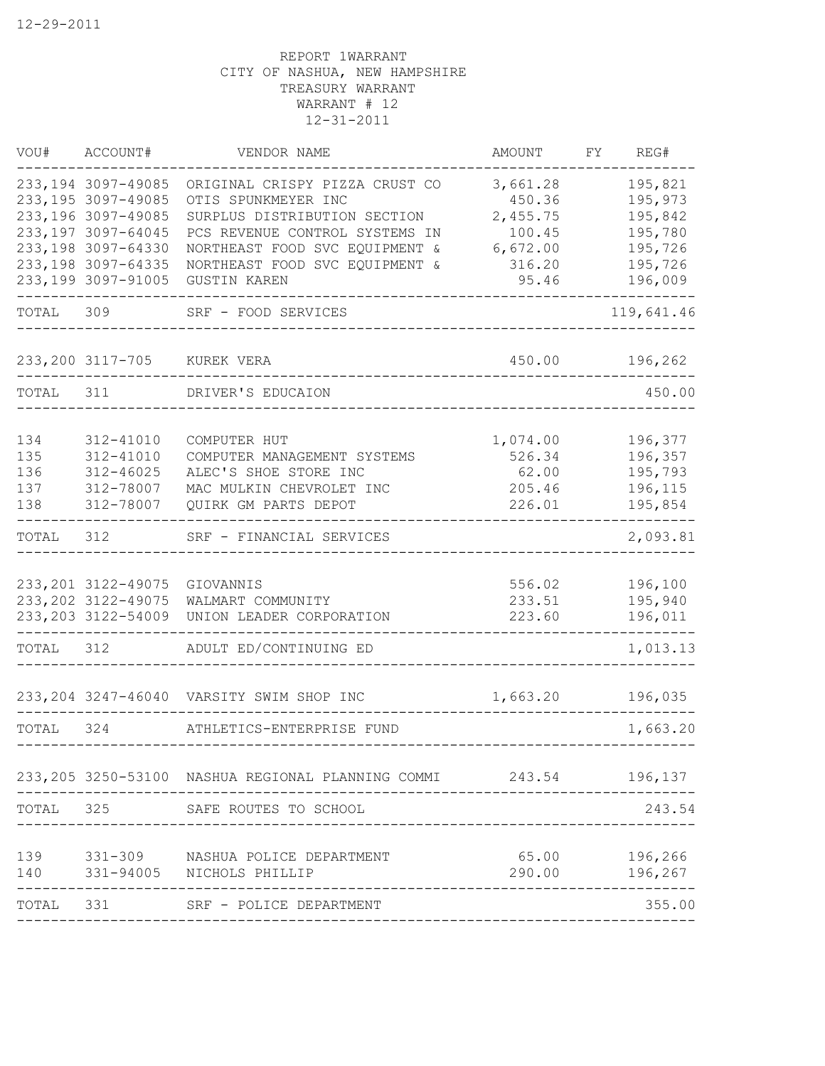| WOU#      | ACCOUNT#                                   | VENDOR NAME                                                        | AMOUNT           | FY | REG#               |
|-----------|--------------------------------------------|--------------------------------------------------------------------|------------------|----|--------------------|
|           | 233, 194 3097-49085                        | ORIGINAL CRISPY PIZZA CRUST CO                                     | 3,661.28         |    | 195,821            |
|           | 233, 195 3097-49085                        | OTIS SPUNKMEYER INC                                                | 450.36           |    | 195,973            |
|           | 233,196 3097-49085                         | SURPLUS DISTRIBUTION SECTION                                       | 2,455.75         |    | 195,842            |
|           | 233, 197 3097-64045                        | PCS REVENUE CONTROL SYSTEMS IN                                     | 100.45           |    | 195,780            |
|           | 233, 198 3097-64330                        | NORTHEAST FOOD SVC EQUIPMENT &                                     | 6,672.00         |    | 195,726            |
|           | 233, 198 3097-64335                        | NORTHEAST FOOD SVC EQUIPMENT &                                     | 316.20           |    | 195,726            |
|           | 233,199 3097-91005                         | <b>GUSTIN KAREN</b>                                                | 95.46            |    | 196,009            |
| TOTAL 309 |                                            | SRF - FOOD SERVICES                                                |                  |    | 119,641.46         |
|           | 233, 200 3117-705 KUREK VERA               |                                                                    | 450.00           |    | 196,262            |
| TOTAL 311 |                                            | DRIVER'S EDUCAION                                                  |                  |    | 450.00             |
|           |                                            |                                                                    |                  |    |                    |
| 134       | 312-41010                                  | COMPUTER HUT                                                       | 1,074.00         |    | 196,377            |
| 135       | 312-41010                                  | COMPUTER MANAGEMENT SYSTEMS                                        | 526.34           |    | 196,357            |
| 136       | $312 - 46025$                              | ALEC'S SHOE STORE INC                                              | 62.00            |    | 195,793            |
| 137       | 312-78007                                  | MAC MULKIN CHEVROLET INC                                           | 205.46           |    | 196,115            |
| 138       | 312-78007                                  | QUIRK GM PARTS DEPOT                                               | 226.01           |    | 195,854            |
| TOTAL     | 312                                        | SRF - FINANCIAL SERVICES                                           |                  |    | 2,093.81           |
|           |                                            |                                                                    |                  |    |                    |
|           | 233, 201 3122-49075<br>233, 202 3122-49075 | GIOVANNIS<br>WALMART COMMUNITY                                     | 556.02<br>233.51 |    | 196,100<br>195,940 |
|           | 233, 203 3122-54009                        | UNION LEADER CORPORATION                                           | 223.60           |    | 196,011            |
|           |                                            |                                                                    |                  |    |                    |
| TOTAL     | 312                                        | ADULT ED/CONTINUING ED                                             |                  |    | 1,013.13           |
|           |                                            | 233, 204 3247-46040 VARSITY SWIM SHOP INC                          | 1,663.20         |    | 196,035            |
|           |                                            |                                                                    |                  |    |                    |
| TOTAL     | 324                                        | ATHLETICS-ENTERPRISE FUND                                          |                  |    | 1,663.20           |
|           |                                            | 233, 205 3250-53100 NASHUA REGIONAL PLANNING COMMI 243.54 196, 137 |                  |    |                    |
| TOTAL     | 325                                        | SAFE ROUTES TO SCHOOL                                              |                  |    | 243.54             |
|           |                                            |                                                                    |                  |    |                    |
| 139       |                                            | 331-309 NASHUA POLICE DEPARTMENT                                   | 65.00            |    | 196,266            |
|           |                                            | 140 331-94005 NICHOLS PHILLIP                                      | 290.00           |    | 196,267            |
| TOTAL 331 |                                            | SRF - POLICE DEPARTMENT                                            |                  |    | 355.00             |
|           |                                            |                                                                    |                  |    |                    |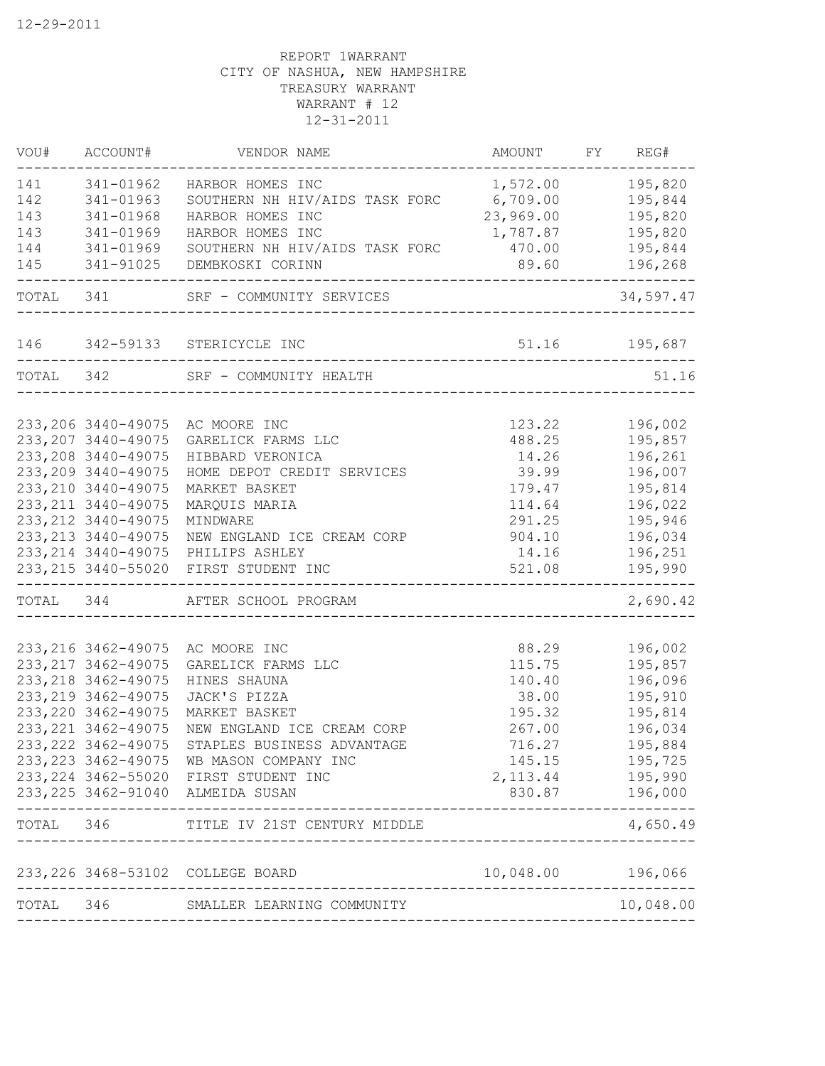| VOU#      | ACCOUNT#                                   | VENDOR NAME                                            | AMOUNT              | FY REG#            |
|-----------|--------------------------------------------|--------------------------------------------------------|---------------------|--------------------|
| 141       | 341-01962                                  | HARBOR HOMES INC                                       | 1,572.00            | 195,820            |
| 142       | 341-01963                                  | SOUTHERN NH HIV/AIDS TASK FORC                         | 6,709.00            | 195,844            |
| 143       | 341-01968                                  | HARBOR HOMES INC                                       | 23,969.00           | 195,820            |
| 143       | 341-01969                                  | HARBOR HOMES INC                                       | 1,787.87            | 195,820            |
| 144       | 341-01969                                  | SOUTHERN NH HIV/AIDS TASK FORC                         | 470.00              | 195,844            |
| 145       | 341-91025                                  | DEMBKOSKI CORINN                                       | 89.60               | 196,268            |
| TOTAL 341 |                                            | SRF - COMMUNITY SERVICES                               | ________________    | 34,597.47          |
|           |                                            | 146 342-59133 STERICYCLE INC                           |                     | 51.16 195,687      |
|           |                                            | TOTAL 342 SRF - COMMUNITY HEALTH                       |                     | 51.16              |
|           |                                            |                                                        |                     |                    |
|           | 233, 206 3440-49075                        | AC MOORE INC                                           | 123.22              | 196,002            |
|           | 233, 207 3440-49075                        | GARELICK FARMS LLC                                     | 488.25              | 195,857            |
|           | 233, 208 3440-49075                        | HIBBARD VERONICA                                       | 14.26               | 196,261            |
|           | 233, 209 3440-49075                        | HOME DEPOT CREDIT SERVICES                             | 39.99               | 196,007            |
|           | 233, 210 3440-49075                        | MARKET BASKET                                          | 179.47              | 195,814            |
|           | 233, 211 3440-49075                        | MARQUIS MARIA                                          | 114.64              | 196,022            |
|           | 233, 212 3440-49075                        | MINDWARE                                               | 291.25              | 195,946            |
|           | 233, 213 3440-49075                        | NEW ENGLAND ICE CREAM CORP                             | 904.10              | 196,034            |
|           | 233, 214 3440-49075                        | PHILIPS ASHLEY                                         | 14.16               | 196,251            |
|           | 233, 215 3440-55020                        | FIRST STUDENT INC                                      | 521.08              | 195,990            |
| TOTAL 344 |                                            | AFTER SCHOOL PROGRAM                                   |                     | 2,690.42           |
|           |                                            |                                                        |                     |                    |
|           | 233, 216 3462-49075<br>233, 217 3462-49075 | AC MOORE INC<br>GARELICK FARMS LLC                     | 88.29<br>115.75     | 196,002<br>195,857 |
|           | 233, 218 3462-49075                        | HINES SHAUNA                                           | 140.40              | 196,096            |
|           | 233, 219 3462-49075                        | JACK'S PIZZA                                           | 38.00               | 195,910            |
|           | 233, 220 3462-49075                        | MARKET BASKET                                          | 195.32              | 195,814            |
|           | 233, 221 3462-49075                        | NEW ENGLAND ICE CREAM CORP                             | 267.00              |                    |
|           | 233, 222 3462-49075                        |                                                        |                     | 196,034            |
|           |                                            | STAPLES BUSINESS ADVANTAGE                             | 716.27              | 195,884            |
|           | 233, 223 3462-49075                        | WB MASON COMPANY INC                                   | 145.15              | 195,725            |
|           | 233, 224 3462-55020                        | FIRST STUDENT INC<br>233, 225 3462-91040 ALMEIDA SUSAN | 2, 113.44<br>830.87 | 195,990<br>196,000 |
| TOTAL     | 346                                        | TITLE IV 21ST CENTURY MIDDLE                           |                     | 4,650.49           |
|           |                                            |                                                        |                     |                    |
|           | 233, 226 3468-53102                        | COLLEGE BOARD                                          | 10,048.00           | 196,066            |
| TOTAL     | 346                                        | SMALLER LEARNING COMMUNITY                             |                     | 10,048.00          |
|           |                                            |                                                        |                     |                    |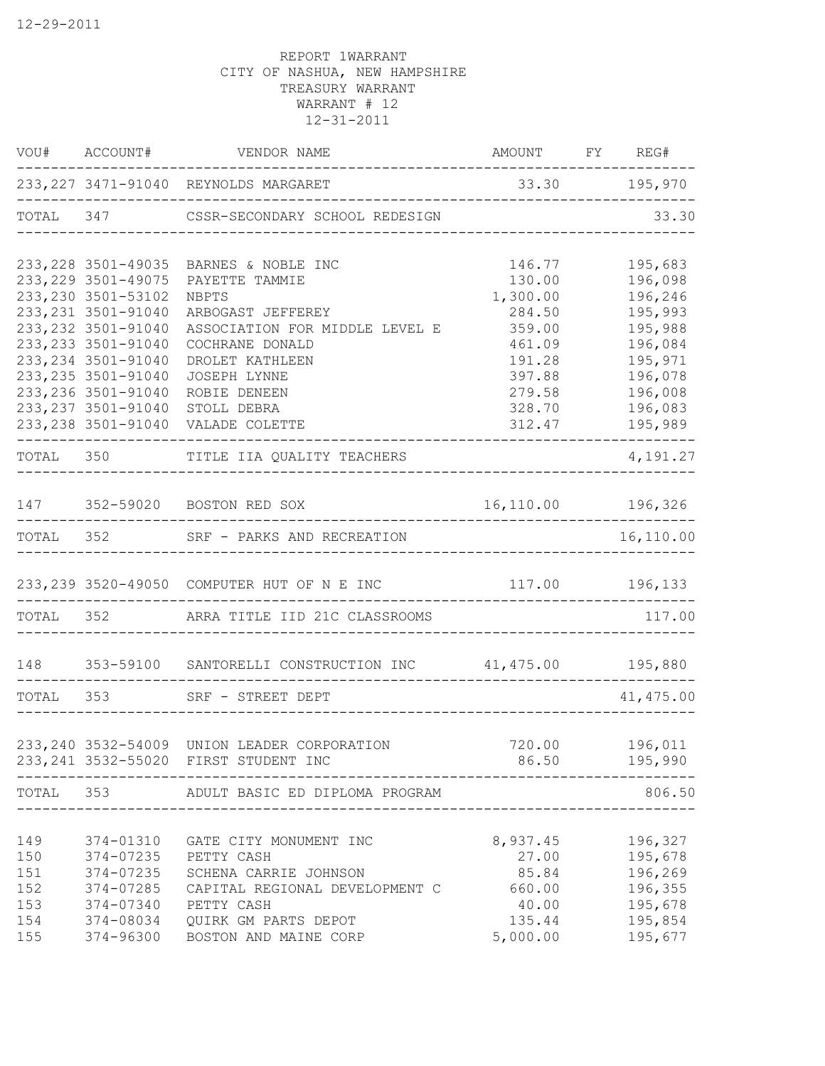|            |                        | VOU# ACCOUNT# VENDOR NAME<br>AMOUNT FY REG#<br>_________________                                                                        | ____________________________ |                            |
|------------|------------------------|-----------------------------------------------------------------------------------------------------------------------------------------|------------------------------|----------------------------|
|            |                        | 233, 227 3471-91040 REYNOLDS MARGARET<br>-------------------------------------                                                          | 33.30 195,970                |                            |
|            |                        | TOTAL 347 CSSR-SECONDARY SCHOOL REDESIGN                                                                                                |                              | 33.30                      |
|            | 233, 228 3501-49035    | BARNES & NOBLE INC                                                                                                                      | 146.77                       | 195,683                    |
|            | 233, 229 3501-49075    | PAYETTE TAMMIE                                                                                                                          | 130.00                       | 196,098                    |
|            | 233, 230 3501-53102    | NBPTS                                                                                                                                   | 1,300.00                     | 196,246                    |
|            | 233, 231 3501-91040    | ARBOGAST JEFFEREY                                                                                                                       | 284.50                       | 195,993                    |
|            | 233, 232 3501-91040    | ASSOCIATION FOR MIDDLE LEVEL E                                                                                                          | 359.00                       | 195,988                    |
|            | 233, 233 3501-91040    | COCHRANE DONALD                                                                                                                         | 461.09                       | 196,084                    |
|            | 233, 234 3501-91040    | DROLET KATHLEEN                                                                                                                         | 191.28                       | 195,971                    |
|            | 233, 235 3501-91040    | JOSEPH LYNNE                                                                                                                            | 397.88                       | 196,078                    |
|            | 233, 236 3501-91040    | ROBIE DENEEN                                                                                                                            | 279.58                       | 196,008                    |
|            | 233, 237 3501-91040    | STOLL DEBRA                                                                                                                             | 328.70                       | 196,083                    |
|            |                        | 233, 238 3501-91040 VALADE COLETTE<br>----------------------------------                                                                |                              | 312.47 195,989             |
|            |                        | TOTAL 350 TITLE IIA QUALITY TEACHERS                                                                                                    |                              | 4,191.27                   |
|            |                        | 147 352-59020 BOSTON RED SOX                                                                                                            | 16,110.00 196,326            |                            |
|            |                        | -------------------------<br>TOTAL 352 SRF - PARKS AND RECREATION                                                                       |                              | -------------<br>16,110.00 |
|            |                        |                                                                                                                                         |                              |                            |
|            |                        | 233, 239 3520-49050 COMPUTER HUT OF N E INC 117.00 196, 133                                                                             |                              |                            |
|            |                        | TOTAL 352 ARRA TITLE IID 21C CLASSROOMS                                                                                                 |                              | 117.00                     |
|            |                        | 148               353-59100                     SANTORELLI CONSTRUCTION INC                      41,475.00                      195,880 |                              |                            |
|            |                        | TOTAL 353 SRF - STREET DEPT                                                                                                             |                              | 41, 475.00                 |
|            |                        | _______________________________                                                                                                         |                              |                            |
|            |                        | 233, 240 3532-54009 UNION LEADER CORPORATION                                                                                            |                              | 720.00    196,011          |
|            |                        | 233, 241 3532-55020 FIRST STUDENT INC                                                                                                   |                              | 86.50 195,990              |
| TOTAL      |                        | 353 ADULT BASIC ED DIPLOMA PROGRAM                                                                                                      |                              | 806.50                     |
|            |                        |                                                                                                                                         |                              |                            |
| 149        | 374-01310              | GATE CITY MONUMENT INC                                                                                                                  | 8,937.45                     | 196,327                    |
| 150        | 374-07235              | PETTY CASH                                                                                                                              | 27.00                        | 195,678                    |
| 151        | 374-07235              | SCHENA CARRIE JOHNSON                                                                                                                   | 85.84<br>660.00              | 196,269                    |
| 152<br>153 | 374-07285<br>374-07340 | CAPITAL REGIONAL DEVELOPMENT C<br>PETTY CASH                                                                                            | 40.00                        | 196,355<br>195,678         |
| 154        | 374-08034              | QUIRK GM PARTS DEPOT                                                                                                                    | 135.44                       | 195,854                    |
| 155        | 374-96300              | BOSTON AND MAINE CORP                                                                                                                   | 5,000.00                     | 195,677                    |
|            |                        |                                                                                                                                         |                              |                            |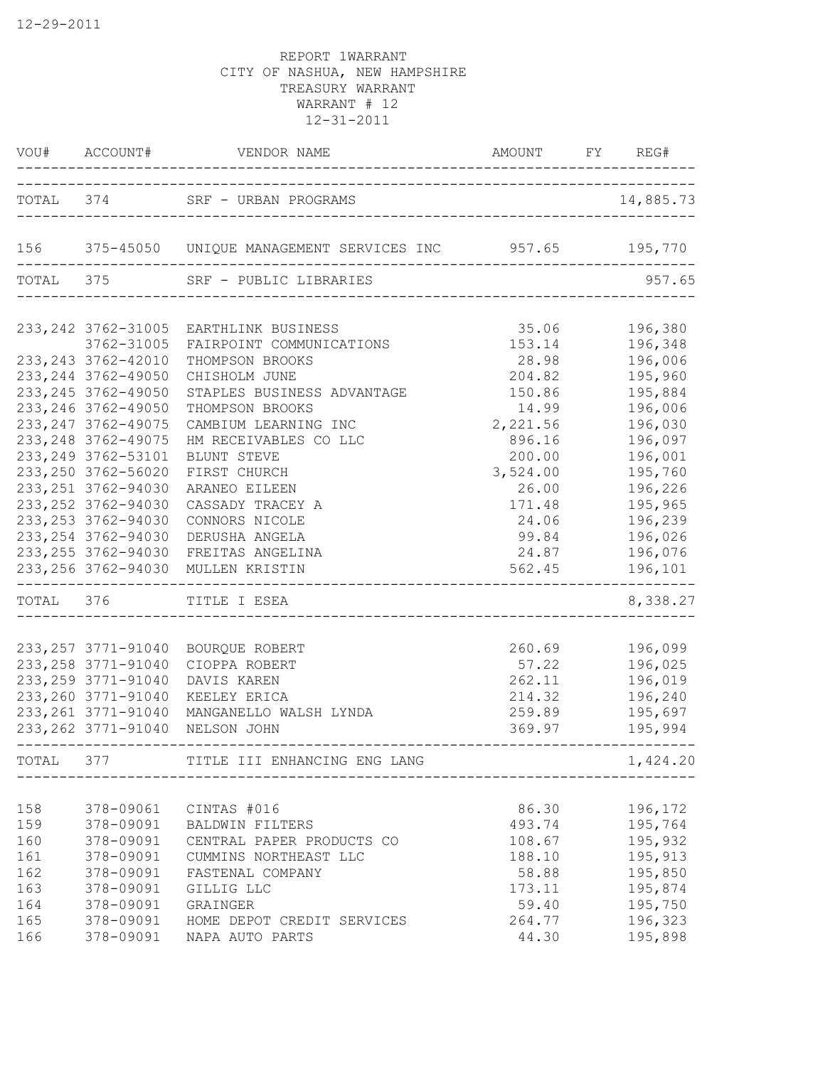|       | VOU# ACCOUNT#                              | VENDOR NAME                                                           | AMOUNT           | FY REG#             |
|-------|--------------------------------------------|-----------------------------------------------------------------------|------------------|---------------------|
|       | TOTAL 374                                  | SRF - URBAN PROGRAMS                                                  |                  | 14,885.73           |
|       |                                            | 156 375-45050 UNIQUE MANAGEMENT SERVICES INC 957.65 195,770           |                  |                     |
|       | TOTAL 375                                  | SRF - PUBLIC LIBRARIES                                                |                  | 957.65              |
|       | 233, 242 3762-31005                        | EARTHLINK BUSINESS                                                    | 35.06            | 196,380             |
|       | 3762-31005                                 | FAIRPOINT COMMUNICATIONS                                              | 153.14           | 196,348             |
|       | 233, 243 3762-42010                        | THOMPSON BROOKS                                                       | 28.98            | 196,006             |
|       | 233, 244 3762-49050                        | CHISHOLM JUNE                                                         | 204.82           | 195,960             |
|       | 233, 245 3762-49050                        | STAPLES BUSINESS ADVANTAGE                                            | 150.86           | 195,884             |
|       | 233, 246 3762-49050                        | THOMPSON BROOKS                                                       | 14.99            | 196,006             |
|       | 233, 247 3762-49075                        | CAMBIUM LEARNING INC                                                  | 2,221.56         | 196,030             |
|       | 233, 248 3762-49075                        | HM RECEIVABLES CO LLC                                                 | 896.16           | 196,097             |
|       | 233, 249 3762-53101                        | BLUNT STEVE                                                           | 200.00           | 196,001             |
|       | 233, 250 3762-56020                        | FIRST CHURCH                                                          | 3,524.00         | 195,760             |
|       | 233, 251 3762-94030                        | ARANEO EILEEN                                                         | 26.00            | 196,226             |
|       | 233, 252 3762-94030                        | CASSADY TRACEY A                                                      | 171.48           | 195,965             |
|       | 233, 253 3762-94030                        | CONNORS NICOLE                                                        | 24.06            | 196,239             |
|       | 233, 254 3762-94030                        | DERUSHA ANGELA                                                        | 99.84            | 196,026             |
|       | 233, 255 3762-94030                        | FREITAS ANGELINA                                                      | 24.87            | 196,076             |
|       |                                            | 233, 256 3762-94030 MULLEN KRISTIN<br>------------------------------- | 562.45           | 196,101             |
|       | TOTAL 376                                  | TITLE I ESEA                                                          |                  | 8,338.27            |
|       |                                            |                                                                       |                  |                     |
|       | 233, 257 3771-91040                        | BOURQUE ROBERT                                                        | 260.69           | 196,099             |
|       | 233, 258 3771-91040                        | CIOPPA ROBERT                                                         | 57.22            | 196,025             |
|       | 233, 259 3771-91040                        | DAVIS KAREN                                                           | 262.11           | 196,019             |
|       | 233, 260 3771-91040                        | KEELEY ERICA                                                          | 214.32           | 196,240             |
|       | 233, 261 3771-91040<br>233, 262 3771-91040 | MANGANELLO WALSH LYNDA<br>NELSON JOHN                                 | 259.89<br>369.97 | 195,697<br>195,994  |
| TOTAL | 377                                        | TITLE III ENHANCING ENG LANG                                          |                  | -------<br>1,424.20 |
|       |                                            |                                                                       |                  |                     |
| 158   |                                            | 378-09061 CINTAS #016                                                 | 86.30            | 196,172             |
| 159   |                                            | 378-09091 BALDWIN FILTERS                                             | 493.74           | 195,764             |
| 160   | 378-09091                                  | CENTRAL PAPER PRODUCTS CO                                             | 108.67           | 195,932             |
| 161   | 378-09091                                  | CUMMINS NORTHEAST LLC                                                 | 188.10           | 195,913             |
| 162   | 378-09091                                  | FASTENAL COMPANY                                                      | 58.88            | 195,850             |
| 163   | 378-09091                                  | GILLIG LLC                                                            | 173.11           | 195,874             |
| 164   | 378-09091                                  | GRAINGER                                                              | 59.40            | 195,750             |
| 165   |                                            | 378-09091 HOME DEPOT CREDIT SERVICES                                  | 264.77           | 196,323             |
| 166   | 378-09091                                  | NAPA AUTO PARTS                                                       | 44.30            | 195,898             |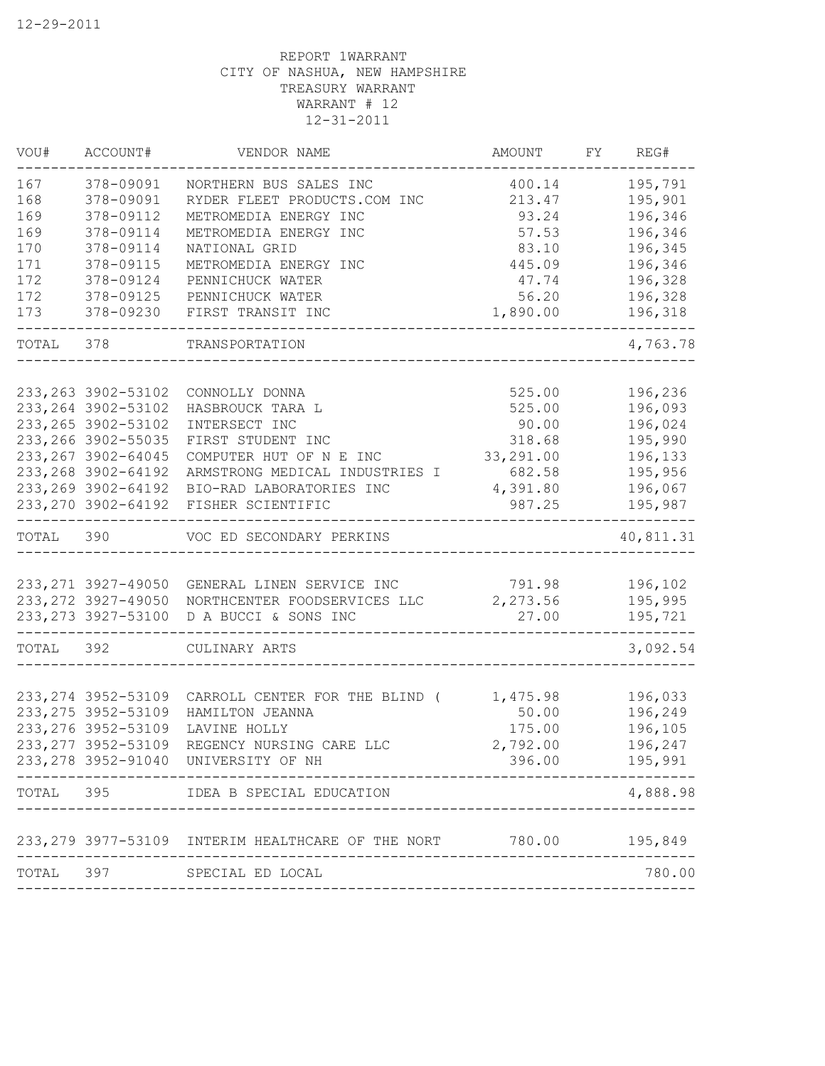| VOU#      | ACCOUNT#            | VENDOR NAME                                               | AMOUNT    | FY REG#   |
|-----------|---------------------|-----------------------------------------------------------|-----------|-----------|
| 167       | 378-09091           | NORTHERN BUS SALES INC                                    | 400.14    | 195,791   |
| 168       | 378-09091           | RYDER FLEET PRODUCTS.COM INC                              | 213.47    | 195,901   |
| 169       | 378-09112           | METROMEDIA ENERGY INC                                     | 93.24     | 196,346   |
| 169       | 378-09114           | METROMEDIA ENERGY INC                                     | 57.53     | 196,346   |
| 170       | 378-09114           | NATIONAL GRID                                             | 83.10     | 196,345   |
| 171       | 378-09115           | METROMEDIA ENERGY INC                                     | 445.09    | 196,346   |
| 172       | 378-09124           | PENNICHUCK WATER                                          | 47.74     | 196,328   |
| 172       | 378-09125           | PENNICHUCK WATER                                          | 56.20     | 196,328   |
| 173       | 378-09230           | FIRST TRANSIT INC                                         | 1,890.00  | 196,318   |
| TOTAL     | 378                 | TRANSPORTATION                                            |           | 4,763.78  |
|           | 233, 263 3902-53102 | CONNOLLY DONNA                                            | 525.00    | 196,236   |
|           | 233, 264 3902-53102 |                                                           | 525.00    | 196,093   |
|           | 233, 265 3902-53102 | HASBROUCK TARA L                                          |           | 196,024   |
|           | 233, 266 3902-55035 | INTERSECT INC<br>FIRST STUDENT INC                        | 90.00     | 195,990   |
|           |                     |                                                           | 318.68    |           |
|           | 233, 267 3902-64045 | COMPUTER HUT OF N E INC                                   | 33,291.00 | 196,133   |
|           | 233, 268 3902-64192 | ARMSTRONG MEDICAL INDUSTRIES I                            | 682.58    | 195,956   |
|           | 233, 269 3902-64192 | BIO-RAD LABORATORIES INC                                  | 4,391.80  | 196,067   |
|           | 233, 270 3902-64192 | FISHER SCIENTIFIC                                         | 987.25    | 195,987   |
| TOTAL 390 |                     | VOC ED SECONDARY PERKINS                                  |           | 40,811.31 |
|           |                     |                                                           |           |           |
|           | 233, 271 3927-49050 | GENERAL LINEN SERVICE INC                                 | 791.98    | 196,102   |
|           | 233, 272 3927-49050 | NORTHCENTER FOODSERVICES LLC                              | 2,273.56  | 195,995   |
|           | 233, 273 3927-53100 | D A BUCCI & SONS INC                                      | 27.00     | 195,721   |
| TOTAL 392 |                     | CULINARY ARTS                                             |           | 3,092.54  |
|           |                     |                                                           |           |           |
|           | 233, 274 3952-53109 | CARROLL CENTER FOR THE BLIND (                            | 1,475.98  | 196,033   |
|           | 233, 275 3952-53109 | HAMILTON JEANNA                                           | 50.00     | 196,249   |
|           | 233, 276 3952-53109 | LAVINE HOLLY                                              | 175.00    | 196,105   |
|           | 233, 277 3952-53109 | REGENCY NURSING CARE LLC                                  | 2,792.00  | 196,247   |
|           |                     | 233, 278 3952-91040 UNIVERSITY OF NH                      | 396.00    | 195,991   |
| TOTAL     | 395                 | IDEA B SPECIAL EDUCATION                                  |           | 4,888.98  |
|           |                     | 233, 279 3977-53109 INTERIM HEALTHCARE OF THE NORT 780.00 |           | 195,849   |
| TOTAL     | 397                 | SPECIAL ED LOCAL                                          |           | 780.00    |
|           |                     |                                                           |           |           |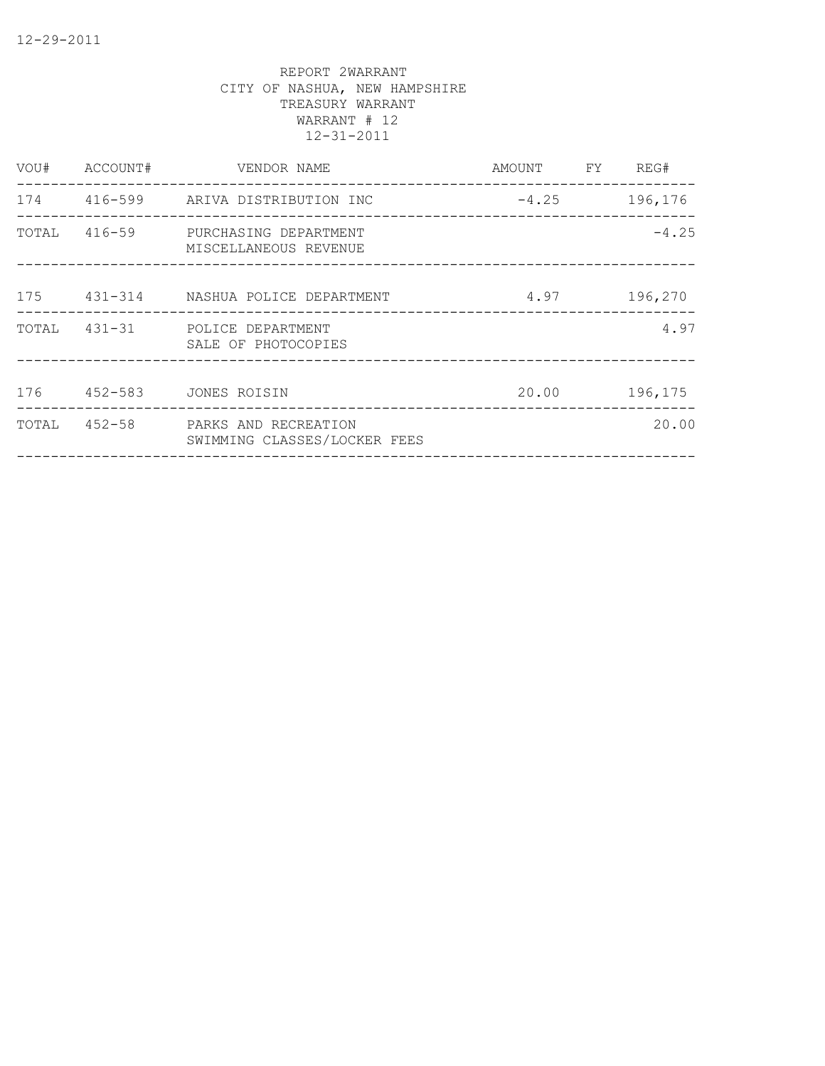| VOU# | ACCOUNT# | VENDOR NAME                                                       | AMOUNT FY REG# |         |
|------|----------|-------------------------------------------------------------------|----------------|---------|
|      |          | 174 416-599 ARIVA DISTRIBUTION INC                                | $-4.25$        | 196,176 |
|      |          | TOTAL 416-59 PURCHASING DEPARTMENT<br>MISCELLANEOUS REVENUE       |                | $-4.25$ |
|      |          | 175 431-314 NASHUA POLICE DEPARTMENT                              | 4.97           | 196,270 |
|      |          | TOTAL 431-31 POLICE DEPARTMENT<br>SALE OF PHOTOCOPIES             |                | 4.97    |
|      |          | 176  452-583  JONES ROISIN                                        | 20.00          | 196,175 |
|      |          | TOTAL 452-58 PARKS AND RECREATION<br>SWIMMING CLASSES/LOCKER FEES |                | 20.00   |
|      |          |                                                                   |                |         |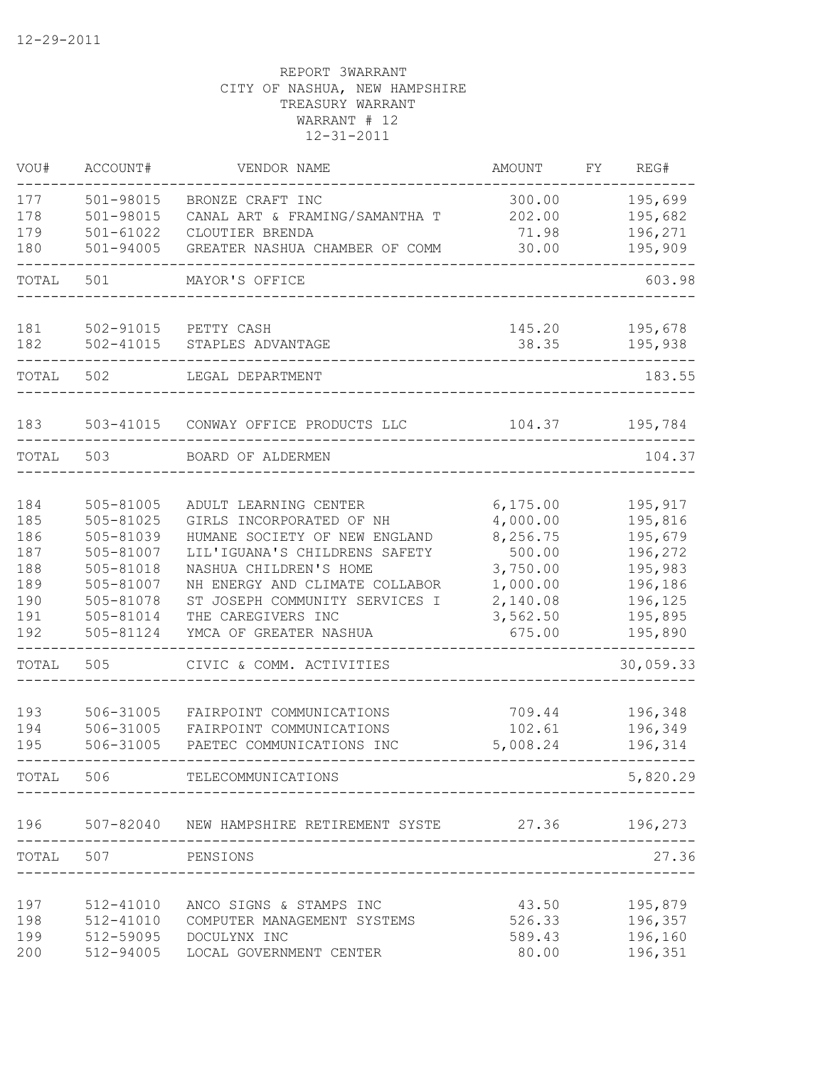| VOU#       | ACCOUNT#                   | VENDOR NAME                                       | AMOUNT                | FΥ | REG#               |
|------------|----------------------------|---------------------------------------------------|-----------------------|----|--------------------|
| 177        | 501-98015                  | BRONZE CRAFT INC                                  | 300.00                |    | 195,699            |
| 178        | 501-98015                  | CANAL ART & FRAMING/SAMANTHA T                    | 202.00                |    | 195,682            |
| 179        | $501 - 61022$              | CLOUTIER BRENDA                                   | 71.98                 |    | 196,271            |
| 180        | $501 - 94005$              | GREATER NASHUA CHAMBER OF COMM                    | 30.00                 |    | 195,909            |
| TOTAL      | 501                        | MAYOR'S OFFICE                                    |                       |    | 603.98             |
| 181        | 502-91015                  | PETTY CASH                                        | 145.20                |    | 195,678            |
| 182        | $502 - 41015$              | STAPLES ADVANTAGE                                 | 38.35                 |    | 195,938            |
| TOTAL      | 502                        | LEGAL DEPARTMENT                                  |                       |    | 183.55             |
| 183        |                            | 503-41015 CONWAY OFFICE PRODUCTS LLC              | 104.37                |    | 195,784            |
| TOTAL      | 503                        | BOARD OF ALDERMEN                                 |                       |    | 104.37             |
|            |                            |                                                   |                       |    |                    |
| 184<br>185 | 505-81005<br>$505 - 81025$ | ADULT LEARNING CENTER<br>GIRLS INCORPORATED OF NH | 6, 175.00<br>4,000.00 |    | 195,917<br>195,816 |
| 186        | 505-81039                  | HUMANE SOCIETY OF NEW ENGLAND                     | 8,256.75              |    | 195,679            |
| 187        | 505-81007                  | LIL'IGUANA'S CHILDRENS SAFETY                     | 500.00                |    | 196,272            |
| 188        | 505-81018                  | NASHUA CHILDREN'S HOME                            | 3,750.00              |    | 195,983            |
| 189        | 505-81007                  | NH ENERGY AND CLIMATE COLLABOR                    | 1,000.00              |    | 196,186            |
| 190        | 505-81078                  | ST JOSEPH COMMUNITY SERVICES I                    | 2,140.08              |    | 196,125            |
| 191        | 505-81014                  | THE CAREGIVERS INC                                | 3,562.50              |    | 195,895            |
| 192        | 505-81124                  | YMCA OF GREATER NASHUA                            | 675.00                |    | 195,890            |
| TOTAL      | 505                        | CIVIC & COMM. ACTIVITIES                          |                       |    | 30,059.33          |
| 193        | 506-31005                  | FAIRPOINT COMMUNICATIONS                          | 709.44                |    | 196,348            |
| 194        | 506-31005                  | FAIRPOINT COMMUNICATIONS                          | 102.61                |    | 196,349            |
| 195        | 506-31005                  | PAETEC COMMUNICATIONS INC                         | 5,008.24              |    | 196,314            |
| TOTAL      | 506                        | TELECOMMUNICATIONS                                |                       |    | 5,820.29           |
| 196        | 507-82040                  | NEW HAMPSHIRE RETIREMENT SYSTE 27.36 196,273      |                       |    |                    |
| TOTAL      | 507                        | PENSIONS                                          |                       |    | 27.36              |
|            |                            |                                                   |                       |    |                    |
| 197        | 512-41010                  | ANCO SIGNS & STAMPS INC                           | 43.50                 |    | 195,879            |
| 198        | 512-41010                  | COMPUTER MANAGEMENT SYSTEMS                       | 526.33                |    | 196,357            |
| 199        | 512-59095                  | DOCULYNX INC                                      | 589.43                |    | 196,160            |
| 200        | 512-94005                  | LOCAL GOVERNMENT CENTER                           | 80.00                 |    | 196,351            |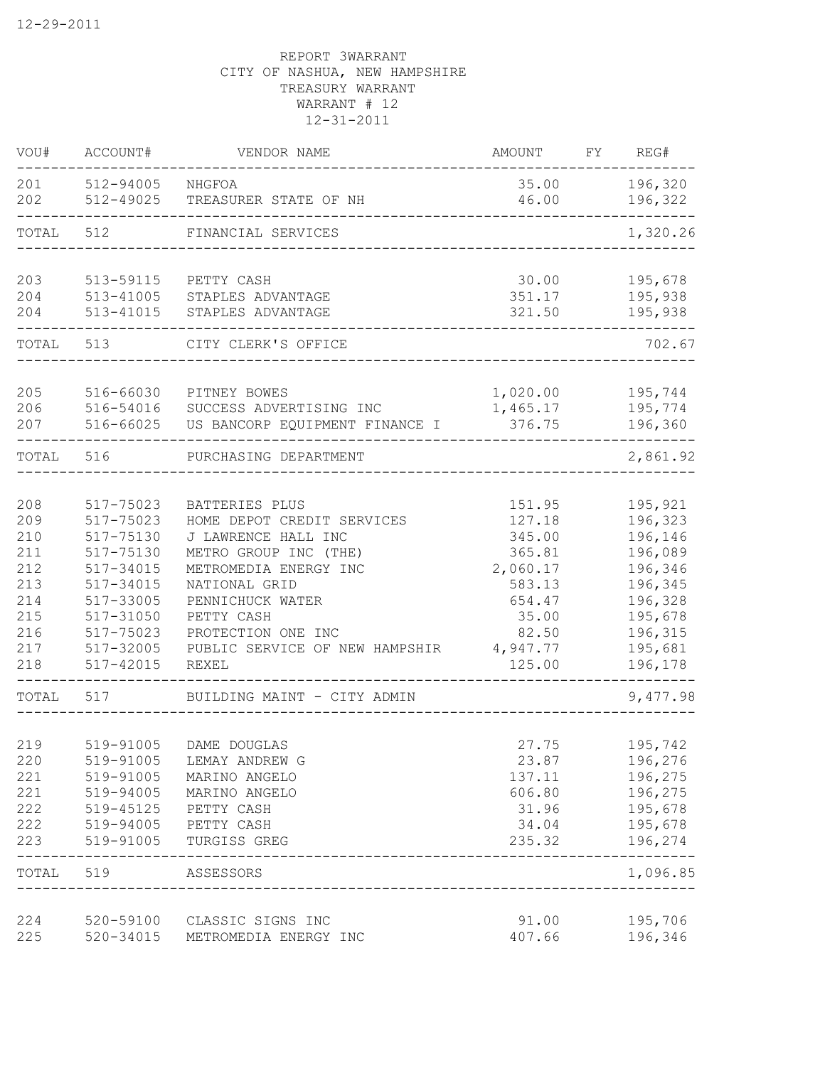| VOU#       | ACCOUNT#               | VENDOR NAME                                   | <b>AMOUNT</b>    | FY | REG#               |
|------------|------------------------|-----------------------------------------------|------------------|----|--------------------|
| 201<br>202 | 512-94005<br>512-49025 | NHGFOA<br>TREASURER STATE OF NH               | 35.00<br>46.00   |    | 196,320<br>196,322 |
| TOTAL      | 512                    | FINANCIAL SERVICES                            |                  |    | 1,320.26           |
| 203        | 513-59115              | PETTY CASH                                    | 30.00            |    | 195,678            |
| 204        | $513 - 41005$          | STAPLES ADVANTAGE                             | 351.17           |    | 195,938            |
| 204        | 513-41015              | STAPLES ADVANTAGE                             | 321.50           |    | 195,938            |
| TOTAL      | 513                    | CITY CLERK'S OFFICE                           |                  |    | 702.67             |
| 205        | 516-66030              | PITNEY BOWES                                  | 1,020.00         |    | 195,744            |
| 206        | 516-54016              | SUCCESS ADVERTISING INC                       | 1,465.17         |    | 195,774            |
| 207        | 516-66025              | US BANCORP EQUIPMENT FINANCE I                | 376.75           |    | 196,360            |
| TOTAL      | 516                    | PURCHASING DEPARTMENT                         |                  |    | 2,861.92           |
| 208        | 517-75023              | BATTERIES PLUS                                | 151.95           |    | 195,921            |
| 209        | 517-75023              | HOME DEPOT CREDIT SERVICES                    | 127.18           |    | 196,323            |
| 210        | 517-75130              | J LAWRENCE HALL INC                           | 345.00           |    | 196,146            |
| 211        | 517-75130              | METRO GROUP INC (THE)                         | 365.81           |    | 196,089            |
| 212        | 517-34015              | METROMEDIA ENERGY INC                         | 2,060.17         |    | 196,346            |
| 213        | 517-34015              | NATIONAL GRID                                 | 583.13           |    | 196,345            |
| 214        | 517-33005              | PENNICHUCK WATER                              | 654.47           |    | 196,328            |
| 215        | 517-31050              | PETTY CASH                                    | 35.00            |    | 195,678            |
| 216        | 517-75023              | PROTECTION ONE INC                            | 82.50            |    | 196,315            |
| 217        | 517-32005              | PUBLIC SERVICE OF NEW HAMPSHIR                | 4,947.77         |    | 195,681            |
| 218        | 517-42015              | <b>REXEL</b>                                  | 125.00           |    | 196,178            |
| TOTAL      | 517                    | BUILDING MAINT - CITY ADMIN                   |                  |    | 9,477.98           |
|            |                        |                                               |                  |    |                    |
| 219        | 519-91005              | DAME DOUGLAS                                  | 27.75            |    | 195,742            |
| 220        | 519-91005              | LEMAY ANDREW G                                | 23.87            |    | 196,276            |
| 221<br>221 | 519-91005              | MARINO ANGELO                                 | 137.11<br>606.80 |    | 196,275<br>196,275 |
| 222        | 519-94005<br>519-45125 | MARINO ANGELO                                 | 31.96            |    |                    |
|            | 519-94005              | PETTY CASH                                    |                  |    | 195,678            |
| 222<br>223 | 519-91005              | PETTY CASH<br>TURGISS GREG                    | 34.04<br>235.32  |    | 195,678<br>196,274 |
| TOTAL      | 519                    | ASSESSORS<br>________________________________ |                  |    | 1,096.85           |
| 224        | 520-59100              | CLASSIC SIGNS INC                             | 91.00            |    | 195,706            |
| 225        | $520 - 34015$          | METROMEDIA ENERGY INC                         | 407.66           |    | 196,346            |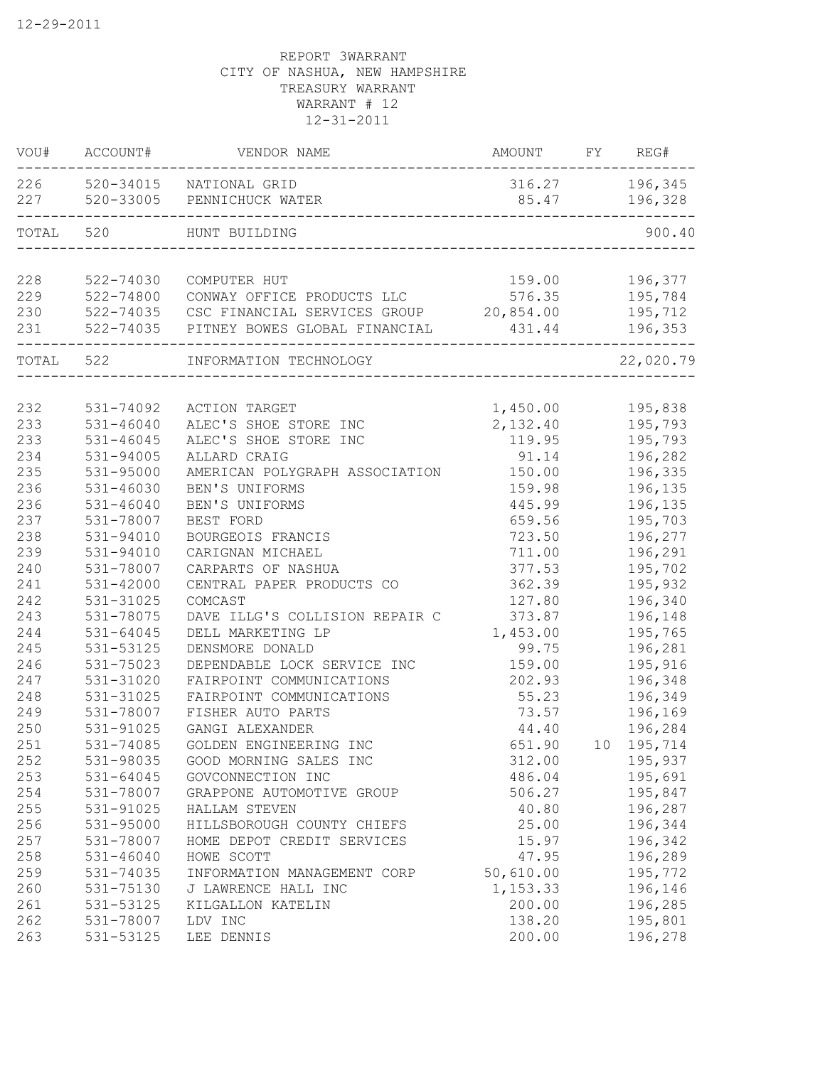| VOU#  | ACCOUNT#      | VENDOR NAME                    | <b>AMOUNT</b> | FY | REG#      |
|-------|---------------|--------------------------------|---------------|----|-----------|
| 226   |               | 520-34015 NATIONAL GRID        | 316.27        |    | 196,345   |
| 227   |               | 520-33005 PENNICHUCK WATER     | 85.47         |    | 196,328   |
| TOTAL | 520           | HUNT BUILDING                  |               |    | 900.40    |
| 228   | 522-74030     | COMPUTER HUT                   | 159.00        |    | 196,377   |
| 229   | 522-74800     | CONWAY OFFICE PRODUCTS LLC     | 576.35        |    | 195,784   |
| 230   | 522-74035     | CSC FINANCIAL SERVICES GROUP   | 20,854.00     |    | 195,712   |
| 231   | 522-74035     | PITNEY BOWES GLOBAL FINANCIAL  | 431.44        |    | 196,353   |
| TOTAL | 522           | INFORMATION TECHNOLOGY         |               |    | 22,020.79 |
| 232   | 531-74092     | ACTION TARGET                  | 1,450.00      |    | 195,838   |
| 233   | $531 - 46040$ | ALEC'S SHOE STORE INC          | 2,132.40      |    | 195,793   |
| 233   | $531 - 46045$ | ALEC'S SHOE STORE INC          | 119.95        |    | 195,793   |
| 234   | 531-94005     | ALLARD CRAIG                   | 91.14         |    | 196,282   |
| 235   | 531-95000     | AMERICAN POLYGRAPH ASSOCIATION | 150.00        |    | 196,335   |
| 236   | 531-46030     | BEN'S UNIFORMS                 | 159.98        |    | 196,135   |
| 236   | $531 - 46040$ | BEN'S UNIFORMS                 | 445.99        |    | 196,135   |
| 237   | 531-78007     | BEST FORD                      | 659.56        |    | 195,703   |
| 238   | 531-94010     | BOURGEOIS FRANCIS              | 723.50        |    | 196,277   |
| 239   | 531-94010     | CARIGNAN MICHAEL               | 711.00        |    | 196,291   |
| 240   | 531-78007     | CARPARTS OF NASHUA             | 377.53        |    | 195,702   |
| 241   | $531 - 42000$ | CENTRAL PAPER PRODUCTS CO      | 362.39        |    | 195,932   |
| 242   | 531-31025     | COMCAST                        | 127.80        |    | 196,340   |
| 243   | 531-78075     | DAVE ILLG'S COLLISION REPAIR C | 373.87        |    | 196,148   |
| 244   | $531 - 64045$ | DELL MARKETING LP              | 1,453.00      |    | 195,765   |
| 245   | 531-53125     | DENSMORE DONALD                | 99.75         |    | 196,281   |
| 246   | 531-75023     | DEPENDABLE LOCK SERVICE INC    | 159.00        |    | 195,916   |
| 247   | 531-31020     | FAIRPOINT COMMUNICATIONS       | 202.93        |    | 196,348   |
| 248   | 531-31025     | FAIRPOINT COMMUNICATIONS       | 55.23         |    | 196,349   |
| 249   | 531-78007     | FISHER AUTO PARTS              | 73.57         |    | 196,169   |
| 250   | 531-91025     | GANGI ALEXANDER                | 44.40         |    | 196,284   |
| 251   | 531-74085     | GOLDEN ENGINEERING INC         | 651.90        | 10 | 195,714   |
| 252   | 531-98035     | GOOD MORNING SALES INC         | 312.00        |    | 195,937   |
| 253   | $531 - 64045$ | GOVCONNECTION INC              | 486.04        |    | 195,691   |
| 254   | 531-78007     | GRAPPONE AUTOMOTIVE GROUP      | 506.27        |    | 195,847   |
| 255   | 531-91025     | HALLAM STEVEN                  | 40.80         |    | 196,287   |
| 256   | 531-95000     | HILLSBOROUGH COUNTY CHIEFS     | 25.00         |    | 196,344   |
| 257   | 531-78007     | HOME DEPOT CREDIT SERVICES     | 15.97         |    | 196,342   |
| 258   | $531 - 46040$ | HOWE SCOTT                     | 47.95         |    | 196,289   |
| 259   | 531-74035     | INFORMATION MANAGEMENT CORP    | 50,610.00     |    | 195,772   |
| 260   | 531-75130     | J LAWRENCE HALL INC            | 1,153.33      |    | 196,146   |
| 261   | 531-53125     | KILGALLON KATELIN              | 200.00        |    | 196,285   |
| 262   | 531-78007     | LDV INC                        | 138.20        |    | 195,801   |
| 263   | 531-53125     | LEE DENNIS                     | 200.00        |    | 196,278   |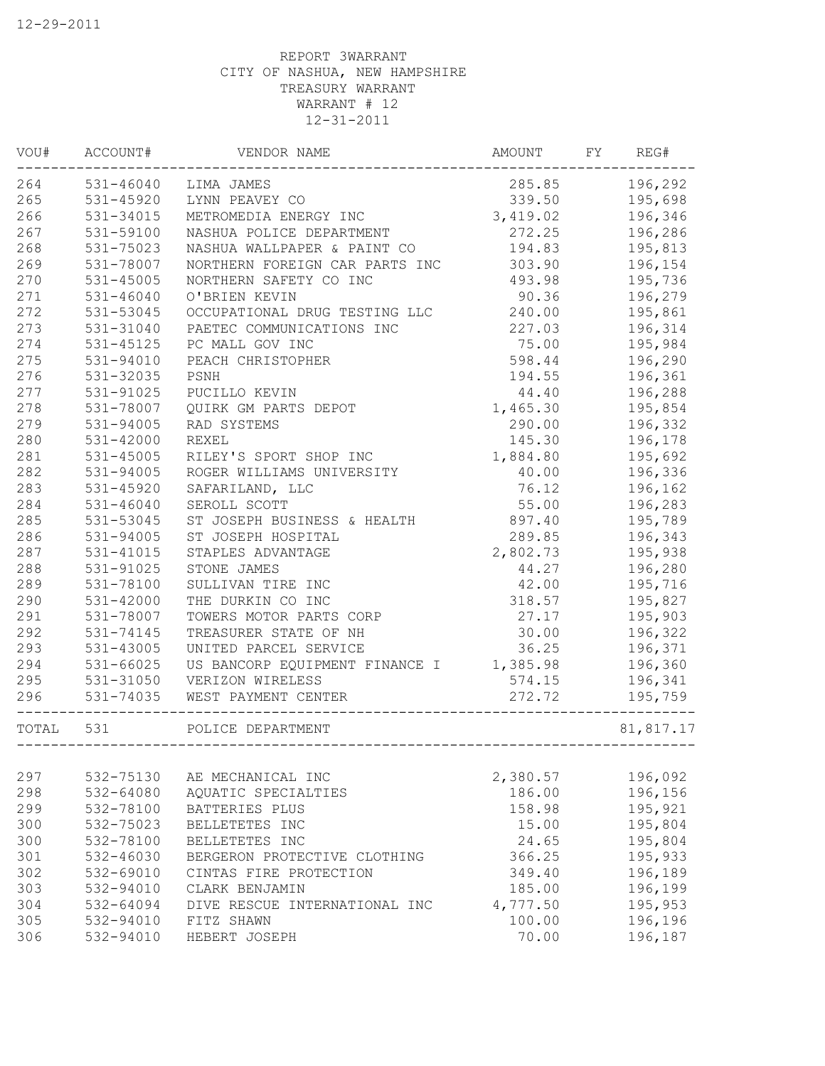| VOU#  | ACCOUNT#             | VENDOR NAME                    | AMOUNT   | FY | REG#      |
|-------|----------------------|--------------------------------|----------|----|-----------|
| 264   | 531-46040 LIMA JAMES |                                | 285.85   |    | 196,292   |
| 265   | 531-45920            | LYNN PEAVEY CO                 | 339.50   |    | 195,698   |
| 266   | 531-34015            | METROMEDIA ENERGY INC          | 3,419.02 |    | 196,346   |
| 267   | 531-59100            | NASHUA POLICE DEPARTMENT       | 272.25   |    | 196,286   |
| 268   | 531-75023            | NASHUA WALLPAPER & PAINT CO    | 194.83   |    | 195,813   |
| 269   | 531-78007            | NORTHERN FOREIGN CAR PARTS INC | 303.90   |    | 196,154   |
| 270   | 531-45005            | NORTHERN SAFETY CO INC         | 493.98   |    | 195,736   |
| 271   | $531 - 46040$        | O'BRIEN KEVIN                  | 90.36    |    | 196,279   |
| 272   | 531-53045            | OCCUPATIONAL DRUG TESTING LLC  | 240.00   |    | 195,861   |
| 273   | 531-31040            | PAETEC COMMUNICATIONS INC      | 227.03   |    | 196,314   |
| 274   | 531-45125            | PC MALL GOV INC                | 75.00    |    | 195,984   |
| 275   | 531-94010            | PEACH CHRISTOPHER              | 598.44   |    | 196,290   |
| 276   | 531-32035            | PSNH                           | 194.55   |    | 196,361   |
| 277   | 531-91025            | PUCILLO KEVIN                  | 44.40    |    | 196,288   |
| 278   | 531-78007            | QUIRK GM PARTS DEPOT           | 1,465.30 |    | 195,854   |
| 279   | 531-94005            | RAD SYSTEMS                    | 290.00   |    | 196,332   |
| 280   | 531-42000            | <b>REXEL</b>                   | 145.30   |    | 196,178   |
| 281   | 531-45005            | RILEY'S SPORT SHOP INC         | 1,884.80 |    | 195,692   |
| 282   | 531-94005            | ROGER WILLIAMS UNIVERSITY      | 40.00    |    | 196,336   |
| 283   | 531-45920            | SAFARILAND, LLC                | 76.12    |    | 196,162   |
| 284   | 531-46040            | SEROLL SCOTT                   | 55.00    |    | 196,283   |
| 285   | 531-53045            | ST JOSEPH BUSINESS & HEALTH    | 897.40   |    | 195,789   |
| 286   | 531-94005            | ST JOSEPH HOSPITAL             | 289.85   |    | 196,343   |
| 287   | 531-41015            | STAPLES ADVANTAGE              | 2,802.73 |    | 195,938   |
| 288   | 531-91025            | STONE JAMES                    | 44.27    |    | 196,280   |
| 289   | 531-78100            | SULLIVAN TIRE INC              | 42.00    |    | 195,716   |
| 290   | 531-42000            | THE DURKIN CO INC              | 318.57   |    | 195,827   |
| 291   | 531-78007            | TOWERS MOTOR PARTS CORP        | 27.17    |    | 195,903   |
| 292   | 531-74145            | TREASURER STATE OF NH          | 30.00    |    | 196,322   |
| 293   | 531-43005            | UNITED PARCEL SERVICE          | 36.25    |    | 196,371   |
| 294   | 531-66025            | US BANCORP EQUIPMENT FINANCE I | 1,385.98 |    | 196,360   |
| 295   | 531-31050            | VERIZON WIRELESS               | 574.15   |    | 196,341   |
| 296   | 531-74035            | WEST PAYMENT CENTER            | 272.72   |    | 195,759   |
| TOTAL | 531                  | POLICE DEPARTMENT              |          |    | 81,817.17 |
| 297   | 532-75130            | AE MECHANICAL INC              | 2,380.57 |    | 196,092   |
| 298   | 532-64080            | AQUATIC SPECIALTIES            | 186.00   |    | 196,156   |
| 299   | 532-78100            | BATTERIES PLUS                 | 158.98   |    | 195,921   |
| 300   | 532-75023            | BELLETETES INC                 | 15.00    |    | 195,804   |
| 300   | 532-78100            | BELLETETES INC                 | 24.65    |    | 195,804   |
| 301   | 532-46030            | BERGERON PROTECTIVE CLOTHING   | 366.25   |    | 195,933   |
| 302   | 532-69010            | CINTAS FIRE PROTECTION         | 349.40   |    | 196,189   |
| 303   | 532-94010            | CLARK BENJAMIN                 | 185.00   |    | 196,199   |
| 304   | 532-64094            | DIVE RESCUE INTERNATIONAL INC  | 4,777.50 |    | 195,953   |
| 305   | 532-94010            | FITZ SHAWN                     | 100.00   |    | 196,196   |
| 306   |                      |                                |          |    |           |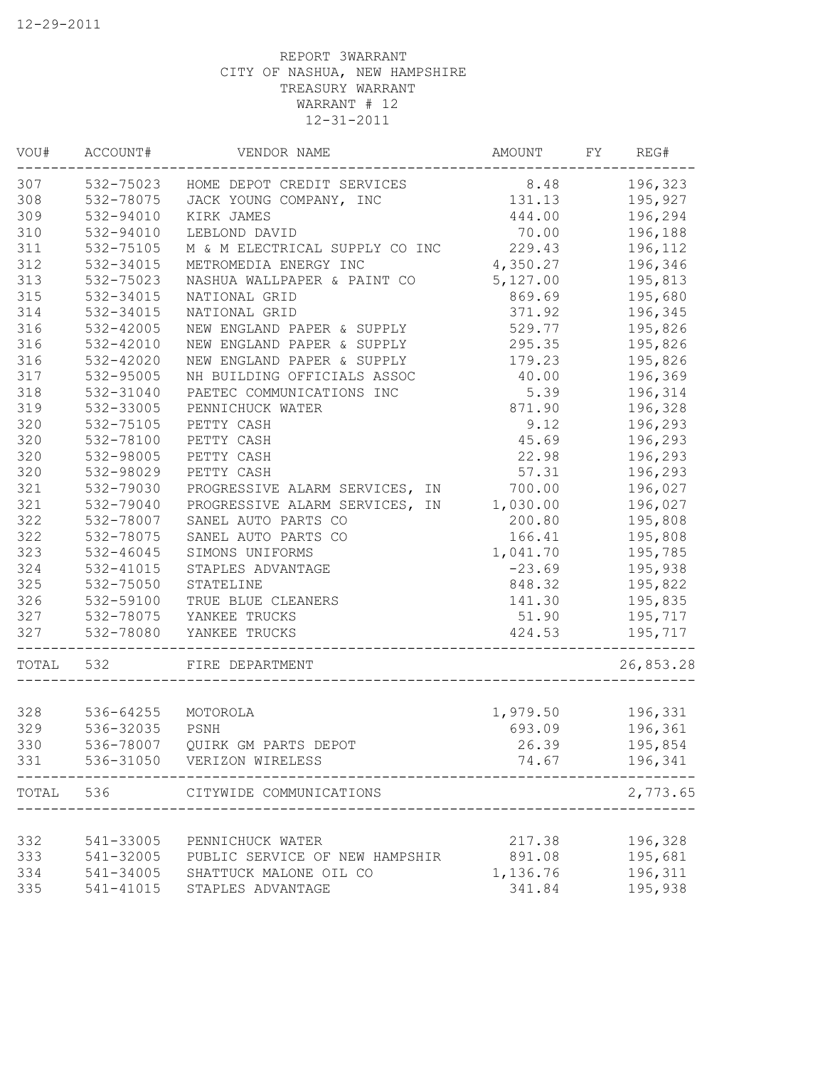| VOU#  | ACCOUNT#      | VENDOR NAME                          | <b>AMOUNT</b> | FY | REG#      |
|-------|---------------|--------------------------------------|---------------|----|-----------|
| 307   |               | 532-75023 HOME DEPOT CREDIT SERVICES | 8.48          |    | 196,323   |
| 308   | 532-78075     | JACK YOUNG COMPANY, INC              | 131.13        |    | 195,927   |
| 309   | 532-94010     | KIRK JAMES                           | 444.00        |    | 196,294   |
| 310   | 532-94010     | LEBLOND DAVID                        | 70.00         |    | 196,188   |
| 311   | 532-75105     | M & M ELECTRICAL SUPPLY CO INC       | 229.43        |    | 196,112   |
| 312   | 532-34015     | METROMEDIA ENERGY INC                | 4,350.27      |    | 196,346   |
| 313   | 532-75023     | NASHUA WALLPAPER & PAINT CO          | 5,127.00      |    | 195,813   |
| 315   | 532-34015     | NATIONAL GRID                        | 869.69        |    | 195,680   |
| 314   | 532-34015     | NATIONAL GRID                        | 371.92        |    | 196,345   |
| 316   | 532-42005     | NEW ENGLAND PAPER & SUPPLY           | 529.77        |    | 195,826   |
| 316   | 532-42010     | NEW ENGLAND PAPER & SUPPLY           | 295.35        |    | 195,826   |
| 316   | 532-42020     | NEW ENGLAND PAPER & SUPPLY           | 179.23        |    | 195,826   |
| 317   | 532-95005     | NH BUILDING OFFICIALS ASSOC          | 40.00         |    | 196,369   |
| 318   | 532-31040     | PAETEC COMMUNICATIONS INC            | 5.39          |    | 196,314   |
| 319   | 532-33005     | PENNICHUCK WATER                     | 871.90        |    | 196,328   |
| 320   | 532-75105     | PETTY CASH                           | 9.12          |    | 196,293   |
| 320   | 532-78100     | PETTY CASH                           | 45.69         |    | 196,293   |
| 320   | 532-98005     | PETTY CASH                           | 22.98         |    | 196,293   |
| 320   | 532-98029     | PETTY CASH                           | 57.31         |    | 196,293   |
| 321   | 532-79030     | PROGRESSIVE ALARM SERVICES, IN       | 700.00        |    | 196,027   |
| 321   | 532-79040     | PROGRESSIVE ALARM SERVICES, IN       | 1,030.00      |    | 196,027   |
| 322   | 532-78007     | SANEL AUTO PARTS CO                  | 200.80        |    | 195,808   |
| 322   | 532-78075     | SANEL AUTO PARTS CO                  | 166.41        |    | 195,808   |
| 323   | $532 - 46045$ | SIMONS UNIFORMS                      | 1,041.70      |    | 195,785   |
| 324   | 532-41015     | STAPLES ADVANTAGE                    | $-23.69$      |    | 195,938   |
| 325   | 532-75050     | STATELINE                            | 848.32        |    | 195,822   |
| 326   | 532-59100     | TRUE BLUE CLEANERS                   | 141.30        |    | 195,835   |
| 327   | 532-78075     | YANKEE TRUCKS                        | 51.90         |    | 195,717   |
| 327   | 532-78080     | YANKEE TRUCKS                        | 424.53        |    | 195,717   |
| TOTAL | 532           | FIRE DEPARTMENT                      |               |    | 26,853.28 |
|       |               |                                      |               |    |           |
| 328   | 536-64255     | MOTOROLA                             | 1,979.50      |    | 196,331   |
| 329   | 536-32035     | PSNH                                 | 693.09        |    | 196,361   |
| 330   | 536-78007     | QUIRK GM PARTS DEPOT                 | 26.39         |    | 195,854   |
| 331   | 536-31050     | VERIZON WIRELESS                     | 74.67         |    | 196,341   |
| TOTAL | 536           | CITYWIDE COMMUNICATIONS              |               |    | 2,773.65  |
|       |               |                                      |               |    |           |
| 332   | 541-33005     | PENNICHUCK WATER                     | 217.38        |    | 196,328   |
| 333   | 541-32005     | PUBLIC SERVICE OF NEW HAMPSHIR       | 891.08        |    | 195,681   |
| 334   | 541-34005     | SHATTUCK MALONE OIL CO               | 1,136.76      |    | 196,311   |
| 335   | 541-41015     | STAPLES ADVANTAGE                    | 341.84        |    | 195,938   |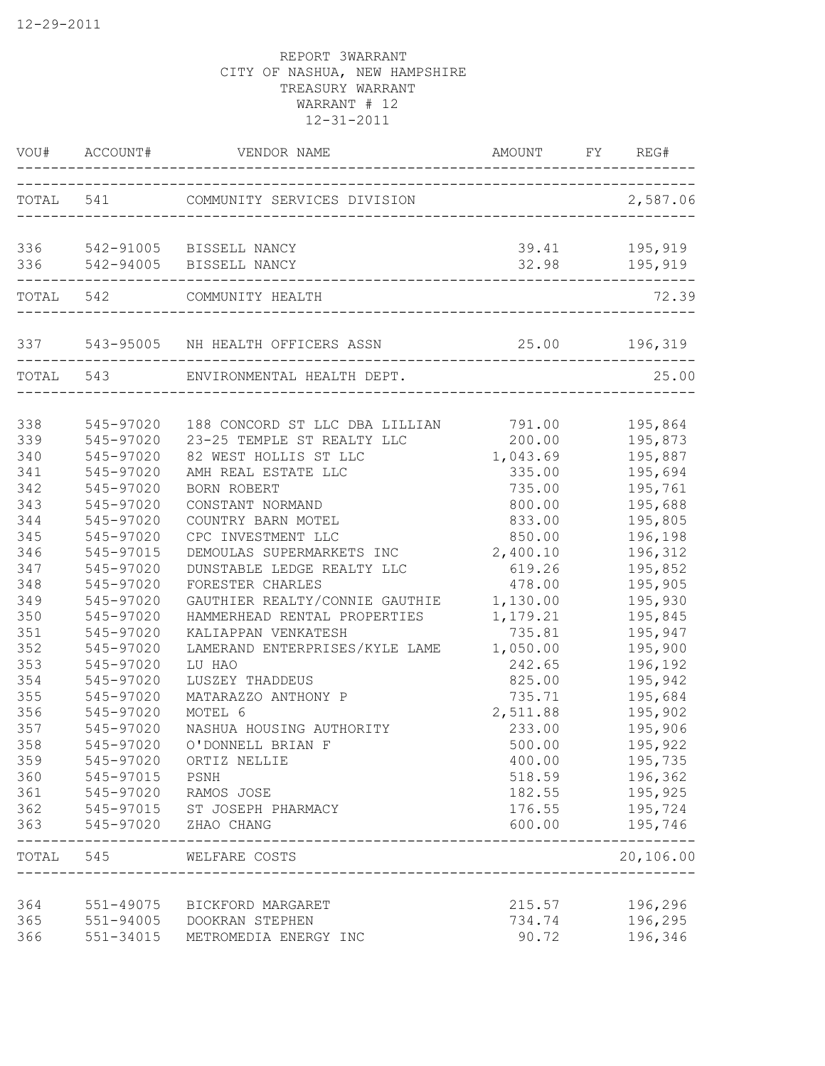|            | VOU# ACCOUNT#          | VENDOR NAME                                             | AMOUNT FY REG#     |                          |
|------------|------------------------|---------------------------------------------------------|--------------------|--------------------------|
|            | TOTAL 541              | COMMUNITY SERVICES DIVISION                             |                    | 2,587.06                 |
| 336<br>336 |                        | 542-91005 BISSELL NANCY<br>542-94005 BISSELL NANCY      | 39.41              | 195,919<br>32.98 195,919 |
|            | TOTAL 542              | COMMUNITY HEALTH                                        |                    | 72.39                    |
|            |                        | 337 543-95005 NH HEALTH OFFICERS ASSN 25.00 196,319     |                    |                          |
|            | TOTAL 543              | ENVIRONMENTAL HEALTH DEPT.                              |                    | 25.00                    |
| 338        | 545-97020              | 188 CONCORD ST LLC DBA LILLIAN                          | 791.00             | 195,864                  |
| 339        | 545-97020              | 23-25 TEMPLE ST REALTY LLC<br>82 WEST HOLLIS ST LLC     | 200.00             | 195,873                  |
| 340<br>341 | 545-97020<br>545-97020 | AMH REAL ESTATE LLC                                     | 1,043.69<br>335.00 | 195,887<br>195,694       |
| 342        | 545-97020              | BORN ROBERT                                             | 735.00             | 195,761                  |
| 343        | 545-97020              | CONSTANT NORMAND                                        | 800.00             | 195,688                  |
| 344        | 545-97020              | COUNTRY BARN MOTEL                                      | 833.00             | 195,805                  |
| 345        | 545-97020              | CPC INVESTMENT LLC                                      | 850.00             | 196,198                  |
| 346        | 545-97015              | DEMOULAS SUPERMARKETS INC                               | 2,400.10           | 196,312                  |
| 347        | 545-97020              | DUNSTABLE LEDGE REALTY LLC                              | 619.26             | 195,852                  |
| 348        | 545-97020              | FORESTER CHARLES                                        | 478.00             | 195,905                  |
| 349        | 545-97020              | GAUTHIER REALTY/CONNIE GAUTHIE                          | 1,130.00           | 195,930                  |
| 350        | 545-97020              | HAMMERHEAD RENTAL PROPERTIES                            | 1,179.21           | 195,845                  |
| 351        | 545-97020              | KALIAPPAN VENKATESH                                     | 735.81             | 195,947                  |
| 352        | 545-97020              | LAMERAND ENTERPRISES/KYLE LAME                          | 1,050.00           | 195,900                  |
| 353        | 545-97020              | LU HAO                                                  | 242.65             | 196,192                  |
| 354        | 545-97020              | LUSZEY THADDEUS                                         | 825.00             | 195,942                  |
| 355        | 545-97020              | MATARAZZO ANTHONY P                                     | 735.71             | 195,684                  |
| 356        | 545-97020              | MOTEL 6                                                 | 2,511.88           | 195,902                  |
| 357        | 545-97020              | NASHUA HOUSING AUTHORITY                                | 233.00             | 195,906                  |
| 358        | 545-97020              | O'DONNELL BRIAN F                                       | 500.00             | 195,922                  |
| 359        |                        | 545-97020 ORTIZ NELLIE                                  | 400.00             | 195,735                  |
| 360        | 545-97015 PSNH         |                                                         | 518.59             | 196,362                  |
| 361        |                        | 545-97020 RAMOS JOSE                                    | 182.55             | 195,925                  |
| 362        |                        | 545-97015 ST JOSEPH PHARMACY                            | 176.55             | 195,724                  |
|            |                        | 363 545-97020 ZHAO CHANG<br>___________________________ | 600.00             | 195,746                  |
|            | TOTAL 545              | WELFARE COSTS                                           |                    | 20,106.00                |
| 364        | 551-49075              | BICKFORD MARGARET                                       | 215.57             | 196,296                  |
| 365        |                        | 551-94005 DOOKRAN STEPHEN                               | 734.74             | 196,295                  |
| 366        | 551-34015              | METROMEDIA ENERGY INC                                   | 90.72              | 196,346                  |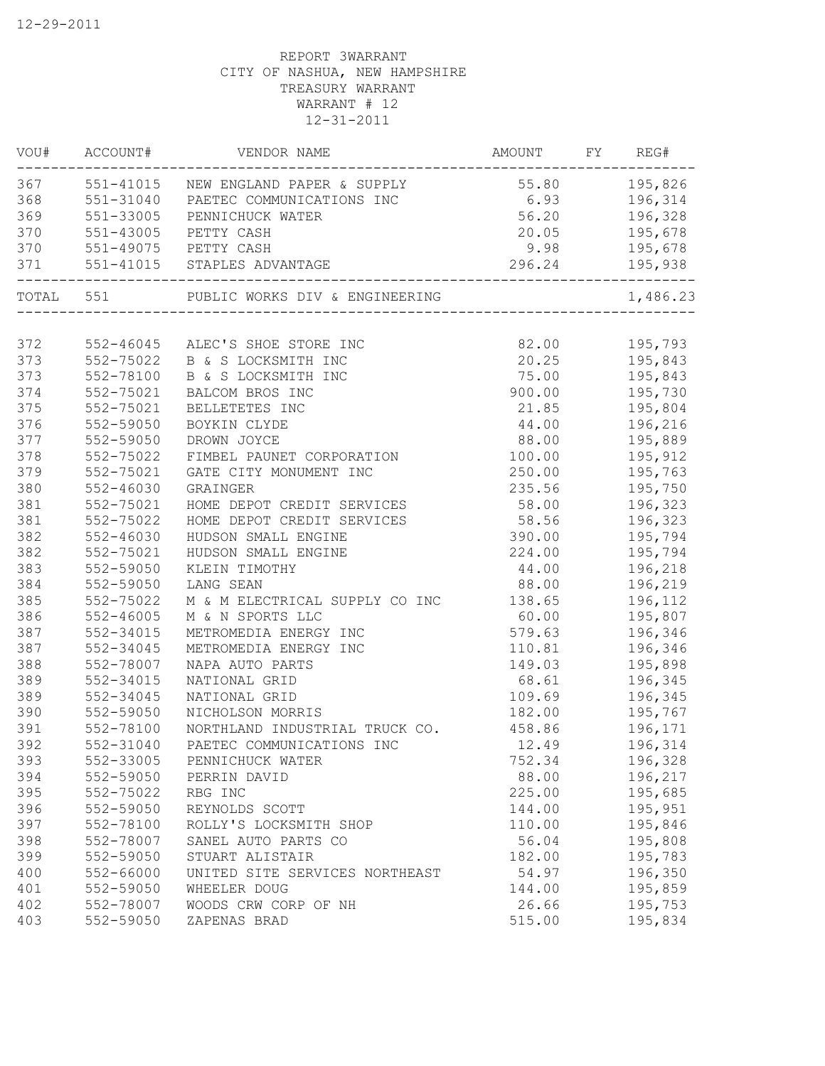| 195,826<br>551-41015<br>NEW ENGLAND PAPER & SUPPLY<br>55.80<br>6.93<br>551-31040<br>196,314<br>PAETEC COMMUNICATIONS INC<br>369<br>551-33005<br>56.20<br>196,328<br>PENNICHUCK WATER<br>370<br>$551 - 43005$<br>20.05<br>195,678<br>PETTY CASH<br>PETTY CASH<br>9.98<br>195,678<br>551-49075<br>296.24<br>371<br>551-41015 STAPLES ADVANTAGE<br>195,938<br>TOTAL 551<br>PUBLIC WORKS DIV & ENGINEERING<br>372<br>82.00<br>195,793<br>552-46045<br>ALEC'S SHOE STORE INC<br>373<br>552-75022<br>20.25<br>195,843<br>B & S LOCKSMITH INC<br>373<br>75.00<br>195,843<br>552-78100<br>B & S LOCKSMITH INC<br>374<br>900.00<br>552-75021<br>BALCOM BROS INC<br>195,730<br>375<br>195,804<br>552-75021<br>BELLETETES INC<br>21.85<br>376<br>44.00<br>196,216<br>552-59050<br>BOYKIN CLYDE<br>377<br>88.00<br>552-59050<br>DROWN JOYCE<br>195,889<br>378<br>100.00<br>195,912<br>552-75022<br>FIMBEL PAUNET CORPORATION<br>379<br>552-75021<br>250.00<br>195,763<br>GATE CITY MONUMENT INC<br>380<br>552-46030<br>235.56<br>195,750<br>GRAINGER<br>381<br>552-75021<br>HOME DEPOT CREDIT SERVICES<br>58.00<br>196,323<br>381<br>552-75022<br>HOME DEPOT CREDIT SERVICES<br>58.56<br>196,323<br>382<br>552-46030<br>HUDSON SMALL ENGINE<br>390.00<br>195,794<br>382<br>552-75021<br>HUDSON SMALL ENGINE<br>224.00<br>195,794<br>383<br>552-59050<br>KLEIN TIMOTHY<br>196,218<br>44.00<br>384<br>552-59050<br>LANG SEAN<br>88.00<br>196,219<br>385<br>552-75022<br>M & M ELECTRICAL SUPPLY CO INC<br>138.65<br>196,112<br>386<br>$552 - 46005$<br>195,807<br>M & N SPORTS LLC<br>60.00<br>387<br>552-34015<br>579.63<br>METROMEDIA ENERGY INC<br>196,346<br>387<br>552-34045<br>METROMEDIA ENERGY INC<br>110.81<br>196,346<br>388<br>552-78007<br>NAPA AUTO PARTS<br>149.03<br>195,898<br>389<br>552-34015<br>NATIONAL GRID<br>68.61<br>196,345<br>389<br>552-34045<br>NATIONAL GRID<br>109.69<br>196,345<br>390<br>552-59050<br>182.00<br>195,767<br>NICHOLSON MORRIS<br>391<br>552-78100<br>458.86<br>NORTHLAND INDUSTRIAL TRUCK CO.<br>196,171<br>392<br>552-31040<br>PAETEC COMMUNICATIONS INC<br>12.49<br>196,314<br>393<br>552-33005<br>196,328<br>752.34<br>PENNICHUCK WATER<br>394<br>552-59050<br>88.00<br>196,217<br>PERRIN DAVID<br>395<br>552-75022<br>225.00<br>195,685<br>RBG INC<br>396<br>552-59050<br>195,951<br>REYNOLDS SCOTT<br>144.00<br>397<br>552-78100<br>110.00<br>195,846<br>ROLLY'S LOCKSMITH SHOP<br>398<br>56.04<br>195,808<br>552-78007<br>SANEL AUTO PARTS CO<br>399<br>552-59050<br>195,783<br>STUART ALISTAIR<br>182.00<br>400<br>$552 - 66000$<br>UNITED SITE SERVICES NORTHEAST<br>54.97<br>196,350<br>401<br>552-59050<br>WHEELER DOUG<br>144.00<br>195,859<br>402<br>552-78007<br>26.66<br>WOODS CRW CORP OF NH<br>195,753<br>403<br>552-59050<br>ZAPENAS BRAD<br>515.00<br>195,834 | VOU# | ACCOUNT# | VENDOR NAME | AMOUNT | FY | REG#     |
|-----------------------------------------------------------------------------------------------------------------------------------------------------------------------------------------------------------------------------------------------------------------------------------------------------------------------------------------------------------------------------------------------------------------------------------------------------------------------------------------------------------------------------------------------------------------------------------------------------------------------------------------------------------------------------------------------------------------------------------------------------------------------------------------------------------------------------------------------------------------------------------------------------------------------------------------------------------------------------------------------------------------------------------------------------------------------------------------------------------------------------------------------------------------------------------------------------------------------------------------------------------------------------------------------------------------------------------------------------------------------------------------------------------------------------------------------------------------------------------------------------------------------------------------------------------------------------------------------------------------------------------------------------------------------------------------------------------------------------------------------------------------------------------------------------------------------------------------------------------------------------------------------------------------------------------------------------------------------------------------------------------------------------------------------------------------------------------------------------------------------------------------------------------------------------------------------------------------------------------------------------------------------------------------------------------------------------------------------------------------------------------------------------------------------------------------------------------------------------------------------------------------------------------------------------------------------------------------------------------------------------------------------------------------------------------------------------------------------------------------------------------------------------------------------------------------|------|----------|-------------|--------|----|----------|
|                                                                                                                                                                                                                                                                                                                                                                                                                                                                                                                                                                                                                                                                                                                                                                                                                                                                                                                                                                                                                                                                                                                                                                                                                                                                                                                                                                                                                                                                                                                                                                                                                                                                                                                                                                                                                                                                                                                                                                                                                                                                                                                                                                                                                                                                                                                                                                                                                                                                                                                                                                                                                                                                                                                                                                                                                 | 367  |          |             |        |    |          |
|                                                                                                                                                                                                                                                                                                                                                                                                                                                                                                                                                                                                                                                                                                                                                                                                                                                                                                                                                                                                                                                                                                                                                                                                                                                                                                                                                                                                                                                                                                                                                                                                                                                                                                                                                                                                                                                                                                                                                                                                                                                                                                                                                                                                                                                                                                                                                                                                                                                                                                                                                                                                                                                                                                                                                                                                                 | 368  |          |             |        |    |          |
|                                                                                                                                                                                                                                                                                                                                                                                                                                                                                                                                                                                                                                                                                                                                                                                                                                                                                                                                                                                                                                                                                                                                                                                                                                                                                                                                                                                                                                                                                                                                                                                                                                                                                                                                                                                                                                                                                                                                                                                                                                                                                                                                                                                                                                                                                                                                                                                                                                                                                                                                                                                                                                                                                                                                                                                                                 |      |          |             |        |    |          |
|                                                                                                                                                                                                                                                                                                                                                                                                                                                                                                                                                                                                                                                                                                                                                                                                                                                                                                                                                                                                                                                                                                                                                                                                                                                                                                                                                                                                                                                                                                                                                                                                                                                                                                                                                                                                                                                                                                                                                                                                                                                                                                                                                                                                                                                                                                                                                                                                                                                                                                                                                                                                                                                                                                                                                                                                                 |      |          |             |        |    |          |
|                                                                                                                                                                                                                                                                                                                                                                                                                                                                                                                                                                                                                                                                                                                                                                                                                                                                                                                                                                                                                                                                                                                                                                                                                                                                                                                                                                                                                                                                                                                                                                                                                                                                                                                                                                                                                                                                                                                                                                                                                                                                                                                                                                                                                                                                                                                                                                                                                                                                                                                                                                                                                                                                                                                                                                                                                 | 370  |          |             |        |    |          |
|                                                                                                                                                                                                                                                                                                                                                                                                                                                                                                                                                                                                                                                                                                                                                                                                                                                                                                                                                                                                                                                                                                                                                                                                                                                                                                                                                                                                                                                                                                                                                                                                                                                                                                                                                                                                                                                                                                                                                                                                                                                                                                                                                                                                                                                                                                                                                                                                                                                                                                                                                                                                                                                                                                                                                                                                                 |      |          |             |        |    |          |
|                                                                                                                                                                                                                                                                                                                                                                                                                                                                                                                                                                                                                                                                                                                                                                                                                                                                                                                                                                                                                                                                                                                                                                                                                                                                                                                                                                                                                                                                                                                                                                                                                                                                                                                                                                                                                                                                                                                                                                                                                                                                                                                                                                                                                                                                                                                                                                                                                                                                                                                                                                                                                                                                                                                                                                                                                 |      |          |             |        |    | 1,486.23 |
|                                                                                                                                                                                                                                                                                                                                                                                                                                                                                                                                                                                                                                                                                                                                                                                                                                                                                                                                                                                                                                                                                                                                                                                                                                                                                                                                                                                                                                                                                                                                                                                                                                                                                                                                                                                                                                                                                                                                                                                                                                                                                                                                                                                                                                                                                                                                                                                                                                                                                                                                                                                                                                                                                                                                                                                                                 |      |          |             |        |    |          |
|                                                                                                                                                                                                                                                                                                                                                                                                                                                                                                                                                                                                                                                                                                                                                                                                                                                                                                                                                                                                                                                                                                                                                                                                                                                                                                                                                                                                                                                                                                                                                                                                                                                                                                                                                                                                                                                                                                                                                                                                                                                                                                                                                                                                                                                                                                                                                                                                                                                                                                                                                                                                                                                                                                                                                                                                                 |      |          |             |        |    |          |
|                                                                                                                                                                                                                                                                                                                                                                                                                                                                                                                                                                                                                                                                                                                                                                                                                                                                                                                                                                                                                                                                                                                                                                                                                                                                                                                                                                                                                                                                                                                                                                                                                                                                                                                                                                                                                                                                                                                                                                                                                                                                                                                                                                                                                                                                                                                                                                                                                                                                                                                                                                                                                                                                                                                                                                                                                 |      |          |             |        |    |          |
|                                                                                                                                                                                                                                                                                                                                                                                                                                                                                                                                                                                                                                                                                                                                                                                                                                                                                                                                                                                                                                                                                                                                                                                                                                                                                                                                                                                                                                                                                                                                                                                                                                                                                                                                                                                                                                                                                                                                                                                                                                                                                                                                                                                                                                                                                                                                                                                                                                                                                                                                                                                                                                                                                                                                                                                                                 |      |          |             |        |    |          |
|                                                                                                                                                                                                                                                                                                                                                                                                                                                                                                                                                                                                                                                                                                                                                                                                                                                                                                                                                                                                                                                                                                                                                                                                                                                                                                                                                                                                                                                                                                                                                                                                                                                                                                                                                                                                                                                                                                                                                                                                                                                                                                                                                                                                                                                                                                                                                                                                                                                                                                                                                                                                                                                                                                                                                                                                                 |      |          |             |        |    |          |
|                                                                                                                                                                                                                                                                                                                                                                                                                                                                                                                                                                                                                                                                                                                                                                                                                                                                                                                                                                                                                                                                                                                                                                                                                                                                                                                                                                                                                                                                                                                                                                                                                                                                                                                                                                                                                                                                                                                                                                                                                                                                                                                                                                                                                                                                                                                                                                                                                                                                                                                                                                                                                                                                                                                                                                                                                 |      |          |             |        |    |          |
|                                                                                                                                                                                                                                                                                                                                                                                                                                                                                                                                                                                                                                                                                                                                                                                                                                                                                                                                                                                                                                                                                                                                                                                                                                                                                                                                                                                                                                                                                                                                                                                                                                                                                                                                                                                                                                                                                                                                                                                                                                                                                                                                                                                                                                                                                                                                                                                                                                                                                                                                                                                                                                                                                                                                                                                                                 |      |          |             |        |    |          |
|                                                                                                                                                                                                                                                                                                                                                                                                                                                                                                                                                                                                                                                                                                                                                                                                                                                                                                                                                                                                                                                                                                                                                                                                                                                                                                                                                                                                                                                                                                                                                                                                                                                                                                                                                                                                                                                                                                                                                                                                                                                                                                                                                                                                                                                                                                                                                                                                                                                                                                                                                                                                                                                                                                                                                                                                                 |      |          |             |        |    |          |
|                                                                                                                                                                                                                                                                                                                                                                                                                                                                                                                                                                                                                                                                                                                                                                                                                                                                                                                                                                                                                                                                                                                                                                                                                                                                                                                                                                                                                                                                                                                                                                                                                                                                                                                                                                                                                                                                                                                                                                                                                                                                                                                                                                                                                                                                                                                                                                                                                                                                                                                                                                                                                                                                                                                                                                                                                 |      |          |             |        |    |          |
|                                                                                                                                                                                                                                                                                                                                                                                                                                                                                                                                                                                                                                                                                                                                                                                                                                                                                                                                                                                                                                                                                                                                                                                                                                                                                                                                                                                                                                                                                                                                                                                                                                                                                                                                                                                                                                                                                                                                                                                                                                                                                                                                                                                                                                                                                                                                                                                                                                                                                                                                                                                                                                                                                                                                                                                                                 |      |          |             |        |    |          |
|                                                                                                                                                                                                                                                                                                                                                                                                                                                                                                                                                                                                                                                                                                                                                                                                                                                                                                                                                                                                                                                                                                                                                                                                                                                                                                                                                                                                                                                                                                                                                                                                                                                                                                                                                                                                                                                                                                                                                                                                                                                                                                                                                                                                                                                                                                                                                                                                                                                                                                                                                                                                                                                                                                                                                                                                                 |      |          |             |        |    |          |
|                                                                                                                                                                                                                                                                                                                                                                                                                                                                                                                                                                                                                                                                                                                                                                                                                                                                                                                                                                                                                                                                                                                                                                                                                                                                                                                                                                                                                                                                                                                                                                                                                                                                                                                                                                                                                                                                                                                                                                                                                                                                                                                                                                                                                                                                                                                                                                                                                                                                                                                                                                                                                                                                                                                                                                                                                 |      |          |             |        |    |          |
|                                                                                                                                                                                                                                                                                                                                                                                                                                                                                                                                                                                                                                                                                                                                                                                                                                                                                                                                                                                                                                                                                                                                                                                                                                                                                                                                                                                                                                                                                                                                                                                                                                                                                                                                                                                                                                                                                                                                                                                                                                                                                                                                                                                                                                                                                                                                                                                                                                                                                                                                                                                                                                                                                                                                                                                                                 |      |          |             |        |    |          |
|                                                                                                                                                                                                                                                                                                                                                                                                                                                                                                                                                                                                                                                                                                                                                                                                                                                                                                                                                                                                                                                                                                                                                                                                                                                                                                                                                                                                                                                                                                                                                                                                                                                                                                                                                                                                                                                                                                                                                                                                                                                                                                                                                                                                                                                                                                                                                                                                                                                                                                                                                                                                                                                                                                                                                                                                                 |      |          |             |        |    |          |
|                                                                                                                                                                                                                                                                                                                                                                                                                                                                                                                                                                                                                                                                                                                                                                                                                                                                                                                                                                                                                                                                                                                                                                                                                                                                                                                                                                                                                                                                                                                                                                                                                                                                                                                                                                                                                                                                                                                                                                                                                                                                                                                                                                                                                                                                                                                                                                                                                                                                                                                                                                                                                                                                                                                                                                                                                 |      |          |             |        |    |          |
|                                                                                                                                                                                                                                                                                                                                                                                                                                                                                                                                                                                                                                                                                                                                                                                                                                                                                                                                                                                                                                                                                                                                                                                                                                                                                                                                                                                                                                                                                                                                                                                                                                                                                                                                                                                                                                                                                                                                                                                                                                                                                                                                                                                                                                                                                                                                                                                                                                                                                                                                                                                                                                                                                                                                                                                                                 |      |          |             |        |    |          |
|                                                                                                                                                                                                                                                                                                                                                                                                                                                                                                                                                                                                                                                                                                                                                                                                                                                                                                                                                                                                                                                                                                                                                                                                                                                                                                                                                                                                                                                                                                                                                                                                                                                                                                                                                                                                                                                                                                                                                                                                                                                                                                                                                                                                                                                                                                                                                                                                                                                                                                                                                                                                                                                                                                                                                                                                                 |      |          |             |        |    |          |
|                                                                                                                                                                                                                                                                                                                                                                                                                                                                                                                                                                                                                                                                                                                                                                                                                                                                                                                                                                                                                                                                                                                                                                                                                                                                                                                                                                                                                                                                                                                                                                                                                                                                                                                                                                                                                                                                                                                                                                                                                                                                                                                                                                                                                                                                                                                                                                                                                                                                                                                                                                                                                                                                                                                                                                                                                 |      |          |             |        |    |          |
|                                                                                                                                                                                                                                                                                                                                                                                                                                                                                                                                                                                                                                                                                                                                                                                                                                                                                                                                                                                                                                                                                                                                                                                                                                                                                                                                                                                                                                                                                                                                                                                                                                                                                                                                                                                                                                                                                                                                                                                                                                                                                                                                                                                                                                                                                                                                                                                                                                                                                                                                                                                                                                                                                                                                                                                                                 |      |          |             |        |    |          |
|                                                                                                                                                                                                                                                                                                                                                                                                                                                                                                                                                                                                                                                                                                                                                                                                                                                                                                                                                                                                                                                                                                                                                                                                                                                                                                                                                                                                                                                                                                                                                                                                                                                                                                                                                                                                                                                                                                                                                                                                                                                                                                                                                                                                                                                                                                                                                                                                                                                                                                                                                                                                                                                                                                                                                                                                                 |      |          |             |        |    |          |
|                                                                                                                                                                                                                                                                                                                                                                                                                                                                                                                                                                                                                                                                                                                                                                                                                                                                                                                                                                                                                                                                                                                                                                                                                                                                                                                                                                                                                                                                                                                                                                                                                                                                                                                                                                                                                                                                                                                                                                                                                                                                                                                                                                                                                                                                                                                                                                                                                                                                                                                                                                                                                                                                                                                                                                                                                 |      |          |             |        |    |          |
|                                                                                                                                                                                                                                                                                                                                                                                                                                                                                                                                                                                                                                                                                                                                                                                                                                                                                                                                                                                                                                                                                                                                                                                                                                                                                                                                                                                                                                                                                                                                                                                                                                                                                                                                                                                                                                                                                                                                                                                                                                                                                                                                                                                                                                                                                                                                                                                                                                                                                                                                                                                                                                                                                                                                                                                                                 |      |          |             |        |    |          |
|                                                                                                                                                                                                                                                                                                                                                                                                                                                                                                                                                                                                                                                                                                                                                                                                                                                                                                                                                                                                                                                                                                                                                                                                                                                                                                                                                                                                                                                                                                                                                                                                                                                                                                                                                                                                                                                                                                                                                                                                                                                                                                                                                                                                                                                                                                                                                                                                                                                                                                                                                                                                                                                                                                                                                                                                                 |      |          |             |        |    |          |
|                                                                                                                                                                                                                                                                                                                                                                                                                                                                                                                                                                                                                                                                                                                                                                                                                                                                                                                                                                                                                                                                                                                                                                                                                                                                                                                                                                                                                                                                                                                                                                                                                                                                                                                                                                                                                                                                                                                                                                                                                                                                                                                                                                                                                                                                                                                                                                                                                                                                                                                                                                                                                                                                                                                                                                                                                 |      |          |             |        |    |          |
|                                                                                                                                                                                                                                                                                                                                                                                                                                                                                                                                                                                                                                                                                                                                                                                                                                                                                                                                                                                                                                                                                                                                                                                                                                                                                                                                                                                                                                                                                                                                                                                                                                                                                                                                                                                                                                                                                                                                                                                                                                                                                                                                                                                                                                                                                                                                                                                                                                                                                                                                                                                                                                                                                                                                                                                                                 |      |          |             |        |    |          |
|                                                                                                                                                                                                                                                                                                                                                                                                                                                                                                                                                                                                                                                                                                                                                                                                                                                                                                                                                                                                                                                                                                                                                                                                                                                                                                                                                                                                                                                                                                                                                                                                                                                                                                                                                                                                                                                                                                                                                                                                                                                                                                                                                                                                                                                                                                                                                                                                                                                                                                                                                                                                                                                                                                                                                                                                                 |      |          |             |        |    |          |
|                                                                                                                                                                                                                                                                                                                                                                                                                                                                                                                                                                                                                                                                                                                                                                                                                                                                                                                                                                                                                                                                                                                                                                                                                                                                                                                                                                                                                                                                                                                                                                                                                                                                                                                                                                                                                                                                                                                                                                                                                                                                                                                                                                                                                                                                                                                                                                                                                                                                                                                                                                                                                                                                                                                                                                                                                 |      |          |             |        |    |          |
|                                                                                                                                                                                                                                                                                                                                                                                                                                                                                                                                                                                                                                                                                                                                                                                                                                                                                                                                                                                                                                                                                                                                                                                                                                                                                                                                                                                                                                                                                                                                                                                                                                                                                                                                                                                                                                                                                                                                                                                                                                                                                                                                                                                                                                                                                                                                                                                                                                                                                                                                                                                                                                                                                                                                                                                                                 |      |          |             |        |    |          |
|                                                                                                                                                                                                                                                                                                                                                                                                                                                                                                                                                                                                                                                                                                                                                                                                                                                                                                                                                                                                                                                                                                                                                                                                                                                                                                                                                                                                                                                                                                                                                                                                                                                                                                                                                                                                                                                                                                                                                                                                                                                                                                                                                                                                                                                                                                                                                                                                                                                                                                                                                                                                                                                                                                                                                                                                                 |      |          |             |        |    |          |
|                                                                                                                                                                                                                                                                                                                                                                                                                                                                                                                                                                                                                                                                                                                                                                                                                                                                                                                                                                                                                                                                                                                                                                                                                                                                                                                                                                                                                                                                                                                                                                                                                                                                                                                                                                                                                                                                                                                                                                                                                                                                                                                                                                                                                                                                                                                                                                                                                                                                                                                                                                                                                                                                                                                                                                                                                 |      |          |             |        |    |          |
|                                                                                                                                                                                                                                                                                                                                                                                                                                                                                                                                                                                                                                                                                                                                                                                                                                                                                                                                                                                                                                                                                                                                                                                                                                                                                                                                                                                                                                                                                                                                                                                                                                                                                                                                                                                                                                                                                                                                                                                                                                                                                                                                                                                                                                                                                                                                                                                                                                                                                                                                                                                                                                                                                                                                                                                                                 |      |          |             |        |    |          |
|                                                                                                                                                                                                                                                                                                                                                                                                                                                                                                                                                                                                                                                                                                                                                                                                                                                                                                                                                                                                                                                                                                                                                                                                                                                                                                                                                                                                                                                                                                                                                                                                                                                                                                                                                                                                                                                                                                                                                                                                                                                                                                                                                                                                                                                                                                                                                                                                                                                                                                                                                                                                                                                                                                                                                                                                                 |      |          |             |        |    |          |
|                                                                                                                                                                                                                                                                                                                                                                                                                                                                                                                                                                                                                                                                                                                                                                                                                                                                                                                                                                                                                                                                                                                                                                                                                                                                                                                                                                                                                                                                                                                                                                                                                                                                                                                                                                                                                                                                                                                                                                                                                                                                                                                                                                                                                                                                                                                                                                                                                                                                                                                                                                                                                                                                                                                                                                                                                 |      |          |             |        |    |          |
|                                                                                                                                                                                                                                                                                                                                                                                                                                                                                                                                                                                                                                                                                                                                                                                                                                                                                                                                                                                                                                                                                                                                                                                                                                                                                                                                                                                                                                                                                                                                                                                                                                                                                                                                                                                                                                                                                                                                                                                                                                                                                                                                                                                                                                                                                                                                                                                                                                                                                                                                                                                                                                                                                                                                                                                                                 |      |          |             |        |    |          |
|                                                                                                                                                                                                                                                                                                                                                                                                                                                                                                                                                                                                                                                                                                                                                                                                                                                                                                                                                                                                                                                                                                                                                                                                                                                                                                                                                                                                                                                                                                                                                                                                                                                                                                                                                                                                                                                                                                                                                                                                                                                                                                                                                                                                                                                                                                                                                                                                                                                                                                                                                                                                                                                                                                                                                                                                                 |      |          |             |        |    |          |
|                                                                                                                                                                                                                                                                                                                                                                                                                                                                                                                                                                                                                                                                                                                                                                                                                                                                                                                                                                                                                                                                                                                                                                                                                                                                                                                                                                                                                                                                                                                                                                                                                                                                                                                                                                                                                                                                                                                                                                                                                                                                                                                                                                                                                                                                                                                                                                                                                                                                                                                                                                                                                                                                                                                                                                                                                 |      |          |             |        |    |          |
|                                                                                                                                                                                                                                                                                                                                                                                                                                                                                                                                                                                                                                                                                                                                                                                                                                                                                                                                                                                                                                                                                                                                                                                                                                                                                                                                                                                                                                                                                                                                                                                                                                                                                                                                                                                                                                                                                                                                                                                                                                                                                                                                                                                                                                                                                                                                                                                                                                                                                                                                                                                                                                                                                                                                                                                                                 |      |          |             |        |    |          |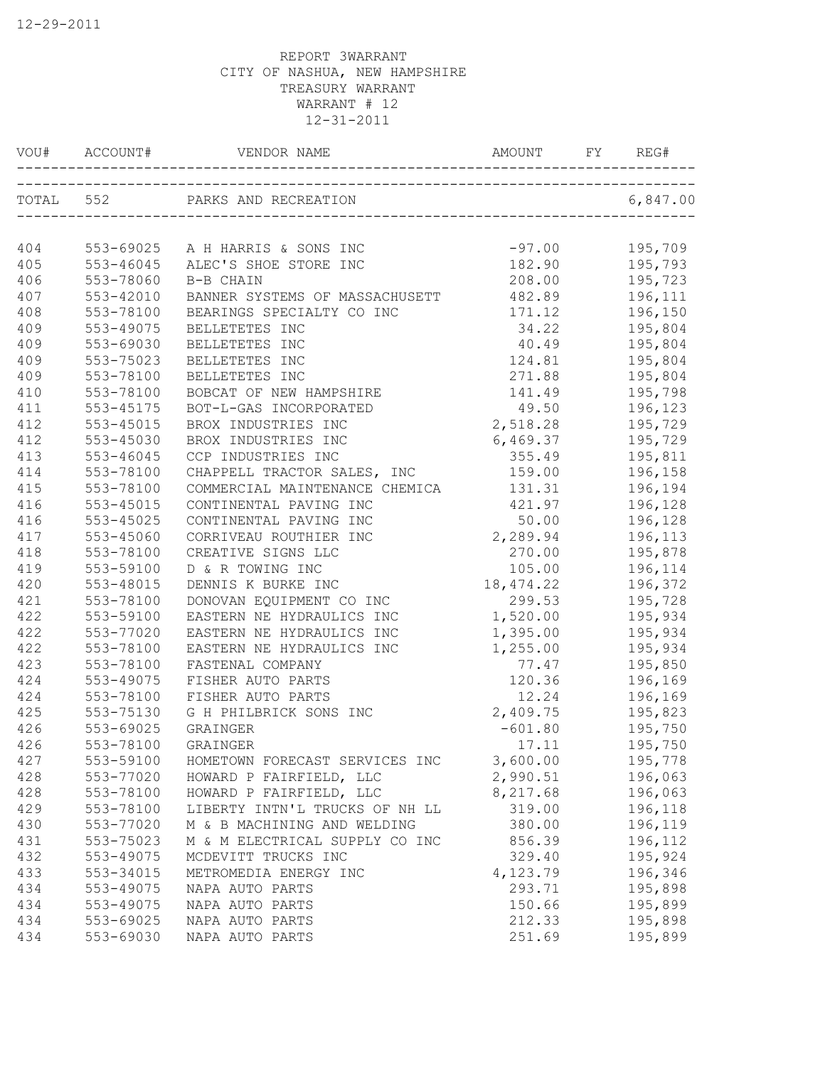| VOU#       | ACCOUNT#               | VENDOR NAME                                        | AMOUNT    | FY | REG#     |
|------------|------------------------|----------------------------------------------------|-----------|----|----------|
|            | TOTAL 552              | PARKS AND RECREATION<br>__________________________ |           |    | 6,847.00 |
|            |                        |                                                    | $-97.00$  |    | 195,709  |
| 404<br>405 | 553-69025<br>553-46045 | A H HARRIS & SONS INC<br>ALEC'S SHOE STORE INC     | 182.90    |    | 195,793  |
|            |                        |                                                    |           |    |          |
| 406        | 553-78060              | B-B CHAIN                                          | 208.00    |    | 195,723  |
| 407        | 553-42010              | BANNER SYSTEMS OF MASSACHUSETT                     | 482.89    |    | 196,111  |
| 408        | 553-78100              | BEARINGS SPECIALTY CO INC                          | 171.12    |    | 196,150  |
| 409        | 553-49075              | BELLETETES INC                                     | 34.22     |    | 195,804  |
| 409        | 553-69030              | BELLETETES INC                                     | 40.49     |    | 195,804  |
| 409        | 553-75023              | BELLETETES INC                                     | 124.81    |    | 195,804  |
| 409        | 553-78100              | BELLETETES INC                                     | 271.88    |    | 195,804  |
| 410        | 553-78100              | BOBCAT OF NEW HAMPSHIRE                            | 141.49    |    | 195,798  |
| 411        | 553-45175              | BOT-L-GAS INCORPORATED                             | 49.50     |    | 196,123  |
| 412        | 553-45015              | BROX INDUSTRIES INC                                | 2,518.28  |    | 195,729  |
| 412        | 553-45030              | BROX INDUSTRIES INC                                | 6,469.37  |    | 195,729  |
| 413        | $553 - 46045$          | CCP INDUSTRIES INC                                 | 355.49    |    | 195,811  |
| 414        | 553-78100              | CHAPPELL TRACTOR SALES, INC                        | 159.00    |    | 196,158  |
| 415        | 553-78100              | COMMERCIAL MAINTENANCE CHEMICA                     | 131.31    |    | 196,194  |
| 416        | 553-45015              | CONTINENTAL PAVING INC                             | 421.97    |    | 196,128  |
| 416        | 553-45025              | CONTINENTAL PAVING INC                             | 50.00     |    | 196,128  |
| 417        | 553-45060              | CORRIVEAU ROUTHIER INC                             | 2,289.94  |    | 196,113  |
| 418        | 553-78100              | CREATIVE SIGNS LLC                                 | 270.00    |    | 195,878  |
| 419        | 553-59100              | D & R TOWING INC                                   | 105.00    |    | 196,114  |
| 420        | 553-48015              | DENNIS K BURKE INC                                 | 18,474.22 |    | 196,372  |
| 421        | 553-78100              | DONOVAN EQUIPMENT CO INC                           | 299.53    |    | 195,728  |
| 422        | 553-59100              | EASTERN NE HYDRAULICS INC                          | 1,520.00  |    | 195,934  |
| 422        | 553-77020              | EASTERN NE HYDRAULICS INC                          | 1,395.00  |    | 195,934  |
| 422        | 553-78100              | EASTERN NE HYDRAULICS INC                          | 1,255.00  |    | 195,934  |
| 423        | 553-78100              | FASTENAL COMPANY                                   | 77.47     |    | 195,850  |
| 424        | 553-49075              | FISHER AUTO PARTS                                  | 120.36    |    | 196,169  |
| 424        | 553-78100              | FISHER AUTO PARTS                                  | 12.24     |    | 196,169  |
| 425        | 553-75130              | G H PHILBRICK SONS INC                             | 2,409.75  |    | 195,823  |
| 426        | 553-69025              | GRAINGER                                           | $-601.80$ |    | 195,750  |
| 426        | 553-78100              | GRAINGER                                           | 17.11     |    | 195,750  |
| 427        | 553-59100              | HOMETOWN FORECAST SERVICES INC                     | 3,600.00  |    | 195,778  |
| 428        | 553-77020              | HOWARD P FAIRFIELD, LLC                            | 2,990.51  |    | 196,063  |
| 428        | 553-78100              | HOWARD P FAIRFIELD, LLC                            | 8,217.68  |    | 196,063  |
| 429        | 553-78100              | LIBERTY INTN'L TRUCKS OF NH LL                     | 319.00    |    | 196,118  |
| 430        | 553-77020              | M & B MACHINING AND WELDING                        | 380.00    |    | 196,119  |
| 431        | 553-75023              | M & M ELECTRICAL SUPPLY CO INC                     | 856.39    |    | 196,112  |
| 432        | 553-49075              | MCDEVITT TRUCKS INC                                | 329.40    |    | 195,924  |
| 433        | 553-34015              | METROMEDIA ENERGY INC                              | 4,123.79  |    | 196,346  |
| 434        | 553-49075              | NAPA AUTO PARTS                                    | 293.71    |    | 195,898  |
| 434        | 553-49075              | NAPA AUTO PARTS                                    | 150.66    |    |          |
| 434        | 553-69025              |                                                    |           |    | 195,899  |
|            |                        | NAPA AUTO PARTS                                    | 212.33    |    | 195,898  |
| 434        | 553-69030              | NAPA AUTO PARTS                                    | 251.69    |    | 195,899  |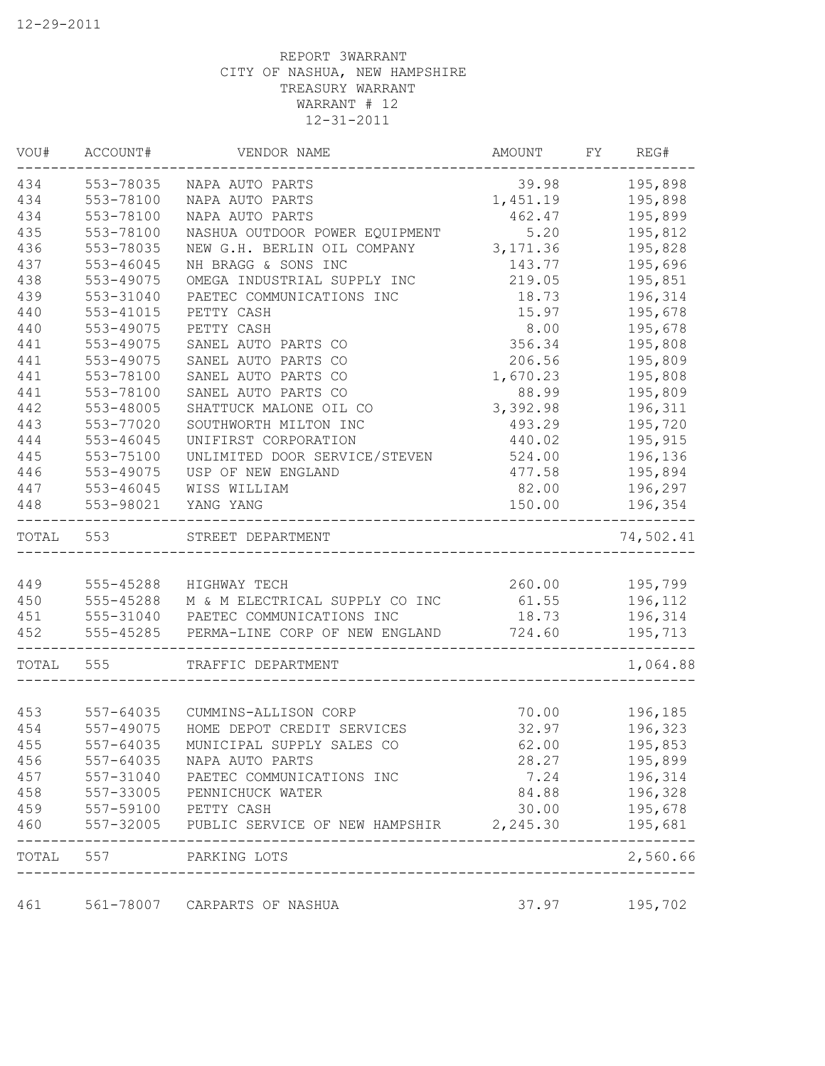| VOU#      | ACCOUNT#  | VENDOR NAME                             | AMOUNT    | FY | REG#      |
|-----------|-----------|-----------------------------------------|-----------|----|-----------|
| 434       | 553-78035 | NAPA AUTO PARTS                         | 39.98     |    | 195,898   |
| 434       | 553-78100 | NAPA AUTO PARTS                         | 1,451.19  |    | 195,898   |
| 434       | 553-78100 | NAPA AUTO PARTS                         | 462.47    |    | 195,899   |
| 435       | 553-78100 | NASHUA OUTDOOR POWER EQUIPMENT          | 5.20      |    | 195,812   |
| 436       | 553-78035 | NEW G.H. BERLIN OIL COMPANY             | 3, 171.36 |    | 195,828   |
| 437       | 553-46045 | NH BRAGG & SONS INC                     | 143.77    |    | 195,696   |
| 438       | 553-49075 | OMEGA INDUSTRIAL SUPPLY INC             | 219.05    |    | 195,851   |
| 439       | 553-31040 | PAETEC COMMUNICATIONS INC               | 18.73     |    | 196,314   |
| 440       | 553-41015 | PETTY CASH                              | 15.97     |    | 195,678   |
| 440       | 553-49075 | PETTY CASH                              | 8.00      |    | 195,678   |
| 441       | 553-49075 | SANEL AUTO PARTS CO                     | 356.34    |    | 195,808   |
| 441       | 553-49075 | SANEL AUTO PARTS CO                     | 206.56    |    | 195,809   |
| 441       | 553-78100 | SANEL AUTO PARTS CO                     | 1,670.23  |    | 195,808   |
| 441       | 553-78100 | SANEL AUTO PARTS CO                     | 88.99     |    | 195,809   |
| 442       | 553-48005 | SHATTUCK MALONE OIL CO                  | 3,392.98  |    | 196,311   |
| 443       | 553-77020 | SOUTHWORTH MILTON INC                   | 493.29    |    | 195,720   |
| 444       | 553-46045 | UNIFIRST CORPORATION                    | 440.02    |    | 195,915   |
| 445       | 553-75100 | UNLIMITED DOOR SERVICE/STEVEN           | 524.00    |    | 196,136   |
| 446       | 553-49075 | USP OF NEW ENGLAND                      | 477.58    |    | 195,894   |
| 447       | 553-46045 | WISS WILLIAM                            | 82.00     |    | 196,297   |
| 448       | 553-98021 | YANG YANG                               | 150.00    |    | 196,354   |
| TOTAL 553 |           | STREET DEPARTMENT                       |           |    | 74,502.41 |
|           |           |                                         |           |    |           |
| 449       | 555-45288 | HIGHWAY TECH                            | 260.00    |    | 195,799   |
| 450       | 555-45288 | M & M ELECTRICAL SUPPLY CO INC          | 61.55     |    | 196,112   |
| 451       | 555-31040 | PAETEC COMMUNICATIONS INC               | 18.73     |    | 196,314   |
| 452       | 555-45285 | PERMA-LINE CORP OF NEW ENGLAND          | 724.60    |    | 195,713   |
| TOTAL     | 555       | TRAFFIC DEPARTMENT                      |           |    | 1,064.88  |
|           |           |                                         |           |    |           |
| 453       | 557-64035 | CUMMINS-ALLISON CORP                    | 70.00     |    | 196,185   |
| 454       | 557-49075 | HOME DEPOT CREDIT SERVICES              | 32.97     |    | 196,323   |
| 455       | 557-64035 | MUNICIPAL SUPPLY SALES CO               | 62.00     |    | 195,853   |
| 456       | 557-64035 | NAPA AUTO PARTS                         | 28.27     |    | 195,899   |
| 457       | 557-31040 | PAETEC COMMUNICATIONS INC               | 7.24      |    | 196,314   |
| 458       | 557-33005 | PENNICHUCK WATER                        | 84.88     |    | 196,328   |
| 459       | 557-59100 | PETTY CASH                              | 30.00     |    | 195,678   |
| 460       | 557-32005 | PUBLIC SERVICE OF NEW HAMPSHIR 2,245.30 |           |    | 195,681   |
| TOTAL     | 557       | PARKING LOTS                            |           |    | 2,560.66  |
| 461       |           | 561-78007 CARPARTS OF NASHUA            | 37.97     |    | 195,702   |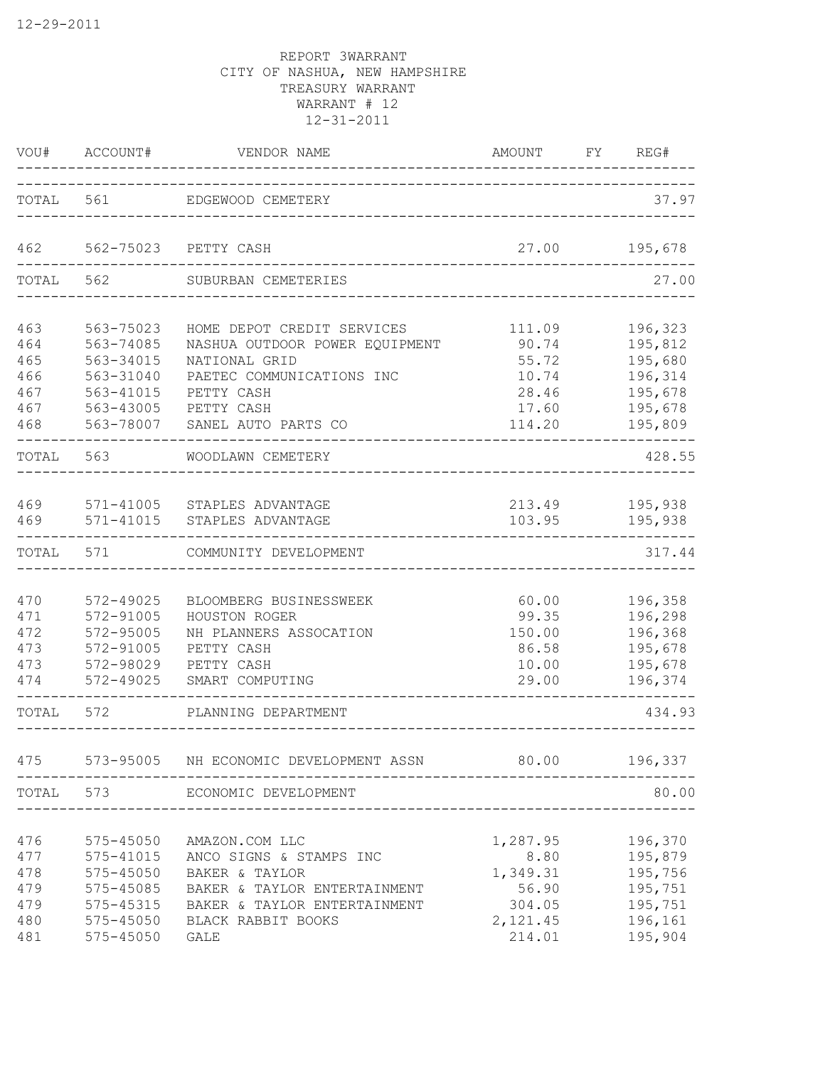| VOU#                                          | ACCOUNT#<br>---------                                                                   | VENDOR NAME<br>___________                                                                                                                                          | AMOUNT                                                         | FY. | REG#                                                                           |
|-----------------------------------------------|-----------------------------------------------------------------------------------------|---------------------------------------------------------------------------------------------------------------------------------------------------------------------|----------------------------------------------------------------|-----|--------------------------------------------------------------------------------|
| TOTAL                                         | 561                                                                                     | EDGEWOOD CEMETERY                                                                                                                                                   |                                                                |     | 37.97                                                                          |
| 462                                           | 562-75023                                                                               | PETTY CASH                                                                                                                                                          | 27.00                                                          |     | 195,678                                                                        |
| TOTAL                                         | 562                                                                                     | SUBURBAN CEMETERIES                                                                                                                                                 |                                                                |     | 27.00                                                                          |
| 463<br>464<br>465<br>466<br>467<br>467<br>468 | 563-75023<br>563-74085<br>563-34015<br>563-31040<br>563-41015<br>563-43005<br>563-78007 | HOME DEPOT CREDIT SERVICES<br>NASHUA OUTDOOR POWER EQUIPMENT<br>NATIONAL GRID<br>PAETEC COMMUNICATIONS INC<br>PETTY CASH<br>PETTY CASH<br>SANEL AUTO PARTS CO       | 111.09<br>90.74<br>55.72<br>10.74<br>28.46<br>17.60<br>114.20  |     | 196,323<br>195,812<br>195,680<br>196,314<br>195,678<br>195,678<br>195,809      |
| TOTAL                                         | 563                                                                                     | WOODLAWN CEMETERY                                                                                                                                                   |                                                                |     | 428.55                                                                         |
| 469<br>469                                    | 571-41005<br>$571 - 41015$                                                              | STAPLES ADVANTAGE<br>STAPLES ADVANTAGE                                                                                                                              | 213.49<br>103.95                                               |     | 195,938<br>195,938                                                             |
| TOTAL                                         | 571                                                                                     | COMMUNITY DEVELOPMENT                                                                                                                                               |                                                                |     | 317.44                                                                         |
| 470<br>471<br>472<br>473<br>473<br>474        | 572-49025<br>572-91005<br>572-95005<br>572-91005<br>572-98029<br>572-49025              | BLOOMBERG BUSINESSWEEK<br>HOUSTON ROGER<br>NH PLANNERS ASSOCATION<br>PETTY CASH<br>PETTY CASH<br>SMART COMPUTING                                                    | 60.00<br>99.35<br>150.00<br>86.58<br>10.00<br>29.00            |     | 196,358<br>196,298<br>196,368<br>195,678<br>195,678<br>196,374                 |
| TOTAL                                         | 572                                                                                     | PLANNING DEPARTMENT                                                                                                                                                 |                                                                |     | 434.93                                                                         |
|                                               |                                                                                         | 475 573-95005 NH ECONOMIC DEVELOPMENT ASSN                                                                                                                          | 80.00 196,337                                                  |     |                                                                                |
|                                               | TOTAL 573                                                                               | ECONOMIC DEVELOPMENT                                                                                                                                                | ___________________________                                    |     | 80.00                                                                          |
| 476<br>477<br>478<br>479<br>479<br>480<br>481 | 575-45050<br>$575 - 45050$<br>575-45085<br>575-45315<br>575-45050<br>575-45050          | AMAZON.COM LLC<br>575-41015 ANCO SIGNS & STAMPS INC<br>BAKER & TAYLOR<br>BAKER & TAYLOR ENTERTAINMENT<br>BAKER & TAYLOR ENTERTAINMENT<br>BLACK RABBIT BOOKS<br>GALE | 1,287.95<br>1,349.31<br>56.90<br>304.05<br>2, 121.45<br>214.01 |     | 196,370<br>8.80 195,879<br>195,756<br>195,751<br>195,751<br>196,161<br>195,904 |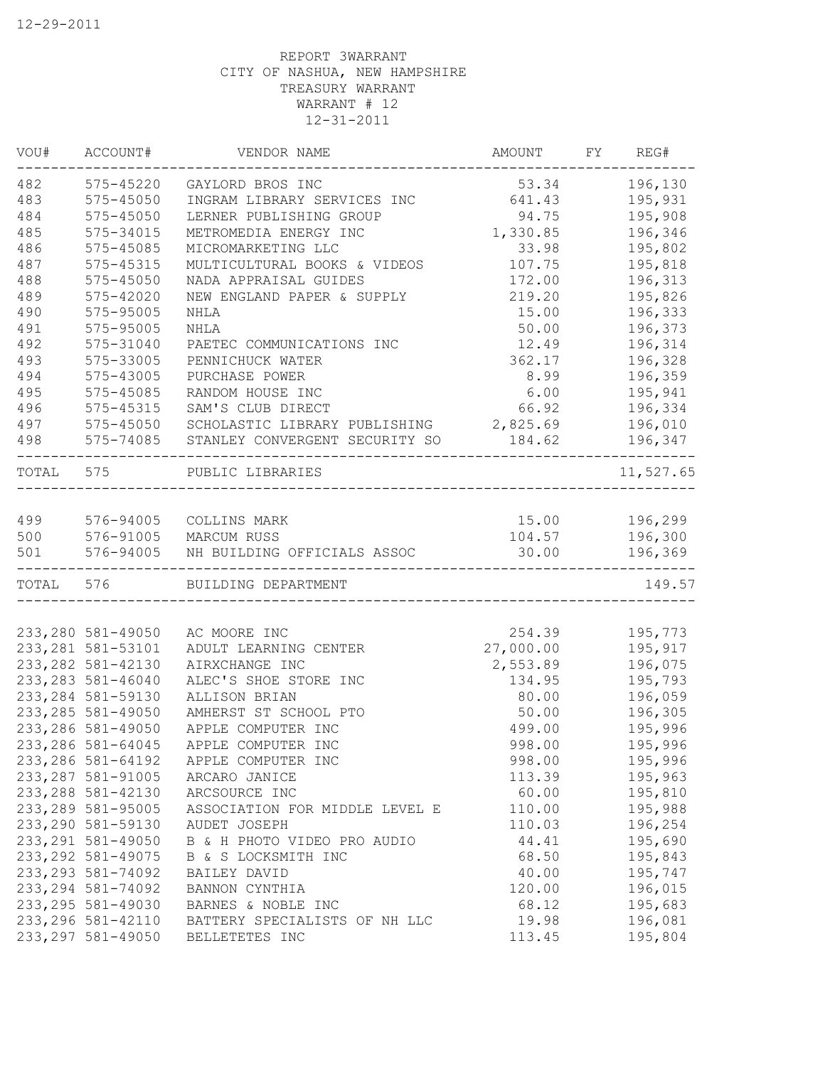| VOU#      | ACCOUNT#           | VENDOR NAME                    | AMOUNT    | FY | REG#          |
|-----------|--------------------|--------------------------------|-----------|----|---------------|
| 482       | 575-45220          | GAYLORD BROS INC               | 53.34     |    | 196,130       |
| 483       | 575-45050          | INGRAM LIBRARY SERVICES INC    | 641.43    |    | 195,931       |
| 484       | 575-45050          | LERNER PUBLISHING GROUP        | 94.75     |    | 195,908       |
| 485       | 575-34015          | METROMEDIA ENERGY INC          | 1,330.85  |    | 196,346       |
| 486       | 575-45085          | MICROMARKETING LLC             | 33.98     |    | 195,802       |
| 487       | 575-45315          | MULTICULTURAL BOOKS & VIDEOS   | 107.75    |    | 195,818       |
| 488       | $575 - 45050$      | NADA APPRAISAL GUIDES          | 172.00    |    | 196,313       |
| 489       | 575-42020          | NEW ENGLAND PAPER & SUPPLY     | 219.20    |    | 195,826       |
| 490       | 575-95005          | <b>NHLA</b>                    | 15.00     |    | 196,333       |
| 491       | 575-95005          | <b>NHLA</b>                    | 50.00     |    | 196,373       |
| 492       | 575-31040          | PAETEC COMMUNICATIONS INC      | 12.49     |    | 196,314       |
| 493       | 575-33005          | PENNICHUCK WATER               | 362.17    |    | 196,328       |
| 494       | 575-43005          | PURCHASE POWER                 | 8.99      |    | 196,359       |
| 495       | 575-45085          | RANDOM HOUSE INC               | 6.00      |    | 195,941       |
| 496       | 575-45315          | SAM'S CLUB DIRECT              | 66.92     |    | 196,334       |
| 497       | 575-45050          | SCHOLASTIC LIBRARY PUBLISHING  | 2,825.69  |    | 196,010       |
| 498       | 575-74085          | STANLEY CONVERGENT SECURITY SO | 184.62    |    | 196,347       |
| TOTAL 575 |                    | PUBLIC LIBRARIES               |           |    | 11,527.65     |
| 499       | 576-94005          | COLLINS MARK                   |           |    | 15.00 196,299 |
| 500       | 576-91005          | MARCUM RUSS                    | 104.57    |    | 196,300       |
| 501       | 576-94005          | NH BUILDING OFFICIALS ASSOC    | 30.00     |    | 196,369       |
| TOTAL     | 576                | BUILDING DEPARTMENT            |           |    | 149.57        |
|           |                    |                                |           |    |               |
|           | 233, 280 581-49050 | AC MOORE INC                   | 254.39    |    | 195,773       |
|           | 233, 281 581-53101 | ADULT LEARNING CENTER          | 27,000.00 |    | 195,917       |
|           | 233, 282 581-42130 | AIRXCHANGE INC                 | 2,553.89  |    | 196,075       |
|           | 233, 283 581-46040 | ALEC'S SHOE STORE INC          | 134.95    |    | 195,793       |
|           | 233, 284 581-59130 | ALLISON BRIAN                  | 80.00     |    | 196,059       |
|           | 233, 285 581-49050 | AMHERST ST SCHOOL PTO          | 50.00     |    | 196,305       |
|           | 233, 286 581-49050 | APPLE COMPUTER INC             | 499.00    |    | 195,996       |
|           | 233, 286 581-64045 | APPLE COMPUTER INC             | 998.00    |    | 195,996       |
|           | 233, 286 581-64192 | APPLE COMPUTER INC             | 998.00    |    | 195,996       |
|           | 233, 287 581-91005 | ARCARO JANICE                  | 113.39    |    | 195,963       |
|           | 233, 288 581-42130 | ARCSOURCE INC                  | 60.00     |    | 195,810       |
|           | 233, 289 581-95005 | ASSOCIATION FOR MIDDLE LEVEL E | 110.00    |    | 195,988       |
|           | 233, 290 581-59130 | AUDET JOSEPH                   | 110.03    |    | 196,254       |
|           | 233, 291 581-49050 | B & H PHOTO VIDEO PRO AUDIO    | 44.41     |    | 195,690       |
|           | 233, 292 581-49075 | B & S LOCKSMITH INC            | 68.50     |    | 195,843       |
|           | 233, 293 581-74092 | BAILEY DAVID                   | 40.00     |    | 195,747       |
|           | 233, 294 581-74092 | BANNON CYNTHIA                 | 120.00    |    | 196,015       |
|           | 233, 295 581-49030 | BARNES & NOBLE INC             | 68.12     |    | 195,683       |
|           | 233, 296 581-42110 | BATTERY SPECIALISTS OF NH LLC  | 19.98     |    | 196,081       |
|           | 233, 297 581-49050 | BELLETETES INC                 | 113.45    |    | 195,804       |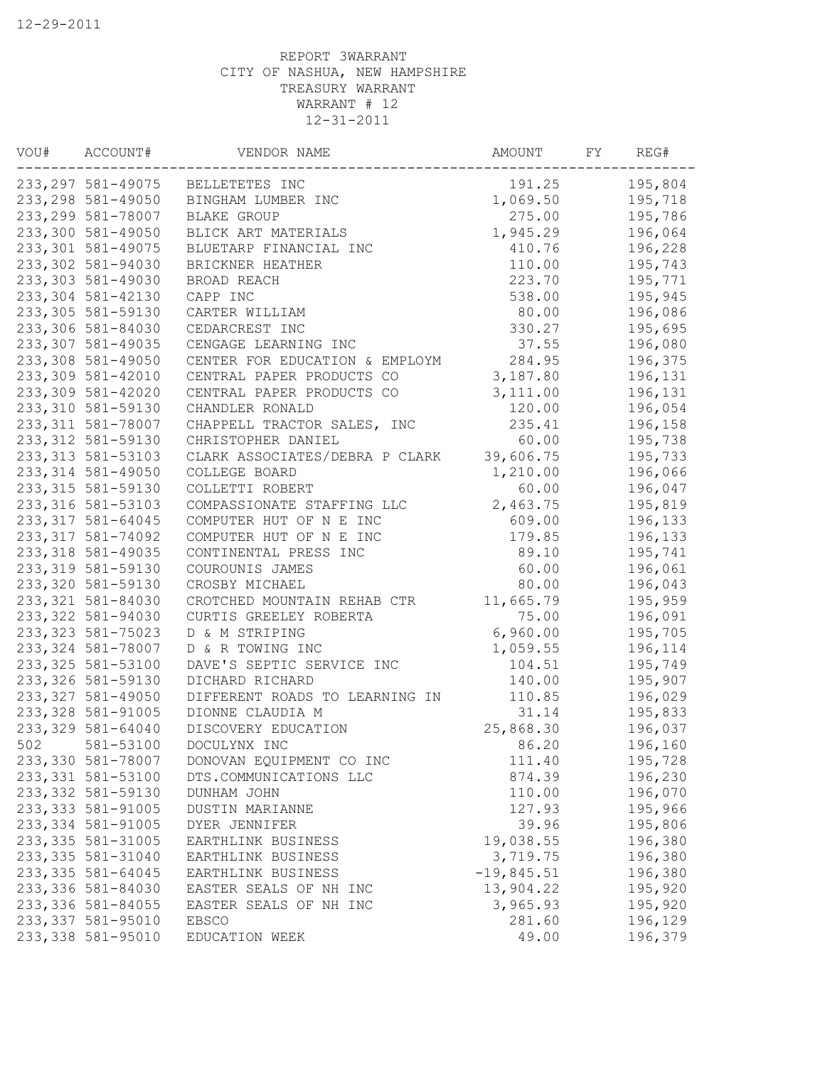| VOU# | ACCOUNT#           | VENDOR NAME                    | AMOUNT       | FΥ | REG#    |
|------|--------------------|--------------------------------|--------------|----|---------|
|      | 233, 297 581-49075 | BELLETETES INC                 | 191.25       |    | 195,804 |
|      | 233, 298 581-49050 | BINGHAM LUMBER INC             | 1,069.50     |    | 195,718 |
|      | 233, 299 581-78007 | <b>BLAKE GROUP</b>             | 275.00       |    | 195,786 |
|      | 233,300 581-49050  | BLICK ART MATERIALS            | 1,945.29     |    | 196,064 |
|      | 233, 301 581-49075 | BLUETARP FINANCIAL INC         | 410.76       |    | 196,228 |
|      | 233,302 581-94030  | BRICKNER HEATHER               | 110.00       |    | 195,743 |
|      | 233, 303 581-49030 | BROAD REACH                    | 223.70       |    | 195,771 |
|      | 233,304 581-42130  | CAPP INC                       | 538.00       |    | 195,945 |
|      | 233, 305 581-59130 | CARTER WILLIAM                 | 80.00        |    | 196,086 |
|      | 233,306 581-84030  | CEDARCREST INC                 | 330.27       |    | 195,695 |
|      | 233, 307 581-49035 | CENGAGE LEARNING INC           | 37.55        |    | 196,080 |
|      | 233,308 581-49050  | CENTER FOR EDUCATION & EMPLOYM | 284.95       |    | 196,375 |
|      | 233,309 581-42010  | CENTRAL PAPER PRODUCTS CO      | 3,187.80     |    | 196,131 |
|      | 233,309 581-42020  | CENTRAL PAPER PRODUCTS CO      | 3,111.00     |    | 196,131 |
|      | 233,310 581-59130  | CHANDLER RONALD                | 120.00       |    | 196,054 |
|      | 233, 311 581-78007 | CHAPPELL TRACTOR SALES, INC    | 235.41       |    | 196,158 |
|      | 233, 312 581-59130 | CHRISTOPHER DANIEL             | 60.00        |    | 195,738 |
|      | 233, 313 581-53103 | CLARK ASSOCIATES/DEBRA P CLARK | 39,606.75    |    | 195,733 |
|      | 233, 314 581-49050 | COLLEGE BOARD                  | 1,210.00     |    | 196,066 |
|      | 233, 315 581-59130 | COLLETTI ROBERT                | 60.00        |    | 196,047 |
|      | 233, 316 581-53103 | COMPASSIONATE STAFFING LLC     | 2,463.75     |    | 195,819 |
|      | 233, 317 581-64045 | COMPUTER HUT OF N E INC        | 609.00       |    | 196,133 |
|      | 233, 317 581-74092 | COMPUTER HUT OF N E INC        | 179.85       |    | 196,133 |
|      | 233, 318 581-49035 | CONTINENTAL PRESS INC          | 89.10        |    | 195,741 |
|      | 233, 319 581-59130 | COUROUNIS JAMES                | 60.00        |    | 196,061 |
|      | 233, 320 581-59130 | CROSBY MICHAEL                 | 80.00        |    | 196,043 |
|      | 233, 321 581-84030 | CROTCHED MOUNTAIN REHAB CTR    | 11,665.79    |    | 195,959 |
|      | 233, 322 581-94030 | CURTIS GREELEY ROBERTA         | 75.00        |    | 196,091 |
|      | 233, 323 581-75023 | D & M STRIPING                 | 6,960.00     |    | 195,705 |
|      | 233, 324 581-78007 | D & R TOWING INC               | 1,059.55     |    | 196,114 |
|      | 233, 325 581-53100 | DAVE'S SEPTIC SERVICE INC      | 104.51       |    | 195,749 |
|      | 233, 326 581-59130 | DICHARD RICHARD                | 140.00       |    | 195,907 |
|      | 233, 327 581-49050 | DIFFERENT ROADS TO LEARNING IN | 110.85       |    | 196,029 |
|      | 233, 328 581-91005 | DIONNE CLAUDIA M               | 31.14        |    | 195,833 |
|      | 233, 329 581-64040 | DISCOVERY EDUCATION            | 25,868.30    |    | 196,037 |
| 502  | 581-53100          | DOCULYNX INC                   | 86.20        |    | 196,160 |
|      | 233,330 581-78007  | DONOVAN EQUIPMENT CO INC       | 111.40       |    | 195,728 |
|      | 233, 331 581-53100 | DTS.COMMUNICATIONS LLC         | 874.39       |    | 196,230 |
|      | 233, 332 581-59130 | DUNHAM JOHN                    | 110.00       |    | 196,070 |
|      | 233, 333 581-91005 | DUSTIN MARIANNE                | 127.93       |    | 195,966 |
|      | 233, 334 581-91005 | DYER JENNIFER                  | 39.96        |    | 195,806 |
|      | 233, 335 581-31005 | EARTHLINK BUSINESS             | 19,038.55    |    | 196,380 |
|      | 233, 335 581-31040 | EARTHLINK BUSINESS             | 3,719.75     |    | 196,380 |
|      | 233, 335 581-64045 | EARTHLINK BUSINESS             | $-19,845.51$ |    | 196,380 |
|      | 233, 336 581-84030 | EASTER SEALS OF NH INC         | 13,904.22    |    | 195,920 |
|      | 233, 336 581-84055 | EASTER SEALS OF NH INC         | 3,965.93     |    | 195,920 |
|      | 233, 337 581-95010 | <b>EBSCO</b>                   | 281.60       |    | 196,129 |
|      | 233, 338 581-95010 | EDUCATION WEEK                 | 49.00        |    | 196,379 |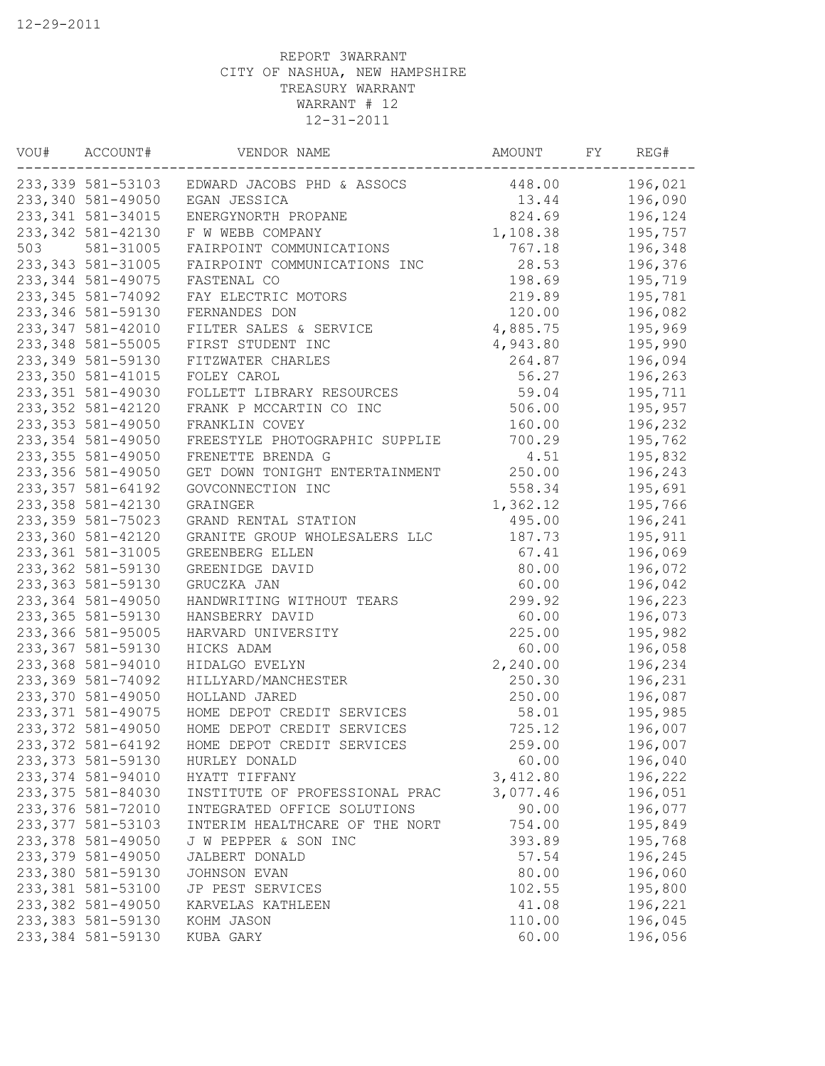| VOU# | ACCOUNT#           | VENDOR NAME                                  | AMOUNT   | FΥ | REG#    |
|------|--------------------|----------------------------------------------|----------|----|---------|
|      |                    | 233,339 581-53103 EDWARD JACOBS PHD & ASSOCS | 448.00   |    | 196,021 |
|      | 233,340 581-49050  | EGAN JESSICA                                 | 13.44    |    | 196,090 |
|      | 233, 341 581-34015 | ENERGYNORTH PROPANE                          | 824.69   |    | 196,124 |
|      | 233, 342 581-42130 | F W WEBB COMPANY                             | 1,108.38 |    | 195,757 |
| 503  | 581-31005          | FAIRPOINT COMMUNICATIONS                     | 767.18   |    | 196,348 |
|      | 233, 343 581-31005 | FAIRPOINT COMMUNICATIONS INC                 | 28.53    |    | 196,376 |
|      | 233, 344 581-49075 | FASTENAL CO                                  | 198.69   |    | 195,719 |
|      | 233, 345 581-74092 | FAY ELECTRIC MOTORS                          | 219.89   |    | 195,781 |
|      | 233, 346 581-59130 | FERNANDES DON                                | 120.00   |    | 196,082 |
|      | 233, 347 581-42010 | FILTER SALES & SERVICE                       | 4,885.75 |    | 195,969 |
|      | 233, 348 581-55005 | FIRST STUDENT INC                            | 4,943.80 |    | 195,990 |
|      | 233, 349 581-59130 | FITZWATER CHARLES                            | 264.87   |    | 196,094 |
|      | 233, 350 581-41015 | FOLEY CAROL                                  | 56.27    |    | 196,263 |
|      | 233, 351 581-49030 | FOLLETT LIBRARY RESOURCES                    | 59.04    |    | 195,711 |
|      | 233, 352 581-42120 | FRANK P MCCARTIN CO INC                      | 506.00   |    | 195,957 |
|      | 233, 353 581-49050 | FRANKLIN COVEY                               | 160.00   |    | 196,232 |
|      | 233, 354 581-49050 | FREESTYLE PHOTOGRAPHIC SUPPLIE               | 700.29   |    | 195,762 |
|      | 233, 355 581-49050 | FRENETTE BRENDA G                            | 4.51     |    | 195,832 |
|      | 233, 356 581-49050 | GET DOWN TONIGHT ENTERTAINMENT               | 250.00   |    | 196,243 |
|      | 233, 357 581-64192 | GOVCONNECTION INC                            | 558.34   |    | 195,691 |
|      | 233, 358 581-42130 | GRAINGER                                     | 1,362.12 |    | 195,766 |
|      | 233, 359 581-75023 | GRAND RENTAL STATION                         | 495.00   |    | 196,241 |
|      | 233,360 581-42120  | GRANITE GROUP WHOLESALERS LLC                | 187.73   |    | 195,911 |
|      | 233, 361 581-31005 | GREENBERG ELLEN                              | 67.41    |    | 196,069 |
|      | 233, 362 581-59130 | GREENIDGE DAVID                              | 80.00    |    | 196,072 |
|      | 233, 363 581-59130 | GRUCZKA JAN                                  | 60.00    |    | 196,042 |
|      | 233,364 581-49050  | HANDWRITING WITHOUT TEARS                    | 299.92   |    | 196,223 |
|      | 233,365 581-59130  | HANSBERRY DAVID                              | 60.00    |    | 196,073 |
|      | 233,366 581-95005  | HARVARD UNIVERSITY                           | 225.00   |    | 195,982 |
|      | 233, 367 581-59130 | HICKS ADAM                                   | 60.00    |    | 196,058 |
|      | 233,368 581-94010  | HIDALGO EVELYN                               | 2,240.00 |    | 196,234 |
|      | 233,369 581-74092  | HILLYARD/MANCHESTER                          | 250.30   |    | 196,231 |
|      | 233,370 581-49050  | HOLLAND JARED                                | 250.00   |    | 196,087 |
|      | 233, 371 581-49075 | HOME DEPOT CREDIT SERVICES                   | 58.01    |    | 195,985 |
|      | 233, 372 581-49050 | HOME DEPOT CREDIT SERVICES                   | 725.12   |    | 196,007 |
|      | 233, 372 581-64192 | HOME DEPOT CREDIT SERVICES                   | 259.00   |    | 196,007 |
|      | 233, 373 581-59130 | HURLEY DONALD                                | 60.00    |    | 196,040 |
|      | 233, 374 581-94010 | HYATT TIFFANY                                | 3,412.80 |    | 196,222 |
|      | 233, 375 581-84030 | INSTITUTE OF PROFESSIONAL PRAC               | 3,077.46 |    | 196,051 |
|      | 233,376 581-72010  | INTEGRATED OFFICE SOLUTIONS                  | 90.00    |    | 196,077 |
|      | 233, 377 581-53103 | INTERIM HEALTHCARE OF THE NORT               | 754.00   |    | 195,849 |
|      | 233, 378 581-49050 | J W PEPPER & SON INC                         | 393.89   |    | 195,768 |
|      | 233, 379 581-49050 | JALBERT DONALD                               | 57.54    |    | 196,245 |
|      | 233,380 581-59130  | JOHNSON EVAN                                 | 80.00    |    | 196,060 |
|      | 233, 381 581-53100 | JP PEST SERVICES                             | 102.55   |    | 195,800 |
|      | 233, 382 581-49050 | KARVELAS KATHLEEN                            | 41.08    |    | 196,221 |
|      | 233, 383 581-59130 | KOHM JASON                                   | 110.00   |    | 196,045 |
|      | 233,384 581-59130  | KUBA GARY                                    | 60.00    |    | 196,056 |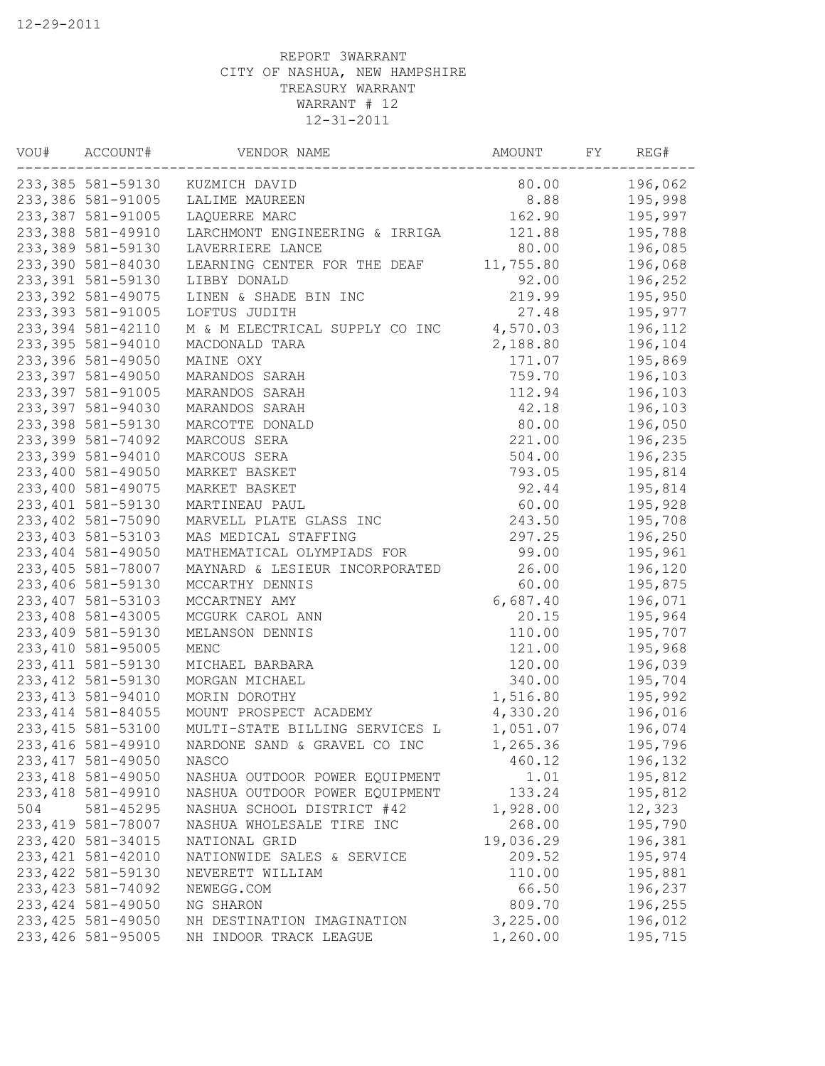| VOU# | ACCOUNT#           | VENDOR NAME                    | AMOUNT    | FΥ | REG#    |
|------|--------------------|--------------------------------|-----------|----|---------|
|      | 233,385 581-59130  | KUZMICH DAVID                  | 80.00     |    | 196,062 |
|      | 233,386 581-91005  | LALIME MAUREEN                 | 8.88      |    | 195,998 |
|      | 233, 387 581-91005 | LAQUERRE MARC                  | 162.90    |    | 195,997 |
|      | 233,388 581-49910  | LARCHMONT ENGINEERING & IRRIGA | 121.88    |    | 195,788 |
|      | 233,389 581-59130  | LAVERRIERE LANCE               | 80.00     |    | 196,085 |
|      | 233,390 581-84030  | LEARNING CENTER FOR THE DEAF   | 11,755.80 |    | 196,068 |
|      | 233, 391 581-59130 | LIBBY DONALD                   | 92.00     |    | 196,252 |
|      | 233, 392 581-49075 | LINEN & SHADE BIN INC          | 219.99    |    | 195,950 |
|      | 233, 393 581-91005 | LOFTUS JUDITH                  | 27.48     |    | 195,977 |
|      | 233, 394 581-42110 | M & M ELECTRICAL SUPPLY CO INC | 4,570.03  |    | 196,112 |
|      | 233, 395 581-94010 | MACDONALD TARA                 | 2,188.80  |    | 196,104 |
|      | 233,396 581-49050  | MAINE OXY                      | 171.07    |    | 195,869 |
|      | 233, 397 581-49050 | MARANDOS SARAH                 | 759.70    |    | 196,103 |
|      | 233, 397 581-91005 | MARANDOS SARAH                 | 112.94    |    | 196,103 |
|      | 233,397 581-94030  | MARANDOS SARAH                 | 42.18     |    | 196,103 |
|      | 233,398 581-59130  | MARCOTTE DONALD                | 80.00     |    | 196,050 |
|      | 233,399 581-74092  | MARCOUS SERA                   | 221.00    |    | 196,235 |
|      | 233,399 581-94010  | MARCOUS SERA                   | 504.00    |    | 196,235 |
|      | 233,400 581-49050  | MARKET BASKET                  | 793.05    |    | 195,814 |
|      | 233,400 581-49075  | MARKET BASKET                  | 92.44     |    | 195,814 |
|      | 233,401 581-59130  | MARTINEAU PAUL                 | 60.00     |    | 195,928 |
|      | 233,402 581-75090  | MARVELL PLATE GLASS INC        | 243.50    |    | 195,708 |
|      | 233,403 581-53103  | MAS MEDICAL STAFFING           | 297.25    |    | 196,250 |
|      | 233, 404 581-49050 | MATHEMATICAL OLYMPIADS FOR     | 99.00     |    | 195,961 |
|      | 233,405 581-78007  | MAYNARD & LESIEUR INCORPORATED | 26.00     |    | 196,120 |
|      | 233,406 581-59130  | MCCARTHY DENNIS                | 60.00     |    | 195,875 |
|      | 233, 407 581-53103 | MCCARTNEY AMY                  | 6,687.40  |    | 196,071 |
|      | 233,408 581-43005  | MCGURK CAROL ANN               | 20.15     |    | 195,964 |
|      | 233,409 581-59130  | MELANSON DENNIS                | 110.00    |    | 195,707 |
|      | 233, 410 581-95005 | MENC                           | 121.00    |    | 195,968 |
|      | 233, 411 581-59130 | MICHAEL BARBARA                | 120.00    |    | 196,039 |
|      | 233, 412 581-59130 | MORGAN MICHAEL                 | 340.00    |    | 195,704 |
|      | 233, 413 581-94010 | MORIN DOROTHY                  | 1,516.80  |    | 195,992 |
|      | 233, 414 581-84055 | MOUNT PROSPECT ACADEMY         | 4,330.20  |    | 196,016 |
|      | 233, 415 581-53100 | MULTI-STATE BILLING SERVICES L | 1,051.07  |    | 196,074 |
|      | 233, 416 581-49910 | NARDONE SAND & GRAVEL CO INC   | 1,265.36  |    | 195,796 |
|      | 233, 417 581-49050 | NASCO                          | 460.12    |    | 196,132 |
|      | 233, 418 581-49050 | NASHUA OUTDOOR POWER EQUIPMENT | 1.01      |    | 195,812 |
|      | 233, 418 581-49910 | NASHUA OUTDOOR POWER EQUIPMENT | 133.24    |    | 195,812 |
| 504  | 581-45295          | NASHUA SCHOOL DISTRICT #42     | 1,928.00  |    | 12,323  |
|      | 233, 419 581-78007 | NASHUA WHOLESALE TIRE INC      | 268.00    |    | 195,790 |
|      | 233, 420 581-34015 | NATIONAL GRID                  | 19,036.29 |    | 196,381 |
|      | 233, 421 581-42010 | NATIONWIDE SALES & SERVICE     | 209.52    |    | 195,974 |
|      | 233, 422 581-59130 | NEVERETT WILLIAM               | 110.00    |    | 195,881 |
|      | 233, 423 581-74092 | NEWEGG.COM                     | 66.50     |    | 196,237 |
|      | 233, 424 581-49050 | NG SHARON                      | 809.70    |    | 196,255 |
|      | 233, 425 581-49050 | NH DESTINATION IMAGINATION     | 3,225.00  |    | 196,012 |
|      | 233, 426 581-95005 | NH INDOOR TRACK LEAGUE         | 1,260.00  |    | 195,715 |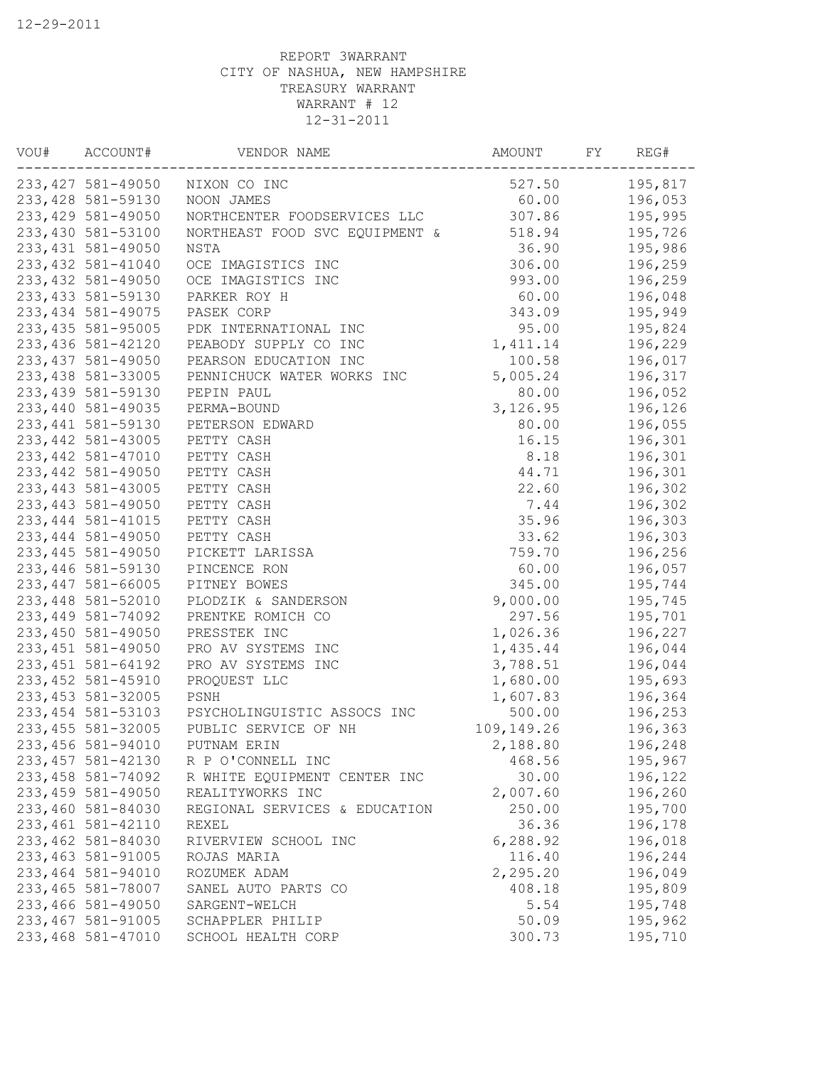| VOU# | ACCOUNT#           | VENDOR NAME                    | AMOUNT     | FY. | REG#    |
|------|--------------------|--------------------------------|------------|-----|---------|
|      | 233, 427 581-49050 | NIXON CO INC                   | 527.50     |     | 195,817 |
|      | 233, 428 581-59130 | NOON JAMES                     | 60.00      |     | 196,053 |
|      | 233, 429 581-49050 | NORTHCENTER FOODSERVICES LLC   | 307.86     |     | 195,995 |
|      | 233,430 581-53100  | NORTHEAST FOOD SVC EQUIPMENT & | 518.94     |     | 195,726 |
|      | 233, 431 581-49050 | NSTA                           | 36.90      |     | 195,986 |
|      | 233, 432 581-41040 | OCE IMAGISTICS INC             | 306.00     |     | 196,259 |
|      | 233, 432 581-49050 | OCE IMAGISTICS INC             | 993.00     |     | 196,259 |
|      | 233, 433 581-59130 | PARKER ROY H                   | 60.00      |     | 196,048 |
|      | 233, 434 581-49075 | PASEK CORP                     | 343.09     |     | 195,949 |
|      | 233, 435 581-95005 | PDK INTERNATIONAL INC          | 95.00      |     | 195,824 |
|      | 233, 436 581-42120 | PEABODY SUPPLY CO INC          | 1,411.14   |     | 196,229 |
|      | 233, 437 581-49050 | PEARSON EDUCATION INC          | 100.58     |     | 196,017 |
|      | 233, 438 581-33005 | PENNICHUCK WATER WORKS INC     | 5,005.24   |     | 196,317 |
|      | 233, 439 581-59130 | PEPIN PAUL                     | 80.00      |     | 196,052 |
|      | 233,440 581-49035  | PERMA-BOUND                    | 3,126.95   |     | 196,126 |
|      | 233, 441 581-59130 | PETERSON EDWARD                | 80.00      |     | 196,055 |
|      | 233, 442 581-43005 | PETTY CASH                     | 16.15      |     | 196,301 |
|      | 233, 442 581-47010 | PETTY CASH                     | 8.18       |     | 196,301 |
|      | 233, 442 581-49050 | PETTY CASH                     | 44.71      |     | 196,301 |
|      | 233, 443 581-43005 | PETTY CASH                     | 22.60      |     | 196,302 |
|      | 233, 443 581-49050 | PETTY CASH                     | 7.44       |     | 196,302 |
|      | 233, 444 581-41015 | PETTY CASH                     | 35.96      |     | 196,303 |
|      | 233, 444 581-49050 | PETTY CASH                     | 33.62      |     | 196,303 |
|      | 233, 445 581-49050 | PICKETT LARISSA                | 759.70     |     | 196,256 |
|      | 233,446 581-59130  | PINCENCE RON                   | 60.00      |     | 196,057 |
|      | 233, 447 581-66005 | PITNEY BOWES                   | 345.00     |     | 195,744 |
|      | 233,448 581-52010  | PLODZIK & SANDERSON            | 9,000.00   |     | 195,745 |
|      | 233, 449 581-74092 | PRENTKE ROMICH CO              | 297.56     |     | 195,701 |
|      | 233,450 581-49050  | PRESSTEK INC                   | 1,026.36   |     | 196,227 |
|      | 233, 451 581-49050 | PRO AV SYSTEMS INC             | 1,435.44   |     | 196,044 |
|      | 233, 451 581-64192 | PRO AV SYSTEMS INC             | 3,788.51   |     | 196,044 |
|      | 233, 452 581-45910 | PROQUEST LLC                   | 1,680.00   |     | 195,693 |
|      | 233, 453 581-32005 | PSNH                           | 1,607.83   |     | 196,364 |
|      | 233, 454 581-53103 | PSYCHOLINGUISTIC ASSOCS INC    | 500.00     |     | 196,253 |
|      | 233, 455 581-32005 | PUBLIC SERVICE OF NH           | 109,149.26 |     | 196,363 |
|      | 233,456 581-94010  | PUTNAM ERIN                    | 2,188.80   |     | 196,248 |
|      | 233, 457 581-42130 | R P O'CONNELL INC              | 468.56     |     | 195,967 |
|      | 233, 458 581-74092 | R WHITE EQUIPMENT CENTER INC   | 30.00      |     | 196,122 |
|      | 233, 459 581-49050 | REALITYWORKS INC               | 2,007.60   |     | 196,260 |
|      | 233,460 581-84030  | REGIONAL SERVICES & EDUCATION  | 250.00     |     | 195,700 |
|      | 233, 461 581-42110 | REXEL                          | 36.36      |     | 196,178 |
|      | 233,462 581-84030  | RIVERVIEW SCHOOL INC           | 6,288.92   |     | 196,018 |
|      | 233, 463 581-91005 | ROJAS MARIA                    | 116.40     |     | 196,244 |
|      | 233,464 581-94010  | ROZUMEK ADAM                   | 2,295.20   |     | 196,049 |
|      | 233,465 581-78007  | SANEL AUTO PARTS CO            | 408.18     |     | 195,809 |
|      | 233,466 581-49050  | SARGENT-WELCH                  | 5.54       |     | 195,748 |
|      | 233, 467 581-91005 | SCHAPPLER PHILIP               | 50.09      |     | 195,962 |
|      | 233,468 581-47010  | SCHOOL HEALTH CORP             | 300.73     |     | 195,710 |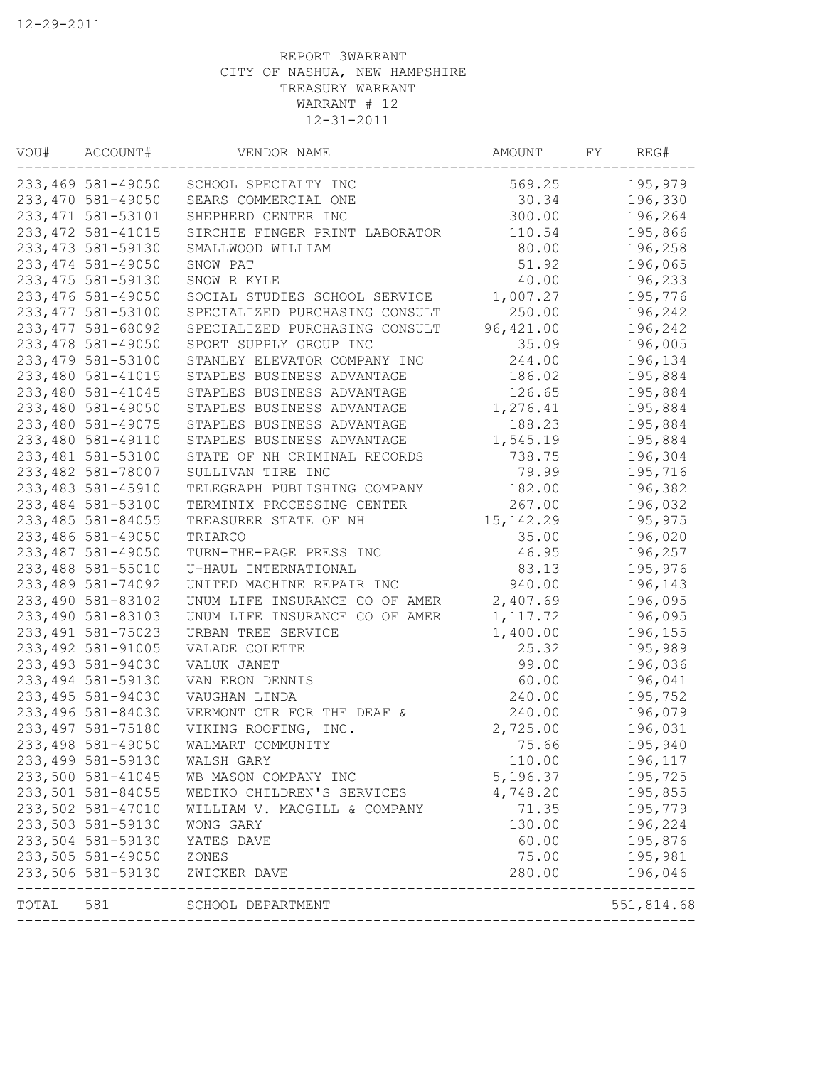| VOU#  | ACCOUNT#           | VENDOR NAME                    | AMOUNT     | FΥ | REG#       |
|-------|--------------------|--------------------------------|------------|----|------------|
|       | 233,469 581-49050  | SCHOOL SPECIALTY INC           | 569.25     |    | 195,979    |
|       | 233,470 581-49050  | SEARS COMMERCIAL ONE           | 30.34      |    | 196,330    |
|       | 233, 471 581-53101 | SHEPHERD CENTER INC            | 300.00     |    | 196,264    |
|       | 233, 472 581-41015 | SIRCHIE FINGER PRINT LABORATOR | 110.54     |    | 195,866    |
|       | 233, 473 581-59130 | SMALLWOOD WILLIAM              | 80.00      |    | 196,258    |
|       | 233, 474 581-49050 | SNOW PAT                       | 51.92      |    | 196,065    |
|       | 233, 475 581-59130 | SNOW R KYLE                    | 40.00      |    | 196,233    |
|       | 233, 476 581-49050 | SOCIAL STUDIES SCHOOL SERVICE  | 1,007.27   |    | 195,776    |
|       | 233, 477 581-53100 | SPECIALIZED PURCHASING CONSULT | 250.00     |    | 196,242    |
|       | 233, 477 581-68092 | SPECIALIZED PURCHASING CONSULT | 96,421.00  |    | 196,242    |
|       | 233, 478 581-49050 | SPORT SUPPLY GROUP INC         | 35.09      |    | 196,005    |
|       | 233, 479 581-53100 | STANLEY ELEVATOR COMPANY INC   | 244.00     |    | 196,134    |
|       | 233,480 581-41015  | STAPLES BUSINESS ADVANTAGE     | 186.02     |    | 195,884    |
|       | 233,480 581-41045  | STAPLES BUSINESS ADVANTAGE     | 126.65     |    | 195,884    |
|       | 233,480 581-49050  | STAPLES BUSINESS ADVANTAGE     | 1,276.41   |    | 195,884    |
|       | 233,480 581-49075  | STAPLES BUSINESS ADVANTAGE     | 188.23     |    | 195,884    |
|       | 233,480 581-49110  | STAPLES BUSINESS ADVANTAGE     | 1,545.19   |    | 195,884    |
|       | 233,481 581-53100  | STATE OF NH CRIMINAL RECORDS   | 738.75     |    | 196,304    |
|       | 233,482 581-78007  | SULLIVAN TIRE INC              | 79.99      |    | 195,716    |
|       | 233, 483 581-45910 | TELEGRAPH PUBLISHING COMPANY   | 182.00     |    | 196,382    |
|       | 233,484 581-53100  | TERMINIX PROCESSING CENTER     | 267.00     |    | 196,032    |
|       | 233, 485 581-84055 | TREASURER STATE OF NH          | 15, 142.29 |    | 195,975    |
|       | 233,486 581-49050  | TRIARCO                        | 35.00      |    | 196,020    |
|       | 233,487 581-49050  | TURN-THE-PAGE PRESS INC        | 46.95      |    | 196,257    |
|       | 233,488 581-55010  | U-HAUL INTERNATIONAL           | 83.13      |    | 195,976    |
|       | 233,489 581-74092  | UNITED MACHINE REPAIR INC      | 940.00     |    | 196,143    |
|       | 233,490 581-83102  | UNUM LIFE INSURANCE CO OF AMER | 2,407.69   |    | 196,095    |
|       | 233,490 581-83103  | UNUM LIFE INSURANCE CO OF AMER | 1, 117.72  |    | 196,095    |
|       | 233, 491 581-75023 | URBAN TREE SERVICE             | 1,400.00   |    | 196,155    |
|       | 233, 492 581-91005 | VALADE COLETTE                 | 25.32      |    | 195,989    |
|       | 233, 493 581-94030 | VALUK JANET                    | 99.00      |    | 196,036    |
|       | 233, 494 581-59130 | VAN ERON DENNIS                | 60.00      |    | 196,041    |
|       | 233, 495 581-94030 | VAUGHAN LINDA                  | 240.00     |    | 195,752    |
|       | 233,496 581-84030  | VERMONT CTR FOR THE DEAF &     | 240.00     |    | 196,079    |
|       | 233, 497 581-75180 | VIKING ROOFING, INC.           | 2,725.00   |    | 196,031    |
|       | 233, 498 581-49050 | WALMART COMMUNITY              | 75.66      |    | 195,940    |
|       | 233, 499 581-59130 | WALSH GARY                     | 110.00     |    | 196,117    |
|       | 233,500 581-41045  | WB MASON COMPANY INC           | 5,196.37   |    | 195,725    |
|       | 233,501 581-84055  | WEDIKO CHILDREN'S SERVICES     | 4,748.20   |    | 195,855    |
|       | 233,502 581-47010  | WILLIAM V. MACGILL & COMPANY   | 71.35      |    | 195,779    |
|       | 233,503 581-59130  | WONG GARY                      | 130.00     |    | 196,224    |
|       | 233,504 581-59130  | YATES DAVE                     | 60.00      |    | 195,876    |
|       | 233,505 581-49050  | ZONES                          | 75.00      |    | 195,981    |
|       | 233,506 581-59130  | ZWICKER DAVE                   | 280.00     |    | 196,046    |
| TOTAL | 581                | SCHOOL DEPARTMENT              |            |    | 551,814.68 |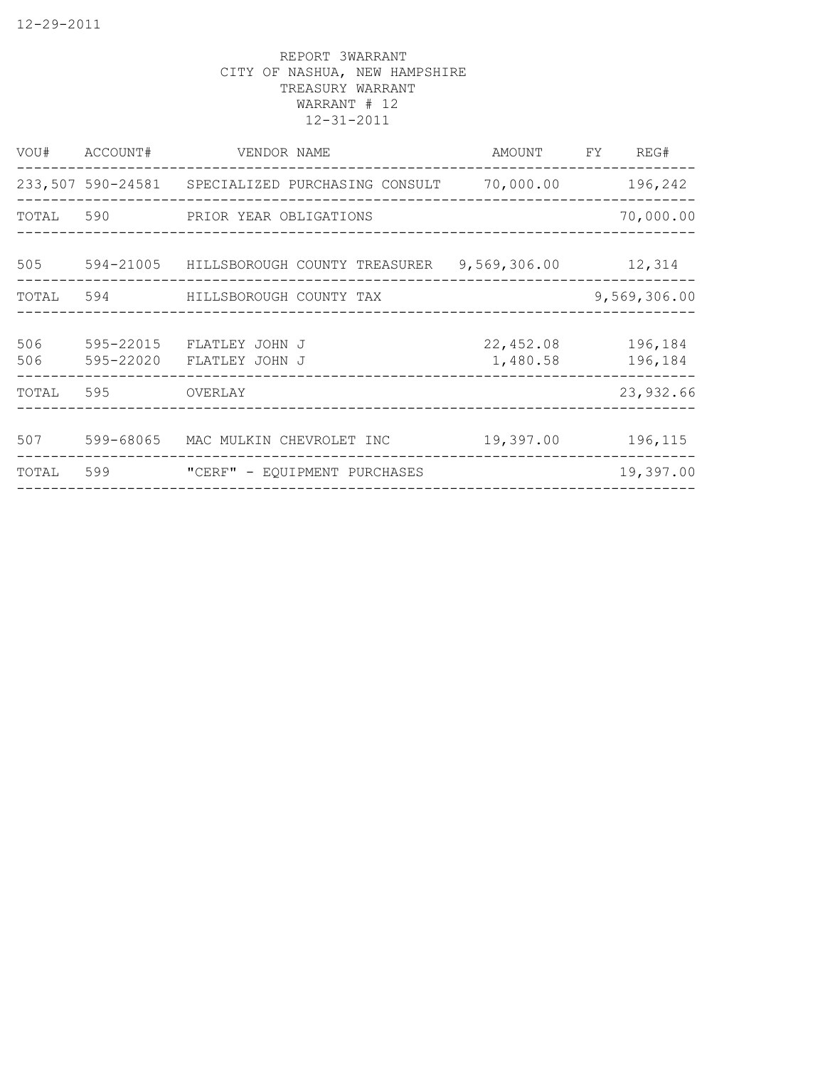| VOU#      | ACCOUNT#  | VENDOR NAME                                      | AMOUNT       | FY | REG#         |
|-----------|-----------|--------------------------------------------------|--------------|----|--------------|
|           |           | 233,507 590-24581 SPECIALIZED PURCHASING CONSULT | 70,000.00    |    | 196,242      |
| TOTAL 590 |           | PRIOR YEAR OBLIGATIONS                           |              |    | 70,000.00    |
| 505       | 594-21005 | HILLSBOROUGH COUNTY TREASURER                    | 9,569,306.00 |    | 12,314       |
| TOTAL     | 594       | HILLSBOROUGH COUNTY TAX                          |              |    | 9,569,306.00 |
|           |           |                                                  |              |    |              |
| 506       | 595-22015 | FLATLEY JOHN J                                   | 22,452.08    |    | 196,184      |
| 506       | 595-22020 | FLATLEY JOHN J                                   | 1,480.58     |    | 196,184      |
| TOTAL     | 595       | OVERLAY                                          |              |    | 23,932.66    |
| 507       | 599-68065 | MAC MULKIN CHEVROLET INC                         | 19,397.00    |    | 196,115      |
|           |           |                                                  |              |    |              |
| TOTAL     | 599       | "CERF" - EQUIPMENT PURCHASES                     |              |    | 19,397.00    |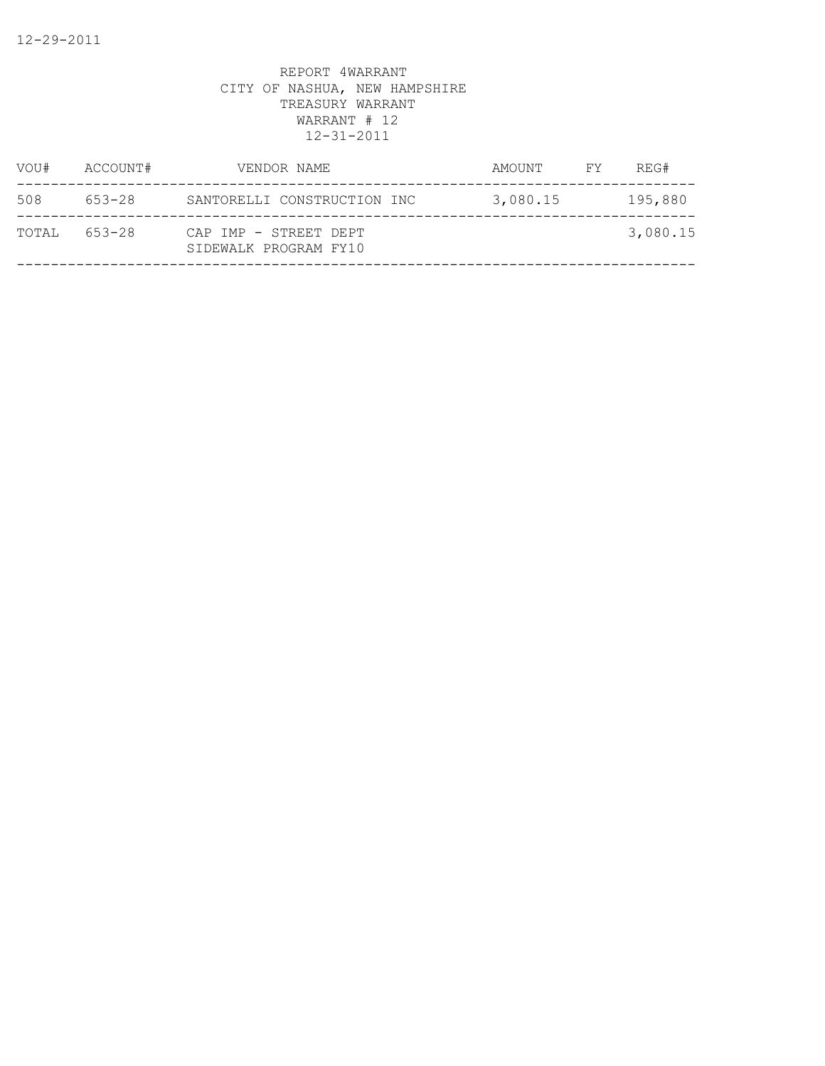| VOU#  | ACCOUNT# | VENDOR NAME                                    | AMOUNT   | FY | REG#     |
|-------|----------|------------------------------------------------|----------|----|----------|
| 508   | 653-28   | SANTORELLI CONSTRUCTION INC                    | 3,080.15 |    | 195,880  |
| TOTAL | 653-28   | CAP IMP - STREET DEPT<br>SIDEWALK PROGRAM FY10 |          |    | 3,080.15 |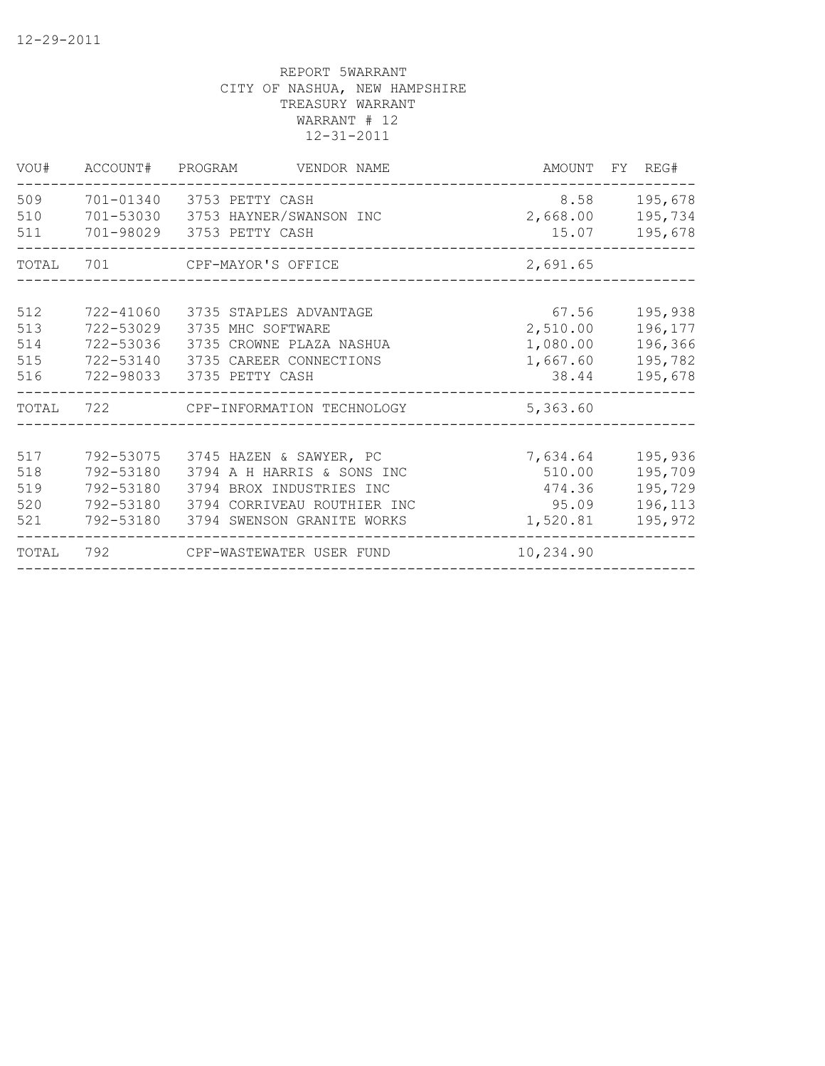| VOU#                            |                                                               | ACCOUNT# PROGRAM VENDOR NAME                                                                                                                             |                                                    | AMOUNT FY REG#                                      |
|---------------------------------|---------------------------------------------------------------|----------------------------------------------------------------------------------------------------------------------------------------------------------|----------------------------------------------------|-----------------------------------------------------|
| 509<br>510<br>511               |                                                               | 701-01340 3753 PETTY CASH<br>701-53030 3753 HAYNER/SWANSON INC<br>701-98029 3753 PETTY CASH                                                              | 15.07                                              | 8.58 195,678<br>2,668.00 195,734<br>195,678         |
| TOTAL                           |                                                               |                                                                                                                                                          | 2,691.65                                           |                                                     |
| 512<br>513<br>514<br>515<br>516 | 722-41060<br>722-53029<br>722-53036<br>722-53140<br>722-98033 | 3735 STAPLES ADVANTAGE<br>3735 MHC SOFTWARE<br>3735 CROWNE PLAZA NASHUA<br>3735 CAREER CONNECTIONS<br>3735 PETTY CASH                                    | 67.56<br>2,510.00<br>1,080.00<br>1,667.60<br>38.44 | 195,938<br>196,177<br>196,366<br>195,782<br>195,678 |
| TOTAL                           |                                                               | 722 CPF-INFORMATION TECHNOLOGY                                                                                                                           | 5,363.60                                           |                                                     |
| 517<br>518<br>519<br>520<br>521 | 792-53180<br>792-53180<br>792-53180<br>792-53180              | 792-53075 3745 HAZEN & SAWYER, PC<br>3794 A H HARRIS & SONS INC<br>3794 BROX INDUSTRIES INC<br>3794 CORRIVEAU ROUTHIER INC<br>3794 SWENSON GRANITE WORKS | 7,634.64<br>510.00<br>474.36<br>95.09<br>1,520.81  | 195,936<br>195,709<br>195,729<br>196,113<br>195,972 |
| TOTAL                           |                                                               | 792 CPF-WASTEWATER USER FUND                                                                                                                             | 10,234.90                                          |                                                     |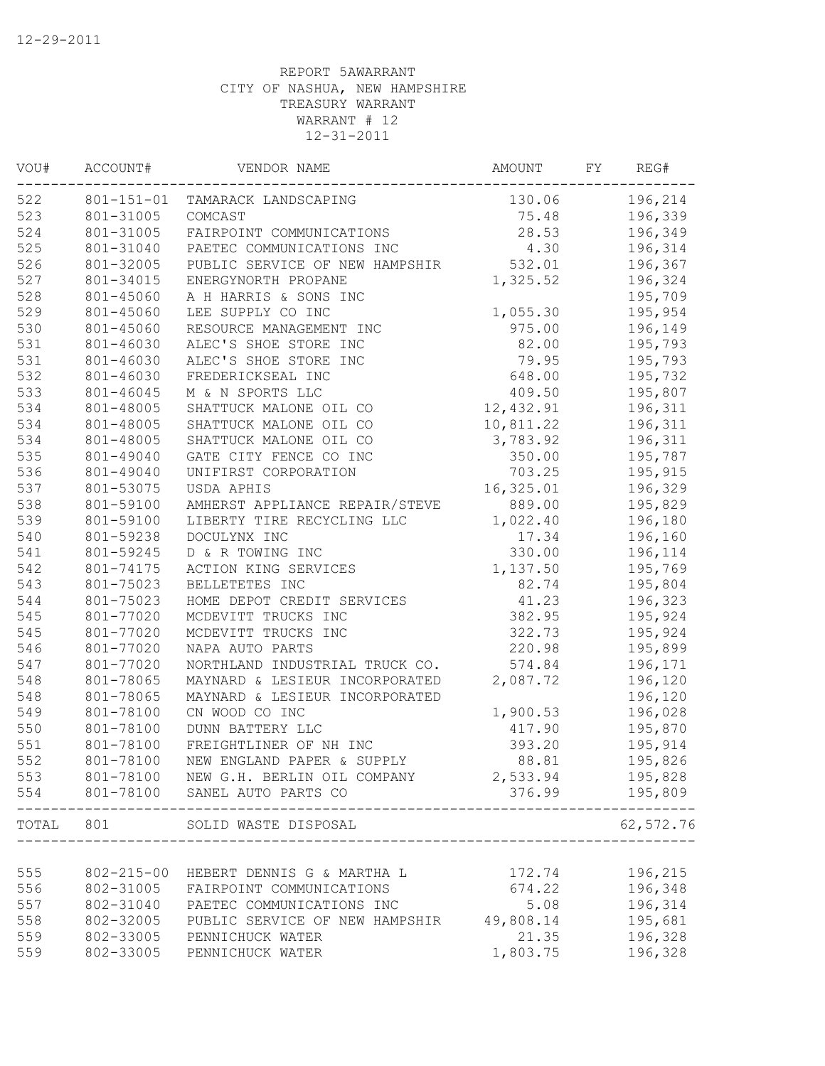| VOU#  | ACCOUNT#         | VENDOR NAME                    | AMOUNT    | FΥ | REG#      |
|-------|------------------|--------------------------------|-----------|----|-----------|
| 522   | $801 - 151 - 01$ | TAMARACK LANDSCAPING           | 130.06    |    | 196,214   |
| 523   | 801-31005        | COMCAST                        | 75.48     |    | 196,339   |
| 524   | 801-31005        | FAIRPOINT COMMUNICATIONS       | 28.53     |    | 196,349   |
| 525   | 801-31040        | PAETEC COMMUNICATIONS INC      | 4.30      |    | 196,314   |
| 526   | 801-32005        | PUBLIC SERVICE OF NEW HAMPSHIR | 532.01    |    | 196,367   |
| 527   | 801-34015        | ENERGYNORTH PROPANE            | 1,325.52  |    | 196,324   |
| 528   | 801-45060        | A H HARRIS & SONS INC          |           |    | 195,709   |
| 529   | 801-45060        | LEE SUPPLY CO INC              | 1,055.30  |    | 195,954   |
| 530   | 801-45060        | RESOURCE MANAGEMENT INC        | 975.00    |    | 196,149   |
| 531   | 801-46030        | ALEC'S SHOE STORE INC          | 82.00     |    | 195,793   |
| 531   | 801-46030        | ALEC'S SHOE STORE INC          | 79.95     |    | 195,793   |
| 532   | 801-46030        | FREDERICKSEAL INC              | 648.00    |    | 195,732   |
| 533   | 801-46045        | M & N SPORTS LLC               | 409.50    |    | 195,807   |
| 534   | 801-48005        | SHATTUCK MALONE OIL CO         | 12,432.91 |    | 196,311   |
| 534   | 801-48005        | SHATTUCK MALONE OIL CO         | 10,811.22 |    | 196,311   |
| 534   | 801-48005        | SHATTUCK MALONE OIL CO         | 3,783.92  |    | 196,311   |
| 535   | 801-49040        | GATE CITY FENCE CO INC         | 350.00    |    | 195,787   |
| 536   | 801-49040        | UNIFIRST CORPORATION           | 703.25    |    | 195,915   |
| 537   | 801-53075        | USDA APHIS                     | 16,325.01 |    | 196,329   |
| 538   | 801-59100        | AMHERST APPLIANCE REPAIR/STEVE | 889.00    |    | 195,829   |
| 539   | 801-59100        | LIBERTY TIRE RECYCLING LLC     | 1,022.40  |    | 196,180   |
| 540   | 801-59238        | DOCULYNX INC                   | 17.34     |    | 196,160   |
| 541   | 801-59245        | D & R TOWING INC               | 330.00    |    | 196,114   |
| 542   | 801-74175        | ACTION KING SERVICES           | 1,137.50  |    | 195,769   |
| 543   | 801-75023        | BELLETETES INC                 | 82.74     |    | 195,804   |
| 544   | 801-75023        | HOME DEPOT CREDIT SERVICES     | 41.23     |    | 196,323   |
| 545   | 801-77020        | MCDEVITT TRUCKS INC            | 382.95    |    | 195,924   |
| 545   | 801-77020        | MCDEVITT TRUCKS INC            | 322.73    |    | 195,924   |
| 546   | 801-77020        | NAPA AUTO PARTS                | 220.98    |    | 195,899   |
| 547   | 801-77020        | NORTHLAND INDUSTRIAL TRUCK CO. | 574.84    |    | 196,171   |
| 548   | 801-78065        | MAYNARD & LESIEUR INCORPORATED | 2,087.72  |    | 196,120   |
| 548   | 801-78065        | MAYNARD & LESIEUR INCORPORATED |           |    | 196,120   |
| 549   | 801-78100        | CN WOOD CO INC                 | 1,900.53  |    | 196,028   |
| 550   | 801-78100        | DUNN BATTERY LLC               | 417.90    |    | 195,870   |
| 551   | 801-78100        | FREIGHTLINER OF NH INC         | 393.20    |    | 195,914   |
| 552   | 801-78100        | NEW ENGLAND PAPER & SUPPLY     | 88.81     |    | 195,826   |
| 553   | 801-78100        | NEW G.H. BERLIN OIL COMPANY    | 2,533.94  |    | 195,828   |
| 554   | 801-78100        | SANEL AUTO PARTS CO            | 376.99    |    | 195,809   |
| TOTAL | 801              | SOLID WASTE DISPOSAL           |           |    | 62,572.76 |
|       |                  |                                |           |    |           |
| 555   | $802 - 215 - 00$ | HEBERT DENNIS G & MARTHA L     | 172.74    |    | 196,215   |
| 556   | 802-31005        | FAIRPOINT COMMUNICATIONS       | 674.22    |    | 196,348   |
| 557   | 802-31040        | PAETEC COMMUNICATIONS INC      | 5.08      |    | 196,314   |
| 558   | 802-32005        | PUBLIC SERVICE OF NEW HAMPSHIR | 49,808.14 |    | 195,681   |
| 559   | 802-33005        | PENNICHUCK WATER               | 21.35     |    | 196,328   |
| 559   | 802-33005        | PENNICHUCK WATER               | 1,803.75  |    | 196,328   |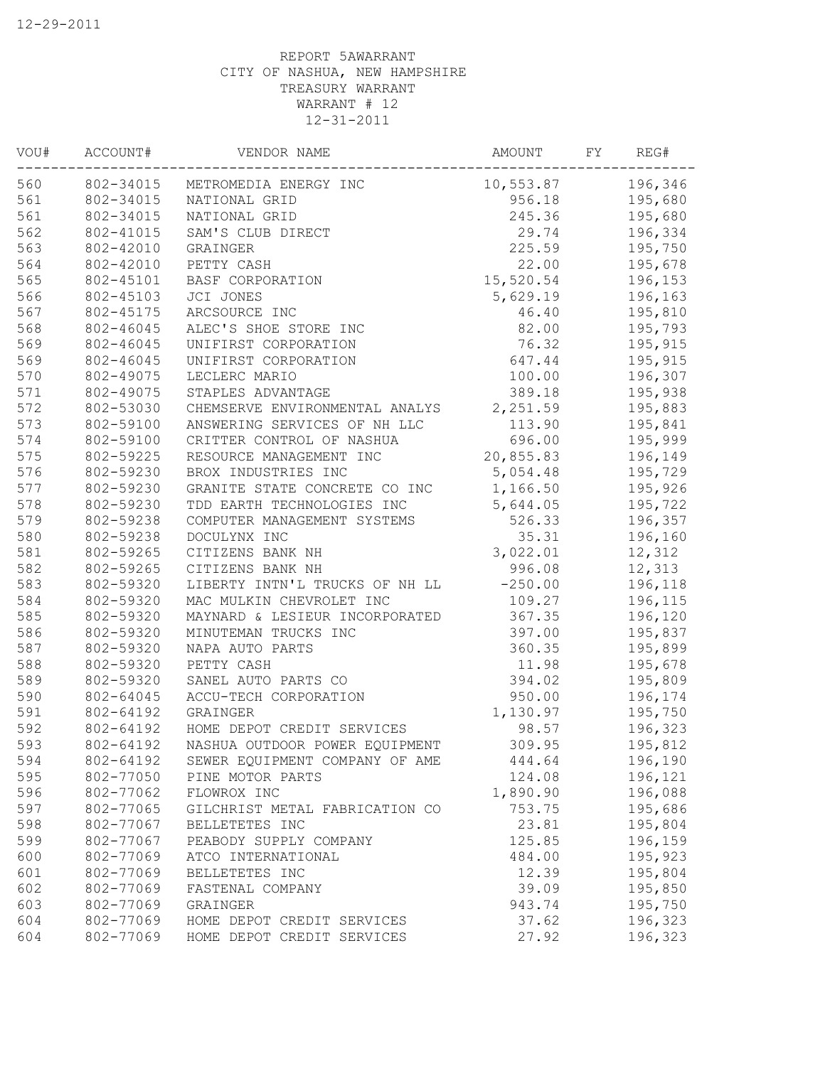| WOU# | ACCOUNT#  | VENDOR NAME                     | AMOUNT    | FY | REG#    |
|------|-----------|---------------------------------|-----------|----|---------|
| 560  |           | 802-34015 METROMEDIA ENERGY INC | 10,553.87 |    | 196,346 |
| 561  | 802-34015 | NATIONAL GRID                   | 956.18    |    | 195,680 |
| 561  | 802-34015 | NATIONAL GRID                   | 245.36    |    | 195,680 |
| 562  | 802-41015 | SAM'S CLUB DIRECT               | 29.74     |    | 196,334 |
| 563  | 802-42010 | GRAINGER                        | 225.59    |    | 195,750 |
| 564  | 802-42010 | PETTY CASH                      | 22.00     |    | 195,678 |
| 565  | 802-45101 | BASF CORPORATION                | 15,520.54 |    | 196,153 |
| 566  | 802-45103 | JCI JONES                       | 5,629.19  |    | 196,163 |
| 567  | 802-45175 | ARCSOURCE INC                   | 46.40     |    | 195,810 |
| 568  | 802-46045 | ALEC'S SHOE STORE INC           | 82.00     |    | 195,793 |
| 569  | 802-46045 | UNIFIRST CORPORATION            | 76.32     |    | 195,915 |
| 569  | 802-46045 | UNIFIRST CORPORATION            | 647.44    |    | 195,915 |
| 570  | 802-49075 | LECLERC MARIO                   | 100.00    |    | 196,307 |
| 571  | 802-49075 | STAPLES ADVANTAGE               | 389.18    |    | 195,938 |
| 572  | 802-53030 | CHEMSERVE ENVIRONMENTAL ANALYS  | 2,251.59  |    | 195,883 |
| 573  | 802-59100 | ANSWERING SERVICES OF NH LLC    | 113.90    |    | 195,841 |
| 574  | 802-59100 | CRITTER CONTROL OF NASHUA       | 696.00    |    | 195,999 |
| 575  | 802-59225 | RESOURCE MANAGEMENT INC         | 20,855.83 |    | 196,149 |
| 576  | 802-59230 | BROX INDUSTRIES INC             | 5,054.48  |    | 195,729 |
| 577  | 802-59230 | GRANITE STATE CONCRETE CO INC   | 1,166.50  |    | 195,926 |
| 578  | 802-59230 | TDD EARTH TECHNOLOGIES INC      | 5,644.05  |    | 195,722 |
| 579  | 802-59238 | COMPUTER MANAGEMENT SYSTEMS     | 526.33    |    | 196,357 |
| 580  | 802-59238 | DOCULYNX INC                    | 35.31     |    | 196,160 |
| 581  | 802-59265 | CITIZENS BANK NH                | 3,022.01  |    | 12,312  |
| 582  | 802-59265 | CITIZENS BANK NH                | 996.08    |    | 12,313  |
| 583  | 802-59320 | LIBERTY INTN'L TRUCKS OF NH LL  | $-250.00$ |    | 196,118 |
| 584  | 802-59320 | MAC MULKIN CHEVROLET INC        | 109.27    |    | 196,115 |
| 585  | 802-59320 | MAYNARD & LESIEUR INCORPORATED  | 367.35    |    | 196,120 |
| 586  | 802-59320 | MINUTEMAN TRUCKS INC            | 397.00    |    | 195,837 |
| 587  | 802-59320 | NAPA AUTO PARTS                 | 360.35    |    | 195,899 |
| 588  | 802-59320 | PETTY CASH                      | 11.98     |    | 195,678 |
| 589  | 802-59320 | SANEL AUTO PARTS CO             | 394.02    |    | 195,809 |
| 590  | 802-64045 | ACCU-TECH CORPORATION           | 950.00    |    | 196,174 |
| 591  | 802-64192 | GRAINGER                        | 1,130.97  |    | 195,750 |
| 592  | 802-64192 | HOME DEPOT CREDIT SERVICES      | 98.57     |    | 196,323 |
| 593  | 802-64192 | NASHUA OUTDOOR POWER EQUIPMENT  | 309.95    |    | 195,812 |
| 594  | 802-64192 | SEWER EQUIPMENT COMPANY OF AME  | 444.64    |    | 196,190 |
| 595  | 802-77050 | PINE MOTOR PARTS                | 124.08    |    | 196,121 |
| 596  | 802-77062 | FLOWROX INC                     | 1,890.90  |    | 196,088 |
| 597  | 802-77065 | GILCHRIST METAL FABRICATION CO  | 753.75    |    | 195,686 |
| 598  | 802-77067 | BELLETETES INC                  | 23.81     |    | 195,804 |
| 599  | 802-77067 | PEABODY SUPPLY COMPANY          | 125.85    |    | 196,159 |
| 600  | 802-77069 | ATCO INTERNATIONAL              | 484.00    |    | 195,923 |
| 601  | 802-77069 | BELLETETES INC                  | 12.39     |    | 195,804 |
| 602  | 802-77069 | FASTENAL COMPANY                | 39.09     |    | 195,850 |
| 603  | 802-77069 | GRAINGER                        | 943.74    |    | 195,750 |
| 604  | 802-77069 | HOME DEPOT CREDIT SERVICES      | 37.62     |    | 196,323 |
| 604  | 802-77069 | HOME DEPOT CREDIT SERVICES      | 27.92     |    | 196,323 |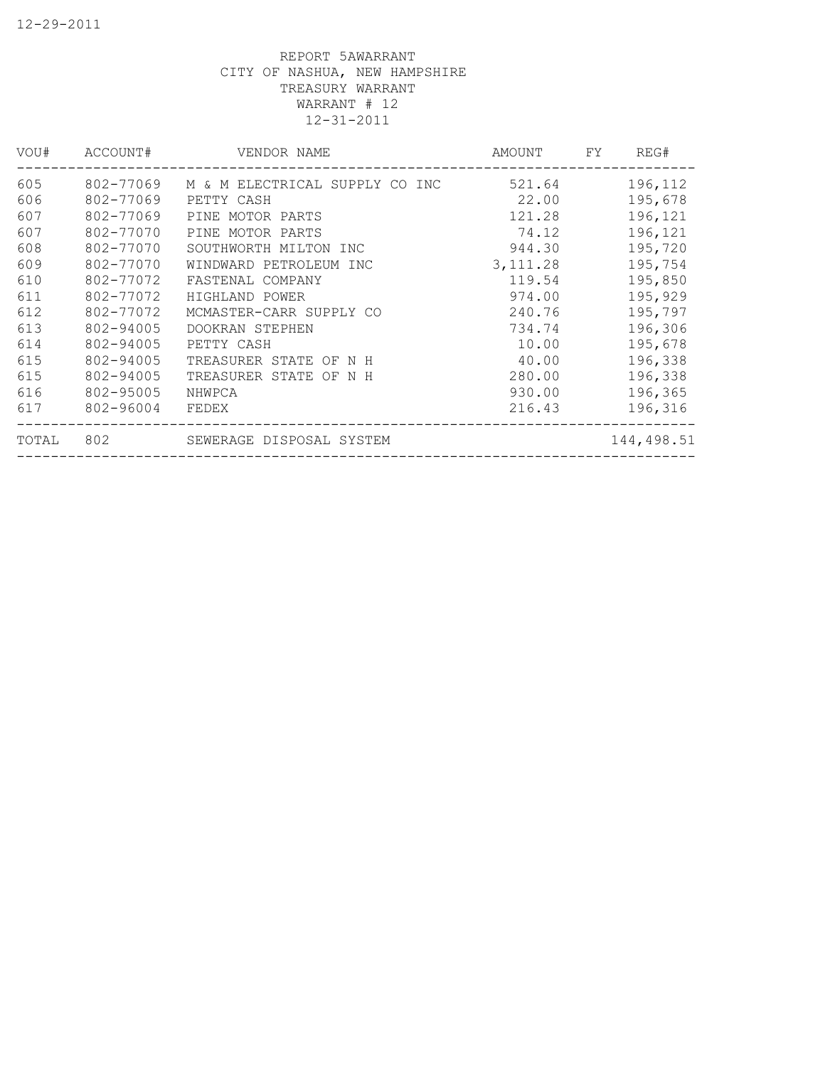| VOU#  | ACCOUNT#  | VENDOR NAME                    | AMOUNT    | FY. | REG#       |
|-------|-----------|--------------------------------|-----------|-----|------------|
| 605   | 802-77069 | M & M ELECTRICAL SUPPLY CO INC | 521.64    |     | 196,112    |
| 606   | 802-77069 | PETTY CASH                     | 22.00     |     | 195,678    |
| 607   | 802-77069 | PINE MOTOR PARTS               | 121.28    |     | 196,121    |
| 607   | 802-77070 | PINE MOTOR PARTS               | 74.12     |     | 196,121    |
| 608   | 802-77070 | SOUTHWORTH MILTON INC          | 944.30    |     | 195,720    |
| 609   | 802-77070 | WINDWARD PETROLEUM INC         | 3, 111.28 |     | 195,754    |
| 610   | 802-77072 | FASTENAL COMPANY               | 119.54    |     | 195,850    |
| 611   | 802-77072 | HIGHLAND POWER                 | 974.00    |     | 195,929    |
| 612   | 802-77072 | MCMASTER-CARR SUPPLY CO        | 240.76    |     | 195,797    |
| 613   | 802-94005 | DOOKRAN STEPHEN                | 734.74    |     | 196,306    |
| 614   | 802-94005 | PETTY CASH                     | 10.00     |     | 195,678    |
| 615   | 802-94005 | TREASURER STATE OF N H         | 40.00     |     | 196,338    |
| 615   | 802-94005 | TREASURER STATE OF N H         | 280.00    |     | 196,338    |
| 616   | 802-95005 | NHWPCA                         | 930.00    |     | 196,365    |
| 617   | 802-96004 | FEDEX                          | 216.43    |     | 196,316    |
| TOTAL | 802       | SEWERAGE DISPOSAL SYSTEM       |           |     | 144,498.51 |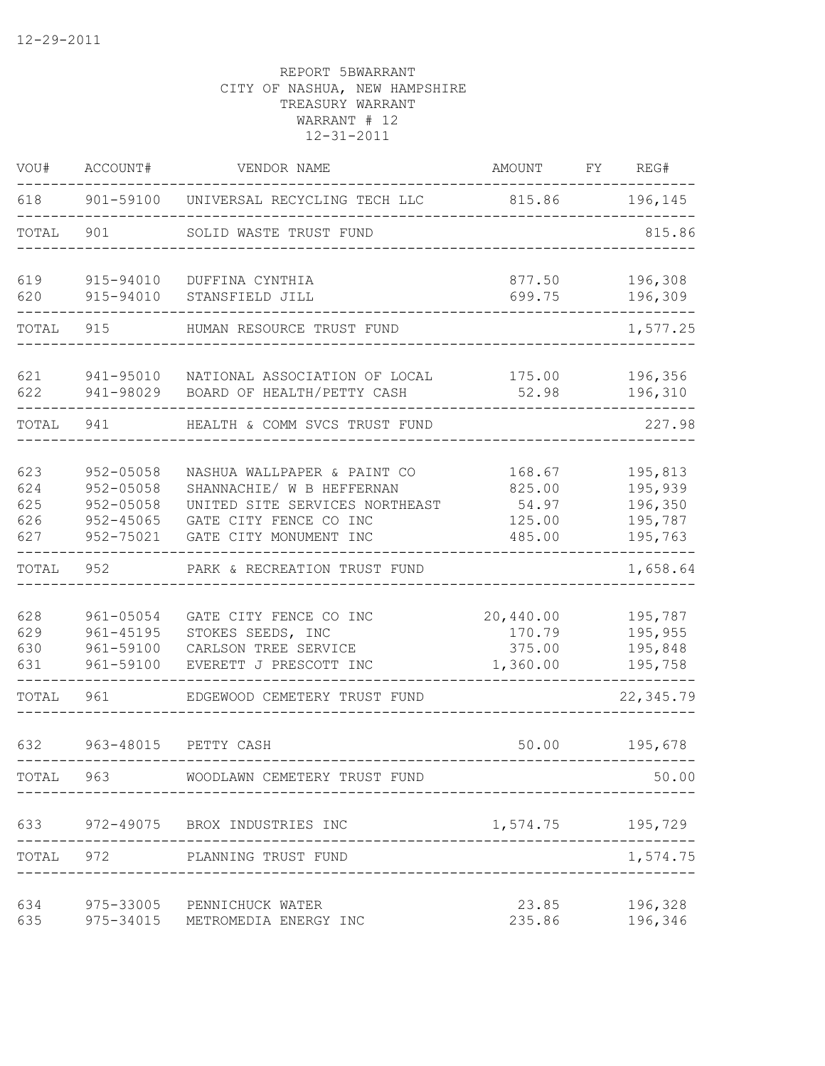| VOU#                            | ACCOUNT#                                                          | VENDOR NAME                                                                                                                                    | AMOUNT                                        | FY | REG#                                                |
|---------------------------------|-------------------------------------------------------------------|------------------------------------------------------------------------------------------------------------------------------------------------|-----------------------------------------------|----|-----------------------------------------------------|
| 618                             |                                                                   | 901-59100 UNIVERSAL RECYCLING TECH LLC                                                                                                         | 815.86                                        |    | 196,145                                             |
| TOTAL                           | 901                                                               | SOLID WASTE TRUST FUND                                                                                                                         |                                               |    | 815.86                                              |
| 619<br>620                      | 915-94010<br>915-94010                                            | DUFFINA CYNTHIA<br>STANSFIELD JILL                                                                                                             | 877.50<br>699.75                              |    | 196,308<br>196,309                                  |
| TOTAL                           | 915                                                               | HUMAN RESOURCE TRUST FUND                                                                                                                      |                                               |    | 1,577.25                                            |
|                                 |                                                                   |                                                                                                                                                |                                               |    |                                                     |
| 621<br>622                      | 941-95010<br>941-98029                                            | NATIONAL ASSOCIATION OF LOCAL<br>BOARD OF HEALTH/PETTY CASH                                                                                    | 175.00<br>52.98                               |    | 196,356<br>196,310                                  |
| TOTAL                           | 941                                                               | HEALTH & COMM SVCS TRUST FUND                                                                                                                  |                                               |    | 227.98                                              |
| 623<br>624<br>625<br>626<br>627 | 952-05058<br>$952 - 05058$<br>952-05058<br>952-45065<br>952-75021 | NASHUA WALLPAPER & PAINT CO<br>SHANNACHIE/ W B HEFFERNAN<br>UNITED SITE SERVICES NORTHEAST<br>GATE CITY FENCE CO INC<br>GATE CITY MONUMENT INC | 168.67<br>825.00<br>54.97<br>125.00<br>485.00 |    | 195,813<br>195,939<br>196,350<br>195,787<br>195,763 |
| TOTAL                           | 952                                                               | PARK & RECREATION TRUST FUND                                                                                                                   |                                               |    | 1,658.64                                            |
| 628<br>629<br>630<br>631        | 961-05054<br>$961 - 45195$<br>961-59100<br>961-59100              | GATE CITY FENCE CO INC<br>STOKES SEEDS, INC<br>CARLSON TREE SERVICE<br>EVERETT J PRESCOTT INC                                                  | 20,440.00<br>170.79<br>375.00<br>1,360.00     |    | 195,787<br>195,955<br>195,848<br>195,758            |
| TOTAL                           | 961                                                               | EDGEWOOD CEMETERY TRUST FUND                                                                                                                   |                                               |    | 22,345.79                                           |
| 632                             | 963-48015                                                         | PETTY CASH                                                                                                                                     | 50.00                                         |    | 195,678                                             |
| TOTAL                           | 963                                                               | WOODLAWN CEMETERY TRUST FUND                                                                                                                   |                                               |    | 50.00                                               |
| 633                             |                                                                   | 972-49075 BROX INDUSTRIES INC                                                                                                                  | 1,574.75 195,729                              |    |                                                     |
| TOTAL                           |                                                                   | 972 PLANNING TRUST FUND                                                                                                                        |                                               |    | 1,574.75                                            |
| 634<br>635                      | 975-33005                                                         | PENNICHUCK WATER<br>975-34015 METROMEDIA ENERGY INC                                                                                            | 23.85<br>235.86                               |    | 196,328<br>196,346                                  |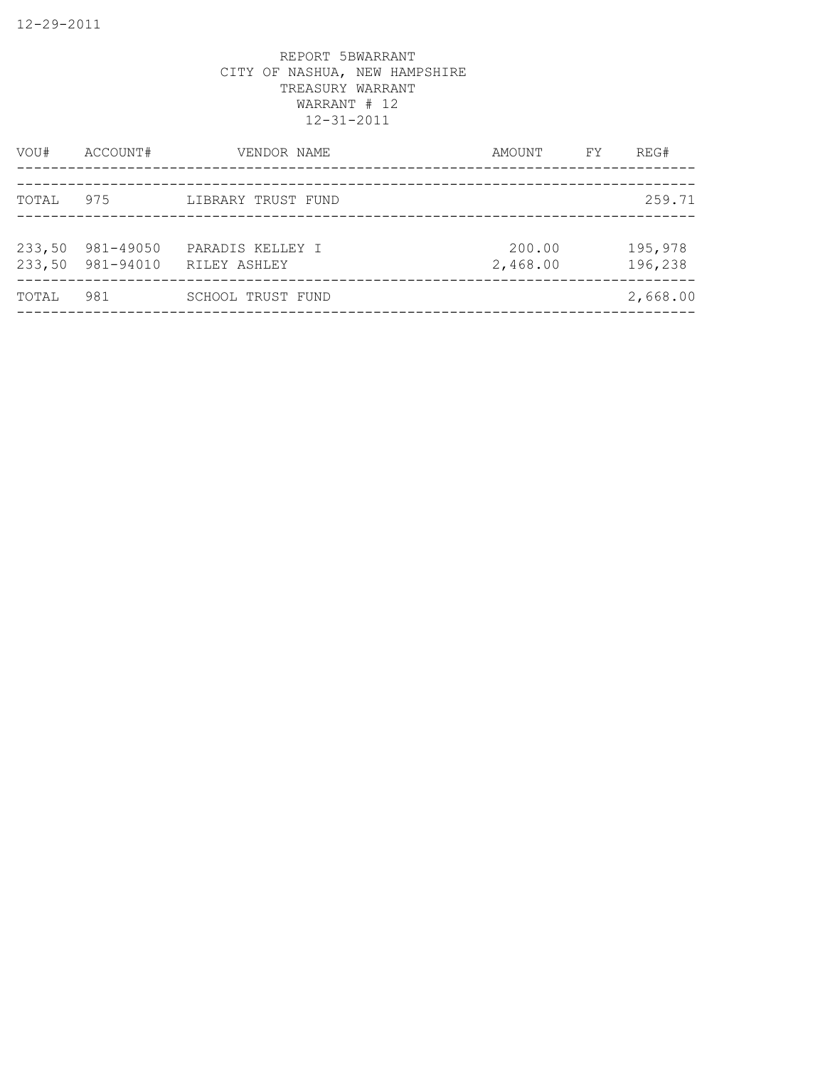| VOU#   | ACCOUNT#                      | VENDOR NAME                      | AMOUNT             | FY. | REG#               |
|--------|-------------------------------|----------------------------------|--------------------|-----|--------------------|
| TOTAL  | 975                           | LIBRARY TRUST FUND               |                    |     | 259.71             |
| 233,50 | 981-49050<br>233,50 981-94010 | PARADIS KELLEY I<br>RILEY ASHLEY | 200.00<br>2,468.00 |     | 195,978<br>196,238 |
| TOTAL  | 981                           | SCHOOL TRUST FUND                |                    |     | 2,668.00           |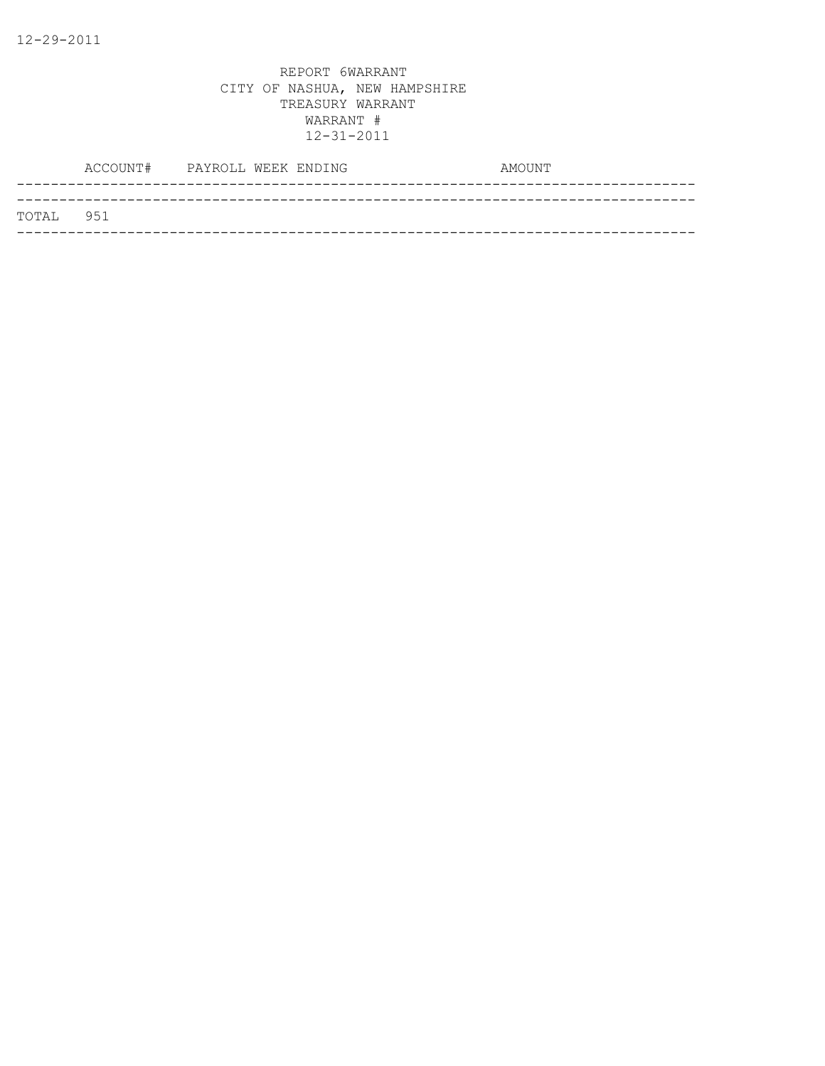|           | ACCOUNT# PAYROLL WEEK ENDING |  | AMOUNT |  |
|-----------|------------------------------|--|--------|--|
| TOTAL 951 |                              |  |        |  |
|           |                              |  |        |  |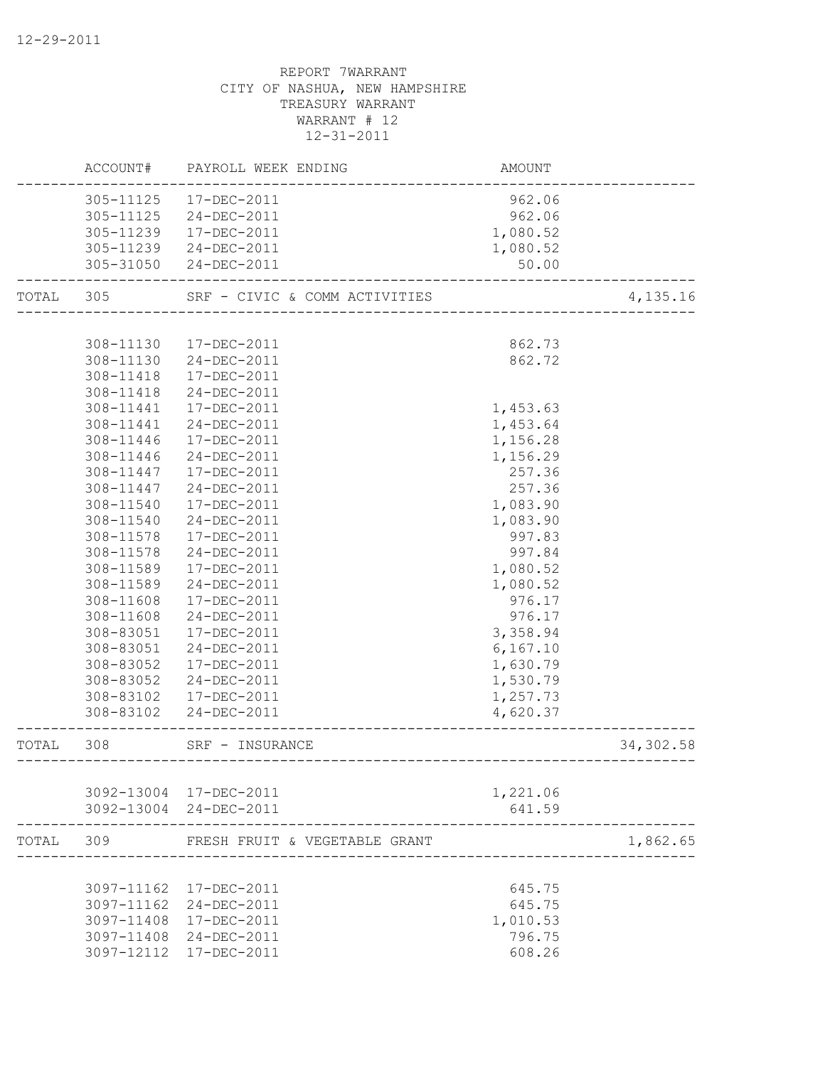|           |           | ACCOUNT# PAYROLL WEEK ENDING  | AMOUNT    |           |
|-----------|-----------|-------------------------------|-----------|-----------|
|           |           | 305-11125  17-DEC-2011        | 962.06    |           |
|           |           | 305-11125 24-DEC-2011         | 962.06    |           |
|           | 305-11239 | 17-DEC-2011                   | 1,080.52  |           |
|           |           | 305-11239 24-DEC-2011         | 1,080.52  |           |
|           |           | 305-31050 24-DEC-2011         | 50.00     |           |
| TOTAL 305 |           | SRF - CIVIC & COMM ACTIVITIES |           | 4,135.16  |
|           |           |                               |           |           |
|           | 308-11130 | 17-DEC-2011                   | 862.73    |           |
|           | 308-11130 | 24-DEC-2011                   | 862.72    |           |
|           | 308-11418 | 17-DEC-2011                   |           |           |
|           | 308-11418 | 24-DEC-2011                   |           |           |
|           | 308-11441 | 17-DEC-2011                   | 1,453.63  |           |
|           | 308-11441 | 24-DEC-2011                   | 1,453.64  |           |
|           | 308-11446 | 17-DEC-2011                   | 1,156.28  |           |
|           | 308-11446 | 24-DEC-2011                   | 1,156.29  |           |
|           | 308-11447 | 17-DEC-2011                   | 257.36    |           |
|           | 308-11447 | 24-DEC-2011                   | 257.36    |           |
|           | 308-11540 | 17-DEC-2011                   | 1,083.90  |           |
|           | 308-11540 | 24-DEC-2011                   | 1,083.90  |           |
|           | 308-11578 | 17-DEC-2011                   | 997.83    |           |
|           | 308-11578 | 24-DEC-2011                   | 997.84    |           |
|           | 308-11589 | 17-DEC-2011                   | 1,080.52  |           |
|           | 308-11589 | 24-DEC-2011                   | 1,080.52  |           |
|           | 308-11608 | 17-DEC-2011                   | 976.17    |           |
|           | 308-11608 | 24-DEC-2011                   | 976.17    |           |
|           | 308-83051 | 17-DEC-2011                   | 3,358.94  |           |
|           | 308-83051 | 24-DEC-2011                   | 6, 167.10 |           |
|           | 308-83052 | 17-DEC-2011                   | 1,630.79  |           |
|           | 308-83052 | 24-DEC-2011                   | 1,530.79  |           |
|           |           | 308-83102  17-DEC-2011        | 1,257.73  |           |
|           | 308-83102 | 24-DEC-2011                   | 4,620.37  |           |
| TOTAL     | 308       | SRF - INSURANCE               |           | 34,302.58 |
|           |           |                               |           |           |
|           |           | 3092-13004 17-DEC-2011        | 1,221.06  |           |
|           |           | 3092-13004 24-DEC-2011        | 641.59    |           |
| TOTAL     | 309       | FRESH FRUIT & VEGETABLE GRANT |           | 1,862.65  |
|           |           |                               |           |           |
|           |           | 3097-11162 17-DEC-2011        | 645.75    |           |
|           |           | 3097-11162 24-DEC-2011        | 645.75    |           |
|           |           | 3097-11408 17-DEC-2011        | 1,010.53  |           |
|           |           | 3097-11408 24-DEC-2011        | 796.75    |           |
|           |           | 3097-12112 17-DEC-2011        | 608.26    |           |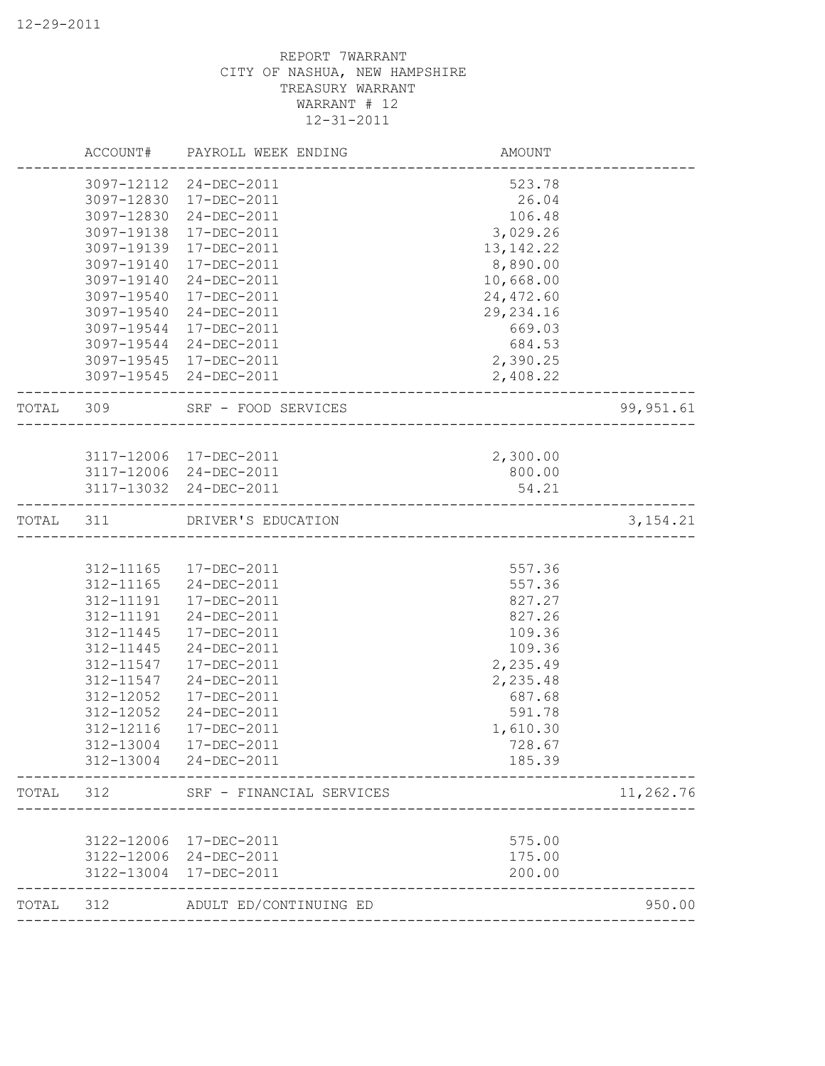|           | ACCOUNT#                 | PAYROLL WEEK ENDING        | AMOUNT                                |            |
|-----------|--------------------------|----------------------------|---------------------------------------|------------|
|           |                          | 3097-12112 24-DEC-2011     | 523.78                                |            |
|           | 3097-12830               | 17-DEC-2011                | 26.04                                 |            |
|           | 3097-12830               | 24-DEC-2011                | 106.48                                |            |
|           | 3097-19138               | 17-DEC-2011                | 3,029.26                              |            |
|           | 3097-19139               | 17-DEC-2011                | 13, 142. 22                           |            |
|           | 3097-19140               | 17-DEC-2011                | 8,890.00                              |            |
|           | 3097-19140               | 24-DEC-2011                | 10,668.00                             |            |
|           | 3097-19540               | 17-DEC-2011                | 24, 472.60                            |            |
|           | 3097-19540               | 24-DEC-2011                | 29, 234.16                            |            |
|           | 3097-19544               | 17-DEC-2011                | 669.03                                |            |
|           | 3097-19544               | 24-DEC-2011                | 684.53                                |            |
|           | 3097-19545               | 17-DEC-2011                | 2,390.25                              |            |
|           | 3097-19545               | 24-DEC-2011                | 2,408.22                              |            |
| TOTAL     | 309                      | SRF - FOOD SERVICES        | ------------------------------------- | 99, 951.61 |
|           |                          |                            |                                       |            |
|           |                          | 3117-12006 17-DEC-2011     | 2,300.00                              |            |
|           |                          | 3117-12006 24-DEC-2011     | 800.00                                |            |
|           |                          | 3117-13032 24-DEC-2011     | 54.21                                 |            |
| TOTAL 311 |                          | DRIVER'S EDUCATION         | _____________________________         | 3,154.21   |
|           |                          |                            |                                       |            |
|           | 312-11165                | 17-DEC-2011                | 557.36                                |            |
|           | 312-11165                | 24-DEC-2011                | 557.36                                |            |
|           | 312-11191                | 17-DEC-2011                | 827.27                                |            |
|           | 312-11191                | 24-DEC-2011                | 827.26                                |            |
|           | 312-11445                | 17-DEC-2011                | 109.36                                |            |
|           | 312-11445                | 24-DEC-2011                | 109.36                                |            |
|           | 312-11547                | 17-DEC-2011                | 2,235.49                              |            |
|           | 312-11547                | 24-DEC-2011                | 2,235.48                              |            |
|           | 312-12052                | 17-DEC-2011                | 687.68                                |            |
|           | 312-12052                | 24-DEC-2011                | 591.78                                |            |
|           | 312-12116                | 17-DEC-2011                | 1,610.30                              |            |
|           | 312-13004                | 17-DEC-2011                | 728.67                                |            |
|           | 312-13004                | 24-DEC-2011                | 185.39                                |            |
| TOTAL     | 312                      | SRF - FINANCIAL SERVICES   |                                       | 11,262.76  |
|           |                          |                            |                                       |            |
|           | 3122-12006               | 17-DEC-2011                | 575.00                                |            |
|           | 3122-12006<br>3122-13004 | 24-DEC-2011<br>17-DEC-2011 | 175.00<br>200.00                      |            |
|           |                          |                            |                                       |            |
| TOTAL     | 312                      | ADULT ED/CONTINUING ED     |                                       | 950.00     |
|           |                          |                            |                                       |            |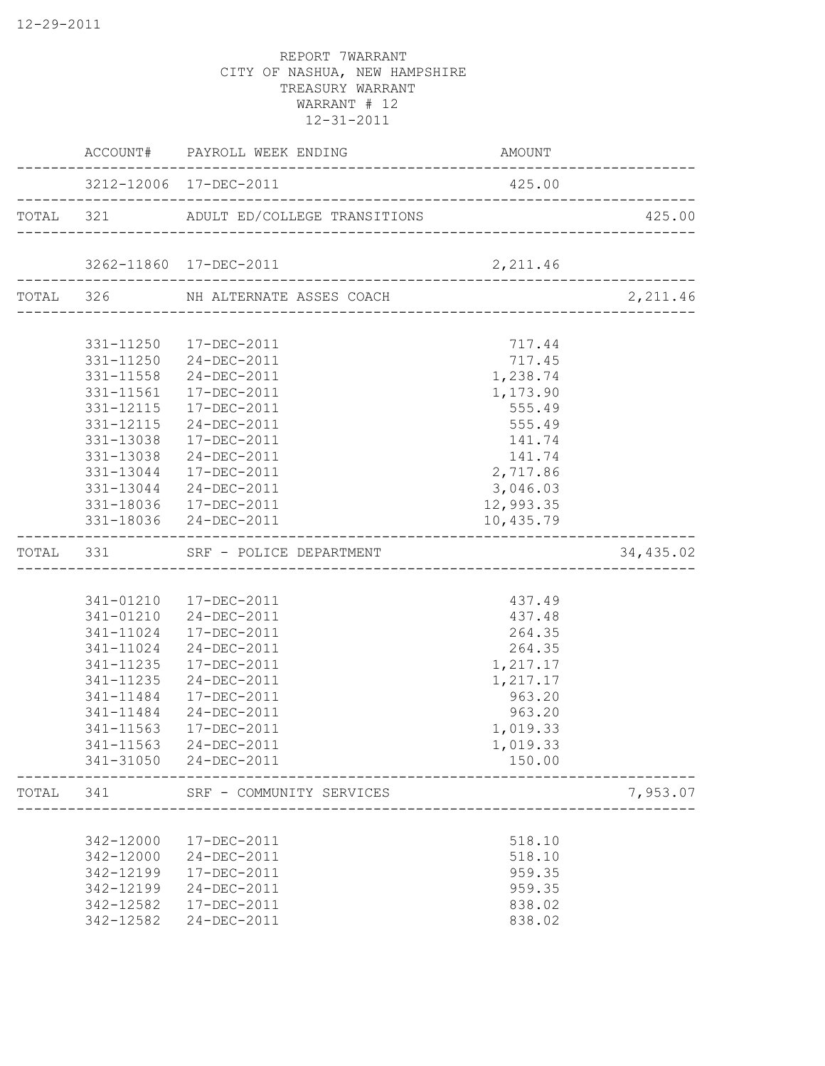|       |           | ACCOUNT# PAYROLL WEEK ENDING                                               | AMOUNT    |           |
|-------|-----------|----------------------------------------------------------------------------|-----------|-----------|
|       |           | 3212-12006 17-DEC-2011                                                     | 425.00    |           |
|       |           | TOTAL 321 ADULT ED/COLLEGE TRANSITIONS                                     |           | 425.00    |
|       |           | 3262-11860 17-DEC-2011                                                     | 2,211.46  |           |
|       |           | ____________________________________<br>TOTAL 326 NH ALTERNATE ASSES COACH |           | 2,211.46  |
|       |           |                                                                            |           |           |
|       |           | 331-11250  17-DEC-2011                                                     | 717.44    |           |
|       |           | 331-11250 24-DEC-2011                                                      | 717.45    |           |
|       | 331-11558 | 24-DEC-2011                                                                | 1,238.74  |           |
|       | 331-11561 | 17-DEC-2011                                                                | 1,173.90  |           |
|       | 331-12115 | 17-DEC-2011                                                                | 555.49    |           |
|       | 331-12115 | 24-DEC-2011                                                                | 555.49    |           |
|       | 331-13038 | 17-DEC-2011                                                                | 141.74    |           |
|       | 331-13038 | 24-DEC-2011                                                                | 141.74    |           |
|       |           | 331-13044 17-DEC-2011                                                      | 2,717.86  |           |
|       |           | 331-13044 24-DEC-2011                                                      | 3,046.03  |           |
|       |           | 331-18036 17-DEC-2011                                                      | 12,993.35 |           |
|       |           | 331-18036 24-DEC-2011                                                      | 10,435.79 |           |
|       |           | TOTAL 331 SRF - POLICE DEPARTMENT                                          |           | 34,435.02 |
|       |           |                                                                            |           |           |
|       |           | 341-01210  17-DEC-2011                                                     | 437.49    |           |
|       |           | 341-01210 24-DEC-2011                                                      | 437.48    |           |
|       |           | 341-11024 17-DEC-2011                                                      | 264.35    |           |
|       |           | 341-11024 24-DEC-2011                                                      | 264.35    |           |
|       |           | 341-11235 17-DEC-2011                                                      | 1,217.17  |           |
|       | 341-11235 | 24-DEC-2011                                                                | 1,217.17  |           |
|       | 341-11484 | 17-DEC-2011                                                                | 963.20    |           |
|       | 341-11484 | 24-DEC-2011                                                                | 963.20    |           |
|       | 341-11563 | 17-DEC-2011                                                                | 1,019.33  |           |
|       | 341-11563 | 24-DEC-2011                                                                | 1,019.33  |           |
|       |           | 341-31050 24-DEC-2011                                                      | 150.00    |           |
| TOTAL | 341       | SRF - COMMUNITY SERVICES                                                   |           | 7,953.07  |
|       |           |                                                                            |           |           |
|       | 342-12000 | 17-DEC-2011                                                                | 518.10    |           |
|       | 342-12000 | 24-DEC-2011                                                                | 518.10    |           |
|       | 342-12199 | 17-DEC-2011                                                                | 959.35    |           |
|       | 342-12199 | 24-DEC-2011                                                                | 959.35    |           |
|       | 342-12582 | 17-DEC-2011                                                                | 838.02    |           |
|       | 342-12582 | 24-DEC-2011                                                                | 838.02    |           |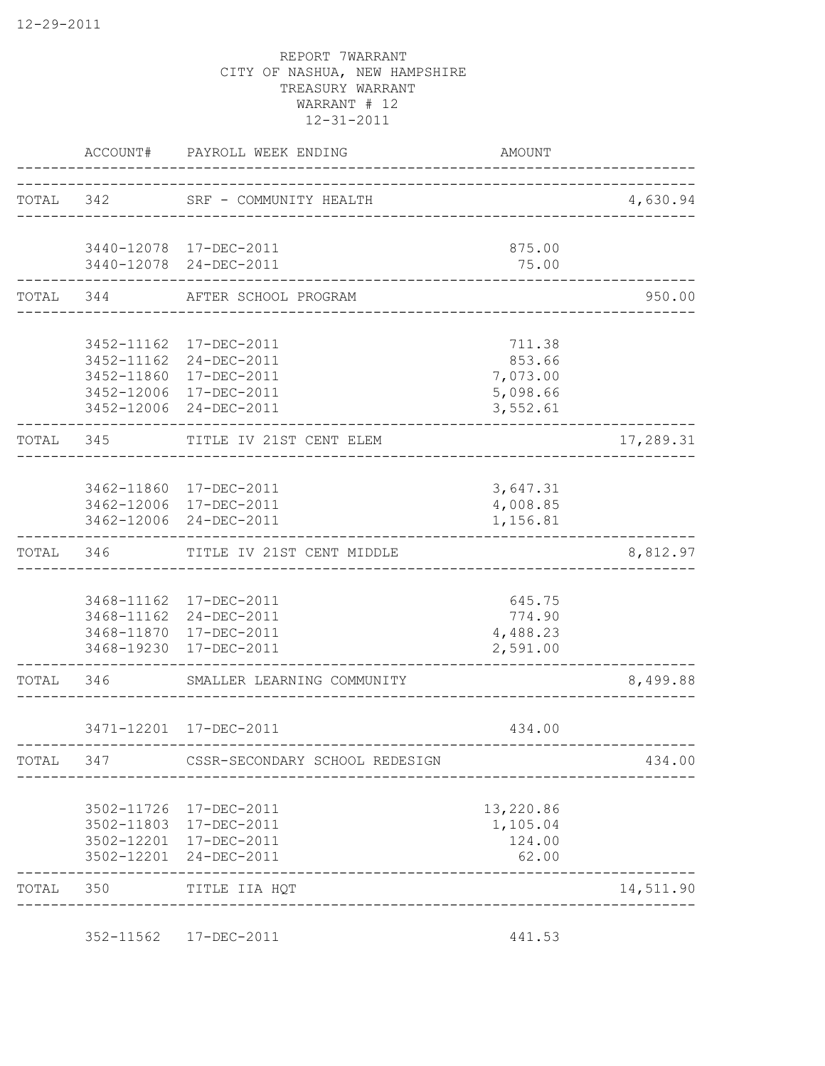|           | <b>AMOUNT</b>                            | PAYROLL WEEK ENDING                                                                        | ACCOUNT#                                             |           |
|-----------|------------------------------------------|--------------------------------------------------------------------------------------------|------------------------------------------------------|-----------|
| 4,630.94  |                                          | TOTAL 342 SRF - COMMUNITY HEALTH<br>. _ _ _ _ _ _ _ _ _ _ _ _ _ _ _ _                      |                                                      |           |
|           | 875.00<br>75.00                          | 3440-12078 17-DEC-2011<br>3440-12078 24-DEC-2011                                           |                                                      |           |
| 950.00    |                                          | AFTER SCHOOL PROGRAM<br>-------------------                                                |                                                      | TOTAL 344 |
|           | 711.38                                   | 3452-11162 17-DEC-2011                                                                     |                                                      |           |
|           | 853.66<br>7,073.00<br>5,098.66           | 3452-11162 24-DEC-2011<br>3452-11860 17-DEC-2011<br>3452-12006 17-DEC-2011                 |                                                      |           |
| 17,289.31 | 3,552.61                                 | 3452-12006 24-DEC-2011<br>TITLE IV 21ST CENT ELEM                                          | 345                                                  | TOTAL     |
|           |                                          |                                                                                            |                                                      |           |
|           | 3,647.31<br>4,008.85<br>1,156.81         | 3462-11860 17-DEC-2011<br>3462-12006 17-DEC-2011<br>3462-12006 24-DEC-2011                 |                                                      |           |
| 8,812.97  |                                          | TITLE IV 21ST CENT MIDDLE                                                                  | 346                                                  | TOTAL     |
|           | 645.75<br>774.90<br>4,488.23<br>2,591.00 | 3468-11162  17-DEC-2011<br>3468-11162 24-DEC-2011<br>3468-11870 17-DEC-2011<br>17-DEC-2011 | 3468-19230                                           |           |
| 8,499.88  |                                          | SMALLER LEARNING COMMUNITY                                                                 | 346                                                  | TOTAL     |
|           | 434.00                                   | 3471-12201 17-DEC-2011<br>------------------                                               |                                                      |           |
| 434.00    |                                          | CSSR-SECONDARY SCHOOL REDESIGN                                                             | 347                                                  | TOTAL     |
|           | 13,220.86<br>1,105.04<br>124.00<br>62.00 | 17-DEC-2011<br>17-DEC-2011<br>17-DEC-2011<br>24-DEC-2011                                   | 3502-11726<br>3502-11803<br>3502-12201<br>3502-12201 |           |
| 14,511.90 |                                          | TITLE IIA HQT                                                                              | 350                                                  | TOTAL     |

352-11562 17-DEC-2011 441.53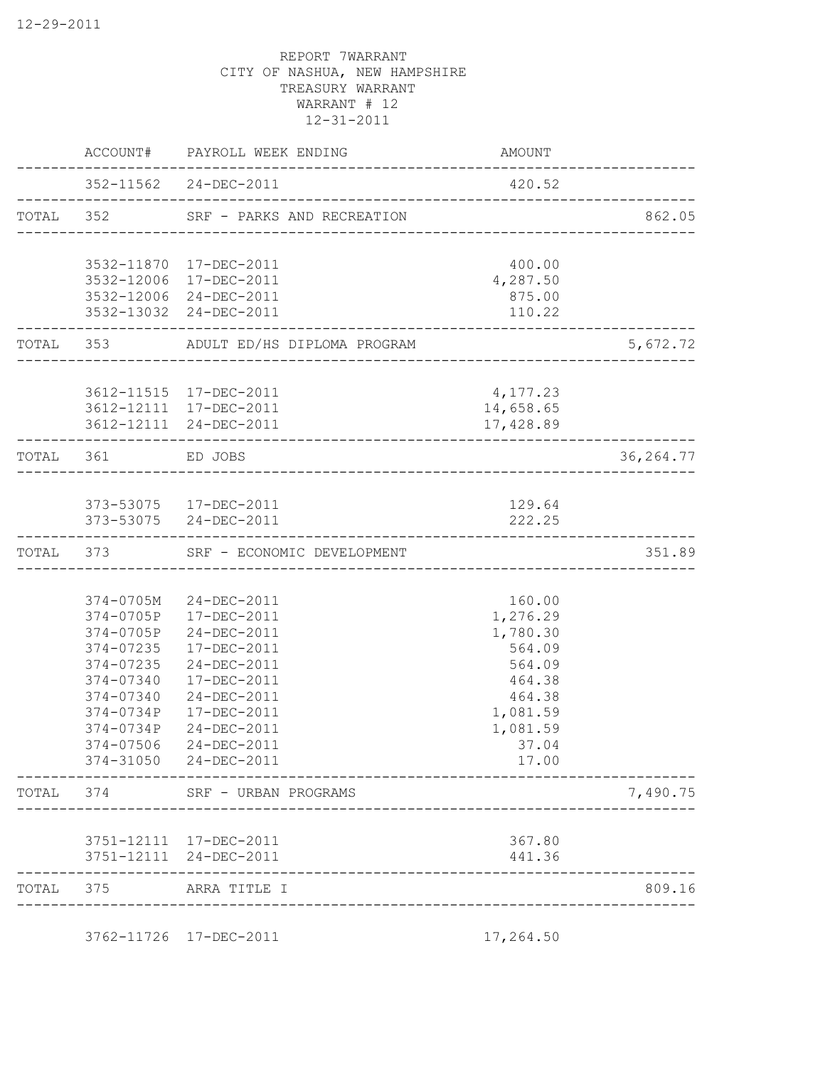|                                               | ACCOUNT#                   | PAYROLL WEEK ENDING                              | AMOUNT           |            |
|-----------------------------------------------|----------------------------|--------------------------------------------------|------------------|------------|
|                                               |                            | 352-11562 24-DEC-2011                            | 420.52           |            |
|                                               |                            | TOTAL 352 SRF - PARKS AND RECREATION             |                  | 862.05     |
|                                               |                            | 3532-11870  17-DEC-2011                          | 400.00           |            |
|                                               |                            | 3532-12006 17-DEC-2011                           | 4,287.50         |            |
|                                               |                            | 3532-12006 24-DEC-2011                           | 875.00           |            |
|                                               |                            | 3532-13032 24-DEC-2011                           | 110.22           |            |
|                                               |                            | ADULT ED/HS DIPLOMA PROGRAM                      |                  | 5,672.72   |
|                                               |                            | 3612-11515 17-DEC-2011                           | 4,177.23         |            |
|                                               |                            | 3612-12111 17-DEC-2011                           | 14,658.65        |            |
|                                               |                            | 3612-12111 24-DEC-2011                           | 17,428.89        |            |
| TOTAL 353<br>TOTAL<br>TOTAL<br>TOTAL<br>TOTAL | 361                        | ED JOBS<br>_______________________________       |                  | 36, 264.77 |
|                                               |                            |                                                  |                  |            |
|                                               |                            | 373-53075  17-DEC-2011<br>373-53075 24-DEC-2011  | 129.64<br>222.25 |            |
|                                               | 373                        | SRF - ECONOMIC DEVELOPMENT                       | _______________  | 351.89     |
|                                               |                            |                                                  |                  |            |
|                                               | 374-0705M                  | 24-DEC-2011                                      | 160.00           |            |
|                                               |                            | 374-0705P 17-DEC-2011                            | 1,276.29         |            |
|                                               | 374-0705P                  | 24-DEC-2011                                      | 1,780.30         |            |
|                                               | 374-07235                  | 17-DEC-2011                                      | 564.09           |            |
|                                               | 374-07235                  | 24-DEC-2011                                      | 564.09           |            |
|                                               | 374-07340                  | 17-DEC-2011                                      | 464.38           |            |
|                                               | 374-07340                  | 24-DEC-2011                                      | 464.38           |            |
|                                               | 374-0734P                  | 17-DEC-2011                                      | 1,081.59         |            |
|                                               | 374-0734P<br>$374 - 07506$ | 24-DEC-2011<br>24-DEC-2011                       | 1,081.59         |            |
|                                               |                            | 374-31050 24-DEC-2011                            | 37.04<br>17.00   |            |
|                                               | 374                        | SRF - URBAN PROGRAMS                             |                  | 7,490.75   |
|                                               |                            |                                                  |                  |            |
|                                               |                            | 3751-12111 17-DEC-2011<br>3751-12111 24-DEC-2011 | 367.80<br>441.36 |            |
|                                               | 375                        | ARRA TITLE I                                     |                  | 809.16     |
|                                               |                            |                                                  |                  |            |
|                                               |                            | 3762-11726 17-DEC-2011                           | 17,264.50        |            |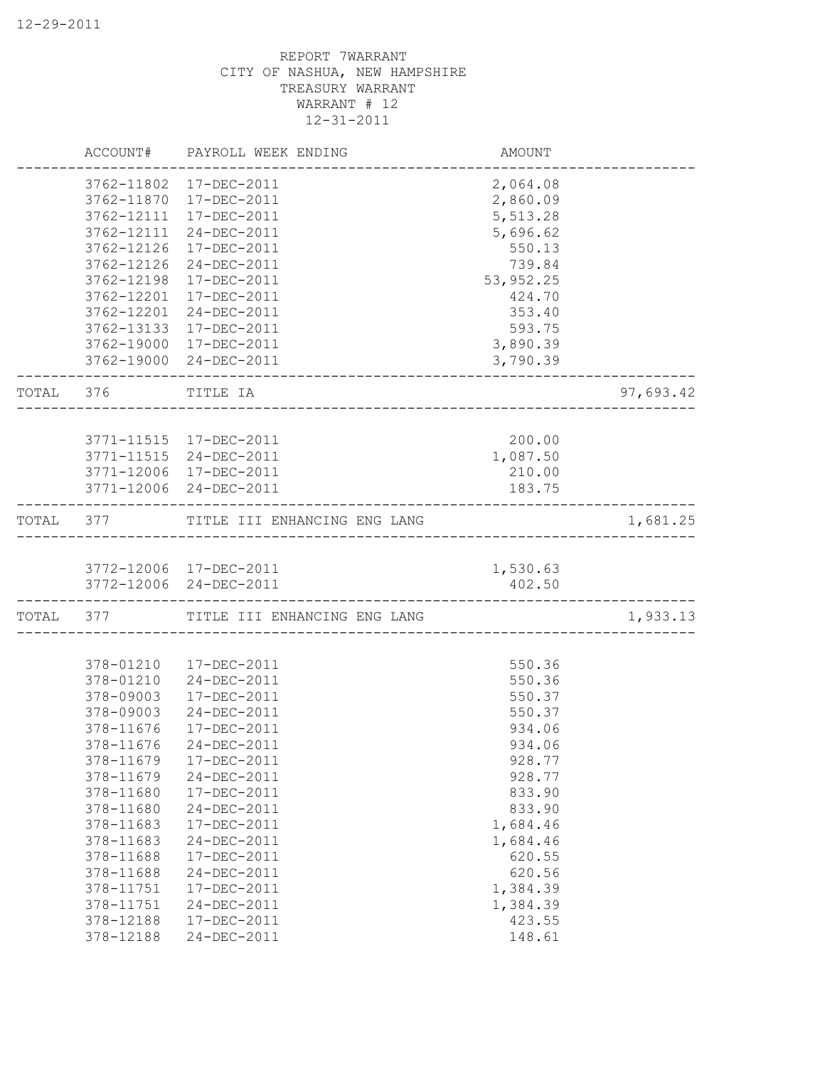|           |            | ACCOUNT# PAYROLL WEEK ENDING           | AMOUNT    |           |
|-----------|------------|----------------------------------------|-----------|-----------|
|           |            | 3762-11802 17-DEC-2011                 | 2,064.08  |           |
|           | 3762-11870 | 17-DEC-2011                            | 2,860.09  |           |
|           | 3762-12111 | 17-DEC-2011                            | 5,513.28  |           |
|           | 3762-12111 | 24-DEC-2011                            | 5,696.62  |           |
|           | 3762-12126 | 17-DEC-2011                            | 550.13    |           |
|           | 3762-12126 | 24-DEC-2011                            | 739.84    |           |
|           | 3762-12198 | 17-DEC-2011                            | 53,952.25 |           |
|           | 3762-12201 | 17-DEC-2011                            | 424.70    |           |
|           | 3762-12201 | 24-DEC-2011                            | 353.40    |           |
|           | 3762-13133 | 17-DEC-2011                            | 593.75    |           |
|           | 3762-19000 | 17-DEC-2011                            | 3,890.39  |           |
|           |            | 3762-19000 24-DEC-2011                 | 3,790.39  |           |
| TOTAL 376 |            | TITLE IA                               |           | 97,693.42 |
|           |            |                                        |           |           |
|           |            | 3771-11515 17-DEC-2011                 | 200.00    |           |
|           |            | 3771-11515 24-DEC-2011                 | 1,087.50  |           |
|           |            | 3771-12006 17-DEC-2011                 | 210.00    |           |
|           |            | 3771-12006 24-DEC-2011                 | 183.75    |           |
|           |            | TOTAL 377 TITLE III ENHANCING ENG LANG |           | 1,681.25  |
|           |            | 3772-12006 17-DEC-2011                 | 1,530.63  |           |
|           |            | 3772-12006 24-DEC-2011                 | 402.50    |           |
|           |            | TOTAL 377 TITLE III ENHANCING ENG LANG |           | 1,933.13  |
|           |            |                                        |           |           |
|           | 378-01210  | 17-DEC-2011                            | 550.36    |           |
|           | 378-01210  | 24-DEC-2011                            | 550.36    |           |
|           | 378-09003  | 17-DEC-2011                            | 550.37    |           |
|           | 378-09003  | 24-DEC-2011                            | 550.37    |           |
|           | 378-11676  | 17-DEC-2011                            | 934.06    |           |
|           | 378-11676  | 24-DEC-2011                            | 934.06    |           |
|           | 378-11679  | 17-DEC-2011                            | 928.77    |           |
|           | 378-11679  | 24-DEC-2011                            | 928.77    |           |
|           | 378-11680  | 17-DEC-2011                            | 833.90    |           |
|           | 378-11680  | 24-DEC-2011                            | 833.90    |           |
|           | 378-11683  | 17-DEC-2011                            | 1,684.46  |           |
|           | 378-11683  | 24-DEC-2011                            | 1,684.46  |           |
|           | 378-11688  | 17-DEC-2011                            | 620.55    |           |
|           | 378-11688  | 24-DEC-2011                            | 620.56    |           |
|           | 378-11751  | 17-DEC-2011                            | 1,384.39  |           |
|           | 378-11751  | 24-DEC-2011                            | 1,384.39  |           |
|           | 378-12188  | 17-DEC-2011                            | 423.55    |           |
|           | 378-12188  | 24-DEC-2011                            | 148.61    |           |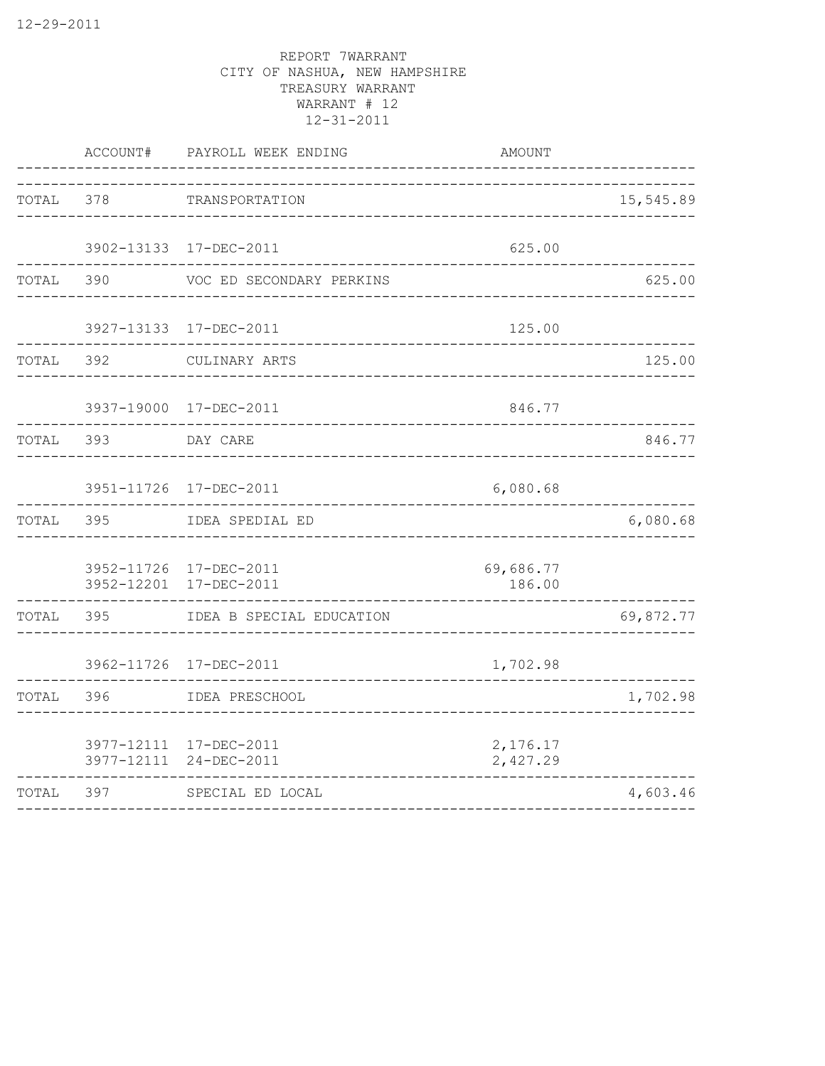|       | ACCOUNT# | PAYROLL WEEK ENDING                              | <b>AMOUNT</b>        |           |
|-------|----------|--------------------------------------------------|----------------------|-----------|
| TOTAL | 378      | TRANSPORTATION                                   |                      | 15,545.89 |
|       |          | 3902-13133 17-DEC-2011                           | 625.00               |           |
| TOTAL | 390      | VOC ED SECONDARY PERKINS                         |                      | 625.00    |
|       |          | 3927-13133 17-DEC-2011                           | 125.00               |           |
| TOTAL | 392      | CULINARY ARTS                                    |                      | 125.00    |
|       |          | 3937-19000 17-DEC-2011                           | 846.77               |           |
| TOTAL | 393      | DAY CARE                                         |                      | 846.77    |
|       |          | 3951-11726 17-DEC-2011                           | 6,080.68             |           |
| TOTAL | 395      | IDEA SPEDIAL ED                                  |                      | 6,080.68  |
|       |          | 3952-11726 17-DEC-2011<br>3952-12201 17-DEC-2011 | 69,686.77<br>186.00  |           |
| TOTAL | 395      | IDEA B SPECIAL EDUCATION                         |                      | 69,872.77 |
|       |          | 3962-11726 17-DEC-2011                           | 1,702.98             |           |
| TOTAL | 396      | IDEA PRESCHOOL                                   |                      | 1,702.98  |
|       |          | 3977-12111 17-DEC-2011<br>3977-12111 24-DEC-2011 | 2,176.17<br>2,427.29 |           |
| TOTAL | 397      | SPECIAL ED LOCAL                                 |                      | 4,603.46  |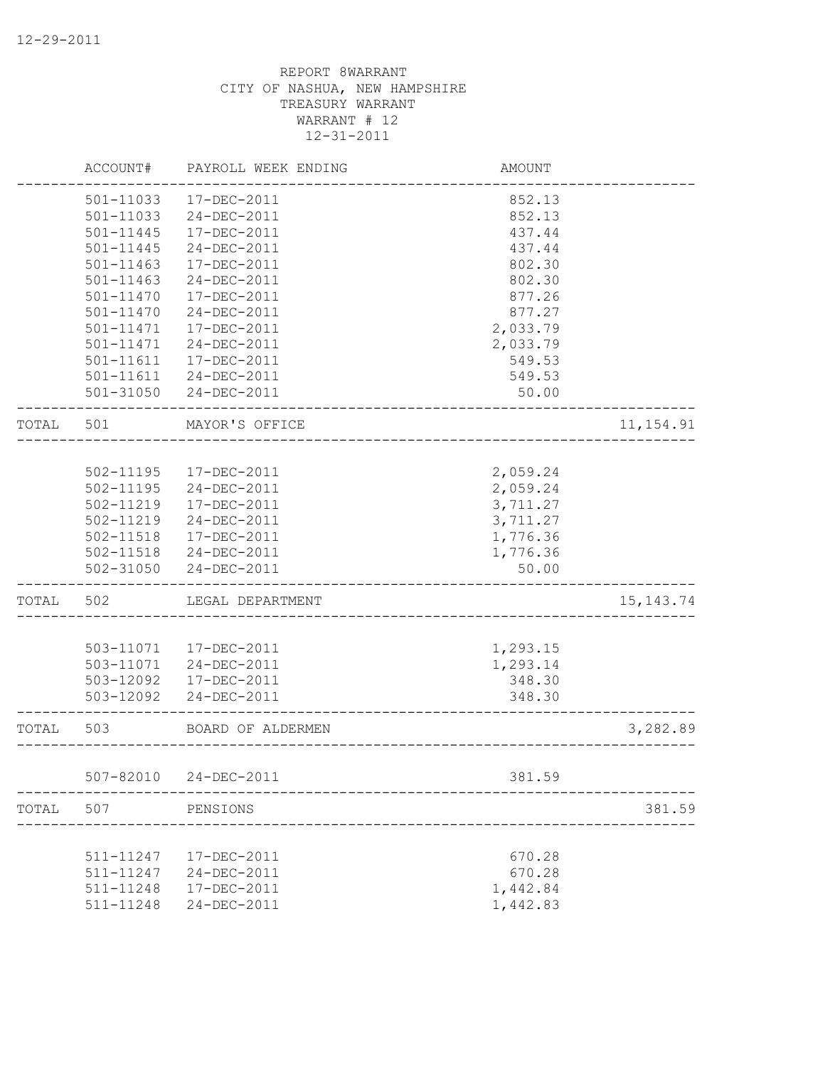|       | ACCOUNT#      | PAYROLL WEEK ENDING    | <b>AMOUNT</b>             |             |
|-------|---------------|------------------------|---------------------------|-------------|
|       | 501-11033     | 17-DEC-2011            | 852.13                    |             |
|       | 501-11033     | 24-DEC-2011            | 852.13                    |             |
|       | 501-11445     | 17-DEC-2011            | 437.44                    |             |
|       | 501-11445     | 24-DEC-2011            | 437.44                    |             |
|       | $501 - 11463$ | 17-DEC-2011            | 802.30                    |             |
|       | $501 - 11463$ | 24-DEC-2011            | 802.30                    |             |
|       | $501 - 11470$ | 17-DEC-2011            | 877.26                    |             |
|       | $501 - 11470$ | 24-DEC-2011            | 877.27                    |             |
|       | 501-11471     | 17-DEC-2011            | 2,033.79                  |             |
|       | 501-11471     | 24-DEC-2011            | 2,033.79                  |             |
|       | 501-11611     | 17-DEC-2011            | 549.53                    |             |
|       |               | 501-11611 24-DEC-2011  | 549.53                    |             |
|       | 501-31050     | 24-DEC-2011            | 50.00                     |             |
| TOTAL | 501           | MAYOR'S OFFICE         |                           | 11, 154.91  |
|       |               |                        |                           |             |
|       |               | 502-11195 17-DEC-2011  | 2,059.24                  |             |
|       | 502-11195     | 24-DEC-2011            | 2,059.24                  |             |
|       | 502-11219     | 17-DEC-2011            | 3,711.27                  |             |
|       | 502-11219     | 24-DEC-2011            | 3,711.27                  |             |
|       |               | 502-11518  17-DEC-2011 | 1,776.36                  |             |
|       |               | 502-11518 24-DEC-2011  | 1,776.36                  |             |
|       |               | 502-31050 24-DEC-2011  | 50.00                     |             |
| TOTAL | 502           | LEGAL DEPARTMENT       |                           | 15, 143. 74 |
|       |               |                        |                           |             |
|       |               | 503-11071  17-DEC-2011 | 1,293.15                  |             |
|       |               | 503-11071 24-DEC-2011  | 1,293.14                  |             |
|       | 503-12092     | 17-DEC-2011            | 348.30                    |             |
|       | 503-12092     | 24-DEC-2011            | 348.30                    |             |
| TOTAL | 503           | BOARD OF ALDERMEN      | _________________________ | 3,282.89    |
|       | 507-82010     | 24-DEC-2011            | 381.59                    |             |
| TOTAL | 507           | PENSIONS               |                           | 381.59      |
|       |               |                        |                           |             |
|       | 511-11247     | 17-DEC-2011            | 670.28                    |             |
|       | 511-11247     | 24-DEC-2011            | 670.28                    |             |
|       | 511-11248     | 17-DEC-2011            | 1,442.84                  |             |
|       | 511-11248     | 24-DEC-2011            | 1,442.83                  |             |
|       |               |                        |                           |             |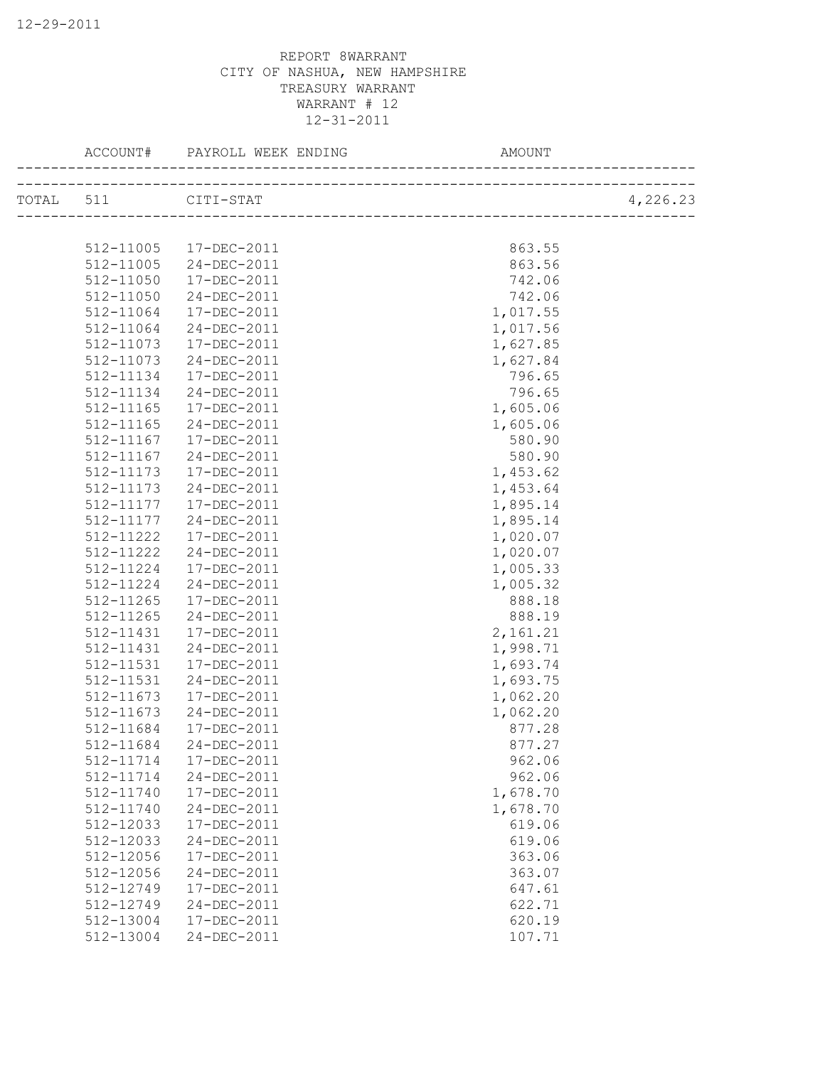|           |           | ACCOUNT# PAYROLL WEEK ENDING | AMOUNT   |          |
|-----------|-----------|------------------------------|----------|----------|
| TOTAL 511 |           | CITI-STAT                    |          | 4,226.23 |
|           |           |                              |          |          |
|           | 512-11005 | 17-DEC-2011                  | 863.55   |          |
|           | 512-11005 | 24-DEC-2011                  | 863.56   |          |
|           | 512-11050 | 17-DEC-2011                  | 742.06   |          |
|           | 512-11050 | 24-DEC-2011                  | 742.06   |          |
|           | 512-11064 | 17-DEC-2011                  | 1,017.55 |          |
|           | 512-11064 | 24-DEC-2011                  | 1,017.56 |          |
|           | 512-11073 | 17-DEC-2011                  | 1,627.85 |          |
|           | 512-11073 | 24-DEC-2011                  | 1,627.84 |          |
|           | 512-11134 | 17-DEC-2011                  | 796.65   |          |
|           | 512-11134 | 24-DEC-2011                  | 796.65   |          |
|           | 512-11165 | 17-DEC-2011                  | 1,605.06 |          |
|           | 512-11165 | 24-DEC-2011                  | 1,605.06 |          |
|           | 512-11167 | 17-DEC-2011                  | 580.90   |          |
|           | 512-11167 | 24-DEC-2011                  | 580.90   |          |
|           | 512-11173 | 17-DEC-2011                  | 1,453.62 |          |
|           | 512-11173 | 24-DEC-2011                  | 1,453.64 |          |
|           | 512-11177 | 17-DEC-2011                  | 1,895.14 |          |
|           | 512-11177 | 24-DEC-2011                  | 1,895.14 |          |
|           | 512-11222 | 17-DEC-2011                  | 1,020.07 |          |
|           | 512-11222 | 24-DEC-2011                  |          |          |
|           |           |                              | 1,020.07 |          |
|           | 512-11224 | 17-DEC-2011                  | 1,005.33 |          |
|           | 512-11224 | 24-DEC-2011                  | 1,005.32 |          |
|           | 512-11265 | 17-DEC-2011                  | 888.18   |          |
|           | 512-11265 | 24-DEC-2011                  | 888.19   |          |
|           | 512-11431 | 17-DEC-2011                  | 2,161.21 |          |
|           | 512-11431 | 24-DEC-2011                  | 1,998.71 |          |
|           | 512-11531 | 17-DEC-2011                  | 1,693.74 |          |
|           | 512-11531 | 24-DEC-2011                  | 1,693.75 |          |
|           | 512-11673 | 17-DEC-2011                  | 1,062.20 |          |
|           | 512-11673 | 24-DEC-2011                  | 1,062.20 |          |
|           | 512-11684 | 17-DEC-2011                  | 877.28   |          |
|           |           | 512-11684 24-DEC-2011        | 877.27   |          |
|           | 512-11714 | 17-DEC-2011                  | 962.06   |          |
|           | 512-11714 | 24-DEC-2011                  | 962.06   |          |
|           | 512-11740 | 17-DEC-2011                  | 1,678.70 |          |
|           | 512-11740 | 24-DEC-2011                  | 1,678.70 |          |
|           | 512-12033 | 17-DEC-2011                  | 619.06   |          |
|           | 512-12033 | 24-DEC-2011                  | 619.06   |          |
|           | 512-12056 | 17-DEC-2011                  | 363.06   |          |
|           | 512-12056 | 24-DEC-2011                  | 363.07   |          |
|           | 512-12749 | 17-DEC-2011                  | 647.61   |          |
|           | 512-12749 | 24-DEC-2011                  | 622.71   |          |
|           | 512-13004 | 17-DEC-2011                  | 620.19   |          |
|           | 512-13004 | 24-DEC-2011                  | 107.71   |          |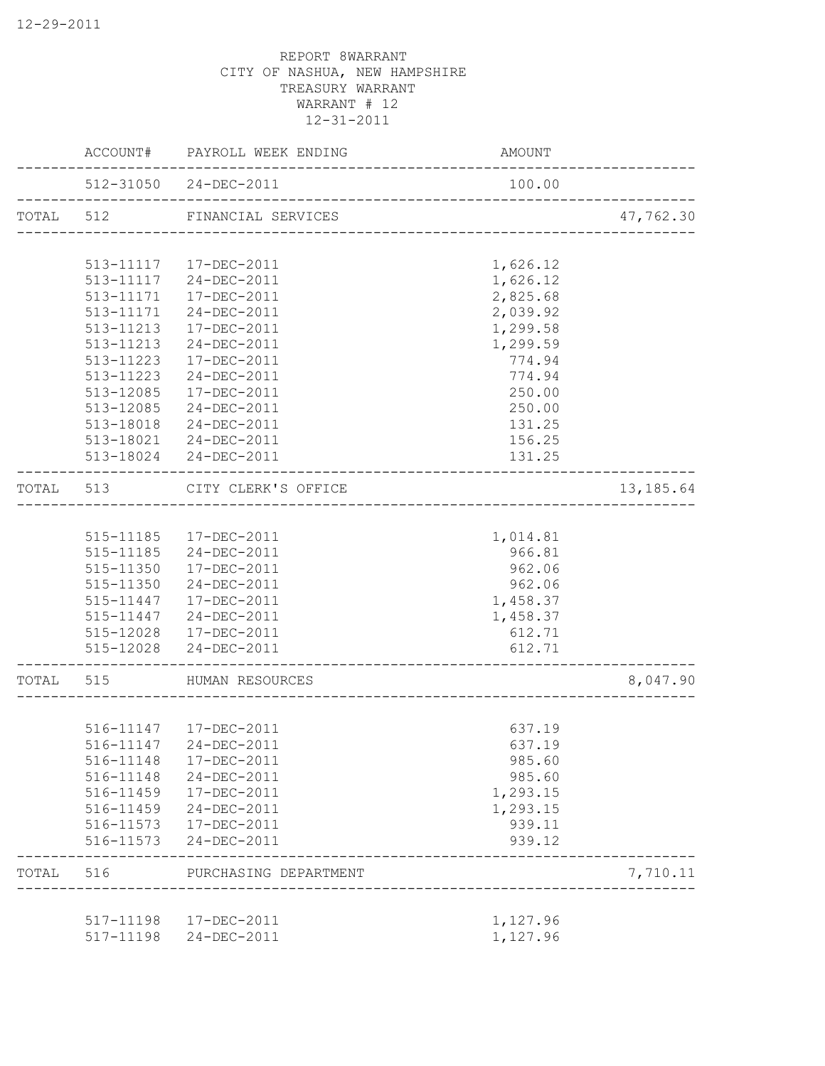|           | ACCOUNT#               | PAYROLL WEEK ENDING        | AMOUNT                          |            |
|-----------|------------------------|----------------------------|---------------------------------|------------|
|           |                        | 512-31050 24-DEC-2011      | 100.00                          |            |
| TOTAL 512 |                        | FINANCIAL SERVICES         |                                 | 47,762.30  |
|           |                        | 513-11117  17-DEC-2011     | 1,626.12                        |            |
|           | 513-11117              | 24-DEC-2011                | 1,626.12                        |            |
|           | 513-11171              | 17-DEC-2011                | 2,825.68                        |            |
|           | 513-11171              | 24-DEC-2011                | 2,039.92                        |            |
|           | 513-11213              | 17-DEC-2011                | 1,299.58                        |            |
|           | 513-11213              | 24-DEC-2011                | 1,299.59                        |            |
|           | 513-11223              | 17-DEC-2011                | 774.94                          |            |
|           | 513-11223              | 24-DEC-2011                | 774.94                          |            |
|           | 513-12085              | 17-DEC-2011                | 250.00                          |            |
|           |                        | 513-12085 24-DEC-2011      | 250.00                          |            |
|           |                        | 513-18018 24-DEC-2011      | 131.25                          |            |
|           |                        | 513-18021 24-DEC-2011      | 156.25                          |            |
|           |                        | 513-18024 24-DEC-2011      | 131.25                          |            |
| TOTAL     | 513                    | CITY CLERK'S OFFICE        | _______________________________ | 13, 185.64 |
|           |                        |                            |                                 |            |
|           |                        | 515-11185  17-DEC-2011     | 1,014.81                        |            |
|           |                        | 515-11185 24-DEC-2011      | 966.81                          |            |
|           |                        | 515-11350  17-DEC-2011     | 962.06                          |            |
|           |                        | 515-11350 24-DEC-2011      | 962.06                          |            |
|           |                        | 515-11447  17-DEC-2011     | 1,458.37                        |            |
|           |                        | 515-11447 24-DEC-2011      | 1,458.37                        |            |
|           |                        | 515-12028 17-DEC-2011      | 612.71                          |            |
|           |                        | 515-12028 24-DEC-2011      | 612.71                          |            |
| TOTAL     | 515                    | HUMAN RESOURCES            |                                 | 8,047.90   |
|           |                        |                            |                                 |            |
|           |                        | 516-11147  17-DEC-2011     | 637.19                          |            |
|           | 516-11147              | 24-DEC-2011                | 637.19<br>985.60                |            |
|           | 516-11148<br>516-11148 | 17-DEC-2011<br>24-DEC-2011 | 985.60                          |            |
|           | 516-11459              | 17-DEC-2011                | 1,293.15                        |            |
|           | 516-11459              | 24-DEC-2011                | 1,293.15                        |            |
|           | 516-11573              | 17-DEC-2011                | 939.11                          |            |
|           | 516-11573              | 24-DEC-2011                | 939.12                          |            |
| TOTAL     | 516                    | PURCHASING DEPARTMENT      | _______________________         | 7,710.11   |
|           |                        |                            |                                 |            |
|           | 517-11198              | 17-DEC-2011                | 1,127.96                        |            |
|           | 517-11198              | 24-DEC-2011                | 1,127.96                        |            |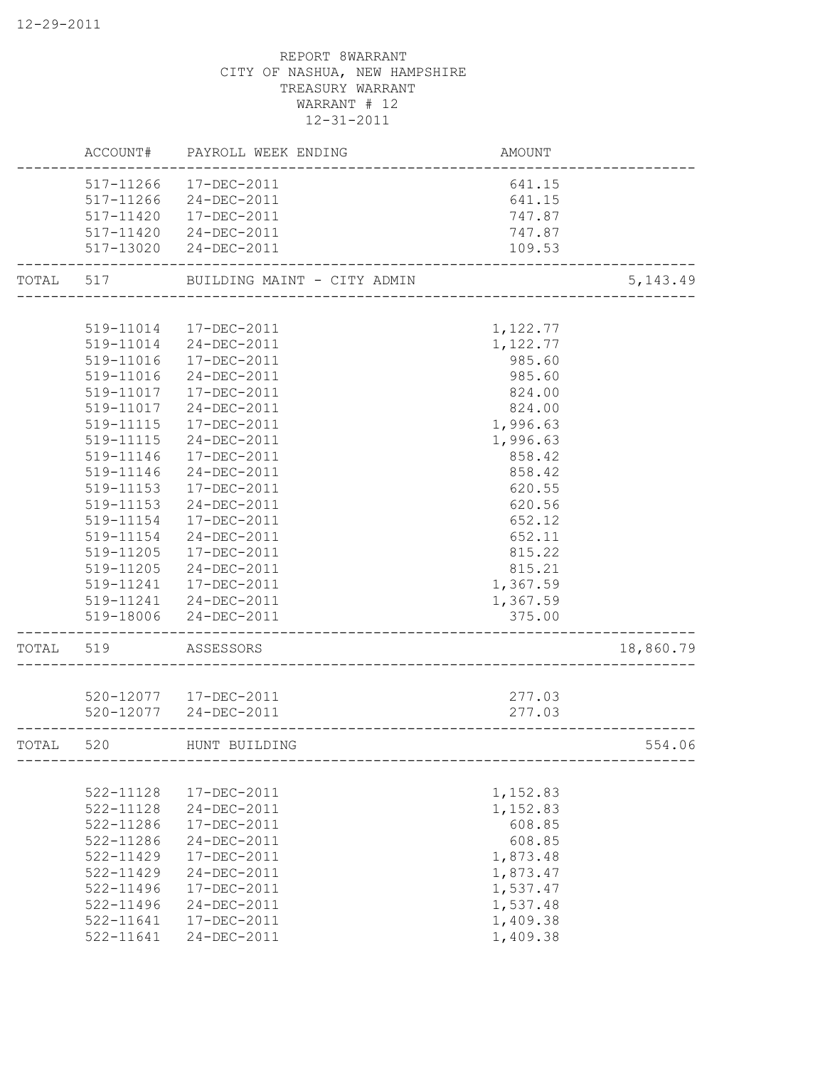|       | ACCOUNT#      | PAYROLL WEEK ENDING         | AMOUNT   |           |
|-------|---------------|-----------------------------|----------|-----------|
|       | 517-11266     | 17-DEC-2011                 | 641.15   |           |
|       | 517-11266     | 24-DEC-2011                 | 641.15   |           |
|       | 517-11420     | 17-DEC-2011                 | 747.87   |           |
|       | 517-11420     | 24-DEC-2011                 | 747.87   |           |
|       |               | 517-13020 24-DEC-2011       | 109.53   |           |
| TOTAL | 517           | BUILDING MAINT - CITY ADMIN |          | 5, 143.49 |
|       |               |                             |          |           |
|       |               | 519-11014 17-DEC-2011       | 1,122.77 |           |
|       |               | 519-11014 24-DEC-2011       | 1,122.77 |           |
|       | 519-11016     | 17-DEC-2011                 | 985.60   |           |
|       | 519-11016     | 24-DEC-2011                 | 985.60   |           |
|       | 519-11017     | 17-DEC-2011                 | 824.00   |           |
|       | 519-11017     | 24-DEC-2011                 | 824.00   |           |
|       | 519-11115     | 17-DEC-2011                 | 1,996.63 |           |
|       | 519-11115     | 24-DEC-2011                 | 1,996.63 |           |
|       | 519-11146     | 17-DEC-2011                 | 858.42   |           |
|       | 519-11146     | 24-DEC-2011                 | 858.42   |           |
|       | 519-11153     | $17 - DEC - 2011$           | 620.55   |           |
|       | 519-11153     | 24-DEC-2011                 | 620.56   |           |
|       | 519-11154     | 17-DEC-2011                 | 652.12   |           |
|       | 519-11154     | 24-DEC-2011                 | 652.11   |           |
|       | 519-11205     | 17-DEC-2011                 | 815.22   |           |
|       | 519-11205     | 24-DEC-2011                 | 815.21   |           |
|       | 519-11241     | 17-DEC-2011                 | 1,367.59 |           |
|       |               | 519-11241 24-DEC-2011       | 1,367.59 |           |
|       | 519-18006     | 24-DEC-2011                 | 375.00   |           |
| TOTAL | 519           | ASSESSORS                   |          | 18,860.79 |
|       |               |                             |          |           |
|       |               | 520-12077  17-DEC-2011      | 277.03   |           |
|       |               | 520-12077 24-DEC-2011       | 277.03   |           |
| TOTAL | 520           | HUNT BUILDING               |          | 554.06    |
|       |               |                             |          |           |
|       | 522-11128     | 17-DEC-2011                 | 1,152.83 |           |
|       | 522-11128     | 24-DEC-2011                 | 1,152.83 |           |
|       | 522-11286     | 17-DEC-2011                 | 608.85   |           |
|       | 522-11286     | 24-DEC-2011                 | 608.85   |           |
|       | 522-11429     | 17-DEC-2011                 | 1,873.48 |           |
|       | $522 - 11429$ | 24-DEC-2011                 | 1,873.47 |           |
|       | 522-11496     | 17-DEC-2011                 | 1,537.47 |           |
|       | 522-11496     | 24-DEC-2011                 | 1,537.48 |           |
|       | 522-11641     | 17-DEC-2011                 | 1,409.38 |           |
|       | 522-11641     | 24-DEC-2011                 | 1,409.38 |           |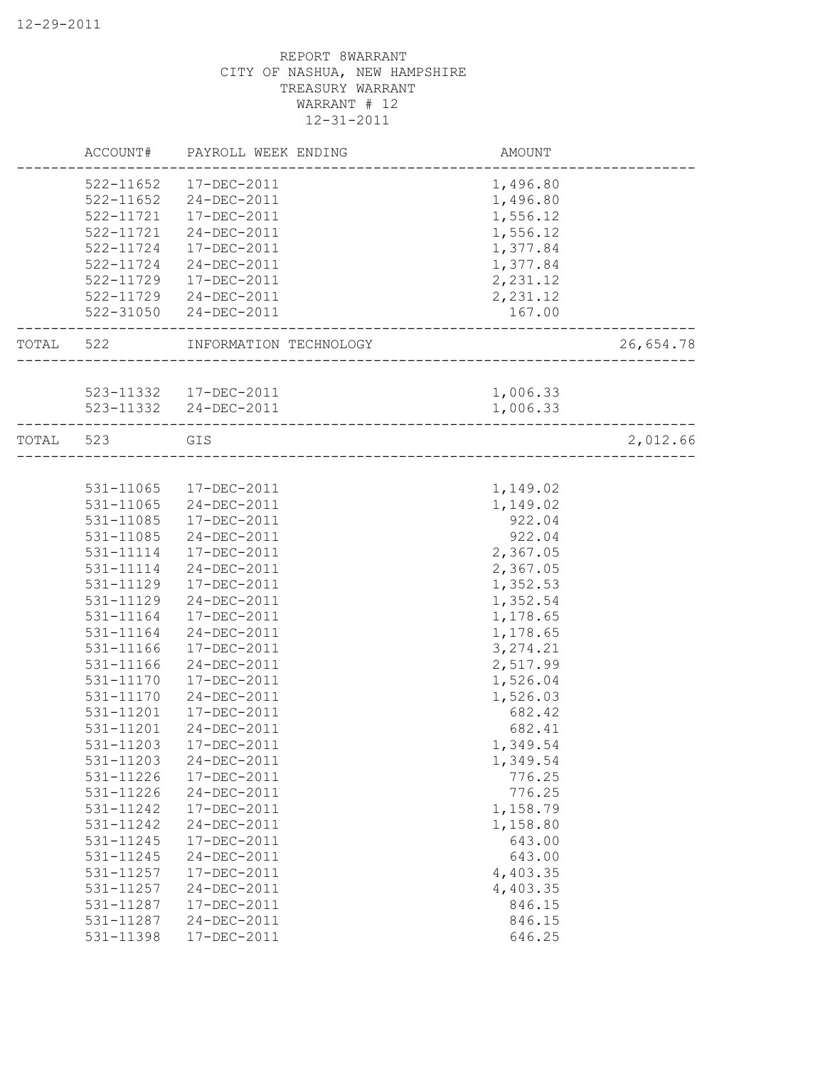|       | ACCOUNT#      | PAYROLL WEEK ENDING    | AMOUNT                   |           |
|-------|---------------|------------------------|--------------------------|-----------|
|       | 522-11652     | 17-DEC-2011            | 1,496.80                 |           |
|       | $522 - 11652$ | 24-DEC-2011            | 1,496.80                 |           |
|       | $522 - 11721$ | 17-DEC-2011            | 1,556.12                 |           |
|       | $522 - 11721$ | 24-DEC-2011            | 1,556.12                 |           |
|       | 522-11724     | 17-DEC-2011            | 1,377.84                 |           |
|       | 522-11724     | 24-DEC-2011            | 1,377.84                 |           |
|       | 522-11729     | 17-DEC-2011            | 2,231.12                 |           |
|       | 522-11729     | 24-DEC-2011            | 2,231.12                 |           |
|       | 522-31050     | 24-DEC-2011            | 167.00                   |           |
| TOTAL | 522           | INFORMATION TECHNOLOGY |                          | 26,654.78 |
|       |               |                        |                          |           |
|       |               | 523-11332  17-DEC-2011 | 1,006.33                 |           |
|       |               | 523-11332 24-DEC-2011  | 1,006.33                 |           |
| TOTAL | 523           | GIS                    | ________________________ | 2,012.66  |
|       |               |                        |                          |           |
|       | 531-11065     | 17-DEC-2011            | 1,149.02                 |           |
|       | 531-11065     | 24-DEC-2011            | 1,149.02                 |           |
|       | 531-11085     | 17-DEC-2011            | 922.04                   |           |
|       | 531-11085     | 24-DEC-2011            | 922.04                   |           |
|       | 531-11114     | 17-DEC-2011            | 2,367.05                 |           |
|       | 531-11114     | 24-DEC-2011            | 2,367.05                 |           |
|       | 531-11129     | 17-DEC-2011            | 1,352.53                 |           |
|       | 531-11129     | 24-DEC-2011            | 1,352.54                 |           |
|       | 531-11164     | 17-DEC-2011            | 1,178.65                 |           |
|       | 531-11164     | 24-DEC-2011            | 1,178.65                 |           |
|       | 531-11166     | 17-DEC-2011            | 3, 274.21                |           |
|       | 531-11166     | 24-DEC-2011            | 2,517.99                 |           |
|       | 531-11170     | 17-DEC-2011            | 1,526.04                 |           |
|       | 531-11170     | 24-DEC-2011            | 1,526.03                 |           |
|       | 531-11201     | 17-DEC-2011            | 682.42                   |           |
|       | 531-11201     | 24-DEC-2011            | 682.41                   |           |
|       | 531-11203     | 17-DEC-2011            | 1,349.54                 |           |
|       | 531-11203     | 24-DEC-2011            | 1,349.54                 |           |
|       | 531-11226     | 17-DEC-2011            | 776.25                   |           |
|       | 531-11226     | 24-DEC-2011            | 776.25                   |           |
|       | 531-11242     | 17-DEC-2011            | 1,158.79                 |           |
|       | 531-11242     | 24-DEC-2011            | 1,158.80                 |           |
|       | 531-11245     | 17-DEC-2011            | 643.00                   |           |
|       | 531-11245     | 24-DEC-2011            | 643.00                   |           |
|       | 531-11257     |                        | 4,403.35                 |           |
|       | 531-11257     | 17-DEC-2011            |                          |           |
|       |               | 24-DEC-2011            | 4,403.35                 |           |
|       | 531-11287     | 17-DEC-2011            | 846.15                   |           |
|       | 531-11287     | 24-DEC-2011            | 846.15                   |           |
|       | 531-11398     | 17-DEC-2011            | 646.25                   |           |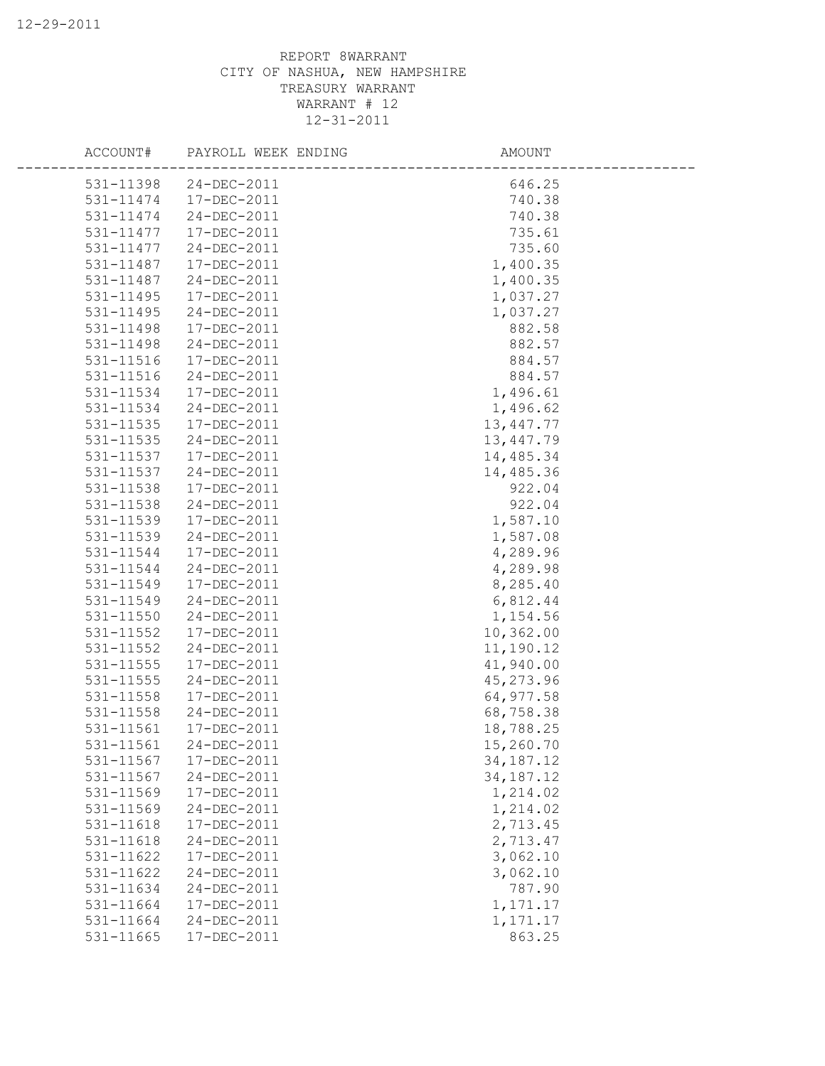|           | ACCOUNT# PAYROLL WEEK ENDING | AMOUNT      |  |
|-----------|------------------------------|-------------|--|
|           | 531-11398 24-DEC-2011        | 646.25      |  |
| 531-11474 | 17-DEC-2011                  | 740.38      |  |
| 531-11474 | 24-DEC-2011                  | 740.38      |  |
| 531-11477 | 17-DEC-2011                  | 735.61      |  |
| 531-11477 | 24-DEC-2011                  | 735.60      |  |
| 531-11487 | 17-DEC-2011                  | 1,400.35    |  |
| 531-11487 | 24-DEC-2011                  | 1,400.35    |  |
| 531-11495 | 17-DEC-2011                  | 1,037.27    |  |
| 531-11495 | 24-DEC-2011                  | 1,037.27    |  |
| 531-11498 | 17-DEC-2011                  | 882.58      |  |
| 531-11498 | 24-DEC-2011                  | 882.57      |  |
| 531-11516 | 17-DEC-2011                  | 884.57      |  |
| 531-11516 | 24-DEC-2011                  | 884.57      |  |
| 531-11534 | 17-DEC-2011                  | 1,496.61    |  |
| 531-11534 | 24-DEC-2011                  | 1,496.62    |  |
| 531-11535 | 17-DEC-2011                  | 13,447.77   |  |
| 531-11535 | 24-DEC-2011                  | 13,447.79   |  |
| 531-11537 | 17-DEC-2011                  | 14,485.34   |  |
| 531-11537 | 24-DEC-2011                  | 14,485.36   |  |
| 531-11538 | 17-DEC-2011                  | 922.04      |  |
| 531-11538 | 24-DEC-2011                  | 922.04      |  |
| 531-11539 | 17-DEC-2011                  | 1,587.10    |  |
| 531-11539 | 24-DEC-2011                  | 1,587.08    |  |
| 531-11544 | 17-DEC-2011                  | 4,289.96    |  |
| 531-11544 | 24-DEC-2011                  | 4,289.98    |  |
| 531-11549 | 17-DEC-2011                  | 8,285.40    |  |
| 531-11549 | 24-DEC-2011                  | 6,812.44    |  |
| 531-11550 | 24-DEC-2011                  | 1,154.56    |  |
| 531-11552 | 17-DEC-2011                  | 10,362.00   |  |
| 531-11552 | 24-DEC-2011                  | 11,190.12   |  |
| 531-11555 | 17-DEC-2011                  | 41,940.00   |  |
| 531-11555 | 24-DEC-2011                  | 45,273.96   |  |
| 531-11558 | 17-DEC-2011                  | 64,977.58   |  |
| 531-11558 | 24-DEC-2011                  | 68,758.38   |  |
| 531-11561 | 17-DEC-2011                  | 18,788.25   |  |
| 531-11561 | 24-DEC-2011                  | 15,260.70   |  |
| 531-11567 | 17-DEC-2011                  | 34, 187. 12 |  |
| 531-11567 | 24-DEC-2011                  | 34, 187. 12 |  |
| 531-11569 | 17-DEC-2011                  | 1,214.02    |  |
| 531-11569 | 24-DEC-2011                  | 1,214.02    |  |
| 531-11618 | 17-DEC-2011                  | 2,713.45    |  |
| 531-11618 | 24-DEC-2011                  | 2,713.47    |  |
| 531-11622 | 17-DEC-2011                  | 3,062.10    |  |
| 531-11622 | 24-DEC-2011                  | 3,062.10    |  |
| 531-11634 | 24-DEC-2011                  | 787.90      |  |
| 531-11664 | 17-DEC-2011                  | 1,171.17    |  |
| 531-11664 | 24-DEC-2011                  | 1, 171. 17  |  |
| 531-11665 | 17-DEC-2011                  | 863.25      |  |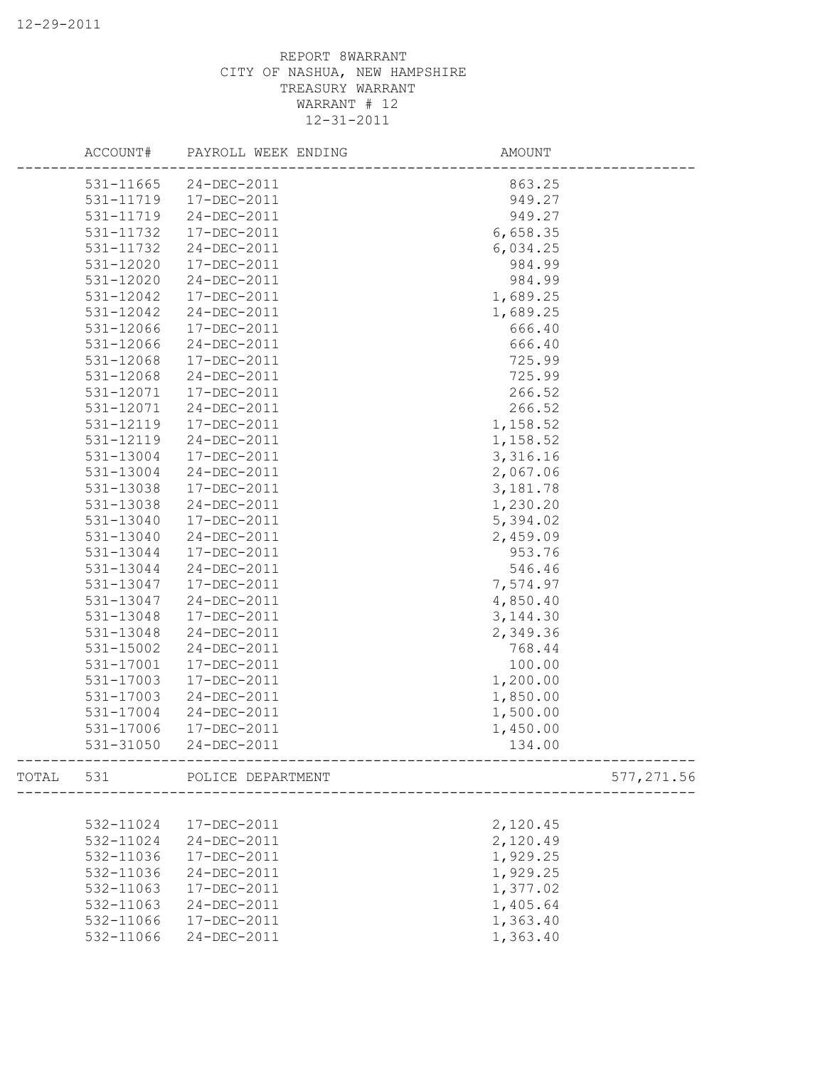|       | ACCOUNT#  | PAYROLL WEEK ENDING   | AMOUNT                 |            |
|-------|-----------|-----------------------|------------------------|------------|
|       |           | 531-11665 24-DEC-2011 | 863.25                 |            |
|       | 531-11719 | 17-DEC-2011           | 949.27                 |            |
|       | 531-11719 | 24-DEC-2011           | 949.27                 |            |
|       | 531-11732 | 17-DEC-2011           | 6,658.35               |            |
|       | 531-11732 | 24-DEC-2011           | 6,034.25               |            |
|       | 531-12020 | 17-DEC-2011           | 984.99                 |            |
|       | 531-12020 | 24-DEC-2011           | 984.99                 |            |
|       | 531-12042 | 17-DEC-2011           | 1,689.25               |            |
|       | 531-12042 | 24-DEC-2011           | 1,689.25               |            |
|       | 531-12066 | 17-DEC-2011           | 666.40                 |            |
|       | 531-12066 | 24-DEC-2011           | 666.40                 |            |
|       | 531-12068 | 17-DEC-2011           | 725.99                 |            |
|       | 531-12068 | 24-DEC-2011           | 725.99                 |            |
|       | 531-12071 | 17-DEC-2011           | 266.52                 |            |
|       | 531-12071 | 24-DEC-2011           | 266.52                 |            |
|       | 531-12119 | 17-DEC-2011           | 1,158.52               |            |
|       | 531-12119 | 24-DEC-2011           | 1,158.52               |            |
|       | 531-13004 | 17-DEC-2011           | 3,316.16               |            |
|       | 531-13004 | 24-DEC-2011           | 2,067.06               |            |
|       | 531-13038 | 17-DEC-2011           | 3,181.78               |            |
|       | 531-13038 | 24-DEC-2011           | 1,230.20               |            |
|       | 531-13040 | 17-DEC-2011           | 5,394.02               |            |
|       | 531-13040 | 24-DEC-2011           | 2,459.09               |            |
|       | 531-13044 | 17-DEC-2011           | 953.76                 |            |
|       | 531-13044 | 24-DEC-2011           | 546.46                 |            |
|       | 531-13047 | 17-DEC-2011           | 7,574.97               |            |
|       | 531-13047 | $24 - DEC - 2011$     | 4,850.40               |            |
|       | 531-13048 | 17-DEC-2011           | 3, 144.30              |            |
|       |           |                       |                        |            |
|       | 531-13048 | 24-DEC-2011           | 2,349.36               |            |
|       | 531-15002 | 24-DEC-2011           | 768.44                 |            |
|       | 531-17001 | $17 - DEC - 2011$     | 100.00                 |            |
|       | 531-17003 | 17-DEC-2011           | 1,200.00               |            |
|       | 531-17003 | 24-DEC-2011           | 1,850.00               |            |
|       | 531-17004 | 24-DEC-2011           | 1,500.00               |            |
|       | 531-17006 | 17-DEC-2011           | 1,450.00               |            |
|       | 531-31050 | 24-DEC-2011           | 134.00                 |            |
| TOTAL | 531       | POLICE DEPARTMENT     | ______________________ | 577,271.56 |
|       |           |                       |                        |            |
|       | 532-11024 | 17-DEC-2011           | 2,120.45               |            |
|       | 532-11024 | 24-DEC-2011           | 2,120.49               |            |
|       | 532-11036 | 17-DEC-2011           | 1,929.25               |            |
|       | 532-11036 | 24-DEC-2011           | 1,929.25               |            |
|       | 532-11063 | 17-DEC-2011           | 1,377.02               |            |
|       | 532-11063 | 24-DEC-2011           | 1,405.64               |            |
|       | 532-11066 | 17-DEC-2011           | 1,363.40               |            |
|       | 532-11066 | 24-DEC-2011           | 1,363.40               |            |
|       |           |                       |                        |            |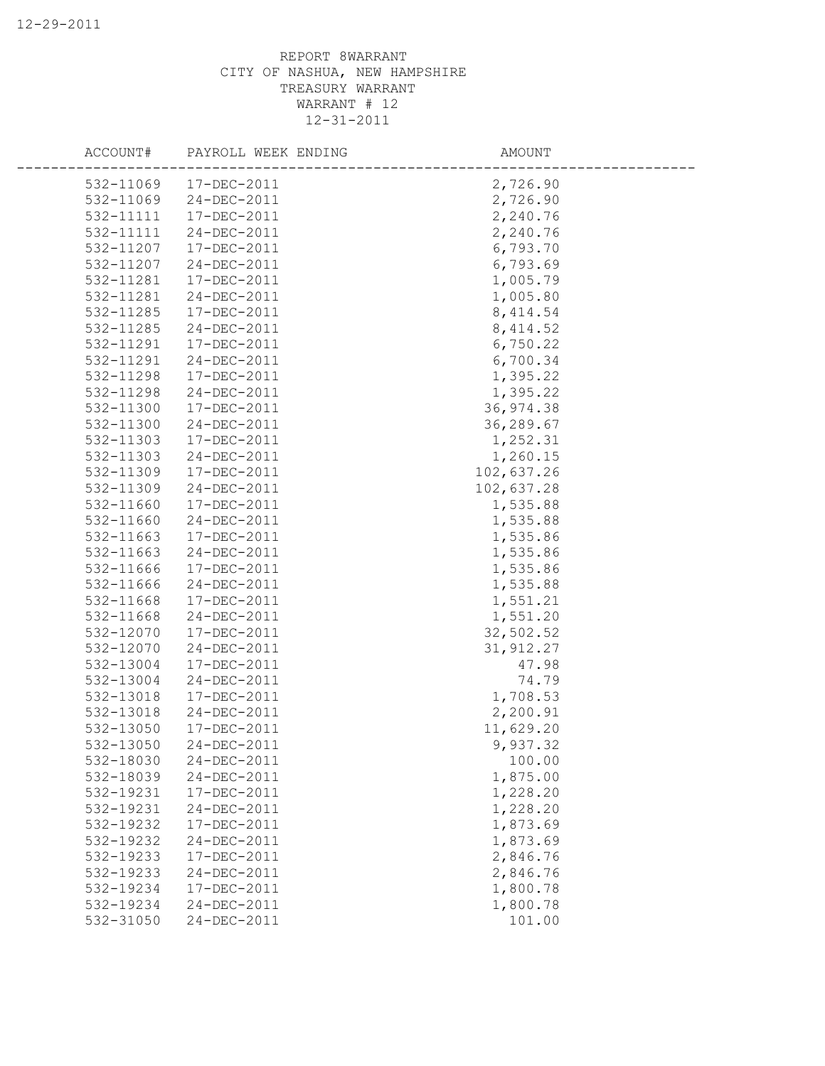| ACCOUNT#               | PAYROLL WEEK ENDING        | AMOUNT             |
|------------------------|----------------------------|--------------------|
| 532-11069              | 17-DEC-2011                | 2,726.90           |
| 532-11069              | 24-DEC-2011                | 2,726.90           |
| 532-11111              | 17-DEC-2011                | 2,240.76           |
| 532-11111              | 24-DEC-2011                | 2,240.76           |
| 532-11207              | 17-DEC-2011                | 6,793.70           |
| 532-11207              | 24-DEC-2011                | 6,793.69           |
| 532-11281              | 17-DEC-2011                | 1,005.79           |
| 532-11281              | 24-DEC-2011                | 1,005.80           |
| 532-11285              | 17-DEC-2011                | 8, 414.54          |
| 532-11285              | 24-DEC-2011                | 8, 414.52          |
| 532-11291              | 17-DEC-2011                | 6,750.22           |
| 532-11291              | 24-DEC-2011                | 6,700.34           |
| 532-11298              | 17-DEC-2011                | 1,395.22           |
| 532-11298              | 24-DEC-2011                | 1,395.22           |
| 532-11300              | 17-DEC-2011                | 36,974.38          |
| 532-11300              | 24-DEC-2011                | 36,289.67          |
| 532-11303              | 17-DEC-2011                | 1,252.31           |
| 532-11303              | 24-DEC-2011                | 1,260.15           |
| 532-11309              | 17-DEC-2011                | 102,637.26         |
| 532-11309              | 24-DEC-2011                | 102,637.28         |
| 532-11660              | 17-DEC-2011                | 1,535.88           |
| 532-11660              | 24-DEC-2011                | 1,535.88           |
| 532-11663              | 17-DEC-2011                | 1,535.86           |
| 532-11663              | 24-DEC-2011                | 1,535.86           |
| 532-11666              | 17-DEC-2011                | 1,535.86           |
| 532-11666              | 24-DEC-2011                | 1,535.88           |
| 532-11668              | 17-DEC-2011                | 1,551.21           |
| 532-11668              | 24-DEC-2011                | 1,551.20           |
| 532-12070              | 17-DEC-2011                | 32,502.52          |
| 532-12070              | 24-DEC-2011                | 31, 912.27         |
| 532-13004              | 17-DEC-2011                | 47.98              |
| 532-13004              | 24-DEC-2011                | 74.79              |
| 532-13018              | 17-DEC-2011                | 1,708.53           |
| 532-13018              | 24-DEC-2011                | 2,200.91           |
| 532-13050              | 17-DEC-2011<br>24-DEC-2011 | 11,629.20          |
| 532-13050<br>532-18030 | 24-DEC-2011                | 9,937.32<br>100.00 |
| 532-18039              | 24-DEC-2011                | 1,875.00           |
| 532-19231              | 17-DEC-2011                | 1,228.20           |
| 532-19231              | 24-DEC-2011                | 1,228.20           |
| 532-19232              | 17-DEC-2011                | 1,873.69           |
| 532-19232              | 24-DEC-2011                | 1,873.69           |
| 532-19233              | $17 - DEC - 2011$          | 2,846.76           |
| 532-19233              | 24-DEC-2011                | 2,846.76           |
| 532-19234              | 17-DEC-2011                | 1,800.78           |
| 532-19234              | 24-DEC-2011                | 1,800.78           |
| 532-31050              | 24-DEC-2011                | 101.00             |
|                        |                            |                    |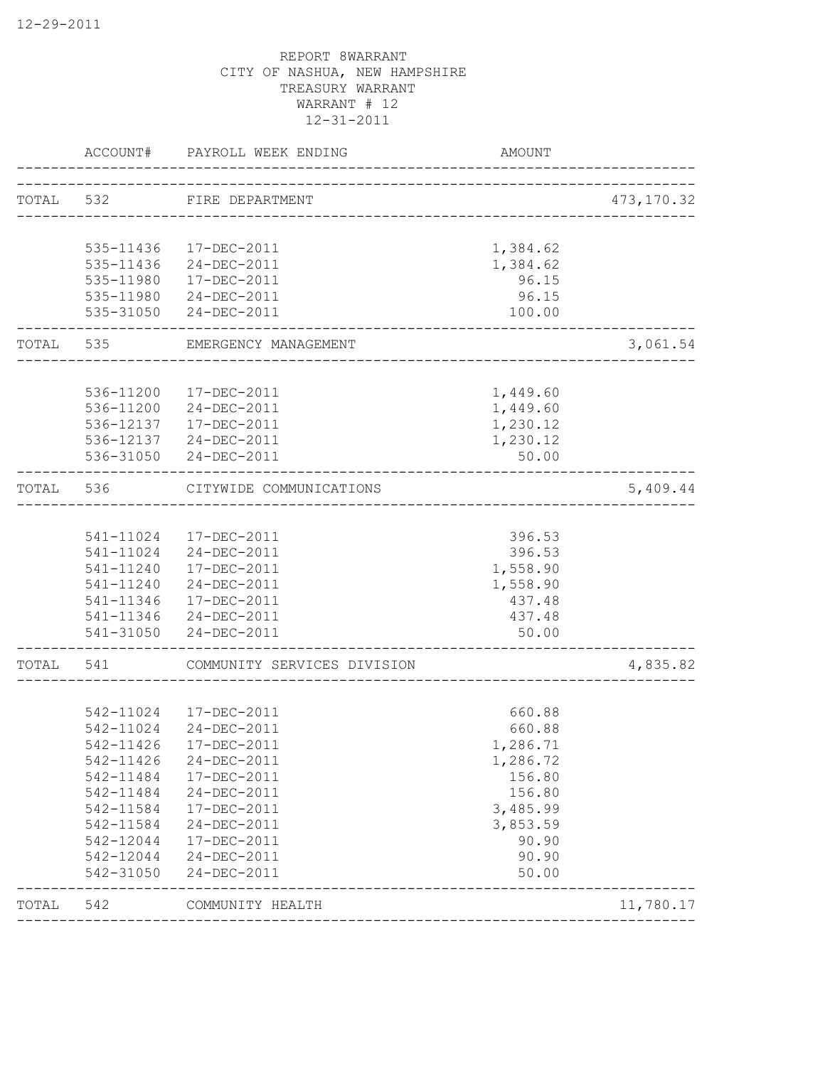|       | ACCOUNT#  | PAYROLL WEEK ENDING                            | AMOUNT            |             |
|-------|-----------|------------------------------------------------|-------------------|-------------|
|       |           | TOTAL 532 FIRE DEPARTMENT                      |                   | 473, 170.32 |
|       |           |                                                |                   |             |
|       |           | 535-11436  17-DEC-2011                         | 1,384.62          |             |
|       |           | 535-11436 24-DEC-2011                          | 1,384.62          |             |
|       | 535-11980 | 17-DEC-2011                                    | 96.15             |             |
|       |           | 535-11980 24-DEC-2011<br>535-31050 24-DEC-2011 | 96.15<br>100.00   |             |
| TOTAL | 535       | EMERGENCY MANAGEMENT<br>___________________    |                   | 3,061.54    |
|       |           |                                                |                   |             |
|       |           | 536-11200 17-DEC-2011                          | 1,449.60          |             |
|       |           | 536-11200 24-DEC-2011                          | 1,449.60          |             |
|       |           | 536-12137   17-DEC-2011                        | 1,230.12          |             |
|       |           | 536-12137 24-DEC-2011<br>536-31050 24-DEC-2011 | 1,230.12<br>50.00 |             |
|       |           |                                                |                   |             |
| TOTAL | 536       | CITYWIDE COMMUNICATIONS<br>-----------------   |                   | 5,409.44    |
|       |           |                                                |                   |             |
|       |           | 541-11024  17-DEC-2011                         | 396.53            |             |
|       |           | 541-11024 24-DEC-2011                          | 396.53            |             |
|       |           | 541-11240  17-DEC-2011                         | 1,558.90          |             |
|       |           | 541-11240 24-DEC-2011                          | 1,558.90          |             |
|       |           | 541-11346  17-DEC-2011                         | 437.48            |             |
|       |           | 541-11346 24-DEC-2011                          | 437.48            |             |
|       |           | 541-31050 24-DEC-2011                          | 50.00             |             |
| TOTAL | 541       | COMMUNITY SERVICES DIVISION                    |                   | 4,835.82    |
|       |           |                                                |                   |             |
|       |           | 542-11024 17-DEC-2011                          | 660.88            |             |
|       | 542-11024 | 24-DEC-2011                                    | 660.88            |             |
|       | 542-11426 | 17-DEC-2011                                    | 1,286.71          |             |
|       | 542-11426 | 24-DEC-2011                                    | 1,286.72          |             |
|       | 542-11484 | 17-DEC-2011                                    | 156.80            |             |
|       | 542-11484 | 24-DEC-2011                                    | 156.80            |             |
|       | 542-11584 | 17-DEC-2011                                    | 3,485.99          |             |
|       | 542-11584 | 24-DEC-2011                                    | 3,853.59          |             |
|       | 542-12044 | 17-DEC-2011                                    | 90.90             |             |
|       | 542-12044 | 24-DEC-2011                                    | 90.90             |             |
|       | 542-31050 | 24-DEC-2011                                    | 50.00             |             |
| TOTAL | 542       | COMMUNITY HEALTH                               |                   | 11,780.17   |
|       |           |                                                |                   |             |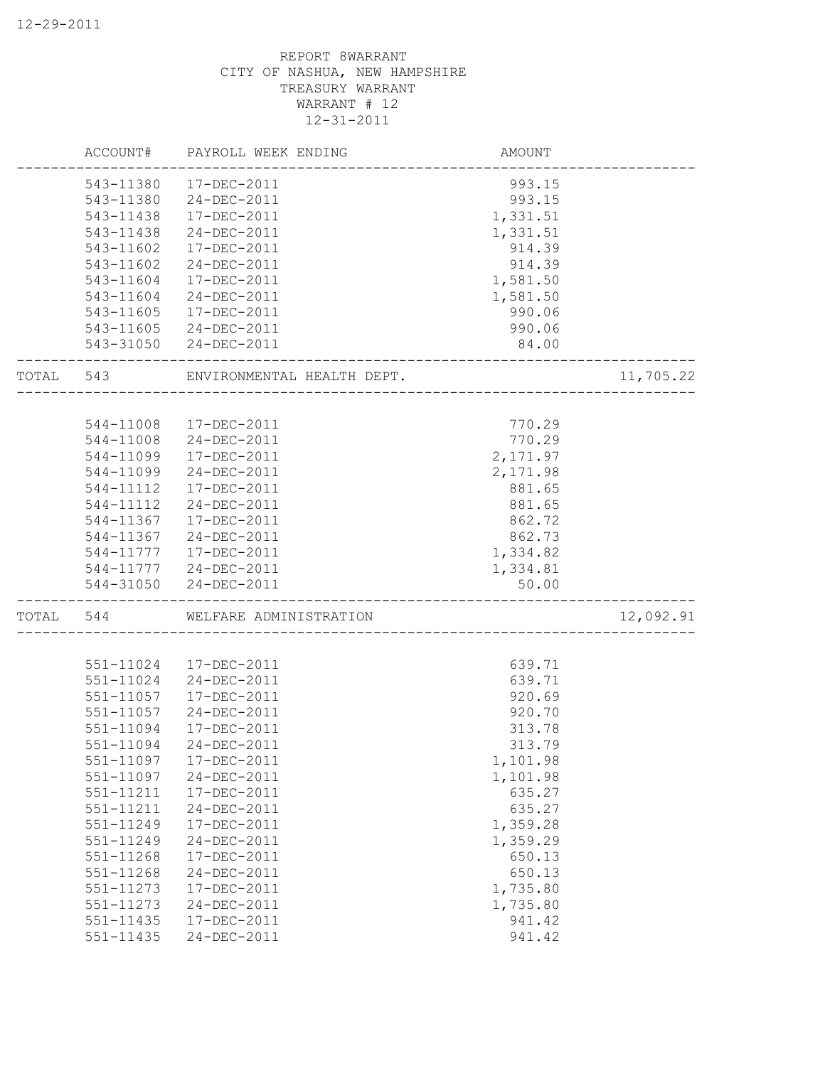|           | ACCOUNT#               | PAYROLL WEEK ENDING        | AMOUNT                             |           |
|-----------|------------------------|----------------------------|------------------------------------|-----------|
|           | 543-11380              | 17-DEC-2011                | 993.15                             |           |
|           | 543-11380              | 24-DEC-2011                | 993.15                             |           |
|           | 543-11438              | 17-DEC-2011                | 1,331.51                           |           |
|           | 543-11438              | 24-DEC-2011                | 1,331.51                           |           |
|           | 543-11602              | 17-DEC-2011                | 914.39                             |           |
|           | 543-11602              | 24-DEC-2011                | 914.39                             |           |
|           | 543-11604              | 17-DEC-2011                | 1,581.50                           |           |
|           | 543-11604              | 24-DEC-2011                | 1,581.50                           |           |
|           | 543-11605              | $17 - DEC - 2011$          | 990.06                             |           |
|           | 543-11605              | 24-DEC-2011                | 990.06                             |           |
|           |                        | 543-31050 24-DEC-2011      | 84.00                              |           |
| TOTAL 543 |                        | ENVIRONMENTAL HEALTH DEPT. |                                    | 11,705.22 |
|           |                        |                            |                                    |           |
|           |                        | 544-11008  17-DEC-2011     | 770.29                             |           |
|           |                        | 544-11008 24-DEC-2011      | 770.29                             |           |
|           | 544-11099              | 17-DEC-2011                | 2,171.97                           |           |
|           | 544-11099              | 24-DEC-2011                | 2,171.98                           |           |
|           | 544-11112              | $17 - DEC - 2011$          | 881.65                             |           |
|           | 544-11112              | 24-DEC-2011                | 881.65                             |           |
|           | 544-11367              | 17-DEC-2011                | 862.72                             |           |
|           | 544-11367              | 24-DEC-2011                | 862.73                             |           |
|           |                        | 544-11777   17-DEC-2011    | 1,334.82                           |           |
|           |                        | 544-11777 24-DEC-2011      | 1,334.81                           |           |
|           |                        | 544-31050 24-DEC-2011      | 50.00                              |           |
| TOTAL     | 544                    | WELFARE ADMINISTRATION     | __________________________________ | 12,092.91 |
|           |                        |                            |                                    |           |
|           | 551-11024              | 17-DEC-2011                | 639.71                             |           |
|           | 551-11024              | 24-DEC-2011<br>17-DEC-2011 | 639.71<br>920.69                   |           |
|           | 551-11057<br>551-11057 |                            | 920.70                             |           |
|           |                        | 24-DEC-2011                |                                    |           |
|           | 551-11094              | 17-DEC-2011                | 313.78                             |           |
|           | 551-11094              | 24-DEC-2011                | 313.79                             |           |
|           | 551-11097              | 17-DEC-2011                | 1,101.98                           |           |
|           | 551-11097              | 24-DEC-2011                | 1,101.98                           |           |
|           | 551-11211              | 17-DEC-2011                | 635.27                             |           |
|           | 551-11211              | 24-DEC-2011                | 635.27                             |           |
|           | 551-11249              | 17-DEC-2011                | 1,359.28                           |           |
|           | 551-11249              | 24-DEC-2011                | 1,359.29                           |           |
|           | 551-11268              | 17-DEC-2011                | 650.13                             |           |
|           | 551-11268              | 24-DEC-2011                | 650.13                             |           |
|           | 551-11273              | 17-DEC-2011                | 1,735.80                           |           |
|           | 551-11273              | 24-DEC-2011                | 1,735.80                           |           |
|           | 551-11435              | 17-DEC-2011                | 941.42                             |           |
|           | 551-11435              | 24-DEC-2011                | 941.42                             |           |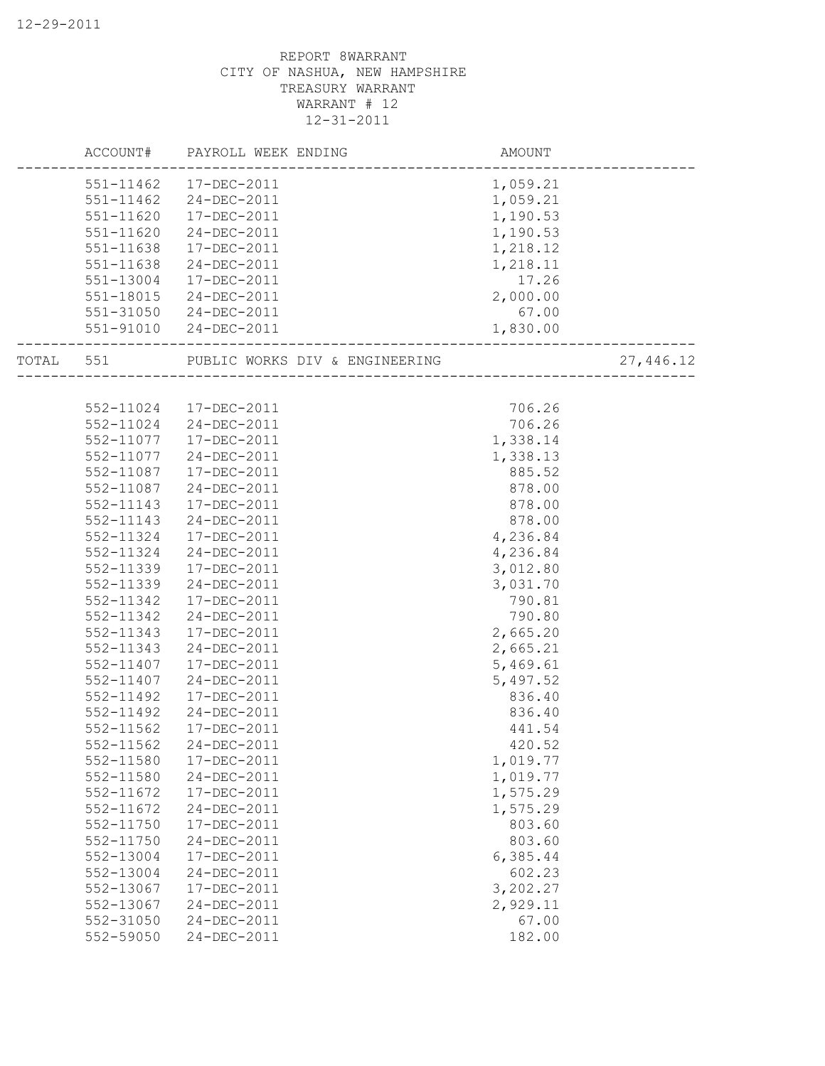|           | ACCOUNT# PAYROLL WEEK ENDING   | AMOUNT   |           |
|-----------|--------------------------------|----------|-----------|
| 551-11462 | 17-DEC-2011                    | 1,059.21 |           |
| 551-11462 | 24-DEC-2011                    | 1,059.21 |           |
| 551-11620 | 17-DEC-2011                    | 1,190.53 |           |
| 551-11620 | 24-DEC-2011                    | 1,190.53 |           |
| 551-11638 | 17-DEC-2011                    | 1,218.12 |           |
| 551-11638 | 24-DEC-2011                    | 1,218.11 |           |
| 551-13004 | 17-DEC-2011                    | 17.26    |           |
| 551-18015 | 24-DEC-2011                    | 2,000.00 |           |
| 551-31050 | 24-DEC-2011                    | 67.00    |           |
| 551-91010 | 24-DEC-2011                    | 1,830.00 |           |
| TOTAL 551 | PUBLIC WORKS DIV & ENGINEERING |          | 27,446.12 |
|           |                                |          |           |
|           | 552-11024 17-DEC-2011          | 706.26   |           |
|           | 552-11024 24-DEC-2011          | 706.26   |           |
| 552-11077 | 17-DEC-2011                    | 1,338.14 |           |
| 552-11077 | 24-DEC-2011                    | 1,338.13 |           |
| 552-11087 | 17-DEC-2011                    | 885.52   |           |
| 552-11087 | 24-DEC-2011                    | 878.00   |           |
| 552-11143 | 17-DEC-2011                    | 878.00   |           |
| 552-11143 | 24-DEC-2011                    | 878.00   |           |
| 552-11324 | 17-DEC-2011                    | 4,236.84 |           |
| 552-11324 | 24-DEC-2011                    | 4,236.84 |           |
| 552-11339 | 17-DEC-2011                    | 3,012.80 |           |
| 552-11339 | 24-DEC-2011                    | 3,031.70 |           |
| 552-11342 | 17-DEC-2011                    | 790.81   |           |
| 552-11342 | 24-DEC-2011                    | 790.80   |           |
| 552-11343 | 17-DEC-2011                    | 2,665.20 |           |
| 552-11343 | 24-DEC-2011                    | 2,665.21 |           |
| 552-11407 | 17-DEC-2011                    | 5,469.61 |           |
| 552-11407 | 24-DEC-2011                    | 5,497.52 |           |
| 552-11492 | 17-DEC-2011                    | 836.40   |           |
| 552-11492 | $24 - DEC - 2011$              | 836.40   |           |
| 552-11562 | 17-DEC-2011                    | 441.54   |           |
| 552-11562 | 24-DEC-2011                    | 420.52   |           |
| 552-11580 | 17-DEC-2011                    | 1,019.77 |           |
| 552-11580 | 24-DEC-2011                    | 1,019.77 |           |
| 552-11672 | 17-DEC-2011                    | 1,575.29 |           |
| 552-11672 | 24-DEC-2011                    | 1,575.29 |           |
| 552-11750 | 17-DEC-2011                    | 803.60   |           |
| 552-11750 | 24-DEC-2011                    | 803.60   |           |
| 552-13004 | 17-DEC-2011                    | 6,385.44 |           |
| 552-13004 | 24-DEC-2011                    | 602.23   |           |
| 552-13067 | 17-DEC-2011                    | 3,202.27 |           |
| 552-13067 | 24-DEC-2011                    | 2,929.11 |           |
| 552-31050 | 24-DEC-2011                    | 67.00    |           |
| 552-59050 | 24-DEC-2011                    | 182.00   |           |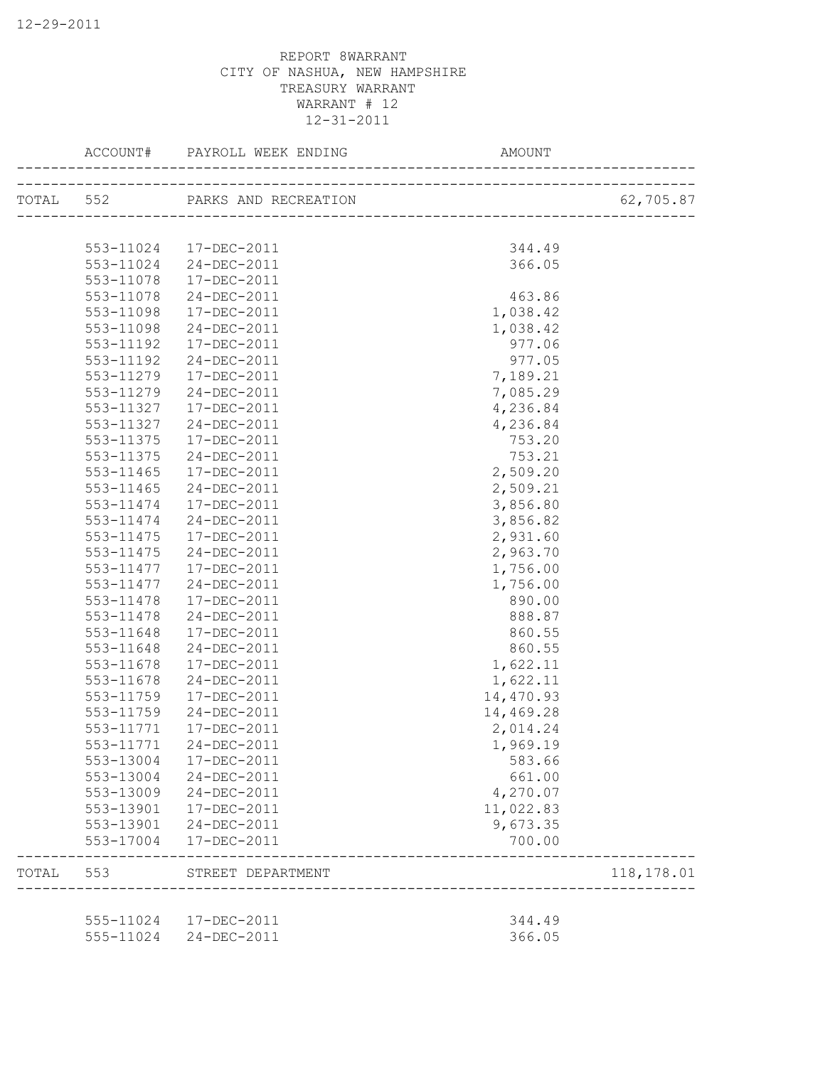|       |           | ACCOUNT# PAYROLL WEEK ENDING<br>---------------------------- | AMOUNT    |            |
|-------|-----------|--------------------------------------------------------------|-----------|------------|
|       |           | TOTAL 552 PARKS AND RECREATION                               |           | 62,705.87  |
|       |           |                                                              |           |            |
|       | 553-11024 | 17-DEC-2011                                                  | 344.49    |            |
|       | 553-11024 | 24-DEC-2011                                                  | 366.05    |            |
|       | 553-11078 | 17-DEC-2011                                                  |           |            |
|       | 553-11078 | 24-DEC-2011                                                  | 463.86    |            |
|       | 553-11098 | 17-DEC-2011                                                  | 1,038.42  |            |
|       | 553-11098 | 24-DEC-2011                                                  | 1,038.42  |            |
|       | 553-11192 | 17-DEC-2011                                                  | 977.06    |            |
|       | 553-11192 | 24-DEC-2011                                                  | 977.05    |            |
|       | 553-11279 | 17-DEC-2011                                                  | 7,189.21  |            |
|       | 553-11279 | 24-DEC-2011                                                  | 7,085.29  |            |
|       | 553-11327 | 17-DEC-2011                                                  | 4,236.84  |            |
|       | 553-11327 | 24-DEC-2011                                                  | 4,236.84  |            |
|       | 553-11375 | 17-DEC-2011                                                  | 753.20    |            |
|       | 553-11375 | 24-DEC-2011                                                  | 753.21    |            |
|       | 553-11465 | 17-DEC-2011                                                  | 2,509.20  |            |
|       | 553-11465 | 24-DEC-2011                                                  | 2,509.21  |            |
|       | 553-11474 | 17-DEC-2011                                                  | 3,856.80  |            |
|       | 553-11474 | 24-DEC-2011                                                  | 3,856.82  |            |
|       | 553-11475 | 17-DEC-2011                                                  | 2,931.60  |            |
|       | 553-11475 | 24-DEC-2011                                                  | 2,963.70  |            |
|       | 553-11477 | 17-DEC-2011                                                  | 1,756.00  |            |
|       | 553-11477 | 24-DEC-2011                                                  | 1,756.00  |            |
|       | 553-11478 | 17-DEC-2011                                                  | 890.00    |            |
|       | 553-11478 | 24-DEC-2011                                                  | 888.87    |            |
|       | 553-11648 | 17-DEC-2011                                                  | 860.55    |            |
|       | 553-11648 | 24-DEC-2011                                                  | 860.55    |            |
|       | 553-11678 | 17-DEC-2011                                                  | 1,622.11  |            |
|       | 553-11678 | 24-DEC-2011                                                  | 1,622.11  |            |
|       | 553-11759 | 17-DEC-2011                                                  | 14,470.93 |            |
|       | 553-11759 | 24-DEC-2011                                                  | 14,469.28 |            |
|       | 553-11771 | 17-DEC-2011                                                  | 2,014.24  |            |
|       | 553-11771 | 24-DEC-2011                                                  | 1,969.19  |            |
|       | 553-13004 | 17-DEC-2011                                                  | 583.66    |            |
|       | 553-13004 | 24-DEC-2011                                                  | 661.00    |            |
|       | 553-13009 | 24-DEC-2011                                                  | 4,270.07  |            |
|       | 553-13901 | 17-DEC-2011                                                  | 11,022.83 |            |
|       | 553-13901 | 24-DEC-2011                                                  | 9,673.35  |            |
|       | 553-17004 | 17-DEC-2011                                                  | 700.00    |            |
| TOTAL | 553       | STREET DEPARTMENT                                            |           | 118,178.01 |
|       |           |                                                              |           |            |
|       | 555-11024 | 17-DEC-2011                                                  | 344.49    |            |
|       | 555-11024 | 24-DEC-2011                                                  | 366.05    |            |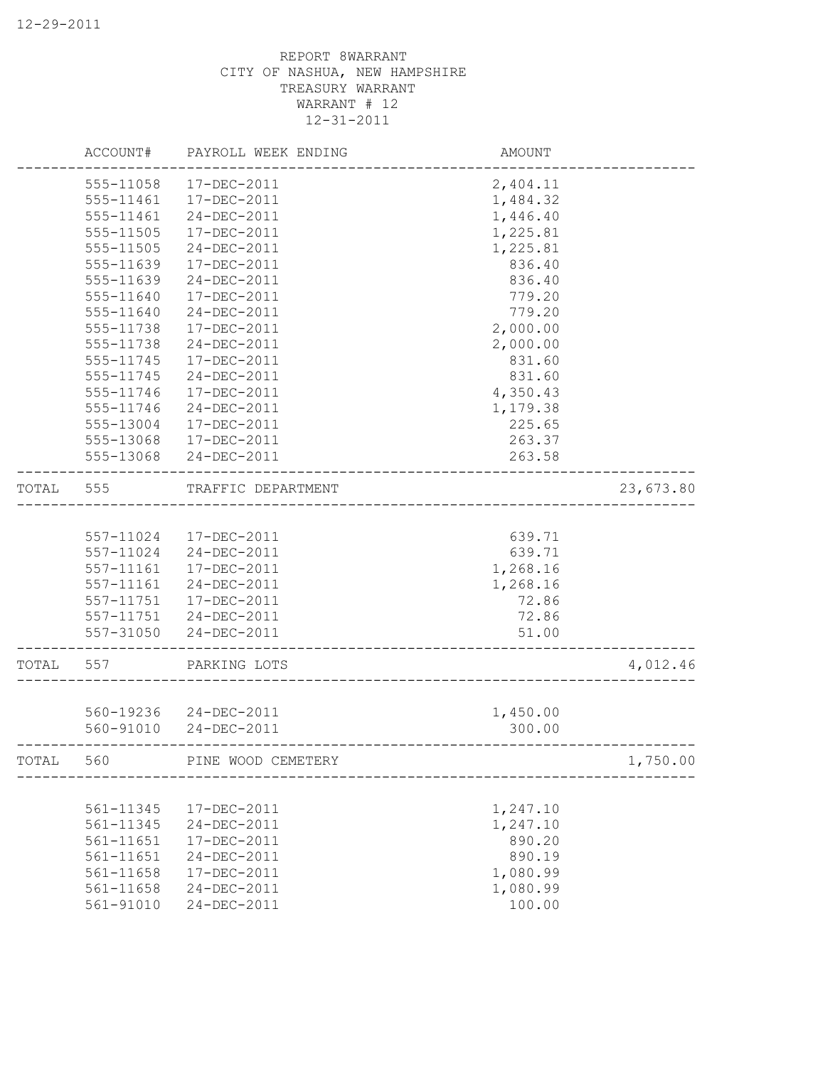|       | ACCOUNT#      | PAYROLL WEEK ENDING   | AMOUNT   |           |
|-------|---------------|-----------------------|----------|-----------|
|       | 555-11058     | 17-DEC-2011           | 2,404.11 |           |
|       | 555-11461     | 17-DEC-2011           | 1,484.32 |           |
|       | 555-11461     | 24-DEC-2011           | 1,446.40 |           |
|       | 555-11505     | 17-DEC-2011           | 1,225.81 |           |
|       | 555-11505     | 24-DEC-2011           | 1,225.81 |           |
|       | 555-11639     | 17-DEC-2011           | 836.40   |           |
|       | 555-11639     | 24-DEC-2011           | 836.40   |           |
|       | 555-11640     | 17-DEC-2011           | 779.20   |           |
|       | 555-11640     | 24-DEC-2011           | 779.20   |           |
|       | 555-11738     | 17-DEC-2011           | 2,000.00 |           |
|       | 555-11738     | 24-DEC-2011           | 2,000.00 |           |
|       | 555-11745     | 17-DEC-2011           | 831.60   |           |
|       | 555-11745     | 24-DEC-2011           | 831.60   |           |
|       | 555-11746     | 17-DEC-2011           | 4,350.43 |           |
|       | 555-11746     | 24-DEC-2011           | 1,179.38 |           |
|       | 555-13004     | $17 - DEC - 2011$     | 225.65   |           |
|       | 555-13068     | 17-DEC-2011           | 263.37   |           |
|       | 555-13068     | 24-DEC-2011           | 263.58   |           |
|       |               |                       |          |           |
| TOTAL | 555           | TRAFFIC DEPARTMENT    |          | 23,673.80 |
|       |               |                       |          |           |
|       | 557-11024     | 17-DEC-2011           | 639.71   |           |
|       | 557-11024     | 24-DEC-2011           | 639.71   |           |
|       | 557-11161     | 17-DEC-2011           | 1,268.16 |           |
|       | 557-11161     | 24-DEC-2011           | 1,268.16 |           |
|       | 557-11751     | 17-DEC-2011           | 72.86    |           |
|       | 557-11751     | 24-DEC-2011           | 72.86    |           |
|       | 557-31050     | 24-DEC-2011           | 51.00    |           |
| TOTAL | 557           | PARKING LOTS          |          | 4,012.46  |
|       |               |                       |          |           |
|       |               | 560-19236 24-DEC-2011 | 1,450.00 |           |
|       | 560-91010     | 24-DEC-2011           | 300.00   |           |
|       |               |                       |          |           |
| TOTAL | 560           | PINE WOOD CEMETERY    |          | 1,750.00  |
|       |               |                       |          |           |
|       | 561-11345     | 17-DEC-2011           | 1,247.10 |           |
|       | 561-11345     | 24-DEC-2011           | 1,247.10 |           |
|       | 561-11651     | 17-DEC-2011           | 890.20   |           |
|       | 561-11651     | 24-DEC-2011           | 890.19   |           |
|       | 561-11658     | 17-DEC-2011           | 1,080.99 |           |
|       | $561 - 11658$ | 24-DEC-2011           | 1,080.99 |           |
|       | 561-91010     | $24 - DEC - 2011$     | 100.00   |           |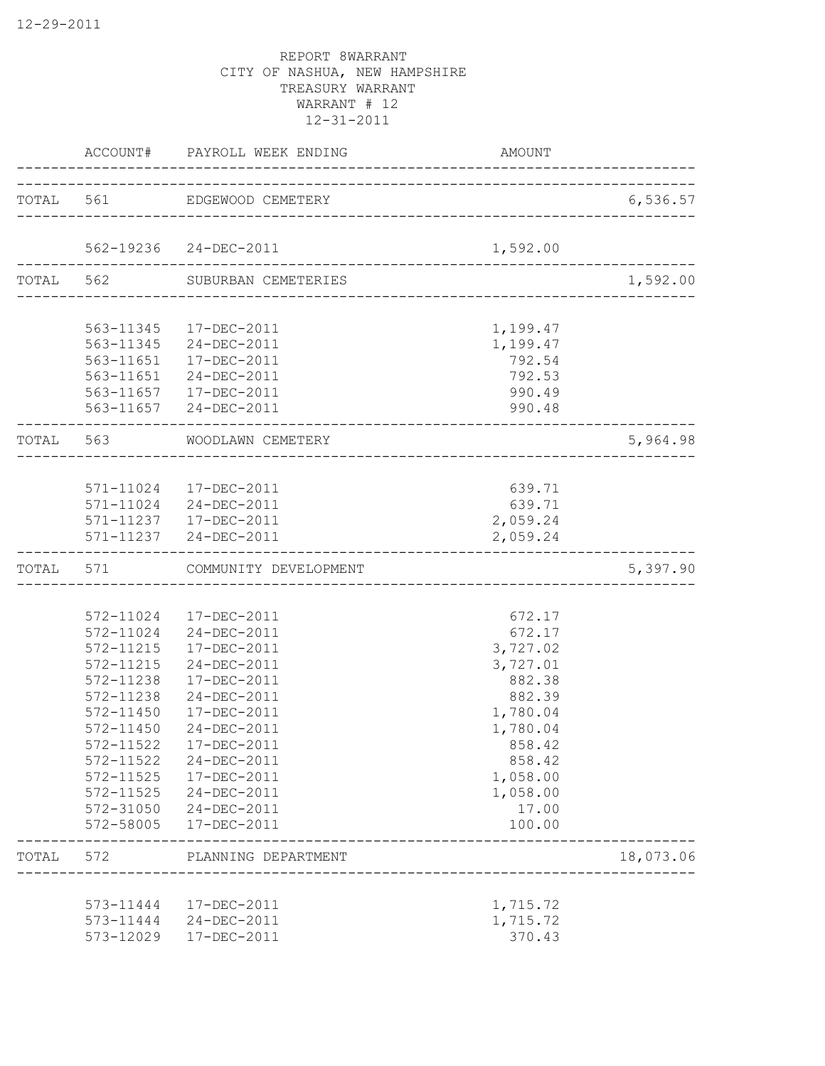|           |                                                                                                                                                          | ACCOUNT# PAYROLL WEEK ENDING                                                                                                                                                                                                       | AMOUNT                                                                                                                                              |                            |
|-----------|----------------------------------------------------------------------------------------------------------------------------------------------------------|------------------------------------------------------------------------------------------------------------------------------------------------------------------------------------------------------------------------------------|-----------------------------------------------------------------------------------------------------------------------------------------------------|----------------------------|
|           |                                                                                                                                                          | TOTAL 561 EDGEWOOD CEMETERY                                                                                                                                                                                                        | ____________________________                                                                                                                        | 6,536.57                   |
|           |                                                                                                                                                          | 562-19236 24-DEC-2011                                                                                                                                                                                                              | 1,592.00                                                                                                                                            |                            |
| TOTAL 562 |                                                                                                                                                          | SUBURBAN CEMETERIES                                                                                                                                                                                                                | ______________________                                                                                                                              | 1,592.00                   |
|           |                                                                                                                                                          | 563-11345 17-DEC-2011<br>563-11345 24-DEC-2011<br>563-11651  17-DEC-2011<br>563-11651 24-DEC-2011<br>563-11657  17-DEC-2011<br>563-11657 24-DEC-2011                                                                               | 1,199.47<br>1,199.47<br>792.54<br>792.53<br>990.49<br>990.48                                                                                        |                            |
|           |                                                                                                                                                          | TOTAL 563 WOODLAWN CEMETERY                                                                                                                                                                                                        |                                                                                                                                                     | 5,964.98                   |
|           |                                                                                                                                                          | 571-11024 17-DEC-2011<br>571-11024 24-DEC-2011<br>571-11237  17-DEC-2011<br>571-11237 24-DEC-2011                                                                                                                                  | 639.71<br>639.71<br>2,059.24<br>2,059.24                                                                                                            |                            |
| TOTAL     | 571                                                                                                                                                      | COMMUNITY DEVELOPMENT                                                                                                                                                                                                              |                                                                                                                                                     | 5,397.90                   |
|           | 572-11215<br>572-11215<br>572-11238<br>572-11238<br>572-11450<br>572-11450<br>572-11522<br>572-11522<br>572-11525<br>572-11525<br>572-31050<br>572-58005 | 572-11024 17-DEC-2011<br>572-11024 24-DEC-2011<br>17-DEC-2011<br>24-DEC-2011<br>17-DEC-2011<br>24-DEC-2011<br>17-DEC-2011<br>24-DEC-2011<br>17-DEC-2011<br>24-DEC-2011<br>17-DEC-2011<br>24-DEC-2011<br>24-DEC-2011<br>17-DEC-2011 | 672.17<br>672.17<br>3,727.02<br>3,727.01<br>882.38<br>882.39<br>1,780.04<br>1,780.04<br>858.42<br>858.42<br>1,058.00<br>1,058.00<br>17.00<br>100.00 |                            |
| TOTAL     | 572                                                                                                                                                      | PLANNING DEPARTMENT                                                                                                                                                                                                                | ____________________                                                                                                                                | 18,073.06<br>------------- |
|           | 573-11444<br>573-11444<br>573-12029                                                                                                                      | 17-DEC-2011<br>24-DEC-2011<br>17-DEC-2011                                                                                                                                                                                          | 1,715.72<br>1,715.72<br>370.43                                                                                                                      |                            |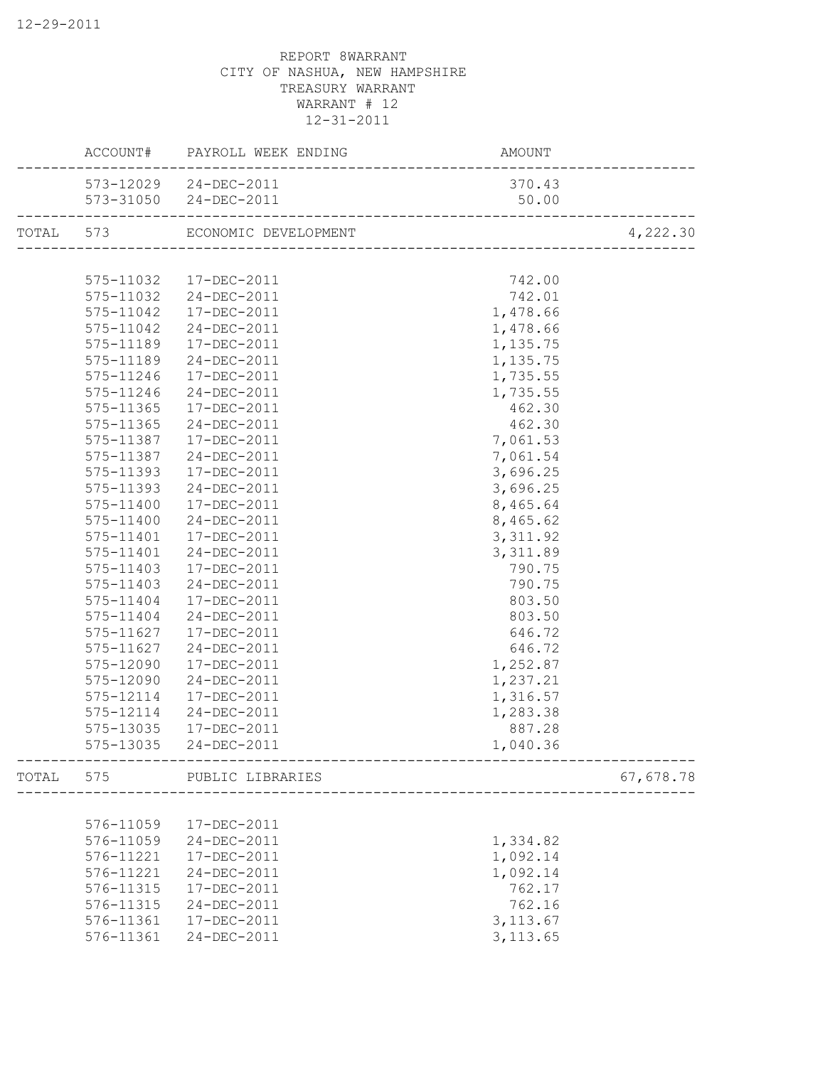|       |           | ACCOUNT# PAYROLL WEEK ENDING   | AMOUNT                     |           |
|-------|-----------|--------------------------------|----------------------------|-----------|
|       |           | 573-12029 24-DEC-2011          | 370.43                     |           |
|       |           | 573-31050 24-DEC-2011          | 50.00                      |           |
|       |           | TOTAL 573 ECONOMIC DEVELOPMENT | -------------------------- | 4,222.30  |
|       |           |                                |                            |           |
|       | 575-11032 | 17-DEC-2011                    | 742.00                     |           |
|       | 575-11032 | 24-DEC-2011                    | 742.01                     |           |
|       | 575-11042 | 17-DEC-2011                    | 1,478.66                   |           |
|       | 575-11042 | 24-DEC-2011                    | 1,478.66                   |           |
|       | 575-11189 | 17-DEC-2011                    | 1,135.75                   |           |
|       | 575-11189 | 24-DEC-2011                    | 1,135.75                   |           |
|       | 575-11246 | 17-DEC-2011                    | 1,735.55                   |           |
|       | 575-11246 | 24-DEC-2011                    | 1,735.55                   |           |
|       | 575-11365 | 17-DEC-2011                    | 462.30                     |           |
|       | 575-11365 | 24-DEC-2011                    | 462.30                     |           |
|       | 575-11387 | 17-DEC-2011                    | 7,061.53                   |           |
|       | 575-11387 | 24-DEC-2011                    | 7,061.54                   |           |
|       | 575-11393 | 17-DEC-2011                    | 3,696.25                   |           |
|       | 575-11393 | 24-DEC-2011                    | 3,696.25                   |           |
|       | 575-11400 | 17-DEC-2011                    | 8,465.64                   |           |
|       | 575-11400 | 24-DEC-2011                    | 8,465.62                   |           |
|       | 575-11401 | 17-DEC-2011                    | 3, 311.92                  |           |
|       | 575-11401 | 24-DEC-2011                    | 3,311.89                   |           |
|       | 575-11403 | 17-DEC-2011                    | 790.75                     |           |
|       | 575-11403 | 24-DEC-2011                    | 790.75                     |           |
|       | 575-11404 | 17-DEC-2011                    | 803.50                     |           |
|       | 575-11404 | 24-DEC-2011                    | 803.50                     |           |
|       | 575-11627 | 17-DEC-2011                    | 646.72                     |           |
|       | 575-11627 | 24-DEC-2011                    | 646.72                     |           |
|       | 575-12090 | 17-DEC-2011                    | 1,252.87                   |           |
|       | 575-12090 | 24-DEC-2011                    | 1,237.21                   |           |
|       | 575-12114 | 17-DEC-2011                    | 1,316.57                   |           |
|       | 575-12114 | 24-DEC-2011                    | 1,283.38                   |           |
|       | 575-13035 | 17-DEC-2011                    | 887.28                     |           |
|       | 575-13035 | 24-DEC-2011                    | 1,040.36                   |           |
| TOTAL | 575       | PUBLIC LIBRARIES               | ____________________       | 67,678.78 |
|       |           |                                |                            |           |
|       | 576-11059 | 17-DEC-2011                    |                            |           |
|       | 576-11059 | 24-DEC-2011                    | 1,334.82                   |           |
|       | 576-11221 | 17-DEC-2011                    | 1,092.14                   |           |
|       | 576-11221 | 24-DEC-2011                    | 1,092.14                   |           |
|       | 576-11315 | 17-DEC-2011                    | 762.17                     |           |
|       | 576-11315 | 24-DEC-2011                    | 762.16                     |           |
|       | 576-11361 | 17-DEC-2011                    | 3, 113.67                  |           |
|       | 576-11361 | 24-DEC-2011                    | 3, 113.65                  |           |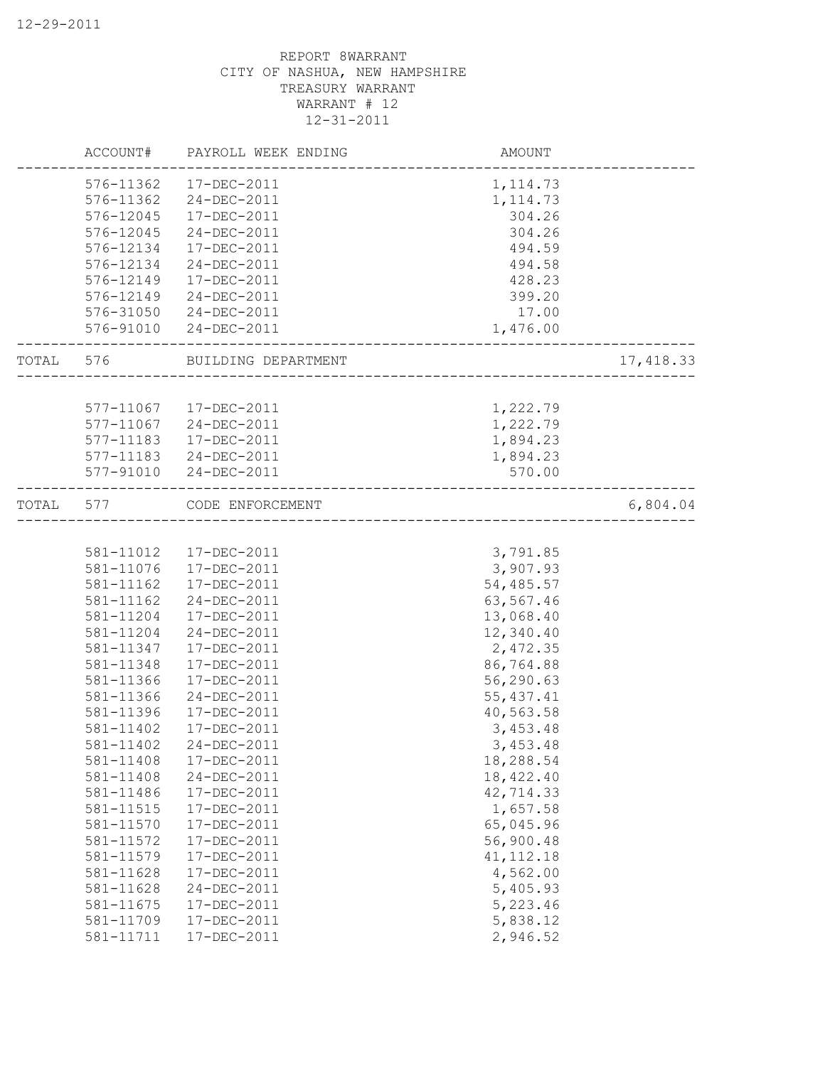|       | ACCOUNT#  | PAYROLL WEEK ENDING    | AMOUNT                        |           |
|-------|-----------|------------------------|-------------------------------|-----------|
|       | 576-11362 | 17-DEC-2011            | 1, 114.73                     |           |
|       | 576-11362 | 24-DEC-2011            | 1, 114.73                     |           |
|       | 576-12045 | 17-DEC-2011            | 304.26                        |           |
|       | 576-12045 | 24-DEC-2011            | 304.26                        |           |
|       | 576-12134 | 17-DEC-2011            | 494.59                        |           |
|       | 576-12134 | 24-DEC-2011            | 494.58                        |           |
|       | 576-12149 | 17-DEC-2011            | 428.23                        |           |
|       | 576-12149 | 24-DEC-2011            | 399.20                        |           |
|       | 576-31050 | 24-DEC-2011            | 17.00                         |           |
|       | 576-91010 | 24-DEC-2011            | 1,476.00                      |           |
| TOTAL | 576       | BUILDING DEPARTMENT    |                               | 17,418.33 |
|       |           |                        |                               |           |
|       |           | 577-11067  17-DEC-2011 | 1,222.79                      |           |
|       |           | 577-11067 24-DEC-2011  | 1,222.79                      |           |
|       | 577-11183 | 17-DEC-2011            | 1,894.23                      |           |
|       |           | 577-11183 24-DEC-2011  | 1,894.23                      |           |
|       | 577-91010 | 24-DEC-2011            | 570.00                        |           |
| TOTAL | 577       | CODE ENFORCEMENT       | _____________________________ | 6,804.04  |
|       |           |                        |                               |           |
|       | 581-11012 | 17-DEC-2011            | 3,791.85                      |           |
|       | 581-11076 | 17-DEC-2011            | 3,907.93                      |           |
|       | 581-11162 | 17-DEC-2011            | 54,485.57                     |           |
|       | 581-11162 | 24-DEC-2011            | 63,567.46                     |           |
|       | 581-11204 | 17-DEC-2011            | 13,068.40                     |           |
|       | 581-11204 | 24-DEC-2011            | 12,340.40                     |           |
|       | 581-11347 | 17-DEC-2011            | 2,472.35                      |           |
|       | 581-11348 | 17-DEC-2011            | 86,764.88                     |           |
|       | 581-11366 | 17-DEC-2011            | 56,290.63                     |           |
|       | 581-11366 | 24-DEC-2011            | 55, 437.41                    |           |
|       | 581-11396 | 17-DEC-2011            | 40,563.58                     |           |
|       | 581-11402 | 17-DEC-2011            | 3,453.48                      |           |
|       | 581-11402 | 24-DEC-2011            | 3,453.48                      |           |
|       | 581-11408 | 17-DEC-2011            | 18,288.54                     |           |
|       | 581-11408 | 24-DEC-2011            | 18,422.40                     |           |
|       | 581-11486 | 17-DEC-2011            | 42,714.33                     |           |
|       | 581-11515 | 17-DEC-2011            | 1,657.58                      |           |
|       | 581-11570 | 17-DEC-2011            | 65,045.96                     |           |
|       | 581-11572 | 17-DEC-2011            | 56,900.48                     |           |
|       | 581-11579 | 17-DEC-2011            | 41, 112.18                    |           |
|       | 581-11628 | 17-DEC-2011            | 4,562.00                      |           |
|       | 581-11628 | 24-DEC-2011            | 5,405.93                      |           |
|       | 581-11675 | 17-DEC-2011            | 5,223.46                      |           |
|       | 581-11709 | 17-DEC-2011            | 5,838.12                      |           |
|       | 581-11711 | 17-DEC-2011            | 2,946.52                      |           |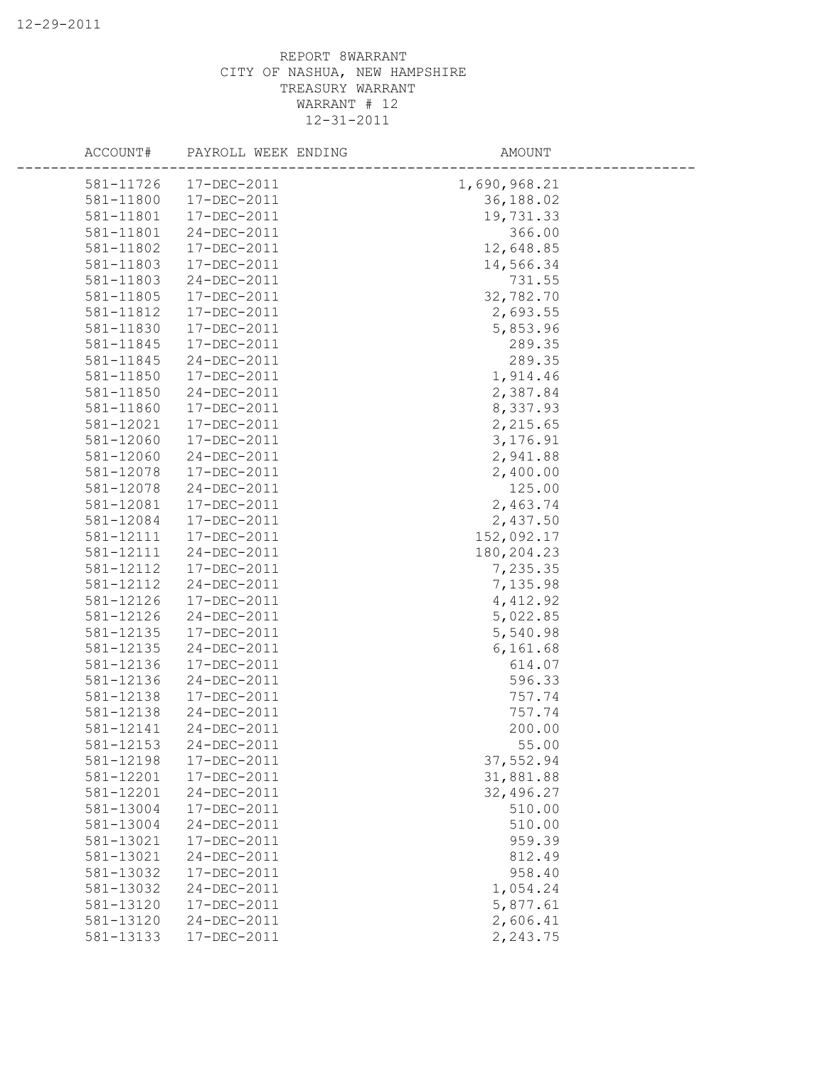| ACCOUNT#  | PAYROLL WEEK ENDING | AMOUNT       |
|-----------|---------------------|--------------|
| 581-11726 | $17 - DEC - 2011$   | 1,690,968.21 |
| 581-11800 | 17-DEC-2011         | 36,188.02    |
| 581-11801 | 17-DEC-2011         | 19,731.33    |
| 581-11801 | 24-DEC-2011         | 366.00       |
| 581-11802 | 17-DEC-2011         | 12,648.85    |
| 581-11803 | 17-DEC-2011         | 14,566.34    |
| 581-11803 | 24-DEC-2011         | 731.55       |
| 581-11805 | 17-DEC-2011         | 32,782.70    |
| 581-11812 | 17-DEC-2011         | 2,693.55     |
| 581-11830 | 17-DEC-2011         | 5,853.96     |
| 581-11845 | 17-DEC-2011         | 289.35       |
| 581-11845 | 24-DEC-2011         | 289.35       |
| 581-11850 | 17-DEC-2011         | 1,914.46     |
| 581-11850 | 24-DEC-2011         | 2,387.84     |
| 581-11860 | 17-DEC-2011         | 8,337.93     |
| 581-12021 | 17-DEC-2011         | 2,215.65     |
| 581-12060 | 17-DEC-2011         | 3,176.91     |
| 581-12060 | 24-DEC-2011         | 2,941.88     |
| 581-12078 | 17-DEC-2011         | 2,400.00     |
| 581-12078 | 24-DEC-2011         | 125.00       |
| 581-12081 | 17-DEC-2011         | 2,463.74     |
| 581-12084 | 17-DEC-2011         | 2,437.50     |
| 581-12111 | 17-DEC-2011         | 152,092.17   |
| 581-12111 | 24-DEC-2011         | 180,204.23   |
| 581-12112 | 17-DEC-2011         | 7,235.35     |
| 581-12112 | 24-DEC-2011         | 7,135.98     |
| 581-12126 | 17-DEC-2011         | 4,412.92     |
| 581-12126 | 24-DEC-2011         | 5,022.85     |
| 581-12135 | 17-DEC-2011         | 5,540.98     |
| 581-12135 | 24-DEC-2011         | 6,161.68     |
| 581-12136 | 17-DEC-2011         | 614.07       |
| 581-12136 | 24-DEC-2011         | 596.33       |
| 581-12138 | 17-DEC-2011         | 757.74       |
| 581-12138 | 24-DEC-2011         | 757.74       |
| 581-12141 | 24-DEC-2011         | 200.00       |
| 581-12153 | 24-DEC-2011         | 55.00        |
| 581-12198 | 17-DEC-2011         | 37,552.94    |
| 581-12201 | 17-DEC-2011         | 31,881.88    |
| 581-12201 | 24-DEC-2011         | 32,496.27    |
| 581-13004 | 17-DEC-2011         | 510.00       |
| 581-13004 | 24-DEC-2011         | 510.00       |
| 581-13021 | 17-DEC-2011         | 959.39       |
| 581-13021 | 24-DEC-2011         | 812.49       |
| 581-13032 | 17-DEC-2011         | 958.40       |
| 581-13032 | 24-DEC-2011         | 1,054.24     |
| 581-13120 | 17-DEC-2011         | 5,877.61     |
| 581-13120 | 24-DEC-2011         | 2,606.41     |
| 581-13133 | 17-DEC-2011         | 2,243.75     |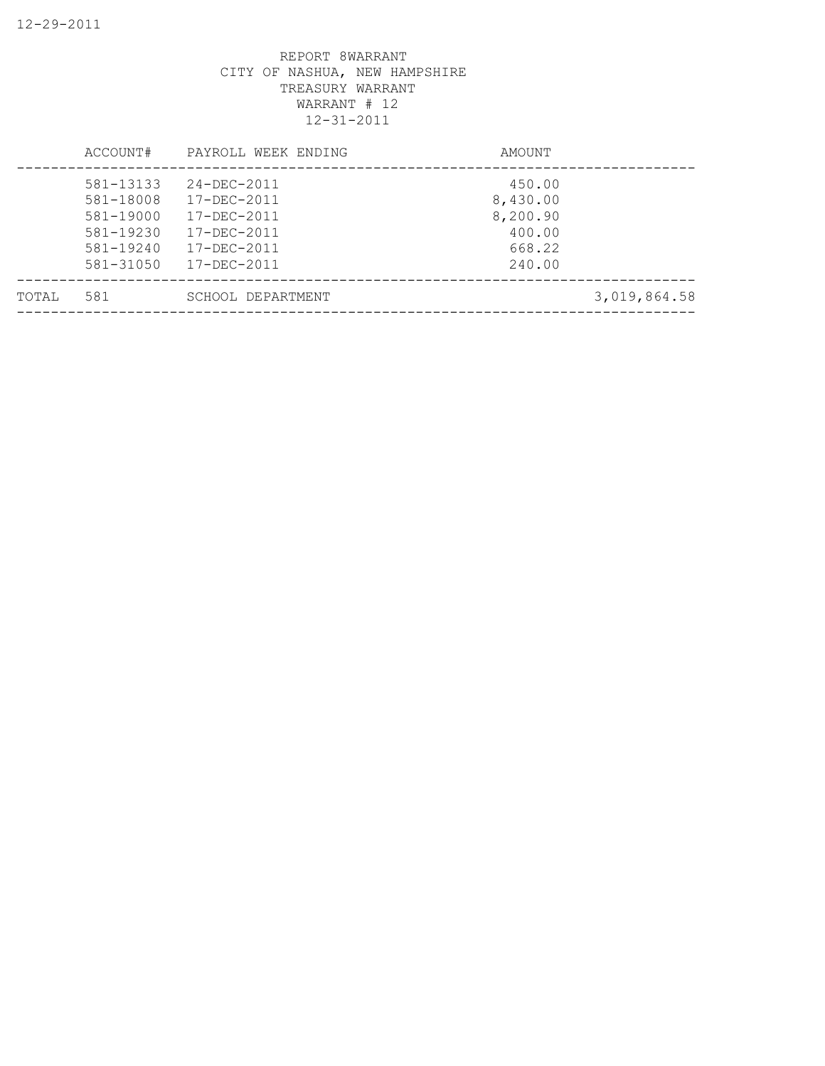|       | ACCOUNT#                                                                   | PAYROLL WEEK ENDING                                                                    | AMOUNT                                                       |              |
|-------|----------------------------------------------------------------------------|----------------------------------------------------------------------------------------|--------------------------------------------------------------|--------------|
|       | 581-13133<br>581-18008<br>581-19000<br>581-19230<br>581-19240<br>581-31050 | 24-DEC-2011<br>17-DEC-2011<br>17-DEC-2011<br>17-DEC-2011<br>17-DEC-2011<br>17-DEC-2011 | 450.00<br>8,430.00<br>8,200.90<br>400.00<br>668.22<br>240.00 |              |
| TOTAL | 581                                                                        | SCHOOL DEPARTMENT                                                                      |                                                              | 3,019,864.58 |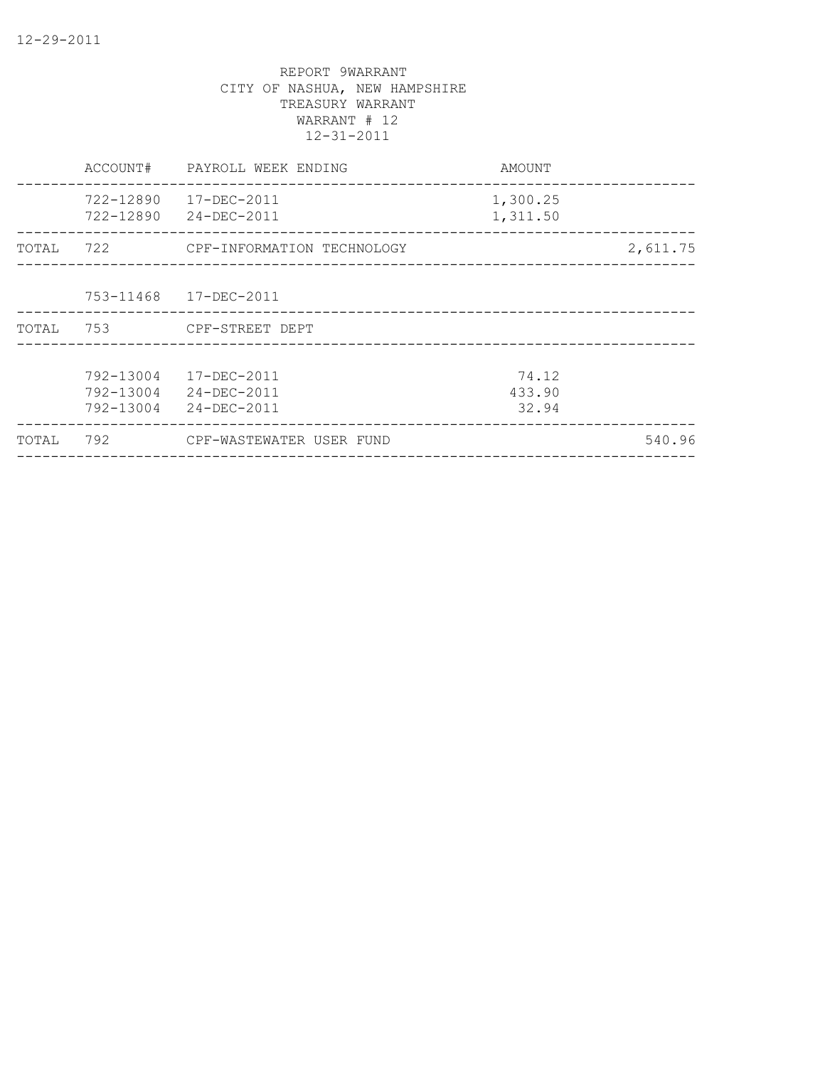|       | ACCOUNT#                            | PAYROLL WEEK ENDING                       | AMOUNT                   |          |
|-------|-------------------------------------|-------------------------------------------|--------------------------|----------|
|       | 722-12890<br>722-12890              | 17-DEC-2011<br>24-DEC-2011                | 1,300.25<br>1,311.50     |          |
| TOTAL | 722                                 | CPF-INFORMATION TECHNOLOGY                |                          | 2,611.75 |
|       | 753-11468                           | 17-DEC-2011                               |                          |          |
| TOTAL | 753                                 | CPF-STREET DEPT                           |                          |          |
|       | 792-13004<br>792-13004<br>792-13004 | 17-DEC-2011<br>24-DEC-2011<br>24-DEC-2011 | 74.12<br>433.90<br>32.94 |          |
| TOTAL | 792                                 | CPF-WASTEWATER USER FUND                  |                          | 540.96   |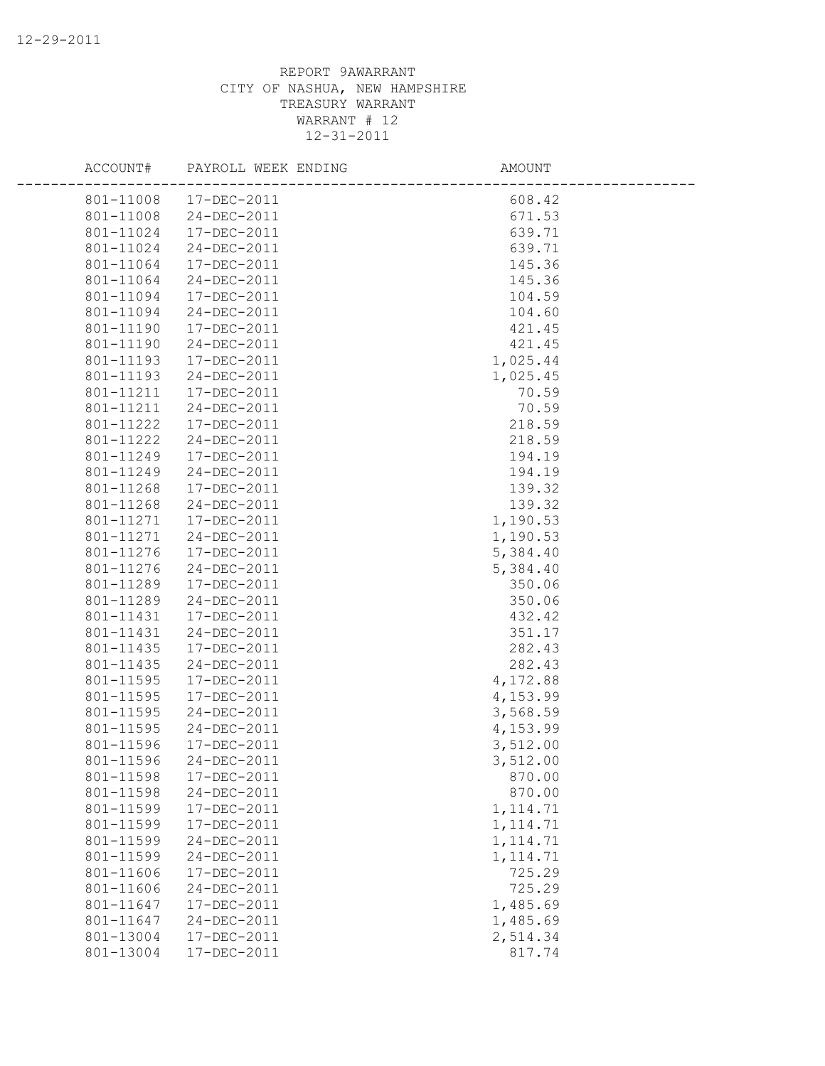| ACCOUNT#  | PAYROLL WEEK ENDING        | AMOUNT    |  |
|-----------|----------------------------|-----------|--|
|           | 801-11008 17-DEC-2011      | 608.42    |  |
| 801-11008 | 24-DEC-2011                | 671.53    |  |
| 801-11024 | 17-DEC-2011                | 639.71    |  |
| 801-11024 | 24-DEC-2011                | 639.71    |  |
| 801-11064 | 17-DEC-2011                | 145.36    |  |
| 801-11064 | 24-DEC-2011                | 145.36    |  |
| 801-11094 | 17-DEC-2011                | 104.59    |  |
| 801-11094 | 24-DEC-2011                | 104.60    |  |
| 801-11190 | 17-DEC-2011                | 421.45    |  |
| 801-11190 | 24-DEC-2011                | 421.45    |  |
| 801-11193 | 17-DEC-2011                | 1,025.44  |  |
| 801-11193 | 24-DEC-2011                | 1,025.45  |  |
| 801-11211 | 17-DEC-2011                | 70.59     |  |
| 801-11211 | 24-DEC-2011                | 70.59     |  |
| 801-11222 | 17-DEC-2011                | 218.59    |  |
| 801-11222 | 24-DEC-2011                | 218.59    |  |
| 801-11249 | 17-DEC-2011                | 194.19    |  |
| 801-11249 | 24-DEC-2011                | 194.19    |  |
| 801-11268 | 17-DEC-2011                | 139.32    |  |
| 801-11268 | 24-DEC-2011                | 139.32    |  |
| 801-11271 | 17-DEC-2011                | 1,190.53  |  |
| 801-11271 | 24-DEC-2011                | 1,190.53  |  |
| 801-11276 | 17-DEC-2011                | 5,384.40  |  |
| 801-11276 | 24-DEC-2011                | 5,384.40  |  |
| 801-11289 | 17-DEC-2011                | 350.06    |  |
| 801-11289 | 24-DEC-2011                | 350.06    |  |
| 801-11431 | 17-DEC-2011                | 432.42    |  |
| 801-11431 | 24-DEC-2011                | 351.17    |  |
| 801-11435 | 17-DEC-2011                | 282.43    |  |
| 801-11435 | $24 - DEC - 2011$          | 282.43    |  |
| 801-11595 | 17-DEC-2011                | 4,172.88  |  |
| 801-11595 | 17-DEC-2011                | 4,153.99  |  |
| 801-11595 | 24-DEC-2011                | 3,568.59  |  |
| 801-11595 | 24-DEC-2011                | 4,153.99  |  |
| 801-11596 | 17-DEC-2011                | 3,512.00  |  |
| 801-11596 | 24-DEC-2011                | 3,512.00  |  |
| 801-11598 | 17-DEC-2011                | 870.00    |  |
| 801-11598 | 24-DEC-2011                | 870.00    |  |
| 801-11599 | 17-DEC-2011                | 1, 114.71 |  |
| 801-11599 | 17-DEC-2011                | 1, 114.71 |  |
| 801-11599 | 24-DEC-2011                | 1, 114.71 |  |
| 801-11599 | 24-DEC-2011                | 1, 114.71 |  |
| 801-11606 | 17-DEC-2011<br>24-DEC-2011 | 725.29    |  |
| 801-11606 | 17-DEC-2011                | 725.29    |  |
| 801-11647 |                            | 1,485.69  |  |
| 801-11647 | 24-DEC-2011<br>17-DEC-2011 | 1,485.69  |  |
| 801-13004 |                            | 2,514.34  |  |
| 801-13004 | 17-DEC-2011                | 817.74    |  |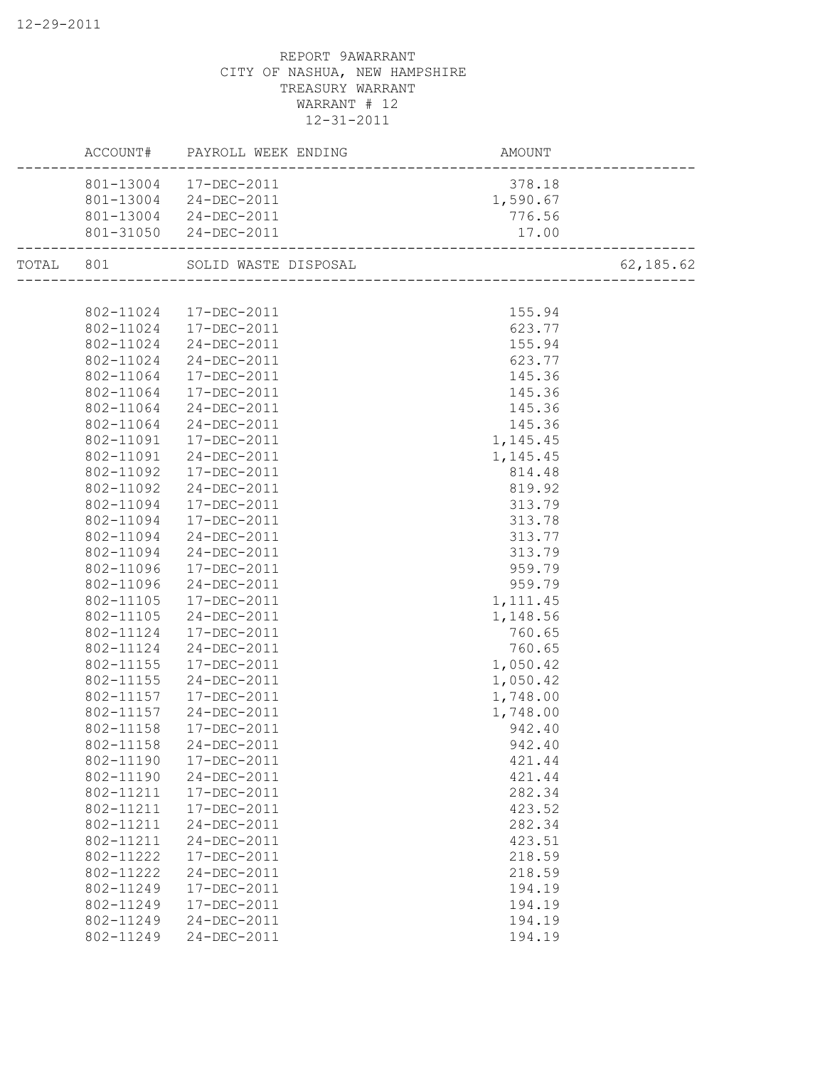|           | ACCOUNT#  | PAYROLL WEEK ENDING   | AMOUNT               |           |
|-----------|-----------|-----------------------|----------------------|-----------|
|           | 801-13004 | 17-DEC-2011           | 378.18               |           |
|           | 801-13004 | 24-DEC-2011           | 1,590.67             |           |
|           |           | 801-13004 24-DEC-2011 | 776.56               |           |
|           |           | 801-31050 24-DEC-2011 | 17.00                |           |
| TOTAL 801 |           | SOLID WASTE DISPOSAL  | -------------------- | 62,185.62 |
|           |           |                       |                      |           |
|           | 802-11024 | 17-DEC-2011           | 155.94               |           |
|           | 802-11024 | 17-DEC-2011           | 623.77               |           |
|           | 802-11024 | 24-DEC-2011           | 155.94               |           |
|           | 802-11024 | 24-DEC-2011           | 623.77               |           |
|           | 802-11064 | 17-DEC-2011           | 145.36               |           |
|           | 802-11064 | 17-DEC-2011           | 145.36               |           |
|           | 802-11064 | 24-DEC-2011           | 145.36               |           |
|           | 802-11064 | 24-DEC-2011           | 145.36               |           |
|           | 802-11091 | 17-DEC-2011           | 1,145.45             |           |
|           | 802-11091 | 24-DEC-2011           | 1,145.45             |           |
|           | 802-11092 | 17-DEC-2011           | 814.48               |           |
|           | 802-11092 | 24-DEC-2011           | 819.92               |           |
|           | 802-11094 | 17-DEC-2011           | 313.79               |           |
|           | 802-11094 | 17-DEC-2011           | 313.78               |           |
|           | 802-11094 | 24-DEC-2011           | 313.77               |           |
|           | 802-11094 | 24-DEC-2011           | 313.79               |           |
|           | 802-11096 | 17-DEC-2011           | 959.79               |           |
|           | 802-11096 | 24-DEC-2011           | 959.79               |           |
|           | 802-11105 | 17-DEC-2011           | 1, 111.45            |           |
|           | 802-11105 | 24-DEC-2011           | 1,148.56             |           |
|           | 802-11124 | 17-DEC-2011           | 760.65               |           |
|           | 802-11124 | 24-DEC-2011           | 760.65               |           |
|           | 802-11155 | 17-DEC-2011           | 1,050.42             |           |
|           | 802-11155 | 24-DEC-2011           | 1,050.42             |           |
|           | 802-11157 | 17-DEC-2011           | 1,748.00             |           |
|           | 802-11157 | 24-DEC-2011           | 1,748.00             |           |
|           | 802-11158 | 17-DEC-2011           | 942.40               |           |
|           | 802-11158 | 24-DEC-2011           | 942.40               |           |
|           | 802-11190 | 17-DEC-2011           | 421.44               |           |
|           | 802-11190 | 24-DEC-2011           | 421.44               |           |
|           | 802-11211 | 17-DEC-2011           | 282.34               |           |
|           | 802-11211 | 17-DEC-2011           | 423.52               |           |
|           | 802-11211 | 24-DEC-2011           | 282.34               |           |
|           | 802-11211 | 24-DEC-2011           | 423.51               |           |
|           | 802-11222 | 17-DEC-2011           | 218.59               |           |
|           | 802-11222 | 24-DEC-2011           | 218.59               |           |
|           | 802-11249 | 17-DEC-2011           | 194.19               |           |
|           | 802-11249 | 17-DEC-2011           | 194.19               |           |
|           | 802-11249 | 24-DEC-2011           | 194.19               |           |
|           | 802-11249 | 24-DEC-2011           | 194.19               |           |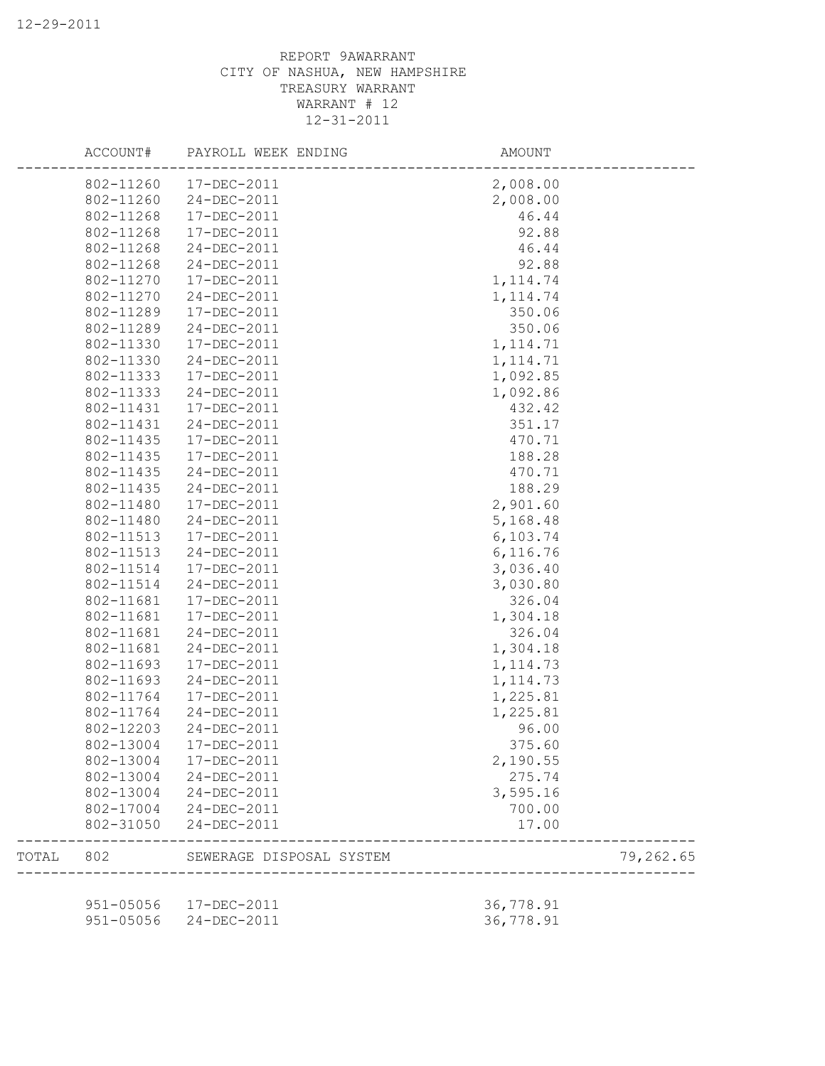|       | ACCOUNT#      | PAYROLL WEEK ENDING      | AMOUNT    |           |
|-------|---------------|--------------------------|-----------|-----------|
|       | 802-11260     | 17-DEC-2011              | 2,008.00  |           |
|       | 802-11260     | 24-DEC-2011              | 2,008.00  |           |
|       | 802-11268     | 17-DEC-2011              | 46.44     |           |
|       | 802-11268     | 17-DEC-2011              | 92.88     |           |
|       | 802-11268     | 24-DEC-2011              | 46.44     |           |
|       | 802-11268     | 24-DEC-2011              | 92.88     |           |
|       | 802-11270     | 17-DEC-2011              | 1, 114.74 |           |
|       | 802-11270     | 24-DEC-2011              | 1, 114.74 |           |
|       | 802-11289     | 17-DEC-2011              | 350.06    |           |
|       | 802-11289     | 24-DEC-2011              | 350.06    |           |
|       | 802-11330     | 17-DEC-2011              | 1, 114.71 |           |
|       | 802-11330     | 24-DEC-2011              | 1, 114.71 |           |
|       | 802-11333     | 17-DEC-2011              | 1,092.85  |           |
|       | 802-11333     | 24-DEC-2011              | 1,092.86  |           |
|       | 802-11431     | 17-DEC-2011              | 432.42    |           |
|       | 802-11431     | 24-DEC-2011              | 351.17    |           |
|       | 802-11435     | 17-DEC-2011              | 470.71    |           |
|       | 802-11435     | 17-DEC-2011              | 188.28    |           |
|       | 802-11435     | 24-DEC-2011              | 470.71    |           |
|       | 802-11435     | 24-DEC-2011              | 188.29    |           |
|       | 802-11480     | 17-DEC-2011              | 2,901.60  |           |
|       | 802-11480     | 24-DEC-2011              | 5,168.48  |           |
|       | 802-11513     | 17-DEC-2011              | 6,103.74  |           |
|       | 802-11513     | 24-DEC-2011              | 6,116.76  |           |
|       | 802-11514     | 17-DEC-2011              | 3,036.40  |           |
|       | 802-11514     | 24-DEC-2011              | 3,030.80  |           |
|       | 802-11681     | 17-DEC-2011              | 326.04    |           |
|       | 802-11681     | 17-DEC-2011              | 1,304.18  |           |
|       | 802-11681     | 24-DEC-2011              | 326.04    |           |
|       | 802-11681     | 24-DEC-2011              | 1,304.18  |           |
|       | 802-11693     | $17 - DEC - 2011$        | 1, 114.73 |           |
|       | 802-11693     | 24-DEC-2011              | 1, 114.73 |           |
|       | 802-11764     | 17-DEC-2011              | 1,225.81  |           |
|       | 802-11764     | 24-DEC-2011              | 1,225.81  |           |
|       | 802-12203     | 24-DEC-2011              | 96.00     |           |
|       | 802-13004     | 17-DEC-2011              | 375.60    |           |
|       | 802-13004     | 17-DEC-2011              | 2,190.55  |           |
|       | 802-13004     | 24-DEC-2011              | 275.74    |           |
|       | 802-13004     | 24-DEC-2011              | 3,595.16  |           |
|       | 802-17004     | 24-DEC-2011              | 700.00    |           |
|       | 802-31050     | 24-DEC-2011              | 17.00     |           |
| TOTAL | 802           | SEWERAGE DISPOSAL SYSTEM |           | 79,262.65 |
|       | $951 - 05056$ | 17-DEC-2011              | 36,778.91 |           |
|       | $951 - 05056$ | 24-DEC-2011              | 36,778.91 |           |
|       |               |                          |           |           |